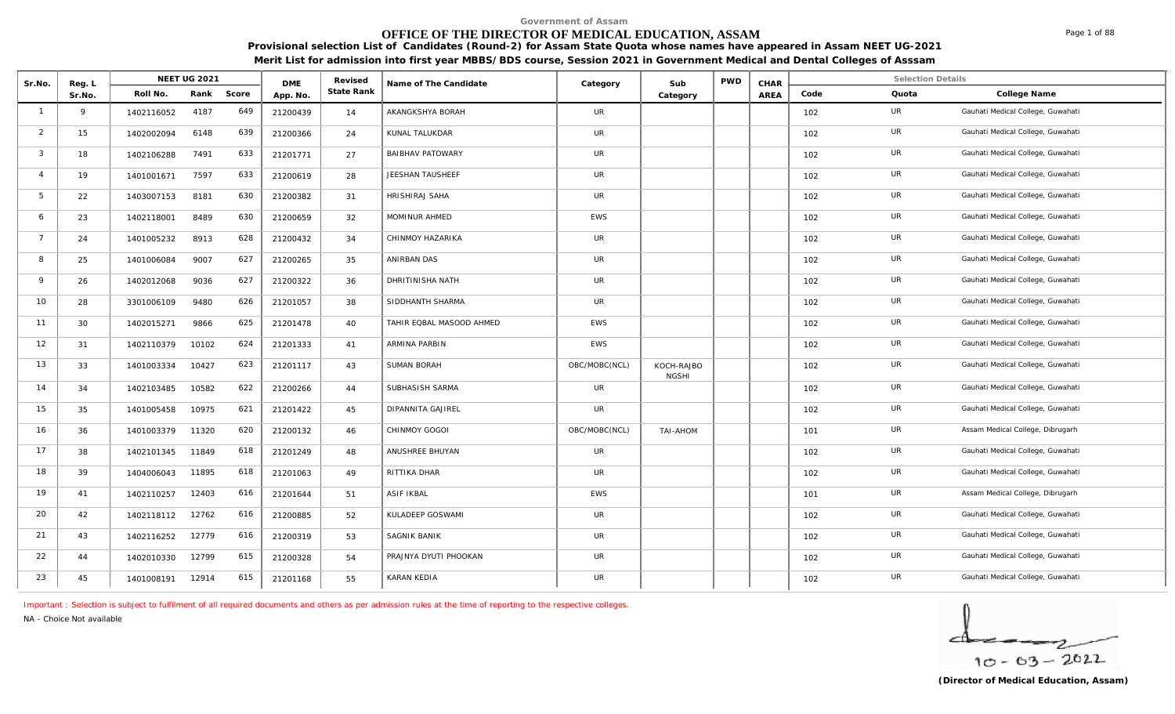# **OFFICE OF THE DIRECTOR OF MEDICAL EDUCATION, ASSAM**

**Provisional selection List of Candidates (Round-2) for Assam State Quota whose names have appeared in Assam NEET UG-2021 Merit List for admission into first year MBBS/BDS course, Session 2021 in Government Medical and Dental Colleges of Asssam**

| Sr.No.         | Reg. L |            | <b>NEET UG 2021</b> |       | <b>DME</b> | Revised    | Name of The Candidate    |               | Sub                        | <b>PWD</b> | CHAR |      | <b>Selection Details</b> |                                   |
|----------------|--------|------------|---------------------|-------|------------|------------|--------------------------|---------------|----------------------------|------------|------|------|--------------------------|-----------------------------------|
|                | Sr.No. | Roll No.   | Rank                | Score | App. No.   | State Rank |                          | Category      | Category                   |            | AREA | Code | Quota                    | College Name                      |
| $\overline{1}$ | 9      | 1402116052 | 4187                | 649   | 21200439   | 14         | AKANGKSHYA BORAH         | <b>UR</b>     |                            |            |      | 102  | UR                       | Gauhati Medical College, Guwahati |
| 2              | 15     | 1402002094 | 6148                | 639   | 21200366   | 24         | KUNAL TALUKDAR           | UR            |                            |            |      | 102  | UR                       | Gauhati Medical College, Guwahati |
| 3              | 18     | 1402106288 | 7491                | 633   | 21201771   | 27         | <b>BAIBHAV PATOWARY</b>  | UR            |                            |            |      | 102  | UR                       | Gauhati Medical College, Guwahati |
| $\Delta$       | 19     | 1401001671 | 7597                | 633   | 21200619   | 28         | JEESHAN TAUSHEEF         | UR            |                            |            |      | 102  | UR                       | Gauhati Medical College, Guwahati |
| 5              | 22     | 1403007153 | 8181                | 630   | 21200382   | 31         | HRISHIRAJ SAHA           | <b>UR</b>     |                            |            |      | 102  | UR                       | Gauhati Medical College, Guwahati |
| 6              | 23     | 1402118001 | 8489                | 630   | 21200659   | 32         | MOMINUR AHMED            | EWS           |                            |            |      | 102  | UR                       | Gauhati Medical College, Guwahati |
| $\overline{7}$ | 24     | 1401005232 | 8913                | 628   | 21200432   | 34         | CHINMOY HAZARIKA         | UR            |                            |            |      | 102  | UR                       | Gauhati Medical College, Guwahati |
| 8              | 25     | 1401006084 | 9007                | 627   | 21200265   | 35         | ANIRBAN DAS              | UR            |                            |            |      | 102  | UR                       | Gauhati Medical College, Guwahati |
| $\circ$        | 26     | 1402012068 | 9036                | 627   | 21200322   | 36         | <b>DHRITINISHA NATH</b>  | <b>UR</b>     |                            |            |      | 102  | UR                       | Gauhati Medical College, Guwahati |
| 10             | 28     | 3301006109 | 9480                | 626   | 21201057   | 38         | SIDDHANTH SHARMA         | <b>UR</b>     |                            |            |      | 102  | UR                       | Gauhati Medical College, Guwahati |
| 11             | 30     | 1402015271 | 9866                | 625   | 21201478   | 40         | TAHIR EQBAL MASOOD AHMED | EWS           |                            |            |      | 102  | UR                       | Gauhati Medical College, Guwahati |
| 12             | 31     | 1402110379 | 10102               | 624   | 21201333   | 41         | ARMINA PARBIN            | <b>EWS</b>    |                            |            |      | 102  | UR                       | Gauhati Medical College, Guwahati |
| 13             | 33     | 1401003334 | 10427               | 623   | 21201117   | 43         | SUMAN BORAH              | OBC/MOBC(NCL) | KOCH-RAJBO<br><b>NGSHI</b> |            |      | 102  | UR                       | Gauhati Medical College, Guwahati |
| 14             | 34     | 1402103485 | 10582               | 622   | 21200266   | 44         | SUBHASISH SARMA          | UR            |                            |            |      | 102  | <b>UR</b>                | Gauhati Medical College, Guwahati |
| 15             | 35     | 1401005458 | 10975               | 621   | 21201422   | 45         | <b>DIPANNITA GAJIREL</b> | UR            |                            |            |      | 102  | UR                       | Gauhati Medical College, Guwahati |
| 16             | 36     | 1401003379 | 11320               | 620   | 21200132   | 46         | CHINMOY GOGOI            | OBC/MOBC(NCL) | TAI-AHOM                   |            |      | 101  | UR                       | Assam Medical College, Dibrugarh  |
| 17             | 38     | 1402101345 | 11849               | 618   | 21201249   | 48         | ANUSHREE BHUYAN          | UR            |                            |            |      | 102  | UR                       | Gauhati Medical College, Guwahati |
| 18             | 39     | 1404006043 | 11895               | 618   | 21201063   | 49         | RITTIKA DHAR             | UR            |                            |            |      | 102  | UR                       | Gauhati Medical College, Guwahati |
| 19             | 41     | 1402110257 | 12403               | 616   | 21201644   | 51         | <b>ASIF IKBAL</b>        | <b>EWS</b>    |                            |            |      | 101  | UR                       | Assam Medical College, Dibrugarh  |
| 20             | 42     | 1402118112 | 12762               | 616   | 21200885   | 52         | KULADEEP GOSWAMI         | UR            |                            |            |      | 102  | UR                       | Gauhati Medical College, Guwahati |
| 21             | 43     | 1402116252 | 12779               | 616   | 21200319   | 53         | SAGNIK BANIK             | UR            |                            |            |      | 102  | UR                       | Gauhati Medical College, Guwahati |
| 22             | 44     | 1402010330 | 12799               | 615   | 21200328   | 54         | PRAJNYA DYUTI PHOOKAN    | UR            |                            |            |      | 102  | UR                       | Gauhati Medical College, Guwahati |
| 23             | 45     | 1401008191 | 12914               | 615   | 21201168   | 55         | KARAN KEDIA              | UR            |                            |            |      | 102  | UR                       | Gauhati Medical College, Guwahati |

*Important : Selection is subject to fulfilment of all required documents and others as per admission rules at the time of reporting to the respective colleges.*

*NA - Choice Not available*

$$
\frac{1}{10-03-2022}
$$

Page 1 of 88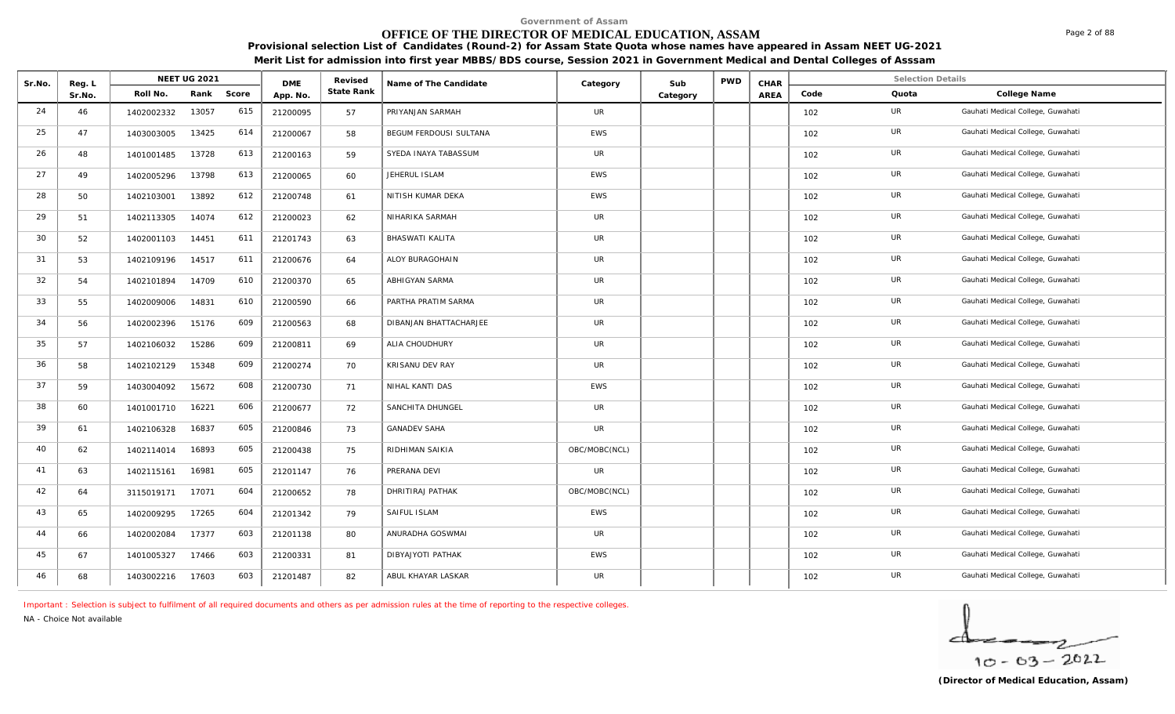# **OFFICE OF THE DIRECTOR OF MEDICAL EDUCATION, ASSAM**

**Provisional selection List of Candidates (Round-2) for Assam State Quota whose names have appeared in Assam NEET UG-2021 Merit List for admission into first year MBBS/BDS course, Session 2021 in Government Medical and Dental Colleges of Asssam**

| Sr.No. | Reg. L |            | <b>NEET UG 2021</b> |       | <b>DME</b> | Revised    | Name of The Candidate  | Category      | Sub      | <b>PWD</b> | CHAR |      | <b>Selection Details</b> |                                   |
|--------|--------|------------|---------------------|-------|------------|------------|------------------------|---------------|----------|------------|------|------|--------------------------|-----------------------------------|
|        | Sr.No. | Roll No.   | Rank                | Score | App. No.   | State Rank |                        |               | Category |            | AREA | Code | Quota                    | College Name                      |
| 24     | 46     | 1402002332 | 13057               | 615   | 21200095   | 57         | PRIYANJAN SARMAH       | <b>UR</b>     |          |            |      | 102  | UR                       | Gauhati Medical College, Guwahati |
| 25     | 47     | 1403003005 | 13425               | 614   | 21200067   | 58         | BEGUM FERDOUSI SULTANA | EWS           |          |            |      | 102  | <b>UR</b>                | Gauhati Medical College, Guwahati |
| 26     | 48     | 1401001485 | 13728               | 613   | 21200163   | 59         | SYEDA INAYA TABASSUM   | <b>UR</b>     |          |            |      | 102  | UR                       | Gauhati Medical College, Guwahati |
| 27     | 49     | 1402005296 | 13798               | 613   | 21200065   | 60         | JEHERUL ISLAM          | EWS           |          |            |      | 102  | <b>UR</b>                | Gauhati Medical College, Guwahati |
| 28     | 50     | 1402103001 | 13892               | 612   | 21200748   | 61         | NITISH KUMAR DEKA      | EWS           |          |            |      | 102  | <b>UR</b>                | Gauhati Medical College, Guwahati |
| 29     | 51     | 1402113305 | 14074               | 612   | 21200023   | 62         | NIHARIKA SARMAH        | UR            |          |            |      | 102  | UR                       | Gauhati Medical College, Guwahati |
| 30     | 52     | 1402001103 | 14451               | 611   | 21201743   | 63         | BHASWATI KALITA        | <b>UR</b>     |          |            |      | 102  | UR                       | Gauhati Medical College, Guwahati |
| 31     | 53     | 1402109196 | 14517               | 611   | 21200676   | 64         | ALOY BURAGOHAIN        | <b>UR</b>     |          |            |      | 102  | UR                       | Gauhati Medical College, Guwahati |
| 32     | 54     | 1402101894 | 14709               | 610   | 21200370   | 65         | ABHIGYAN SARMA         | UR            |          |            |      | 102  | UR                       | Gauhati Medical College, Guwahati |
| 33     | 55     | 1402009006 | 14831               | 610   | 21200590   | 66         | PARTHA PRATIM SARMA    | <b>UR</b>     |          |            |      | 102  | <b>UR</b>                | Gauhati Medical College, Guwahati |
| 34     | 56     | 1402002396 | 15176               | 609   | 21200563   | 68         | DIBANJAN BHATTACHARJEE | UR            |          |            |      | 102  | UR                       | Gauhati Medical College, Guwahati |
| 35     | 57     | 1402106032 | 15286               | 609   | 21200811   | 69         | ALIA CHOUDHURY         | <b>UR</b>     |          |            |      | 102  | UR                       | Gauhati Medical College, Guwahati |
| 36     | 58     | 1402102129 | 15348               | 609   | 21200274   | 70         | KRISANU DEV RAY        | <b>UR</b>     |          |            |      | 102  | <b>UR</b>                | Gauhati Medical College, Guwahati |
| 37     | 59     | 1403004092 | 15672               | 608   | 21200730   | 71         | NIHAL KANTI DAS        | <b>EWS</b>    |          |            |      | 102  | UR                       | Gauhati Medical College, Guwahati |
| 38     | 60     | 1401001710 | 16221               | 606   | 21200677   | 72         | SANCHITA DHUNGEL       | <b>UR</b>     |          |            |      | 102  | UR                       | Gauhati Medical College, Guwahati |
| 39     | 61     | 1402106328 | 16837               | 605   | 21200846   | 73         | <b>GANADEV SAHA</b>    | <b>UR</b>     |          |            |      | 102  | UR                       | Gauhati Medical College, Guwahati |
| 40     | 62     | 1402114014 | 16893               | 605   | 21200438   | 75         | RIDHIMAN SAIKIA        | OBC/MOBC(NCL) |          |            |      | 102  | <b>UR</b>                | Gauhati Medical College, Guwahati |
| 41     | 63     | 1402115161 | 16981               | 605   | 21201147   | 76         | PRERANA DEVI           | UR            |          |            |      | 102  | UR                       | Gauhati Medical College, Guwahati |
| 42     | 64     | 3115019171 | 17071               | 604   | 21200652   | 78         | DHRITIRAJ PATHAK       | OBC/MOBC(NCL) |          |            |      | 102  | <b>UR</b>                | Gauhati Medical College, Guwahati |
| 43     | 65     | 1402009295 | 17265               | 604   | 21201342   | 79         | SAIFUL ISLAM           | EWS           |          |            |      | 102  | <b>UR</b>                | Gauhati Medical College, Guwahati |
| 44     | 66     | 1402002084 | 17377               | 603   | 21201138   | 80         | ANURADHA GOSWMAI       | <b>UR</b>     |          |            |      | 102  | <b>UR</b>                | Gauhati Medical College, Guwahati |
| 45     | 67     | 1401005327 | 17466               | 603   | 21200331   | 81         | DIBYAJYOTI PATHAK      | EWS           |          |            |      | 102  | UR                       | Gauhati Medical College, Guwahati |
| 46     | 68     | 1403002216 | 17603               | 603   | 21201487   | 82         | ABUL KHAYAR LASKAR     | <b>UR</b>     |          |            |      | 102  | <b>UR</b>                | Gauhati Medical College, Guwahati |

*Important : Selection is subject to fulfilment of all required documents and others as per admission rules at the time of reporting to the respective colleges.*

*NA - Choice Not available*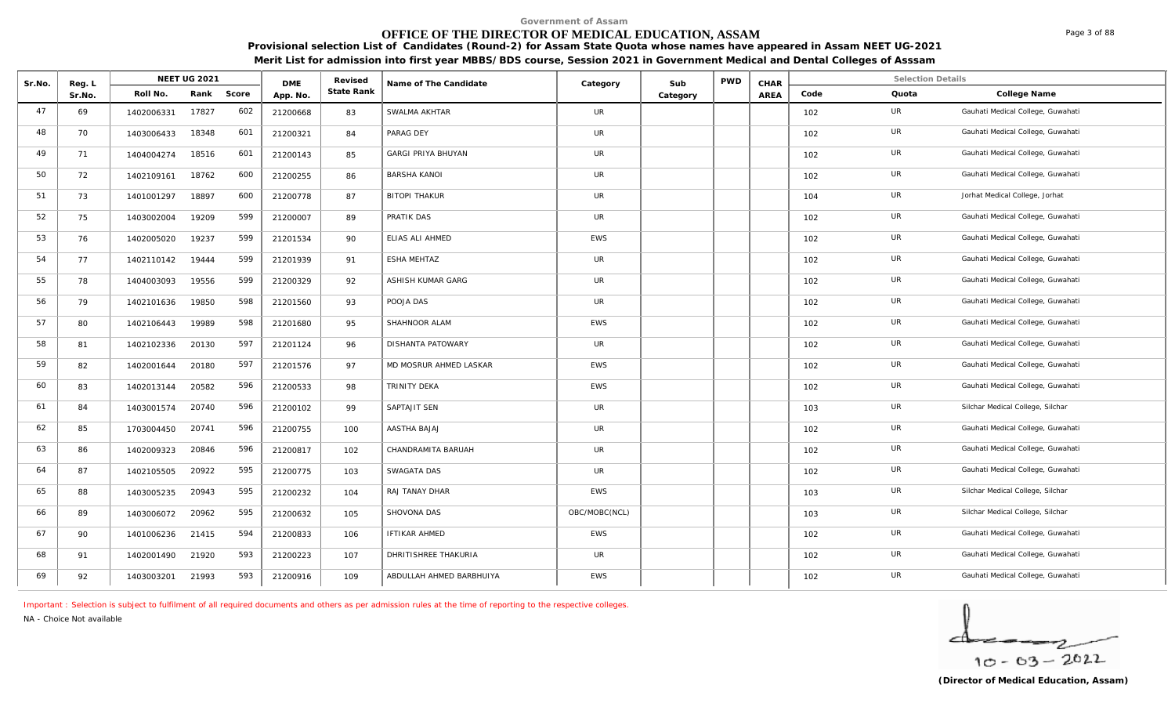# **OFFICE OF THE DIRECTOR OF MEDICAL EDUCATION, ASSAM**

**Provisional selection List of Candidates (Round-2) for Assam State Quota whose names have appeared in Assam NEET UG-2021 Merit List for admission into first year MBBS/BDS course, Session 2021 in Government Medical and Dental Colleges of Asssam**

| Sr.No. | Reg. L |            | <b>NEET UG 2021</b> |       | <b>DME</b> | Revised    | Name of The Candidate     | Category      | Sub      | <b>PWD</b> | CHAR |      | <b>Selection Details</b> |                                   |
|--------|--------|------------|---------------------|-------|------------|------------|---------------------------|---------------|----------|------------|------|------|--------------------------|-----------------------------------|
|        | Sr.No. | Roll No.   | Rank                | Score | App. No.   | State Rank |                           |               | Category |            | AREA | Code | Quota                    | College Name                      |
| 47     | 69     | 1402006331 | 17827               | 602   | 21200668   | 83         | SWALMA AKHTAR             | <b>UR</b>     |          |            |      | 102  | UR                       | Gauhati Medical College, Guwahati |
| 48     | 70     | 1403006433 | 18348               | 601   | 21200321   | 84         | PARAG DEY                 | <b>UR</b>     |          |            |      | 102  | UR                       | Gauhati Medical College, Guwahati |
| 49     | 71     | 1404004274 | 18516               | 601   | 21200143   | 85         | <b>GARGI PRIYA BHUYAN</b> | <b>UR</b>     |          |            |      | 102  | UR                       | Gauhati Medical College, Guwahati |
| 50     | 72     | 1402109161 | 18762               | 600   | 21200255   | 86         | <b>BARSHA KANOI</b>       | <b>UR</b>     |          |            |      | 102  | UR                       | Gauhati Medical College, Guwahati |
| 51     | 73     | 1401001297 | 18897               | 600   | 21200778   | 87         | <b>BITOPI THAKUR</b>      | <b>UR</b>     |          |            |      | 104  | UR                       | Jorhat Medical College, Jorhat    |
| 52     | 75     | 1403002004 | 19209               | 599   | 21200007   | 89         | PRATIK DAS                | UR            |          |            |      | 102  | UR                       | Gauhati Medical College, Guwahati |
| 53     | 76     | 1402005020 | 19237               | 599   | 21201534   | 90         | ELIAS ALI AHMED           | <b>EWS</b>    |          |            |      | 102  | UR                       | Gauhati Medical College, Guwahati |
| 54     | 77     | 1402110142 | 19444               | 599   | 21201939   | 91         | ESHA MEHTAZ               | UR            |          |            |      | 102  | UR                       | Gauhati Medical College, Guwahati |
| 55     | 78     | 1404003093 | 19556               | 599   | 21200329   | 92         | ASHISH KUMAR GARG         | <b>UR</b>     |          |            |      | 102  | UR                       | Gauhati Medical College, Guwahati |
| 56     | 79     | 1402101636 | 19850               | 598   | 21201560   | 93         | POOJA DAS                 | <b>UR</b>     |          |            |      | 102  | UR                       | Gauhati Medical College, Guwahati |
| 57     | 80     | 1402106443 | 19989               | 598   | 21201680   | 95         | SHAHNOOR ALAM             | <b>EWS</b>    |          |            |      | 102  | UR                       | Gauhati Medical College, Guwahati |
| 58     | 81     | 1402102336 | 20130               | 597   | 21201124   | 96         | DISHANTA PATOWARY         | <b>UR</b>     |          |            |      | 102  | UR                       | Gauhati Medical College, Guwahati |
| 59     | 82     | 1402001644 | 20180               | 597   | 21201576   | 97         | MD MOSRUR AHMED LASKAR    | <b>EWS</b>    |          |            |      | 102  | UR                       | Gauhati Medical College, Guwahati |
| 60     | 83     | 1402013144 | 20582               | 596   | 21200533   | 98         | TRINITY DEKA              | <b>EWS</b>    |          |            |      | 102  | UR                       | Gauhati Medical College, Guwahati |
| 61     | 84     | 1403001574 | 20740               | 596   | 21200102   | 99         | SAPTAJIT SEN              | <b>UR</b>     |          |            |      | 103  | UR                       | Silchar Medical College, Silchar  |
| 62     | 85     | 1703004450 | 20741               | 596   | 21200755   | 100        | AASTHA BAJAJ              | <b>UR</b>     |          |            |      | 102  | UR                       | Gauhati Medical College, Guwahati |
| 63     | 86     | 1402009323 | 20846               | 596   | 21200817   | 102        | CHANDRAMITA BARUAH        | UR            |          |            |      | 102  | UR                       | Gauhati Medical College, Guwahati |
| 64     | 87     | 1402105505 | 20922               | 595   | 21200775   | 103        | SWAGATA DAS               | <b>UR</b>     |          |            |      | 102  | UR                       | Gauhati Medical College, Guwahati |
| 65     | 88     | 1403005235 | 20943               | 595   | 21200232   | 104        | RAJ TANAY DHAR            | EWS           |          |            |      | 103  | UR                       | Silchar Medical College, Silchar  |
| 66     | 89     | 1403006072 | 20962               | 595   | 21200632   | 105        | SHOVONA DAS               | OBC/MOBC(NCL) |          |            |      | 103  | UR                       | Silchar Medical College, Silchar  |
| 67     | 90     | 1401006236 | 21415               | 594   | 21200833   | 106        | <b>IFTIKAR AHMED</b>      | <b>EWS</b>    |          |            |      | 102  | UR                       | Gauhati Medical College, Guwahati |
| 68     | 91     | 1402001490 | 21920               | 593   | 21200223   | 107        | DHRITISHREE THAKURIA      | <b>UR</b>     |          |            |      | 102  | UR                       | Gauhati Medical College, Guwahati |
| 69     | 92     | 1403003201 | 21993               | 593   | 21200916   | 109        | ABDULLAH AHMED BARBHUIYA  | <b>EWS</b>    |          |            |      | 102  | UR                       | Gauhati Medical College, Guwahati |

*Important : Selection is subject to fulfilment of all required documents and others as per admission rules at the time of reporting to the respective colleges.*

*NA - Choice Not available*

 $10 - 63 - 2022$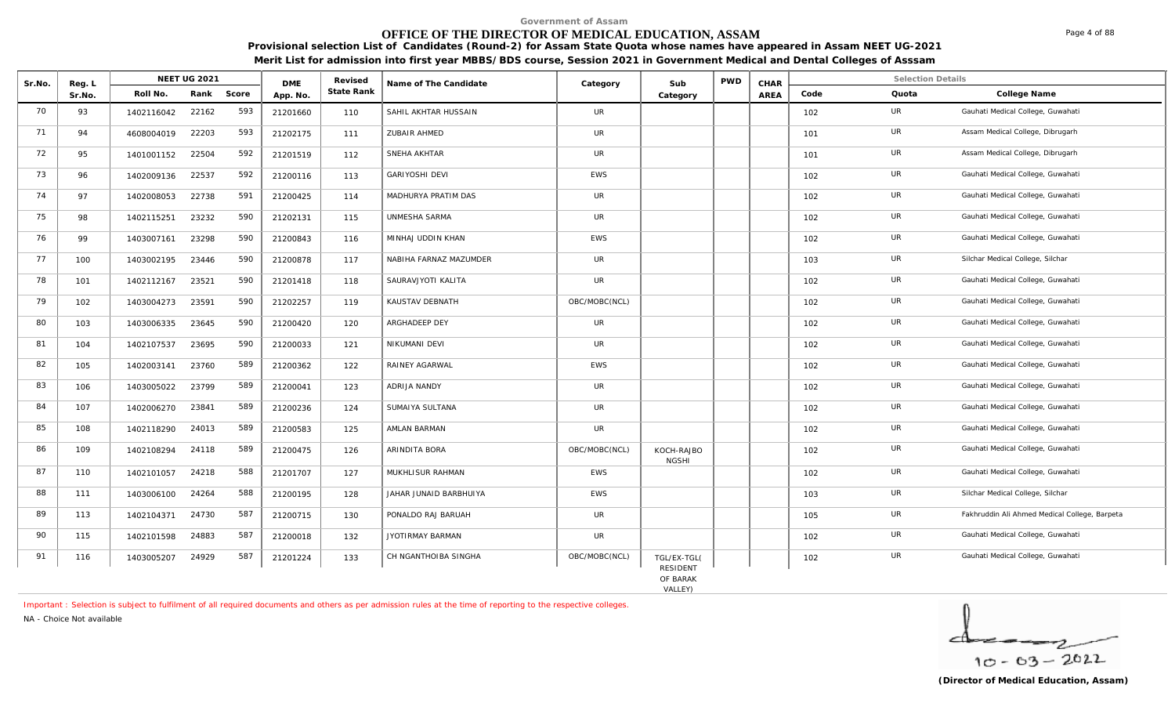# **OFFICE OF THE DIRECTOR OF MEDICAL EDUCATION, ASSAM**

**Provisional selection List of Candidates (Round-2) for Assam State Quota whose names have appeared in Assam NEET UG-2021 Merit List for admission into first year MBBS/BDS course, Session 2021 in Government Medical and Dental Colleges of Asssam**

| Sr.No. | Reg. L |            | <b>NEET UG 2021</b> |       | <b>DMF</b> | Revised    | Name of The Candidate  | Category      | Sub                        | <b>PWD</b> | CHAR |      | <b>Selection Details</b> |                                               |
|--------|--------|------------|---------------------|-------|------------|------------|------------------------|---------------|----------------------------|------------|------|------|--------------------------|-----------------------------------------------|
|        | Sr.No. | Roll No.   | Rank                | Score | App. No.   | State Rank |                        |               | Category                   |            | AREA | Code | Quota                    | College Name                                  |
| 70     | 93     | 1402116042 | 22162               | 593   | 21201660   | 110        | SAHIL AKHTAR HUSSAIN   | <b>UR</b>     |                            |            |      | 102  | UR                       | Gauhati Medical College, Guwahati             |
| 71     | 94     | 4608004019 | 22203               | 593   | 21202175   | 111        | ZUBAIR AHMED           | UR            |                            |            |      | 101  | UR                       | Assam Medical College, Dibrugarh              |
| 72     | 95     | 1401001152 | 22504               | 592   | 21201519   | 112        | SNEHA AKHTAR           | <b>UR</b>     |                            |            |      | 101  | <b>UR</b>                | Assam Medical College, Dibrugarh              |
| 73     | 96     | 1402009136 | 22537               | 592   | 21200116   | 113        | <b>GARIYOSHI DEVI</b>  | EWS           |                            |            |      | 102  | <b>UR</b>                | Gauhati Medical College, Guwahati             |
| 74     | 97     | 1402008053 | 22738               | 591   | 21200425   | 114        | MADHURYA PRATIM DAS    | <b>UR</b>     |                            |            |      | 102  | UR                       | Gauhati Medical College, Guwahati             |
| 75     | 98     | 1402115251 | 23232               | 590   | 21202131   | 115        | UNMESHA SARMA          | <b>UR</b>     |                            |            |      | 102  | UR                       | Gauhati Medical College, Guwahati             |
| 76     | 99     | 1403007161 | 23298               | 590   | 21200843   | 116        | MINHAJ UDDIN KHAN      | <b>EWS</b>    |                            |            |      | 102  | UR                       | Gauhati Medical College, Guwahati             |
| 77     | 100    | 1403002195 | 23446               | 590   | 21200878   | 117        | NABIHA FARNAZ MAZUMDER | <b>UR</b>     |                            |            |      | 103  | <b>UR</b>                | Silchar Medical College, Silchar              |
| 78     | 101    | 1402112167 | 23521               | 590   | 21201418   | 118        | SAURAVJYOTI KALITA     | <b>UR</b>     |                            |            |      | 102  | <b>UR</b>                | Gauhati Medical College, Guwahati             |
| 79     | 102    | 1403004273 | 23591               | 590   | 21202257   | 119        | KAUSTAV DEBNATH        | OBC/MOBC(NCL) |                            |            |      | 102  | <b>UR</b>                | Gauhati Medical College, Guwahati             |
| 80     | 103    | 1403006335 | 23645               | 590   | 21200420   | 120        | ARGHADEEP DEY          | <b>UR</b>     |                            |            |      | 102  | UR                       | Gauhati Medical College, Guwahati             |
| 81     | 104    | 1402107537 | 23695               | 590   | 21200033   | 121        | NIKUMANI DEVI          | UR            |                            |            |      | 102  | UR                       | Gauhati Medical College, Guwahati             |
| 82     | 105    | 1402003141 | 23760               | 589   | 21200362   | 122        | RAINEY AGARWAL         | <b>EWS</b>    |                            |            |      | 102  | UR                       | Gauhati Medical College, Guwahati             |
| 83     | 106    | 1403005022 | 23799               | 589   | 21200041   | 123        | <b>ADRIJA NANDY</b>    | UR            |                            |            |      | 102  | <b>UR</b>                | Gauhati Medical College, Guwahati             |
| 84     | 107    | 1402006270 | 23841               | 589   | 21200236   | 124        | SUMAIYA SULTANA        | <b>UR</b>     |                            |            |      | 102  | <b>UR</b>                | Gauhati Medical College, Guwahati             |
| 85     | 108    | 1402118290 | 24013               | 589   | 21200583   | 125        | AMLAN BARMAN           | <b>UR</b>     |                            |            |      | 102  | UR                       | Gauhati Medical College, Guwahati             |
| 86     | 109    | 1402108294 | 24118               | 589   | 21200475   | 126        | ARINDITA BORA          | OBC/MOBC(NCL) | KOCH-RAJBO<br><b>NGSHI</b> |            |      | 102  | UR                       | Gauhati Medical College, Guwahati             |
| 87     | 110    | 1402101057 | 24218               | 588   | 21201707   | 127        | MUKHLISUR RAHMAN       | <b>EWS</b>    |                            |            |      | 102  | <b>UR</b>                | Gauhati Medical College, Guwahati             |
| 88     | 111    | 1403006100 | 24264               | 588   | 21200195   | 128        | JAHAR JUNAID BARBHUIYA | EWS           |                            |            |      | 103  | UR                       | Silchar Medical College, Silchar              |
| 89     | 113    | 1402104371 | 24730               | 587   | 21200715   | 130        | PONALDO RAJ BARUAH     | <b>UR</b>     |                            |            |      | 105  | UR                       | Fakhruddin Ali Ahmed Medical College, Barpeta |
| 90     | 115    | 1402101598 | 24883               | 587   | 21200018   | 132        | JYOTIRMAY BARMAN       | <b>UR</b>     |                            |            |      | 102  | <b>UR</b>                | Gauhati Medical College, Guwahati             |
| 91     | 116    | 1403005207 | 24929               | 587   | 21201224   | 133        | CH NGANTHOIBA SINGHA   | OBC/MOBC(NCL) | TGL/EX-TGL(<br>RESIDENT    |            |      | 102  | UR                       | Gauhati Medical College, Guwahati             |

OF BARAK<br>VALLEY)

*Important : Selection is subject to fulfilment of all required documents and others as per admission rules at the time of reporting to the respective colleges.*

*NA - Choice Not available*

Page 4 of 88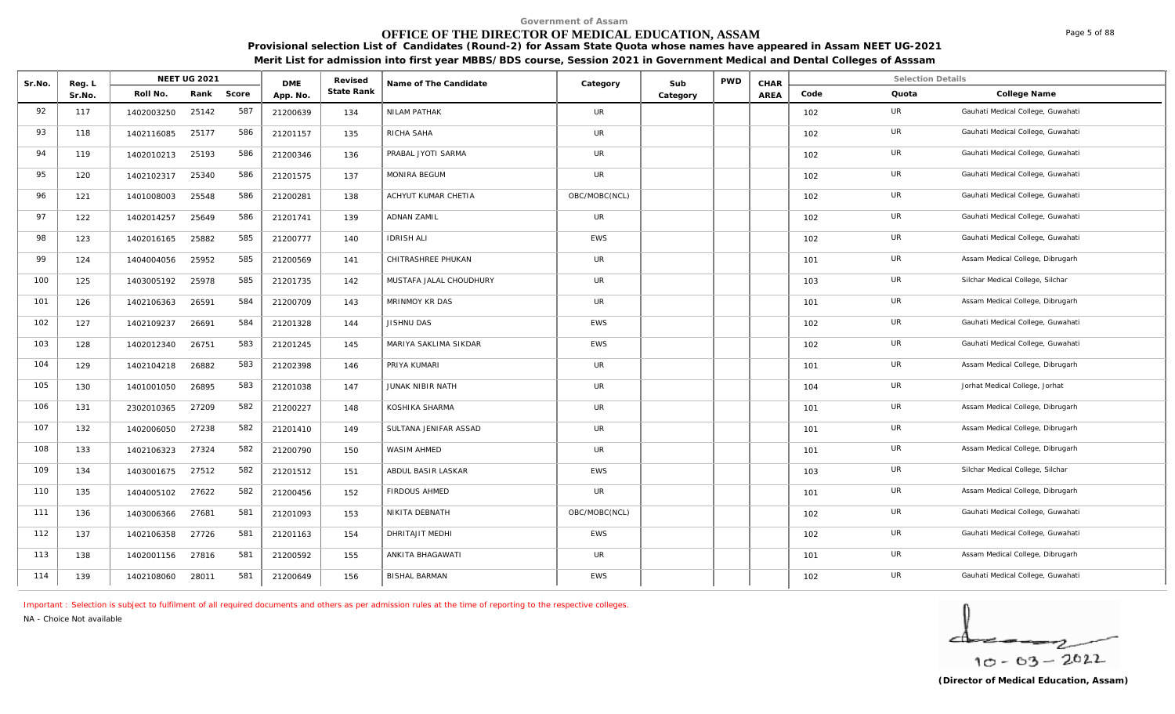# **OFFICE OF THE DIRECTOR OF MEDICAL EDUCATION, ASSAM**

**Provisional selection List of Candidates (Round-2) for Assam State Quota whose names have appeared in Assam NEET UG-2021 Merit List for admission into first year MBBS/BDS course, Session 2021 in Government Medical and Dental Colleges of Asssam**

| Sr.No. | Reg. L |            | <b>NEET UG 2021</b> |       | <b>DME</b> | Revised    | Name of The Candidate   | Category      | Sub      | <b>PWD</b> | CHAR |      | <b>Selection Details</b> |                                   |
|--------|--------|------------|---------------------|-------|------------|------------|-------------------------|---------------|----------|------------|------|------|--------------------------|-----------------------------------|
|        | Sr.No. | Roll No.   | Rank                | Score | App. No.   | State Rank |                         |               | Category |            | AREA | Code | Quota                    | College Name                      |
| 92     | 117    | 1402003250 | 25142               | 587   | 21200639   | 134        | NILAM PATHAK            | UR            |          |            |      | 102  | <b>UR</b>                | Gauhati Medical College, Guwahati |
| 93     | 118    | 1402116085 | 25177               | 586   | 21201157   | 135        | RICHA SAHA              | UR            |          |            |      | 102  | UR                       | Gauhati Medical College, Guwahati |
| 94     | 119    | 1402010213 | 25193               | 586   | 21200346   | 136        | PRABAL JYOTI SARMA      | <b>UR</b>     |          |            |      | 102  | UR                       | Gauhati Medical College, Guwahati |
| 95     | 120    | 1402102317 | 25340               | 586   | 21201575   | 137        | MONIRA BEGUM            | UR            |          |            |      | 102  | UR                       | Gauhati Medical College, Guwahati |
| 96     | 121    | 1401008003 | 25548               | 586   | 21200281   | 138        | ACHYUT KUMAR CHETIA     | OBC/MOBC(NCL) |          |            |      | 102  | UR                       | Gauhati Medical College, Guwahati |
| 97     | 122    | 1402014257 | 25649               | 586   | 21201741   | 139        | <b>ADNAN ZAMIL</b>      | <b>UR</b>     |          |            |      | 102  | UR                       | Gauhati Medical College, Guwahati |
| 98     | 123    | 1402016165 | 25882               | 585   | 21200777   | 140        | <b>IDRISH ALI</b>       | <b>EWS</b>    |          |            |      | 102  | <b>UR</b>                | Gauhati Medical College, Guwahati |
| 99     | 124    | 1404004056 | 25952               | 585   | 21200569   | 141        | CHITRASHREE PHUKAN      | UR            |          |            |      | 101  | <b>UR</b>                | Assam Medical College, Dibrugarh  |
| 100    | 125    | 1403005192 | 25978               | 585   | 21201735   | 142        | MUSTAFA JALAL CHOUDHURY | UR            |          |            |      | 103  | UR                       | Silchar Medical College, Silchar  |
| 101    | 126    | 1402106363 | 26591               | 584   | 21200709   | 143        | MRINMOY KR DAS          | <b>UR</b>     |          |            |      | 101  | UR                       | Assam Medical College, Dibrugarh  |
| 102    | 127    | 1402109237 | 26691               | 584   | 21201328   | 144        | JISHNU DAS              | EWS           |          |            |      | 102  | UR                       | Gauhati Medical College, Guwahati |
| 103    | 128    | 1402012340 | 26751               | 583   | 21201245   | 145        | MARIYA SAKLIMA SIKDAR   | <b>EWS</b>    |          |            |      | 102  | UR                       | Gauhati Medical College, Guwahati |
| 104    | 129    | 1402104218 | 26882               | 583   | 21202398   | 146        | PRIYA KUMARI            | <b>UR</b>     |          |            |      | 101  | <b>UR</b>                | Assam Medical College, Dibrugarh  |
| 105    | 130    | 1401001050 | 26895               | 583   | 21201038   | 147        | JUNAK NIBIR NATH        | <b>UR</b>     |          |            |      | 104  | <b>UR</b>                | Jorhat Medical College, Jorhat    |
| 106    | 131    | 2302010365 | 27209               | 582   | 21200227   | 148        | KOSHIKA SHARMA          | UR            |          |            |      | 101  | UR                       | Assam Medical College, Dibrugarh  |
| 107    | 132    | 1402006050 | 27238               | 582   | 21201410   | 149        | SULTANA JENIFAR ASSAD   | <b>UR</b>     |          |            |      | 101  | UR                       | Assam Medical College, Dibrugarh  |
| 108    | 133    | 1402106323 | 27324               | 582   | 21200790   | 150        | WASIM AHMED             | UR            |          |            |      | 101  | UR                       | Assam Medical College, Dibrugarh  |
| 109    | 134    | 1403001675 | 27512               | 582   | 21201512   | 151        | ABDUL BASIR LASKAR      | <b>EWS</b>    |          |            |      | 103  | UR                       | Silchar Medical College, Silchar  |
| 110    | 135    | 1404005102 | 27622               | 582   | 21200456   | 152        | FIRDOUS AHMED           | <b>UR</b>     |          |            |      | 101  | UR                       | Assam Medical College, Dibrugarh  |
| 111    | 136    | 1403006366 | 27681               | 581   | 21201093   | 153        | NIKITA DEBNATH          | OBC/MOBC(NCL) |          |            |      | 102  | UR                       | Gauhati Medical College, Guwahati |
| 112    | 137    | 1402106358 | 27726               | 581   | 21201163   | 154        | DHRITAJIT MEDHI         | <b>EWS</b>    |          |            |      | 102  | UR                       | Gauhati Medical College, Guwahati |
| 113    | 138    | 1402001156 | 27816               | 581   | 21200592   | 155        | ANKITA BHAGAWATI        | UR            |          |            |      | 101  | UR                       | Assam Medical College, Dibrugarh  |
| 114    | 139    | 1402108060 | 28011               | 581   | 21200649   | 156        | <b>BISHAL BARMAN</b>    | EWS           |          |            |      | 102  | UR                       | Gauhati Medical College, Guwahati |

*Important : Selection is subject to fulfilment of all required documents and others as per admission rules at the time of reporting to the respective colleges.*

*NA - Choice Not available*

 $10 - 63 - 2022$ 

Page 5 of 88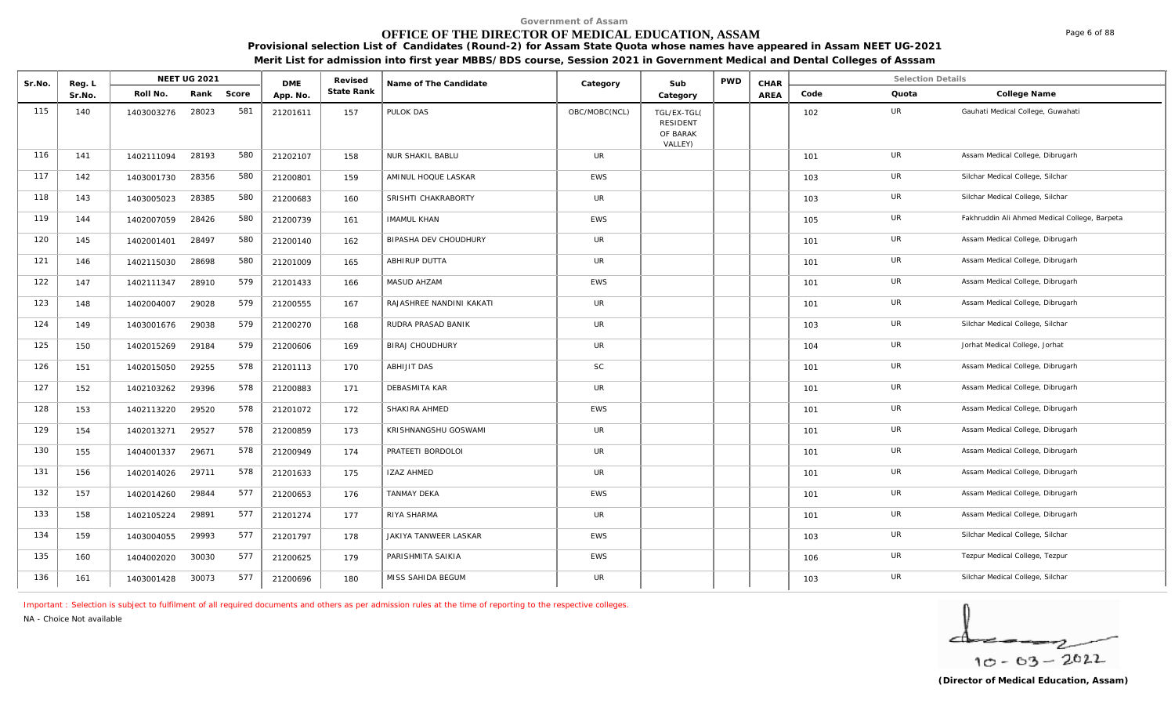# **OFFICE OF THE DIRECTOR OF MEDICAL EDUCATION, ASSAM**

**Provisional selection List of Candidates (Round-2) for Assam State Quota whose names have appeared in Assam NEET UG-2021** 

**Merit List for admission into first year MBBS/BDS course, Session 2021 in Government Medical and Dental Colleges of Asssam**

| Sr.No. | Reg. L |            | <b>NEET UG 2021</b> |       | <b>DME</b> | Revised    | Name of The Candidate    | Category      | Sub                                                   | <b>PWD</b> | CHAR |      | <b>Selection Details</b> |                                               |
|--------|--------|------------|---------------------|-------|------------|------------|--------------------------|---------------|-------------------------------------------------------|------------|------|------|--------------------------|-----------------------------------------------|
|        | Sr.No. | Roll No.   | Rank                | Score | App. No.   | State Rank |                          |               | Category                                              |            | AREA | Code | Quota                    | College Name                                  |
| 115    | 140    | 1403003276 | 28023               | 581   | 21201611   | 157        | PULOK DAS                | OBC/MOBC(NCL) | TGL/EX-TGL(<br><b>RESIDENT</b><br>OF BARAK<br>VALLEY) |            |      | 102  | UR                       | Gauhati Medical College, Guwahati             |
| 116    | 141    | 1402111094 | 28193               | 580   | 21202107   | 158        | NUR SHAKIL BABLU         | <b>UR</b>     |                                                       |            |      | 101  | UR                       | Assam Medical College, Dibrugarh              |
| 117    | 142    | 1403001730 | 28356               | 580   | 21200801   | 159        | AMINUL HOQUE LASKAR      | <b>EWS</b>    |                                                       |            |      | 103  | UR                       | Silchar Medical College, Silchar              |
| 118    | 143    | 1403005023 | 28385               | 580   | 21200683   | 160        | SRISHTI CHAKRABORTY      | UR            |                                                       |            |      | 103  | UR                       | Silchar Medical College, Silchar              |
| 119    | 144    | 1402007059 | 28426               | 580   | 21200739   | 161        | <b>IMAMUL KHAN</b>       | <b>EWS</b>    |                                                       |            |      | 105  | <b>UR</b>                | Fakhruddin Ali Ahmed Medical College, Barpeta |
| 120    | 145    | 1402001401 | 28497               | 580   | 21200140   | 162        | BIPASHA DEV CHOUDHURY    | <b>UR</b>     |                                                       |            |      | 101  | UR                       | Assam Medical College, Dibrugarh              |
| 121    | 146    | 1402115030 | 28698               | 580   | 21201009   | 165        | ABHIRUP DUTTA            | <b>UR</b>     |                                                       |            |      | 101  | UR                       | Assam Medical College, Dibrugarh              |
| 122    | 147    | 1402111347 | 28910               | 579   | 21201433   | 166        | MASUD AHZAM              | <b>EWS</b>    |                                                       |            |      | 101  | UR                       | Assam Medical College, Dibrugarh              |
| 123    | 148    | 1402004007 | 29028               | 579   | 21200555   | 167        | RAJASHREE NANDINI KAKATI | <b>UR</b>     |                                                       |            |      | 101  | UR                       | Assam Medical College, Dibrugarh              |
| 124    | 149    | 1403001676 | 29038               | 579   | 21200270   | 168        | RUDRA PRASAD BANIK       | <b>UR</b>     |                                                       |            |      | 103  | UR                       | Silchar Medical College, Silchar              |
| 125    | 150    | 1402015269 | 29184               | 579   | 21200606   | 169        | <b>BIRAJ CHOUDHURY</b>   | <b>UR</b>     |                                                       |            |      | 104  | UR                       | Jorhat Medical College, Jorhat                |
| 126    | 151    | 1402015050 | 29255               | 578   | 21201113   | 170        | ABHIJIT DAS              | SC            |                                                       |            |      | 101  | <b>UR</b>                | Assam Medical College, Dibrugarh              |
| 127    | 152    | 1402103262 | 29396               | 578   | 21200883   | 171        | DEBASMITA KAR            | <b>UR</b>     |                                                       |            |      | 101  | UR                       | Assam Medical College, Dibrugarh              |
| 128    | 153    | 1402113220 | 29520               | 578   | 21201072   | 172        | SHAKIRA AHMED            | <b>EWS</b>    |                                                       |            |      | 101  | <b>UR</b>                | Assam Medical College, Dibrugarh              |
| 129    | 154    | 1402013271 | 29527               | 578   | 21200859   | 173        | KRISHNANGSHU GOSWAMI     | <b>UR</b>     |                                                       |            |      | 101  | UR                       | Assam Medical College, Dibrugarh              |
| 130    | 155    | 1404001337 | 29671               | 578   | 21200949   | 174        | PRATEETI BORDOLOI        | <b>UR</b>     |                                                       |            |      | 101  | <b>UR</b>                | Assam Medical College, Dibrugarh              |
| 131    | 156    | 1402014026 | 29711               | 578   | 21201633   | 175        | <b>IZAZ AHMED</b>        | <b>UR</b>     |                                                       |            |      | 101  | UR                       | Assam Medical College, Dibrugarh              |
| 132    | 157    | 1402014260 | 29844               | 577   | 21200653   | 176        | TANMAY DEKA              | EWS           |                                                       |            |      | 101  | UR                       | Assam Medical College, Dibrugarh              |
| 133    | 158    | 1402105224 | 29891               | 577   | 21201274   | 177        | RIYA SHARMA              | <b>UR</b>     |                                                       |            |      | 101  | UR                       | Assam Medical College, Dibrugarh              |
| 134    | 159    | 1403004055 | 29993               | 577   | 21201797   | 178        | JAKIYA TANWEER LASKAR    | EWS           |                                                       |            |      | 103  | UR                       | Silchar Medical College, Silchar              |
| 135    | 160    | 1404002020 | 30030               | 577   | 21200625   | 179        | PARISHMITA SAIKIA        | <b>EWS</b>    |                                                       |            |      | 106  | UR                       | Tezpur Medical College, Tezpur                |
| 136    | 161    | 1403001428 | 30073               | 577   | 21200696   | 180        | MISS SAHIDA BEGUM        | <b>UR</b>     |                                                       |            |      | 103  | UR                       | Silchar Medical College, Silchar              |

*Important : Selection is subject to fulfilment of all required documents and others as per admission rules at the time of reporting to the respective colleges.*

*NA - Choice Not available*

 $10 - 63 - 2022$ 

Page 6 of 88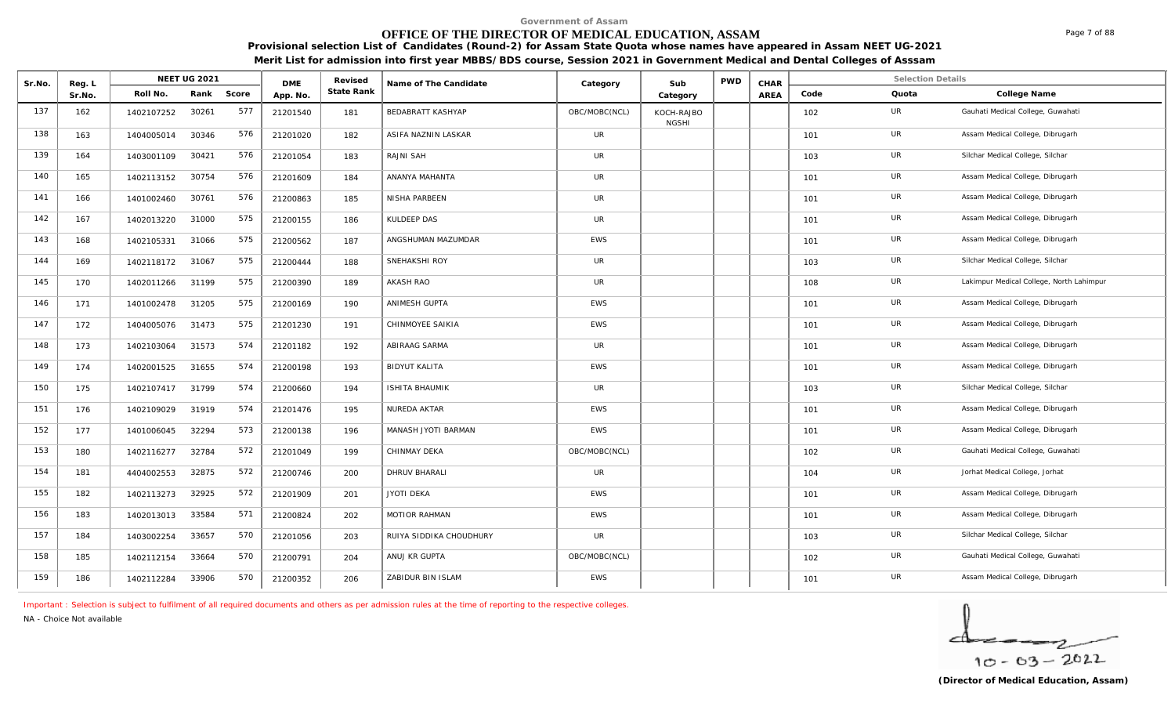# **OFFICE OF THE DIRECTOR OF MEDICAL EDUCATION, ASSAM**

**Provisional selection List of Candidates (Round-2) for Assam State Quota whose names have appeared in Assam NEET UG-2021** 

**Merit List for admission into first year MBBS/BDS course, Session 2021 in Government Medical and Dental Colleges of Asssam**

| Sr.No. | Reg. L |            | <b>NEET UG 2021</b> |       | <b>DME</b> | Revised    | Name of The Candidate    | Category      | Sub                        | <b>PWD</b> | CHAR        |      | <b>Selection Details</b> |                                          |
|--------|--------|------------|---------------------|-------|------------|------------|--------------------------|---------------|----------------------------|------------|-------------|------|--------------------------|------------------------------------------|
|        | Sr.No. | Roll No.   | Rank                | Score | App. No.   | State Rank |                          |               | Category                   |            | <b>AREA</b> | Code | Quota                    | College Name                             |
| 137    | 162    | 1402107252 | 30261               | 577   | 21201540   | 181        | <b>BEDABRATT KASHYAP</b> | OBC/MOBC(NCL) | KOCH-RAJBO<br><b>NGSHI</b> |            |             | 102  | UR                       | Gauhati Medical College, Guwahati        |
| 138    | 163    | 1404005014 | 30346               | 576   | 21201020   | 182        | ASIFA NAZNIN LASKAR      | UR            |                            |            |             | 101  | UR                       | Assam Medical College, Dibrugarh         |
| 139    | 164    | 1403001109 | 30421               | 576   | 21201054   | 183        | RAJNI SAH                | UR            |                            |            |             | 103  | UR                       | Silchar Medical College, Silchar         |
| 140    | 165    | 1402113152 | 30754               | 576   | 21201609   | 184        | ANANYA MAHANTA           | UR            |                            |            |             | 101  | UR                       | Assam Medical College, Dibrugarh         |
| 141    | 166    | 1401002460 | 30761               | 576   | 21200863   | 185        | NISHA PARBEEN            | UR            |                            |            |             | 101  | UR                       | Assam Medical College, Dibrugarh         |
| 142    | 167    | 1402013220 | 31000               | 575   | 21200155   | 186        | KULDEEP DAS              | UR            |                            |            |             | 101  | UR                       | Assam Medical College, Dibrugarh         |
| 143    | 168    | 1402105331 | 31066               | 575   | 21200562   | 187        | ANGSHUMAN MAZUMDAR       | EWS           |                            |            |             | 101  | UR                       | Assam Medical College, Dibrugarh         |
| 144    | 169    | 1402118172 | 31067               | 575   | 21200444   | 188        | SNEHAKSHI ROY            | <b>UR</b>     |                            |            |             | 103  | UR                       | Silchar Medical College, Silchar         |
| 145    | 170    | 1402011266 | 31199               | 575   | 21200390   | 189        | AKASH RAO                | UR            |                            |            |             | 108  | UR                       | Lakimpur Medical College, North Lahimpur |
| 146    | 171    | 1401002478 | 31205               | 575   | 21200169   | 190        | ANIMESH GUPTA            | EWS           |                            |            |             | 101  | UR                       | Assam Medical College, Dibrugarh         |
| 147    | 172    | 1404005076 | 31473               | 575   | 21201230   | 191        | CHINMOYEE SAIKIA         | EWS           |                            |            |             | 101  | <b>UR</b>                | Assam Medical College, Dibrugarh         |
| 148    | 173    | 1402103064 | 31573               | 574   | 21201182   | 192        | ABIRAAG SARMA            | UR            |                            |            |             | 101  | UR                       | Assam Medical College, Dibrugarh         |
| 149    | 174    | 1402001525 | 31655               | 574   | 21200198   | 193        | <b>BIDYUT KALITA</b>     | <b>EWS</b>    |                            |            |             | 101  | UR                       | Assam Medical College, Dibrugarh         |
| 150    | 175    | 1402107417 | 31799               | 574   | 21200660   | 194        | ISHITA BHAUMIK           | UR            |                            |            |             | 103  | <b>UR</b>                | Silchar Medical College, Silchar         |
| 151    | 176    | 1402109029 | 31919               | 574   | 21201476   | 195        | NUREDA AKTAR             | EWS           |                            |            |             | 101  | UR                       | Assam Medical College, Dibrugarh         |
| 152    | 177    | 1401006045 | 32294               | 573   | 21200138   | 196        | MANASH JYOTI BARMAN      | <b>EWS</b>    |                            |            |             | 101  | UR                       | Assam Medical College, Dibrugarh         |
| 153    | 180    | 1402116277 | 32784               | 572   | 21201049   | 199        | CHINMAY DEKA             | OBC/MOBC(NCL) |                            |            |             | 102  | UR                       | Gauhati Medical College, Guwahati        |
| 154    | 181    | 4404002553 | 32875               | 572   | 21200746   | 200        | DHRUV BHARALI            | UR            |                            |            |             | 104  | UR                       | Jorhat Medical College, Jorhat           |
| 155    | 182    | 1402113273 | 32925               | 572   | 21201909   | 201        | <b>JYOTI DEKA</b>        | <b>EWS</b>    |                            |            |             | 101  | UR                       | Assam Medical College, Dibrugarh         |
| 156    | 183    | 1402013013 | 33584               | 571   | 21200824   | 202        | MOTIOR RAHMAN            | EWS           |                            |            |             | 101  | UR                       | Assam Medical College, Dibrugarh         |
| 157    | 184    | 1403002254 | 33657               | 570   | 21201056   | 203        | RUIYA SIDDIKA CHOUDHURY  | UR            |                            |            |             | 103  | UR                       | Silchar Medical College, Silchar         |
| 158    | 185    | 1402112154 | 33664               | 570   | 21200791   | 204        | ANUJ KR GUPTA            | OBC/MOBC(NCL) |                            |            |             | 102  | UR                       | Gauhati Medical College, Guwahati        |
| 159    | 186    | 1402112284 | 33906               | 570   | 21200352   | 206        | ZABIDUR BIN ISLAM        | <b>EWS</b>    |                            |            |             | 101  | UR                       | Assam Medical College, Dibrugarh         |

*Important : Selection is subject to fulfilment of all required documents and others as per admission rules at the time of reporting to the respective colleges.*

*NA - Choice Not available*

$$
\frac{1}{10-03-2022}
$$

Page 7 of 88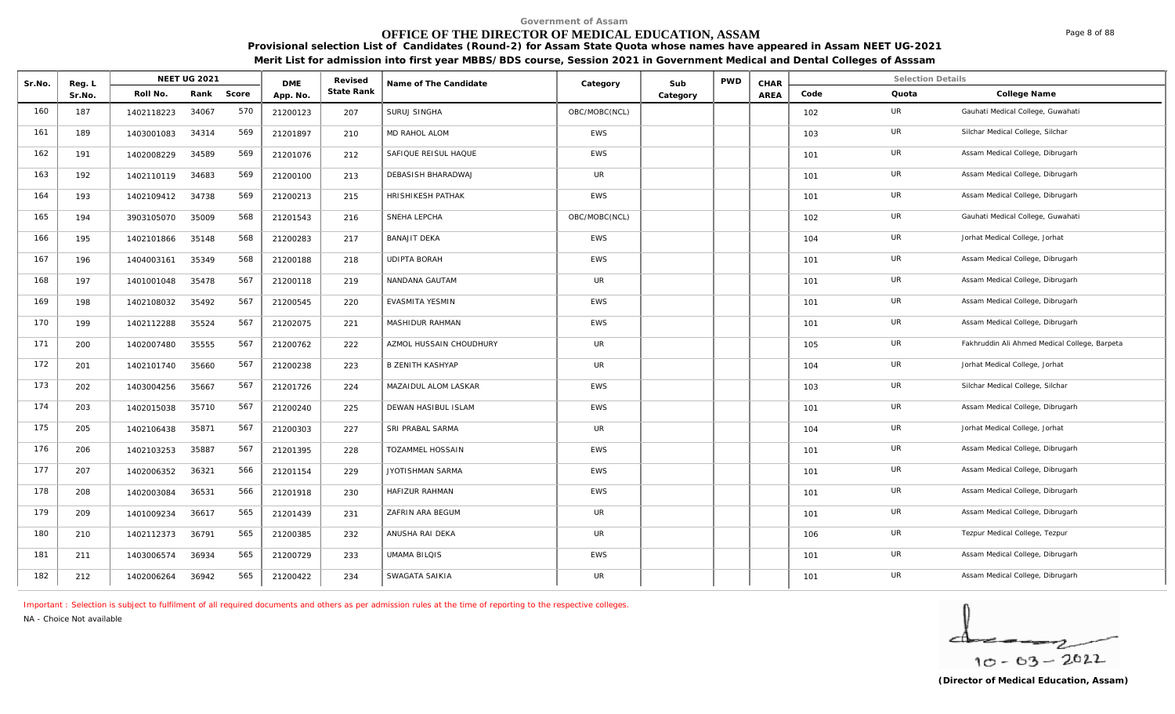# **OFFICE OF THE DIRECTOR OF MEDICAL EDUCATION, ASSAM**

**Provisional selection List of Candidates (Round-2) for Assam State Quota whose names have appeared in Assam NEET UG-2021 Merit List for admission into first year MBBS/BDS course, Session 2021 in Government Medical and Dental Colleges of Asssam**

| Sr.No. | Reg. L |            | <b>NEET UG 2021</b> |       | <b>DME</b> | Revised    | Name of The Candidate   | Category      | Sub      | <b>PWD</b> | CHAR |      | <b>Selection Details</b> |                                               |
|--------|--------|------------|---------------------|-------|------------|------------|-------------------------|---------------|----------|------------|------|------|--------------------------|-----------------------------------------------|
|        | Sr.No. | Roll No.   | Rank                | Score | App. No.   | State Rank |                         |               | Category |            | AREA | Code | Quota                    | College Name                                  |
| 160    | 187    | 1402118223 | 34067               | 570   | 21200123   | 207        | SURUJ SINGHA            | OBC/MOBC(NCL) |          |            |      | 102  | UR                       | Gauhati Medical College, Guwahati             |
| 161    | 189    | 1403001083 | 34314               | 569   | 21201897   | 210        | MD RAHOL ALOM           | <b>EWS</b>    |          |            |      | 103  | UR                       | Silchar Medical College, Silchar              |
| 162    | 191    | 1402008229 | 34589               | 569   | 21201076   | 212        | SAFIQUE REISUL HAQUE    | <b>EWS</b>    |          |            |      | 101  | UR                       | Assam Medical College, Dibrugarh              |
| 163    | 192    | 1402110119 | 34683               | 569   | 21200100   | 213        | DEBASISH BHARADWAJ      | UR            |          |            |      | 101  | UR                       | Assam Medical College, Dibrugarh              |
| 164    | 193    | 1402109412 | 34738               | 569   | 21200213   | 215        | HRISHIKESH PATHAK       | <b>EWS</b>    |          |            |      | 101  | UR                       | Assam Medical College, Dibrugarh              |
| 165    | 194    | 3903105070 | 35009               | 568   | 21201543   | 216        | SNEHA LEPCHA            | OBC/MOBC(NCL) |          |            |      | 102  | UR                       | Gauhati Medical College, Guwahati             |
| 166    | 195    | 1402101866 | 35148               | 568   | 21200283   | 217        | <b>BANAJIT DEKA</b>     | <b>EWS</b>    |          |            |      | 104  | UR                       | Jorhat Medical College, Jorhat                |
| 167    | 196    | 1404003161 | 35349               | 568   | 21200188   | 218        | <b>UDIPTA BORAH</b>     | <b>EWS</b>    |          |            |      | 101  | UR                       | Assam Medical College, Dibrugarh              |
| 168    | 197    | 1401001048 | 35478               | 567   | 21200118   | 219        | NANDANA GAUTAM          | UR            |          |            |      | 101  | UR                       | Assam Medical College, Dibrugarh              |
| 169    | 198    | 1402108032 | 35492               | 567   | 21200545   | 220        | EVASMITA YESMIN         | <b>EWS</b>    |          |            |      | 101  | UR                       | Assam Medical College, Dibrugarh              |
| 170    | 199    | 1402112288 | 35524               | 567   | 21202075   | 221        | MASHIDUR RAHMAN         | EWS           |          |            |      | 101  | UR                       | Assam Medical College, Dibrugarh              |
| 171    | 200    | 1402007480 | 35555               | 567   | 21200762   | 222        | AZMOL HUSSAIN CHOUDHURY | UR            |          |            |      | 105  | UR                       | Fakhruddin Ali Ahmed Medical College, Barpeta |
| 172    | 201    | 1402101740 | 35660               | 567   | 21200238   | 223        | <b>B ZENITH KASHYAP</b> | UR            |          |            |      | 104  | UR                       | Jorhat Medical College, Jorhat                |
| 173    | 202    | 1403004256 | 35667               | 567   | 21201726   | 224        | MAZAIDUL ALOM LASKAR    | EWS           |          |            |      | 103  | UR                       | Silchar Medical College, Silchar              |
| 174    | 203    | 1402015038 | 35710               | 567   | 21200240   | 225        | DEWAN HASIBUL ISLAM     | <b>EWS</b>    |          |            |      | 101  | UR                       | Assam Medical College, Dibrugarh              |
| 175    | 205    | 1402106438 | 35871               | 567   | 21200303   | 227        | SRI PRABAL SARMA        | <b>UR</b>     |          |            |      | 104  | <b>UR</b>                | Jorhat Medical College, Jorhat                |
| 176    | 206    | 1402103253 | 35887               | 567   | 21201395   | 228        | TOZAMMEL HOSSAIN        | <b>EWS</b>    |          |            |      | 101  | UR                       | Assam Medical College, Dibrugarh              |
| 177    | 207    | 1402006352 | 36321               | 566   | 21201154   | 229        | JYOTISHMAN SARMA        | <b>EWS</b>    |          |            |      | 101  | UR                       | Assam Medical College, Dibrugarh              |
| 178    | 208    | 1402003084 | 36531               | 566   | 21201918   | 230        | <b>HAFIZUR RAHMAN</b>   | <b>EWS</b>    |          |            |      | 101  | UR                       | Assam Medical College, Dibrugarh              |
| 179    | 209    | 1401009234 | 36617               | 565   | 21201439   | 231        | ZAFRIN ARA BEGUM        | UR            |          |            |      | 101  | UR                       | Assam Medical College, Dibrugarh              |
| 180    | 210    | 1402112373 | 36791               | 565   | 21200385   | 232        | ANUSHA RAI DEKA         | UR            |          |            |      | 106  | UR                       | Tezpur Medical College, Tezpur                |
| 181    | 211    | 1403006574 | 36934               | 565   | 21200729   | 233        | <b>UMAMA BILQIS</b>     | <b>EWS</b>    |          |            |      | 101  | UR                       | Assam Medical College, Dibrugarh              |
| 182    | 212    | 1402006264 | 36942               | 565   | 21200422   | 234        | SWAGATA SAIKIA          | UR            |          |            |      | 101  | UR                       | Assam Medical College, Dibrugarh              |

*Important : Selection is subject to fulfilment of all required documents and others as per admission rules at the time of reporting to the respective colleges.*

*NA - Choice Not available*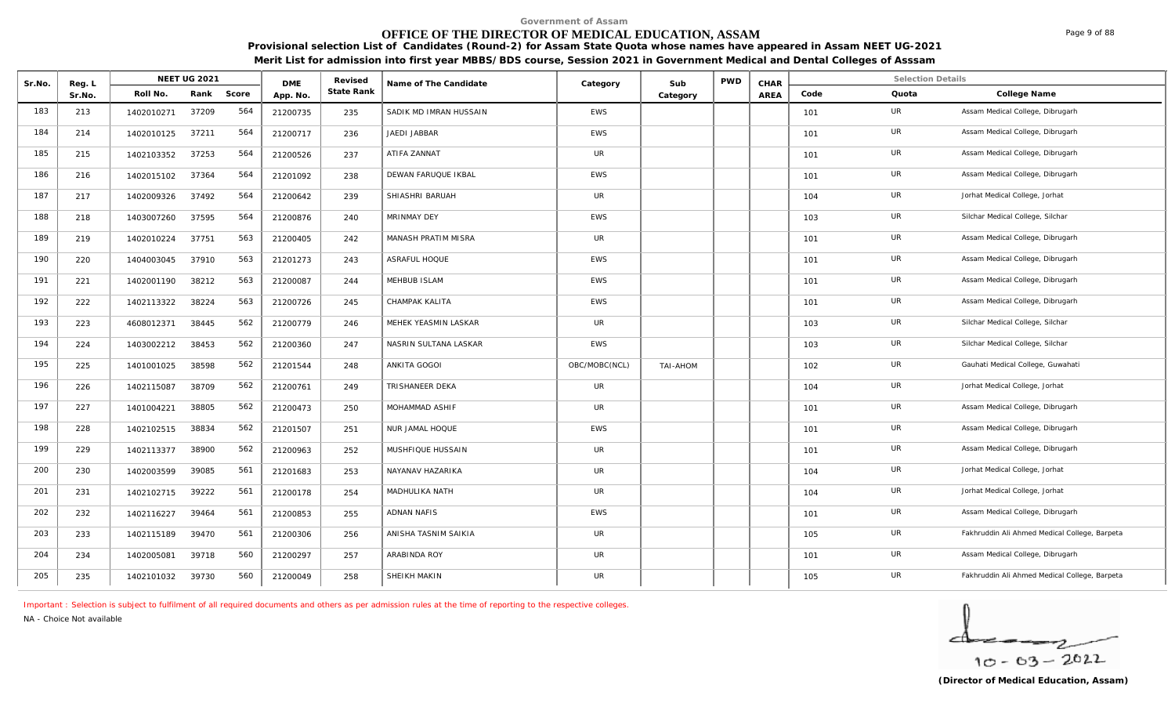# **OFFICE OF THE DIRECTOR OF MEDICAL EDUCATION, ASSAM**

**Provisional selection List of Candidates (Round-2) for Assam State Quota whose names have appeared in Assam NEET UG-2021 Merit List for admission into first year MBBS/BDS course, Session 2021 in Government Medical and Dental Colleges of Asssam**

| Sr.No. | Reg. L |            | <b>NEET UG 2021</b> |       | <b>DME</b> | Revised    | Name of The Candidate  | Category      | Sub      | <b>PWD</b> | CHAR |      | <b>Selection Details</b> |                                               |
|--------|--------|------------|---------------------|-------|------------|------------|------------------------|---------------|----------|------------|------|------|--------------------------|-----------------------------------------------|
|        | Sr.No. | Roll No.   | Rank                | Score | App. No.   | State Rank |                        |               | Category |            | AREA | Code | Quota                    | College Name                                  |
| 183    | 213    | 1402010271 | 37209               | 564   | 21200735   | 235        | SADIK MD IMRAN HUSSAIN | <b>EWS</b>    |          |            |      | 101  | UR                       | Assam Medical College, Dibrugarh              |
| 184    | 214    | 1402010125 | 37211               | 564   | 21200717   | 236        | JAEDI JABBAR           | <b>EWS</b>    |          |            |      | 101  | UR                       | Assam Medical College, Dibrugarh              |
| 185    | 215    | 1402103352 | 37253               | 564   | 21200526   | 237        | ATIFA ZANNAT           | <b>UR</b>     |          |            |      | 101  | UR                       | Assam Medical College, Dibrugarh              |
| 186    | 216    | 1402015102 | 37364               | 564   | 21201092   | 238        | DEWAN FARUQUE IKBAL    | <b>EWS</b>    |          |            |      | 101  | UR                       | Assam Medical College, Dibrugarh              |
| 187    | 217    | 1402009326 | 37492               | 564   | 21200642   | 239        | SHIASHRI BARUAH        | <b>UR</b>     |          |            |      | 104  | <b>UR</b>                | Jorhat Medical College, Jorhat                |
| 188    | 218    | 1403007260 | 37595               | 564   | 21200876   | 240        | MRINMAY DEY            | <b>EWS</b>    |          |            |      | 103  | UR                       | Silchar Medical College, Silchar              |
| 189    | 219    | 1402010224 | 37751               | 563   | 21200405   | 242        | MANASH PRATIM MISRA    | <b>UR</b>     |          |            |      | 101  | UR                       | Assam Medical College, Dibrugarh              |
| 190    | 220    | 1404003045 | 37910               | 563   | 21201273   | 243        | ASRAFUL HOQUE          | <b>EWS</b>    |          |            |      | 101  | UR                       | Assam Medical College, Dibrugarh              |
| 191    | 221    | 1402001190 | 38212               | 563   | 21200087   | 244        | MEHBUB ISLAM           | <b>EWS</b>    |          |            |      | 101  | UR                       | Assam Medical College, Dibrugarh              |
| 192    | 222    | 1402113322 | 38224               | 563   | 21200726   | 245        | CHAMPAK KALITA         | EWS           |          |            |      | 101  | UR                       | Assam Medical College, Dibrugarh              |
| 193    | 223    | 4608012371 | 38445               | 562   | 21200779   | 246        | MEHEK YEASMIN LASKAR   | <b>UR</b>     |          |            |      | 103  | UR                       | Silchar Medical College, Silchar              |
| 194    | 224    | 1403002212 | 38453               | 562   | 21200360   | 247        | NASRIN SULTANA LASKAR  | <b>EWS</b>    |          |            |      | 103  | UR                       | Silchar Medical College, Silchar              |
| 195    | 225    | 1401001025 | 38598               | 562   | 21201544   | 248        | ANKITA GOGOI           | OBC/MOBC(NCL) | TAI-AHOM |            |      | 102  | UR                       | Gauhati Medical College, Guwahati             |
| 196    | 226    | 1402115087 | 38709               | 562   | 21200761   | 249        | TRISHANEER DEKA        | <b>UR</b>     |          |            |      | 104  | UR                       | Jorhat Medical College, Jorhat                |
| 197    | 227    | 1401004221 | 38805               | 562   | 21200473   | 250        | MOHAMMAD ASHIF         | <b>UR</b>     |          |            |      | 101  | UR                       | Assam Medical College, Dibrugarh              |
| 198    | 228    | 1402102515 | 38834               | 562   | 21201507   | 251        | NUR JAMAL HOQUE        | EWS           |          |            |      | 101  | UR                       | Assam Medical College, Dibrugarh              |
| 199    | 229    | 1402113377 | 38900               | 562   | 21200963   | 252        | MUSHFIQUE HUSSAIN      | <b>UR</b>     |          |            |      | 101  | UR                       | Assam Medical College, Dibrugarh              |
| 200    | 230    | 1402003599 | 39085               | 561   | 21201683   | 253        | NAYANAV HAZARIKA       | <b>UR</b>     |          |            |      | 104  | UR                       | Jorhat Medical College, Jorhat                |
| 201    | 231    | 1402102715 | 39222               | 561   | 21200178   | 254        | MADHULIKA NATH         | UR            |          |            |      | 104  | UR                       | Jorhat Medical College, Jorhat                |
| 202    | 232    | 1402116227 | 39464               | 561   | 21200853   | 255        | <b>ADNAN NAFIS</b>     | <b>EWS</b>    |          |            |      | 101  | UR                       | Assam Medical College, Dibrugarh              |
| 203    | 233    | 1402115189 | 39470               | 561   | 21200306   | 256        | ANISHA TASNIM SAIKIA   | <b>UR</b>     |          |            |      | 105  | <b>UR</b>                | Fakhruddin Ali Ahmed Medical College, Barpeta |
| 204    | 234    | 1402005081 | 39718               | 560   | 21200297   | 257        | ARABINDA ROY           | UR            |          |            |      | 101  | <b>UR</b>                | Assam Medical College, Dibrugarh              |
| 205    | 235    | 1402101032 | 39730               | 560   | 21200049   | 258        | SHEIKH MAKIN           | UR            |          |            |      | 105  | UR                       | Fakhruddin Ali Ahmed Medical College, Barpeta |

*Important : Selection is subject to fulfilment of all required documents and others as per admission rules at the time of reporting to the respective colleges.*

*NA - Choice Not available*

$$
\frac{1}{10-03-2022}
$$

Page 9 of 88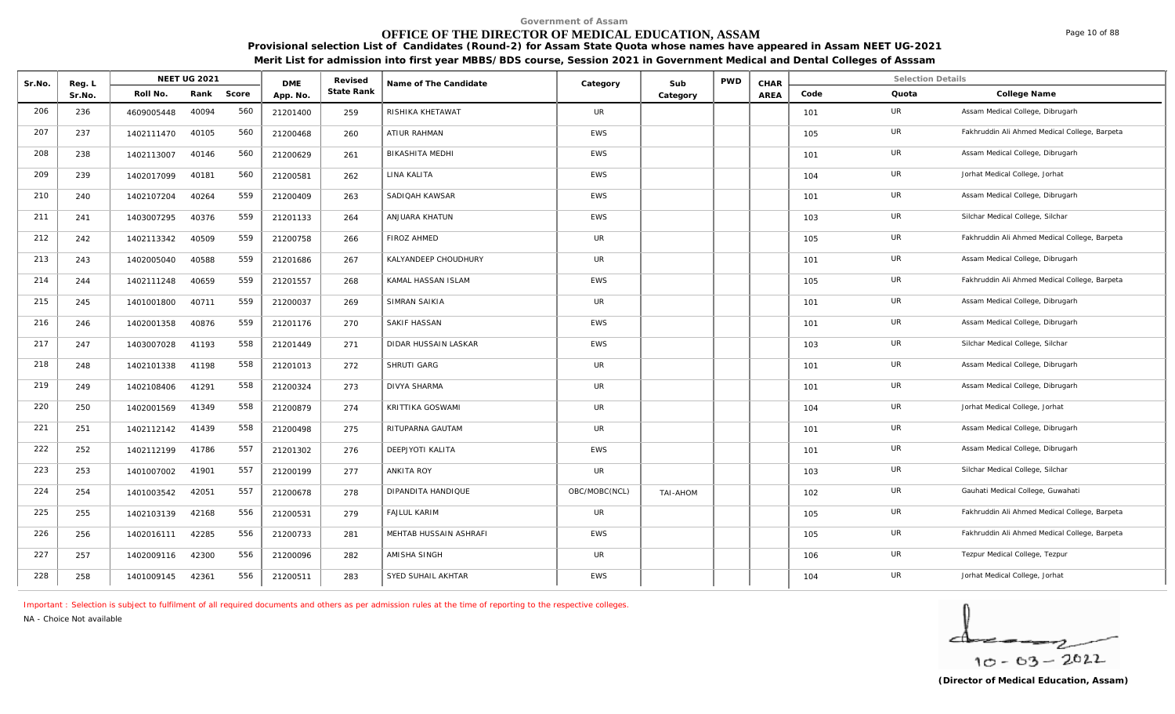# **OFFICE OF THE DIRECTOR OF MEDICAL EDUCATION, ASSAM**

**Provisional selection List of Candidates (Round-2) for Assam State Quota whose names have appeared in Assam NEET UG-2021 Merit List for admission into first year MBBS/BDS course, Session 2021 in Government Medical and Dental Colleges of Asssam**

| Sr.No. | Reg. L |            | <b>NEET UG 2021</b> |       | <b>DME</b> | Revised    | Name of The Candidate  | Category      | Sub      | <b>PWD</b> | CHAR |      | <b>Selection Details</b> |                                               |
|--------|--------|------------|---------------------|-------|------------|------------|------------------------|---------------|----------|------------|------|------|--------------------------|-----------------------------------------------|
|        | Sr.No. | Roll No.   | Rank                | Score | App. No.   | State Rank |                        |               | Category |            | AREA | Code | Quota                    | College Name                                  |
| 206    | 236    | 4609005448 | 40094               | 560   | 21201400   | 259        | RISHIKA KHETAWAT       | UR            |          |            |      | 101  | UR                       | Assam Medical College, Dibrugarh              |
| 207    | 237    | 1402111470 | 40105               | 560   | 21200468   | 260        | <b>ATIUR RAHMAN</b>    | <b>EWS</b>    |          |            |      | 105  | UR                       | Fakhruddin Ali Ahmed Medical College, Barpeta |
| 208    | 238    | 1402113007 | 40146               | 560   | 21200629   | 261        | <b>BIKASHITA MEDHI</b> | <b>EWS</b>    |          |            |      | 101  | UR                       | Assam Medical College, Dibrugarh              |
| 209    | 239    | 1402017099 | 40181               | 560   | 21200581   | 262        | LINA KALITA            | EWS           |          |            |      | 104  | UR                       | Jorhat Medical College, Jorhat                |
| 210    | 240    | 1402107204 | 40264               | 559   | 21200409   | 263        | SADIQAH KAWSAR         | <b>EWS</b>    |          |            |      | 101  | UR                       | Assam Medical College, Dibrugarh              |
| 211    | 241    | 1403007295 | 40376               | 559   | 21201133   | 264        | ANJUARA KHATUN         | <b>EWS</b>    |          |            |      | 103  | <b>UR</b>                | Silchar Medical College, Silchar              |
| 212    | 242    | 1402113342 | 40509               | 559   | 21200758   | 266        | <b>FIROZ AHMED</b>     | UR            |          |            |      | 105  | UR                       | Fakhruddin Ali Ahmed Medical College, Barpeta |
| 213    | 243    | 1402005040 | 40588               | 559   | 21201686   | 267        | KALYANDEEP CHOUDHURY   | UR            |          |            |      | 101  | UR                       | Assam Medical College, Dibrugarh              |
| 214    | 244    | 1402111248 | 40659               | 559   | 21201557   | 268        | KAMAL HASSAN ISLAM     | <b>EWS</b>    |          |            |      | 105  | UR                       | Fakhruddin Ali Ahmed Medical College, Barpeta |
| 215    | 245    | 1401001800 | 40711               | 559   | 21200037   | 269        | SIMRAN SAIKIA          | UR            |          |            |      | 101  | UR                       | Assam Medical College, Dibrugarh              |
| 216    | 246    | 1402001358 | 40876               | 559   | 21201176   | 270        | SAKIF HASSAN           | <b>EWS</b>    |          |            |      | 101  | UR                       | Assam Medical College, Dibrugarh              |
| 217    | 247    | 1403007028 | 41193               | 558   | 21201449   | 271        | DIDAR HUSSAIN LASKAR   | <b>EWS</b>    |          |            |      | 103  | UR                       | Silchar Medical College, Silchar              |
| 218    | 248    | 1402101338 | 41198               | 558   | 21201013   | 272        | SHRUTI GARG            | UR            |          |            |      | 101  | UR                       | Assam Medical College, Dibrugarh              |
| 219    | 249    | 1402108406 | 41291               | 558   | 21200324   | 273        | <b>DIVYA SHARMA</b>    | UR            |          |            |      | 101  | UR                       | Assam Medical College, Dibrugarh              |
| 220    | 250    | 1402001569 | 41349               | 558   | 21200879   | 274        | KRITTIKA GOSWAMI       | <b>UR</b>     |          |            |      | 104  | <b>UR</b>                | Jorhat Medical College, Jorhat                |
| 221    | 251    | 1402112142 | 41439               | 558   | 21200498   | 275        | RITUPARNA GAUTAM       | UR            |          |            |      | 101  | UR                       | Assam Medical College, Dibrugarh              |
| 222    | 252    | 1402112199 | 41786               | 557   | 21201302   | 276        | DEEPJYOTI KALITA       | <b>EWS</b>    |          |            |      | 101  | UR                       | Assam Medical College, Dibrugarh              |
| 223    | 253    | 1401007002 | 41901               | 557   | 21200199   | 277        | ANKITA ROY             | <b>UR</b>     |          |            |      | 103  | UR                       | Silchar Medical College, Silchar              |
| 224    | 254    | 1401003542 | 42051               | 557   | 21200678   | 278        | DIPANDITA HANDIQUE     | OBC/MOBC(NCL) | TAI-AHOM |            |      | 102  | UR                       | Gauhati Medical College, Guwahati             |
| 225    | 255    | 1402103139 | 42168               | 556   | 21200531   | 279        | <b>FAJLUL KARIM</b>    | UR            |          |            |      | 105  | UR                       | Fakhruddin Ali Ahmed Medical College, Barpeta |
| 226    | 256    | 1402016111 | 42285               | 556   | 21200733   | 281        | MEHTAB HUSSAIN ASHRAFI | <b>EWS</b>    |          |            |      | 105  | <b>UR</b>                | Fakhruddin Ali Ahmed Medical College, Barpeta |
| 227    | 257    | 1402009116 | 42300               | 556   | 21200096   | 282        | AMISHA SINGH           | <b>UR</b>     |          |            |      | 106  | UR                       | Tezpur Medical College, Tezpur                |
| 228    | 258    | 1401009145 | 42361               | 556   | 21200511   | 283        | SYED SUHAIL AKHTAR     | <b>EWS</b>    |          |            |      | 104  | UR                       | Jorhat Medical College, Jorhat                |

*Important : Selection is subject to fulfilment of all required documents and others as per admission rules at the time of reporting to the respective colleges.*

*NA - Choice Not available*

 $10 - 63 - 2022$ 

Page 10 of 88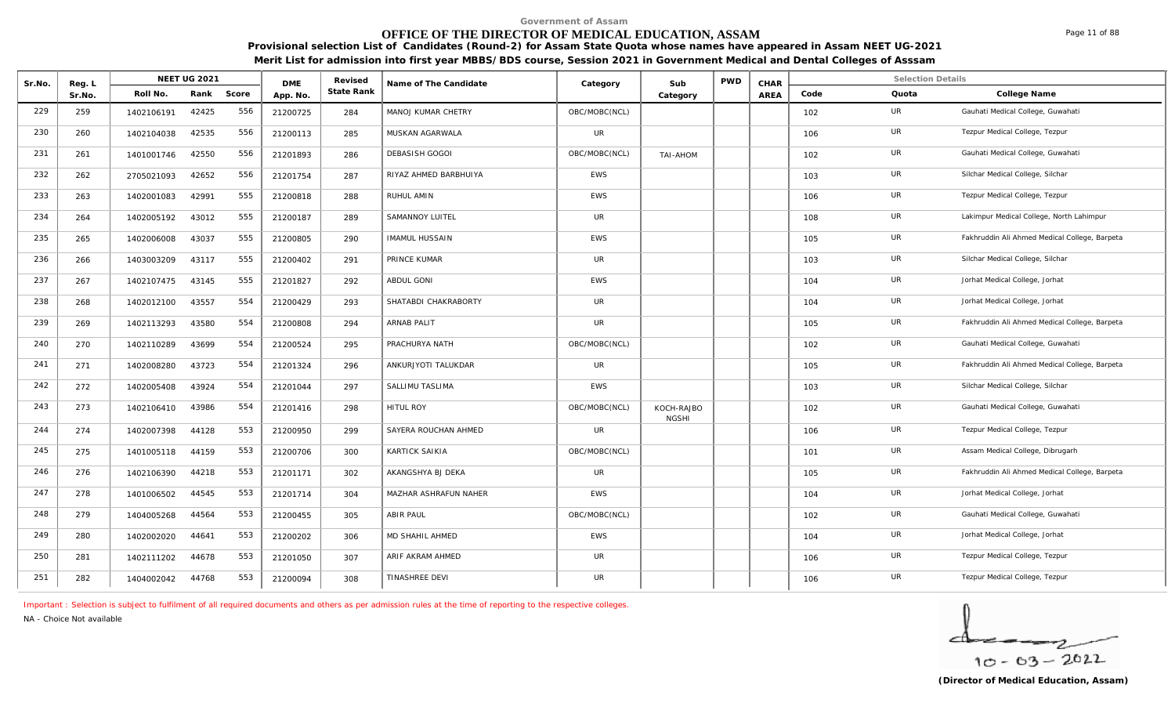# **OFFICE OF THE DIRECTOR OF MEDICAL EDUCATION, ASSAM**

**Provisional selection List of Candidates (Round-2) for Assam State Quota whose names have appeared in Assam NEET UG-2021 Merit List for admission into first year MBBS/BDS course, Session 2021 in Government Medical and Dental Colleges of Asssam**

| Sr.No. | Reg. L |            | <b>NEET UG 2021</b> |       | <b>DME</b> | Revised    | Name of The Candidate | Category      | Sub                        | <b>PWD</b> | CHAR        |      | <b>Selection Details</b> |                                               |
|--------|--------|------------|---------------------|-------|------------|------------|-----------------------|---------------|----------------------------|------------|-------------|------|--------------------------|-----------------------------------------------|
|        | Sr.No. | Roll No.   | Rank                | Score | App. No.   | State Rank |                       |               | Category                   |            | <b>AREA</b> | Code | Quota                    | College Name                                  |
| 229    | 259    | 1402106191 | 42425               | 556   | 21200725   | 284        | MANOJ KUMAR CHETRY    | OBC/MOBC(NCL) |                            |            |             | 102  | UR                       | Gauhati Medical College, Guwahati             |
| 230    | 260    | 1402104038 | 42535               | 556   | 21200113   | 285        | MUSKAN AGARWALA       | <b>UR</b>     |                            |            |             | 106  | UR                       | Tezpur Medical College, Tezpur                |
| 231    | 261    | 1401001746 | 42550               | 556   | 21201893   | 286        | DEBASISH GOGOI        | OBC/MOBC(NCL) | TAI-AHOM                   |            |             | 102  | UR                       | Gauhati Medical College, Guwahati             |
| 232    | 262    | 2705021093 | 42652               | 556   | 21201754   | 287        | RIYAZ AHMED BARBHUIYA | EWS           |                            |            |             | 103  | UR                       | Silchar Medical College, Silchar              |
| 233    | 263    | 1402001083 | 42991               | 555   | 21200818   | 288        | RUHUL AMIN            | <b>EWS</b>    |                            |            |             | 106  | UR                       | Tezpur Medical College, Tezpur                |
| 234    | 264    | 1402005192 | 43012               | 555   | 21200187   | 289        | SAMANNOY LUITEL       | <b>UR</b>     |                            |            |             | 108  | UR                       | Lakimpur Medical College, North Lahimpur      |
| 235    | 265    | 1402006008 | 43037               | 555   | 21200805   | 290        | <b>IMAMUL HUSSAIN</b> | EWS           |                            |            |             | 105  | UR                       | Fakhruddin Ali Ahmed Medical College, Barpeta |
| 236    | 266    | 1403003209 | 43117               | 555   | 21200402   | 291        | PRINCE KUMAR          | <b>UR</b>     |                            |            |             | 103  | UR                       | Silchar Medical College, Silchar              |
| 237    | 267    | 1402107475 | 43145               | 555   | 21201827   | 292        | ABDUL GONI            | <b>EWS</b>    |                            |            |             | 104  | UR                       | Jorhat Medical College, Jorhat                |
| 238    | 268    | 1402012100 | 43557               | 554   | 21200429   | 293        | SHATABDI CHAKRABORTY  | UR            |                            |            |             | 104  | UR                       | Jorhat Medical College, Jorhat                |
| 239    | 269    | 1402113293 | 43580               | 554   | 21200808   | 294        | ARNAB PALIT           | UR            |                            |            |             | 105  | UR                       | Fakhruddin Ali Ahmed Medical College, Barpeta |
| 240    | 270    | 1402110289 | 43699               | 554   | 21200524   | 295        | PRACHURYA NATH        | OBC/MOBC(NCL) |                            |            |             | 102  | UR                       | Gauhati Medical College, Guwahati             |
| 241    | 271    | 1402008280 | 43723               | 554   | 21201324   | 296        | ANKURJYOTI TALUKDAR   | <b>UR</b>     |                            |            |             | 105  | UR                       | Fakhruddin Ali Ahmed Medical College, Barpeta |
| 242    | 272    | 1402005408 | 43924               | 554   | 21201044   | 297        | SALLIMU TASLIMA       | EWS           |                            |            |             | 103  | UR                       | Silchar Medical College, Silchar              |
| 243    | 273    | 1402106410 | 43986               | 554   | 21201416   | 298        | <b>HITUL ROY</b>      | OBC/MOBC(NCL) | KOCH-RAJBO<br><b>NGSHI</b> |            |             | 102  | UR                       | Gauhati Medical College, Guwahati             |
| 244    | 274    | 1402007398 | 44128               | 553   | 21200950   | 299        | SAYERA ROUCHAN AHMED  | <b>UR</b>     |                            |            |             | 106  | <b>UR</b>                | Tezpur Medical College, Tezpur                |
| 245    | 275    | 1401005118 | 44159               | 553   | 21200706   | 300        | KARTICK SAIKIA        | OBC/MOBC(NCL) |                            |            |             | 101  | UR                       | Assam Medical College, Dibrugarh              |
| 246    | 276    | 1402106390 | 44218               | 553   | 21201171   | 302        | AKANGSHYA BJ DEKA     | <b>UR</b>     |                            |            |             | 105  | <b>UR</b>                | Fakhruddin Ali Ahmed Medical College, Barpeta |
| 247    | 278    | 1401006502 | 44545               | 553   | 21201714   | 304        | MAZHAR ASHRAFUN NAHER | <b>EWS</b>    |                            |            |             | 104  | <b>UR</b>                | Jorhat Medical College, Jorhat                |
| 248    | 279    | 1404005268 | 44564               | 553   | 21200455   | 305        | ABIR PAUL             | OBC/MOBC(NCL) |                            |            |             | 102  | UR                       | Gauhati Medical College, Guwahati             |
| 249    | 280    | 1402002020 | 44641               | 553   | 21200202   | 306        | MD SHAHIL AHMED       | <b>EWS</b>    |                            |            |             | 104  | UR                       | Jorhat Medical College, Jorhat                |
| 250    | 281    | 1402111202 | 44678               | 553   | 21201050   | 307        | ARIF AKRAM AHMED      | <b>UR</b>     |                            |            |             | 106  | UR                       | Tezpur Medical College, Tezpur                |
| 251    | 282    | 1404002042 | 44768               | 553   | 21200094   | 308        | TINASHREE DEVI        | UR            |                            |            |             | 106  | <b>UR</b>                | Tezpur Medical College, Tezpur                |

*Important : Selection is subject to fulfilment of all required documents and others as per admission rules at the time of reporting to the respective colleges.*

*NA - Choice Not available*

Page 11 of 88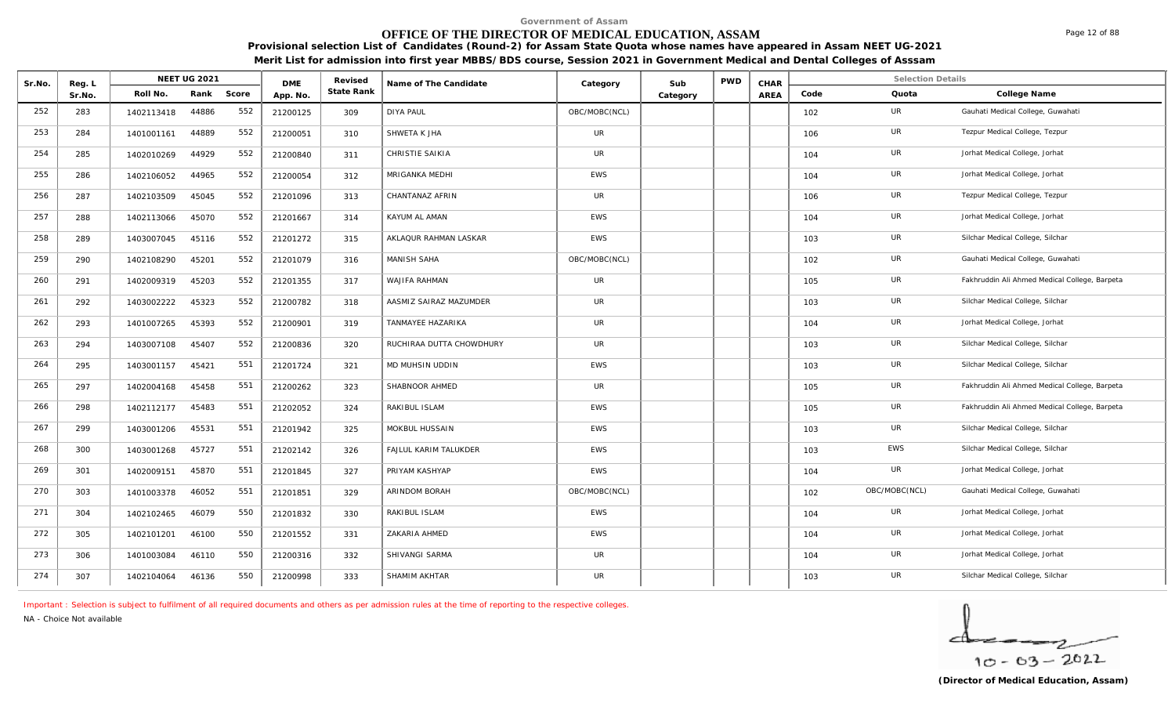# **OFFICE OF THE DIRECTOR OF MEDICAL EDUCATION, ASSAM**

**Provisional selection List of Candidates (Round-2) for Assam State Quota whose names have appeared in Assam NEET UG-2021 Merit List for admission into first year MBBS/BDS course, Session 2021 in Government Medical and Dental Colleges of Asssam**

| Sr.No. | Reg. L |            | NEET UG 2021 |       | <b>DME</b> | Revised    | Name of The Candidate    | Category      | Sub      | <b>PWD</b> | CHAR |      | <b>Selection Details</b> |                                               |
|--------|--------|------------|--------------|-------|------------|------------|--------------------------|---------------|----------|------------|------|------|--------------------------|-----------------------------------------------|
|        | Sr.No. | Roll No.   | Rank         | Score | App. No.   | State Rank |                          |               | Category |            | AREA | Code | Quota                    | College Name                                  |
| 252    | 283    | 1402113418 | 44886        | 552   | 21200125   | 309        | <b>DIYA PAUL</b>         | OBC/MOBC(NCL) |          |            |      | 102  | UR                       | Gauhati Medical College, Guwahati             |
| 253    | 284    | 1401001161 | 44889        | 552   | 21200051   | 310        | SHWETA K JHA             | UR            |          |            |      | 106  | <b>UR</b>                | Tezpur Medical College, Tezpur                |
| 254    | 285    | 1402010269 | 44929        | 552   | 21200840   | 311        | CHRISTIE SAIKIA          | UR            |          |            |      | 104  | UR                       | Jorhat Medical College, Jorhat                |
| 255    | 286    | 1402106052 | 44965        | 552   | 21200054   | 312        | MRIGANKA MEDHI           | <b>EWS</b>    |          |            |      | 104  | UR                       | Jorhat Medical College, Jorhat                |
| 256    | 287    | 1402103509 | 45045        | 552   | 21201096   | 313        | CHANTANAZ AFRIN          | UR            |          |            |      | 106  | UR                       | Tezpur Medical College, Tezpur                |
| 257    | 288    | 1402113066 | 45070        | 552   | 21201667   | 314        | KAYUM AL AMAN            | <b>EWS</b>    |          |            |      | 104  | UR                       | Jorhat Medical College, Jorhat                |
| 258    | 289    | 1403007045 | 45116        | 552   | 21201272   | 315        | AKLAQUR RAHMAN LASKAR    | <b>EWS</b>    |          |            |      | 103  | UR                       | Silchar Medical College, Silchar              |
| 259    | 290    | 1402108290 | 45201        | 552   | 21201079   | 316        | <b>MANISH SAHA</b>       | OBC/MOBC(NCL) |          |            |      | 102  | UR                       | Gauhati Medical College, Guwahati             |
| 260    | 291    | 1402009319 | 45203        | 552   | 21201355   | 317        | WAJIFA RAHMAN            | UR            |          |            |      | 105  | <b>UR</b>                | Fakhruddin Ali Ahmed Medical College, Barpeta |
| 261    | 292    | 1403002222 | 45323        | 552   | 21200782   | 318        | AASMIZ SAIRAZ MAZUMDER   | UR            |          |            |      | 103  | UR                       | Silchar Medical College, Silchar              |
| 262    | 293    | 1401007265 | 45393        | 552   | 21200901   | 319        | TANMAYEE HAZARIKA        | UR            |          |            |      | 104  | UR                       | Jorhat Medical College, Jorhat                |
| 263    | 294    | 1403007108 | 45407        | 552   | 21200836   | 320        | RUCHIRAA DUTTA CHOWDHURY | <b>UR</b>     |          |            |      | 103  | UR                       | Silchar Medical College, Silchar              |
| 264    | 295    | 1403001157 | 45421        | 551   | 21201724   | 321        | MD MUHSIN UDDIN          | EWS           |          |            |      | 103  | UR                       | Silchar Medical College, Silchar              |
| 265    | 297    | 1402004168 | 45458        | 551   | 21200262   | 323        | SHABNOOR AHMED           | <b>UR</b>     |          |            |      | 105  | UR                       | Fakhruddin Ali Ahmed Medical College, Barpeta |
| 266    | 298    | 1402112177 | 45483        | 551   | 21202052   | 324        | RAKIBUL ISLAM            | <b>EWS</b>    |          |            |      | 105  | <b>UR</b>                | Fakhruddin Ali Ahmed Medical College, Barpeta |
| 267    | 299    | 1403001206 | 45531        | 551   | 21201942   | 325        | MOKBUL HUSSAIN           | <b>EWS</b>    |          |            |      | 103  | UR                       | Silchar Medical College, Silchar              |
| 268    | 300    | 1403001268 | 45727        | 551   | 21202142   | 326        | FAJLUL KARIM TALUKDER    | <b>EWS</b>    |          |            |      | 103  | <b>EWS</b>               | Silchar Medical College, Silchar              |
| 269    | 301    | 1402009151 | 45870        | 551   | 21201845   | 327        | PRIYAM KASHYAP           | <b>EWS</b>    |          |            |      | 104  | <b>UR</b>                | Jorhat Medical College, Jorhat                |
| 270    | 303    | 1401003378 | 46052        | 551   | 21201851   | 329        | ARINDOM BORAH            | OBC/MOBC(NCL) |          |            |      | 102  | OBC/MOBC(NCL)            | Gauhati Medical College, Guwahati             |
| 271    | 304    | 1402102465 | 46079        | 550   | 21201832   | 330        | RAKIBUL ISLAM            | <b>EWS</b>    |          |            |      | 104  | UR                       | Jorhat Medical College, Jorhat                |
| 272    | 305    | 1402101201 | 46100        | 550   | 21201552   | 331        | ZAKARIA AHMED            | <b>EWS</b>    |          |            |      | 104  | UR                       | Jorhat Medical College, Jorhat                |
| 273    | 306    | 1401003084 | 46110        | 550   | 21200316   | 332        | SHIVANGI SARMA           | UR            |          |            |      | 104  | UR                       | Jorhat Medical College, Jorhat                |
| 274    | 307    | 1402104064 | 46136        | 550   | 21200998   | 333        | SHAMIM AKHTAR            | UR            |          |            |      | 103  | UR                       | Silchar Medical College, Silchar              |

*Important : Selection is subject to fulfilment of all required documents and others as per admission rules at the time of reporting to the respective colleges.*

*NA - Choice Not available*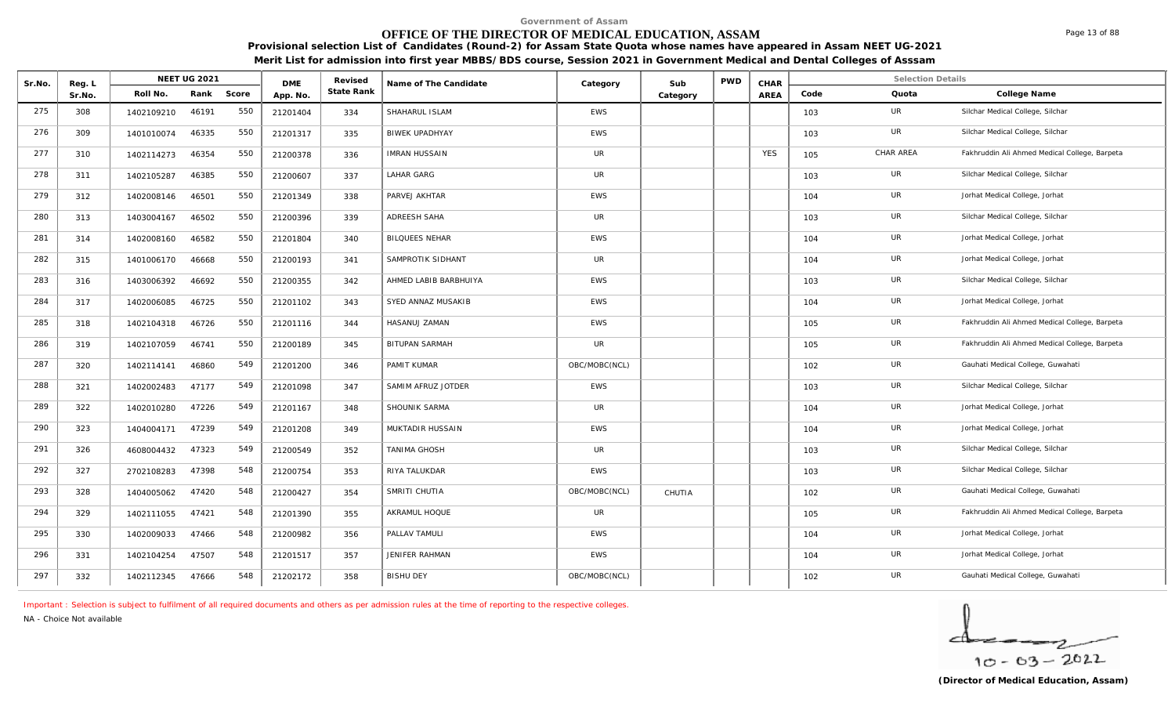# **OFFICE OF THE DIRECTOR OF MEDICAL EDUCATION, ASSAM**

**Provisional selection List of Candidates (Round-2) for Assam State Quota whose names have appeared in Assam NEET UG-2021 Merit List for admission into first year MBBS/BDS course, Session 2021 in Government Medical and Dental Colleges of Asssam**

| Sr.No. | Reg. L |            | NEET UG 2021 |       | <b>DME</b> | Revised    | Name of The Candidate | Category      | Sub      | <b>PWD</b> | CHAR       |      | <b>Selection Details</b> |                                               |
|--------|--------|------------|--------------|-------|------------|------------|-----------------------|---------------|----------|------------|------------|------|--------------------------|-----------------------------------------------|
|        | Sr.No. | Roll No.   | Rank         | Score | App. No.   | State Rank |                       |               | Category |            | AREA       | Code | Quota                    | College Name                                  |
| 275    | 308    | 1402109210 | 46191        | 550   | 21201404   | 334        | SHAHARUL ISLAM        | <b>EWS</b>    |          |            |            | 103  | UR                       | Silchar Medical College, Silchar              |
| 276    | 309    | 1401010074 | 46335        | 550   | 21201317   | 335        | <b>BIWEK UPADHYAY</b> | <b>EWS</b>    |          |            |            | 103  | UR                       | Silchar Medical College, Silchar              |
| 277    | 310    | 1402114273 | 46354        | 550   | 21200378   | 336        | <b>IMRAN HUSSAIN</b>  | UR            |          |            | <b>YES</b> | 105  | CHAR AREA                | Fakhruddin Ali Ahmed Medical College, Barpeta |
| 278    | 311    | 1402105287 | 46385        | 550   | 21200607   | 337        | <b>LAHAR GARG</b>     | <b>UR</b>     |          |            |            | 103  | UR                       | Silchar Medical College, Silchar              |
| 279    | 312    | 1402008146 | 46501        | 550   | 21201349   | 338        | PARVEJ AKHTAR         | <b>EWS</b>    |          |            |            | 104  | <b>UR</b>                | Jorhat Medical College, Jorhat                |
| 280    | 313    | 1403004167 | 46502        | 550   | 21200396   | 339        | ADREESH SAHA          | <b>UR</b>     |          |            |            | 103  | UR                       | Silchar Medical College, Silchar              |
| 281    | 314    | 1402008160 | 46582        | 550   | 21201804   | 340        | <b>BILQUEES NEHAR</b> | <b>EWS</b>    |          |            |            | 104  | UR                       | Jorhat Medical College, Jorhat                |
| 282    | 315    | 1401006170 | 46668        | 550   | 21200193   | 341        | SAMPROTIK SIDHANT     | <b>UR</b>     |          |            |            | 104  | UR                       | Jorhat Medical College, Jorhat                |
| 283    | 316    | 1403006392 | 46692        | 550   | 21200355   | 342        | AHMED LABIB BARBHUIYA | <b>EWS</b>    |          |            |            | 103  | <b>UR</b>                | Silchar Medical College, Silchar              |
| 284    | 317    | 1402006085 | 46725        | 550   | 21201102   | 343        | SYED ANNAZ MUSAKIB    | <b>EWS</b>    |          |            |            | 104  | UR                       | Jorhat Medical College, Jorhat                |
| 285    | 318    | 1402104318 | 46726        | 550   | 21201116   | 344        | HASANUJ ZAMAN         | <b>EWS</b>    |          |            |            | 105  | UR                       | Fakhruddin Ali Ahmed Medical College, Barpeta |
| 286    | 319    | 1402107059 | 46741        | 550   | 21200189   | 345        | <b>BITUPAN SARMAH</b> | <b>UR</b>     |          |            |            | 105  | UR                       | Fakhruddin Ali Ahmed Medical College, Barpeta |
| 287    | 320    | 1402114141 | 46860        | 549   | 21201200   | 346        | PAMIT KUMAR           | OBC/MOBC(NCL) |          |            |            | 102  | UR                       | Gauhati Medical College, Guwahati             |
| 288    | 321    | 1402002483 | 47177        | 549   | 21201098   | 347        | SAMIM AFRUZ JOTDER    | <b>EWS</b>    |          |            |            | 103  | <b>UR</b>                | Silchar Medical College, Silchar              |
| 289    | 322    | 1402010280 | 47226        | 549   | 21201167   | 348        | SHOUNIK SARMA         | UR            |          |            |            | 104  | UR                       | Jorhat Medical College, Jorhat                |
| 290    | 323    | 1404004171 | 47239        | 549   | 21201208   | 349        | MUKTADIR HUSSAIN      | <b>EWS</b>    |          |            |            | 104  | UR                       | Jorhat Medical College, Jorhat                |
| 291    | 326    | 4608004432 | 47323        | 549   | 21200549   | 352        | TANIMA GHOSH          | <b>UR</b>     |          |            |            | 103  | UR                       | Silchar Medical College, Silchar              |
| 292    | 327    | 2702108283 | 47398        | 548   | 21200754   | 353        | RIYA TALUKDAR         | <b>EWS</b>    |          |            |            | 103  | <b>UR</b>                | Silchar Medical College, Silchar              |
| 293    | 328    | 1404005062 | 47420        | 548   | 21200427   | 354        | SMRITI CHUTIA         | OBC/MOBC(NCL) | CHUTIA   |            |            | 102  | UR                       | Gauhati Medical College, Guwahati             |
| 294    | 329    | 1402111055 | 47421        | 548   | 21201390   | 355        | AKRAMUL HOQUE         | UR            |          |            |            | 105  | UR                       | Fakhruddin Ali Ahmed Medical College, Barpeta |
| 295    | 330    | 1402009033 | 47466        | 548   | 21200982   | 356        | PALLAV TAMULI         | <b>EWS</b>    |          |            |            | 104  | <b>UR</b>                | Jorhat Medical College, Jorhat                |
| 296    | 331    | 1402104254 | 47507        | 548   | 21201517   | 357        | <b>JENIFER RAHMAN</b> | <b>EWS</b>    |          |            |            | 104  | UR                       | Jorhat Medical College, Jorhat                |
| 297    | 332    | 1402112345 | 47666        | 548   | 21202172   | 358        | <b>BISHU DEY</b>      | OBC/MOBC(NCL) |          |            |            | 102  | UR                       | Gauhati Medical College, Guwahati             |

*Important : Selection is subject to fulfilment of all required documents and others as per admission rules at the time of reporting to the respective colleges.*

*NA - Choice Not available*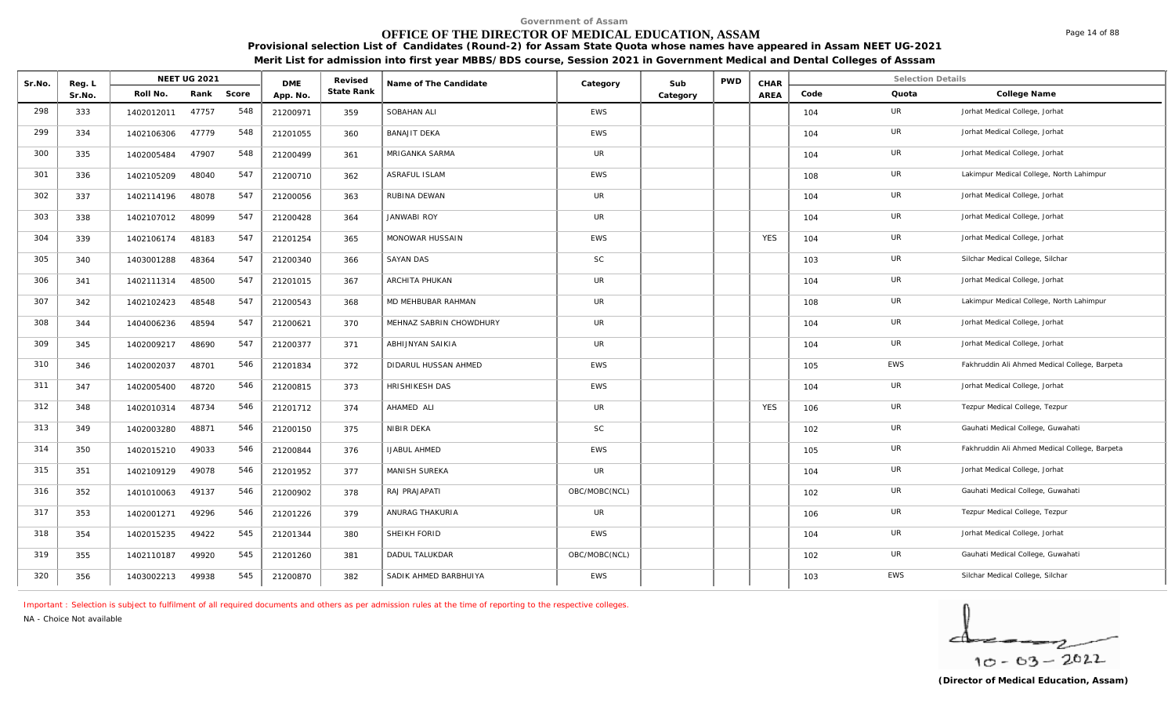# **OFFICE OF THE DIRECTOR OF MEDICAL EDUCATION, ASSAM**

**Provisional selection List of Candidates (Round-2) for Assam State Quota whose names have appeared in Assam NEET UG-2021 Merit List for admission into first year MBBS/BDS course, Session 2021 in Government Medical and Dental Colleges of Asssam**

| Sr.No. | Reg. L |            | NEET UG 2021 |       | <b>DME</b> | Revised    | Name of The Candidate   | Category      | Sub      | <b>PWD</b> | CHAR       |      | <b>Selection Details</b> |                                               |
|--------|--------|------------|--------------|-------|------------|------------|-------------------------|---------------|----------|------------|------------|------|--------------------------|-----------------------------------------------|
|        | Sr.No. | Roll No.   | Rank         | Score | App. No.   | State Rank |                         |               | Category |            | AREA       | Code | Quota                    | College Name                                  |
| 298    | 333    | 1402012011 | 47757        | 548   | 21200971   | 359        | SOBAHAN ALI             | <b>EWS</b>    |          |            |            | 104  | UR                       | Jorhat Medical College, Jorhat                |
| 299    | 334    | 1402106306 | 47779        | 548   | 21201055   | 360        | <b>BANAJIT DEKA</b>     | <b>EWS</b>    |          |            |            | 104  | UR                       | Jorhat Medical College, Jorhat                |
| 300    | 335    | 1402005484 | 47907        | 548   | 21200499   | 361        | MRIGANKA SARMA          | UR            |          |            |            | 104  | UR                       | Jorhat Medical College, Jorhat                |
| 301    | 336    | 1402105209 | 48040        | 547   | 21200710   | 362        | ASRAFUL ISLAM           | <b>EWS</b>    |          |            |            | 108  | <b>UR</b>                | Lakimpur Medical College, North Lahimpur      |
| 302    | 337    | 1402114196 | 48078        | 547   | 21200056   | 363        | RUBINA DEWAN            | UR            |          |            |            | 104  | UR                       | Jorhat Medical College, Jorhat                |
| 303    | 338    | 1402107012 | 48099        | 547   | 21200428   | 364        | <b>JANWABI ROY</b>      | UR            |          |            |            | 104  | UR                       | Jorhat Medical College, Jorhat                |
| 304    | 339    | 1402106174 | 48183        | 547   | 21201254   | 365        | MONOWAR HUSSAIN         | <b>EWS</b>    |          |            | <b>YES</b> | 104  | UR                       | Jorhat Medical College, Jorhat                |
| 305    | 340    | 1403001288 | 48364        | 547   | 21200340   | 366        | <b>SAYAN DAS</b>        | <b>SC</b>     |          |            |            | 103  | UR                       | Silchar Medical College, Silchar              |
| 306    | 341    | 1402111314 | 48500        | 547   | 21201015   | 367        | ARCHITA PHUKAN          | <b>UR</b>     |          |            |            | 104  | UR                       | Jorhat Medical College, Jorhat                |
| 307    | 342    | 1402102423 | 48548        | 547   | 21200543   | 368        | MD MEHBUBAR RAHMAN      | <b>UR</b>     |          |            |            | 108  | UR                       | Lakimpur Medical College, North Lahimpur      |
| 308    | 344    | 1404006236 | 48594        | 547   | 21200621   | 370        | MEHNAZ SABRIN CHOWDHURY | UR            |          |            |            | 104  | UR                       | Jorhat Medical College, Jorhat                |
| 309    | 345    | 1402009217 | 48690        | 547   | 21200377   | 371        | ABHIJNYAN SAIKIA        | <b>UR</b>     |          |            |            | 104  | <b>UR</b>                | Jorhat Medical College, Jorhat                |
| 310    | 346    | 1402002037 | 48701        | 546   | 21201834   | 372        | DIDARUL HUSSAN AHMED    | <b>EWS</b>    |          |            |            | 105  | <b>EWS</b>               | Fakhruddin Ali Ahmed Medical College, Barpeta |
| 311    | 347    | 1402005400 | 48720        | 546   | 21200815   | 373        | HRISHIKESH DAS          | <b>EWS</b>    |          |            |            | 104  | UR                       | Jorhat Medical College, Jorhat                |
| 312    | 348    | 1402010314 | 48734        | 546   | 21201712   | 374        | AHAMED ALI              | UR            |          |            | <b>YES</b> | 106  | UR                       | Tezpur Medical College, Tezpur                |
| 313    | 349    | 1402003280 | 48871        | 546   | 21200150   | 375        | NIBIR DEKA              | <b>SC</b>     |          |            |            | 102  | <b>UR</b>                | Gauhati Medical College, Guwahati             |
| 314    | 350    | 1402015210 | 49033        | 546   | 21200844   | 376        | <b>IJABUL AHMED</b>     | <b>EWS</b>    |          |            |            | 105  | UR                       | Fakhruddin Ali Ahmed Medical College, Barpeta |
| 315    | 351    | 1402109129 | 49078        | 546   | 21201952   | 377        | MANISH SUREKA           | <b>UR</b>     |          |            |            | 104  | <b>UR</b>                | Jorhat Medical College, Jorhat                |
| 316    | 352    | 1401010063 | 49137        | 546   | 21200902   | 378        | RAJ PRAJAPATI           | OBC/MOBC(NCL) |          |            |            | 102  | UR                       | Gauhati Medical College, Guwahati             |
| 317    | 353    | 1402001271 | 49296        | 546   | 21201226   | 379        | ANURAG THAKURIA         | UR            |          |            |            | 106  | UR                       | Tezpur Medical College, Tezpur                |
| 318    | 354    | 1402015235 | 49422        | 545   | 21201344   | 380        | SHEIKH FORID            | <b>EWS</b>    |          |            |            | 104  | <b>UR</b>                | Jorhat Medical College, Jorhat                |
| 319    | 355    | 1402110187 | 49920        | 545   | 21201260   | 381        | <b>DADUL TALUKDAR</b>   | OBC/MOBC(NCL) |          |            |            | 102  | UR                       | Gauhati Medical College, Guwahati             |
| 320    | 356    | 1403002213 | 49938        | 545   | 21200870   | 382        | SADIK AHMED BARBHUIYA   | <b>EWS</b>    |          |            |            | 103  | <b>EWS</b>               | Silchar Medical College, Silchar              |

*Important : Selection is subject to fulfilment of all required documents and others as per admission rules at the time of reporting to the respective colleges.*

*NA - Choice Not available*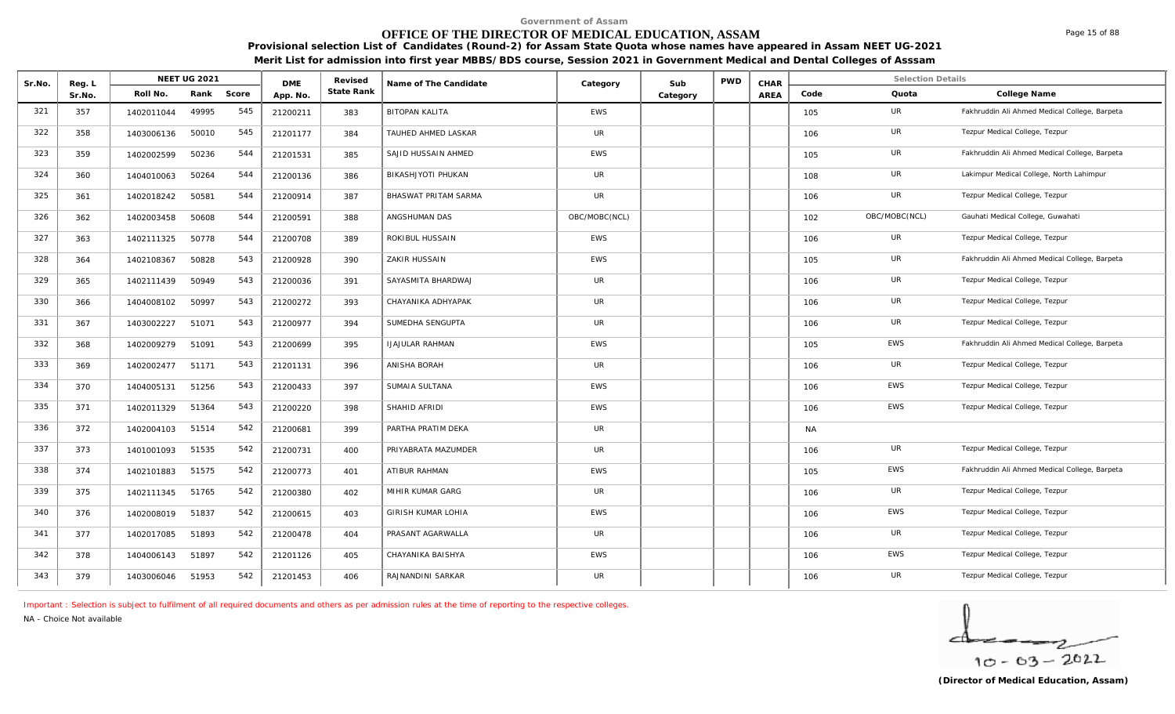# **OFFICE OF THE DIRECTOR OF MEDICAL EDUCATION, ASSAM**

**Provisional selection List of Candidates (Round-2) for Assam State Quota whose names have appeared in Assam NEET UG-2021 Merit List for admission into first year MBBS/BDS course, Session 2021 in Government Medical and Dental Colleges of Asssam**

| Sr.No. | Reg. L |            | NEET UG 2021 |       | <b>DME</b> | Revised    | Name of The Candidate  | Category      | Sub      | PWD | CHAR |           | <b>Selection Details</b> |                                               |
|--------|--------|------------|--------------|-------|------------|------------|------------------------|---------------|----------|-----|------|-----------|--------------------------|-----------------------------------------------|
|        | Sr.No. | Roll No.   | Rank         | Score | App. No.   | State Rank |                        |               | Category |     | AREA | Code      | Quota                    | College Name                                  |
| 321    | 357    | 1402011044 | 49995        | 545   | 21200211   | 383        | <b>BITOPAN KALITA</b>  | <b>EWS</b>    |          |     |      | 105       | UR                       | Fakhruddin Ali Ahmed Medical College, Barpeta |
| 322    | 358    | 1403006136 | 50010        | 545   | 21201177   | 384        | TAUHED AHMED LASKAR    | UR            |          |     |      | 106       | <b>UR</b>                | Tezpur Medical College, Tezpur                |
| 323    | 359    | 1402002599 | 50236        | 544   | 21201531   | 385        | SAJID HUSSAIN AHMED    | <b>EWS</b>    |          |     |      | 105       | <b>UR</b>                | Fakhruddin Ali Ahmed Medical College, Barpeta |
| 324    | 360    | 1404010063 | 50264        | 544   | 21200136   | 386        | BIKASHJYOTI PHUKAN     | UR            |          |     |      | 108       | UR                       | Lakimpur Medical College, North Lahimpur      |
| 325    | 361    | 1402018242 | 50581        | 544   | 21200914   | 387        | BHASWAT PRITAM SARMA   | UR            |          |     |      | 106       | UR                       | Tezpur Medical College, Tezpur                |
| 326    | 362    | 1402003458 | 50608        | 544   | 21200591   | 388        | ANGSHUMAN DAS          | OBC/MOBC(NCL) |          |     |      | 102       | OBC/MOBC(NCL)            | Gauhati Medical College, Guwahati             |
| 327    | 363    | 1402111325 | 50778        | 544   | 21200708   | 389        | ROKIBUL HUSSAIN        | <b>EWS</b>    |          |     |      | 106       | UR                       | Tezpur Medical College, Tezpur                |
| 328    | 364    | 1402108367 | 50828        | 543   | 21200928   | 390        | ZAKIR HUSSAIN          | <b>EWS</b>    |          |     |      | 105       | UR                       | Fakhruddin Ali Ahmed Medical College, Barpeta |
| 329    | 365    | 1402111439 | 50949        | 543   | 21200036   | 391        | SAYASMITA BHARDWAJ     | UR            |          |     |      | 106       | UR                       | Tezpur Medical College, Tezpur                |
| 330    | 366    | 1404008102 | 50997        | 543   | 21200272   | 393        | CHAYANIKA ADHYAPAK     | UR            |          |     |      | 106       | <b>UR</b>                | Tezpur Medical College, Tezpur                |
| 331    | 367    | 1403002227 | 51071        | 543   | 21200977   | 394        | SUMEDHA SENGUPTA       | UR            |          |     |      | 106       | UR                       | Tezpur Medical College, Tezpur                |
| 332    | 368    | 1402009279 | 51091        | 543   | 21200699   | 395        | <b>IJAJULAR RAHMAN</b> | <b>EWS</b>    |          |     |      | 105       | EWS                      | Fakhruddin Ali Ahmed Medical College, Barpeta |
| 333    | 369    | 1402002477 | 51171        | 543   | 21201131   | 396        | ANISHA BORAH           | <b>UR</b>     |          |     |      | 106       | UR                       | Tezpur Medical College, Tezpur                |
| 334    | 370    | 1404005131 | 51256        | 543   | 21200433   | 397        | SUMAIA SULTANA         | <b>EWS</b>    |          |     |      | 106       | <b>EWS</b>               | Tezpur Medical College, Tezpur                |
| 335    | 371    | 1402011329 | 51364        | 543   | 21200220   | 398        | SHAHID AFRIDI          | <b>EWS</b>    |          |     |      | 106       | EWS                      | Tezpur Medical College, Tezpur                |
| 336    | 372    | 1402004103 | 51514        | 542   | 21200681   | 399        | PARTHA PRATIM DEKA     | <b>UR</b>     |          |     |      | <b>NA</b> |                          |                                               |
| 337    | 373    | 1401001093 | 51535        | 542   | 21200731   | 400        | PRIYABRATA MAZUMDER    | <b>UR</b>     |          |     |      | 106       | <b>UR</b>                | Tezpur Medical College, Tezpur                |
| 338    | 374    | 1402101883 | 51575        | 542   | 21200773   | 401        | ATIBUR RAHMAN          | <b>EWS</b>    |          |     |      | 105       | <b>EWS</b>               | Fakhruddin Ali Ahmed Medical College, Barpeta |
| 339    | 375    | 1402111345 | 51765        | 542   | 21200380   | 402        | MIHIR KUMAR GARG       | UR            |          |     |      | 106       | UR                       | Tezpur Medical College, Tezpur                |
| 340    | 376    | 1402008019 | 51837        | 542   | 21200615   | 403        | GIRISH KUMAR LOHIA     | <b>EWS</b>    |          |     |      | 106       | EWS                      | Tezpur Medical College, Tezpur                |
| 341    | 377    | 1402017085 | 51893        | 542   | 21200478   | 404        | PRASANT AGARWALLA      | <b>UR</b>     |          |     |      | 106       | <b>UR</b>                | Tezpur Medical College, Tezpur                |
| 342    | 378    | 1404006143 | 51897        | 542   | 21201126   | 405        | CHAYANIKA BAISHYA      | <b>EWS</b>    |          |     |      | 106       | EWS                      | Tezpur Medical College, Tezpur                |
| 343    | 379    | 1403006046 | 51953        | 542   | 21201453   | 406        | RAJNANDINI SARKAR      | UR            |          |     |      | 106       | <b>UR</b>                | Tezpur Medical College, Tezpur                |

*Important : Selection is subject to fulfilment of all required documents and others as per admission rules at the time of reporting to the respective colleges.*

*NA - Choice Not available*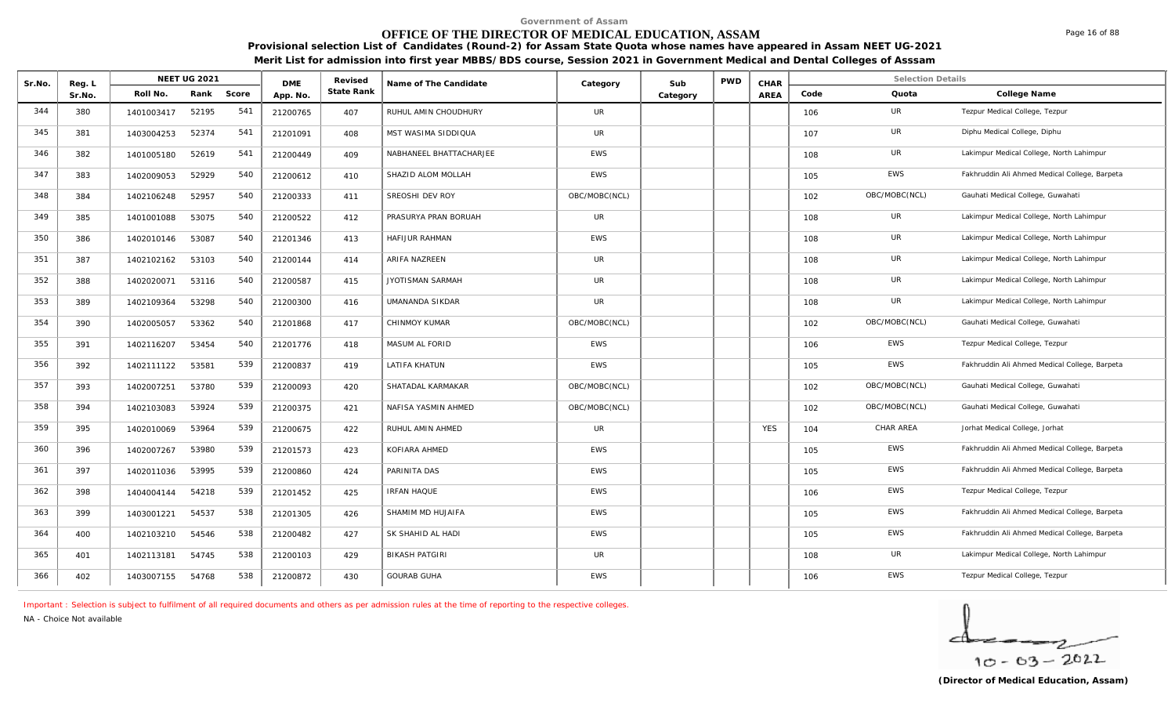# **OFFICE OF THE DIRECTOR OF MEDICAL EDUCATION, ASSAM**

**Provisional selection List of Candidates (Round-2) for Assam State Quota whose names have appeared in Assam NEET UG-2021 Merit List for admission into first year MBBS/BDS course, Session 2021 in Government Medical and Dental Colleges of Asssam**

| Sr.No. | Reg. L |            | NEET UG 2021 |       | <b>DME</b> | Revised    | Name of The Candidate   | Category      | Sub      | <b>PWD</b> | CHAR       |      | <b>Selection Details</b> |                                               |
|--------|--------|------------|--------------|-------|------------|------------|-------------------------|---------------|----------|------------|------------|------|--------------------------|-----------------------------------------------|
|        | Sr.No. | Roll No.   | Rank         | Score | App. No.   | State Rank |                         |               | Category |            | AREA       | Code | Quota                    | College Name                                  |
| 344    | 380    | 1401003417 | 52195        | 541   | 21200765   | 407        | RUHUL AMIN CHOUDHURY    | UR            |          |            |            | 106  | UR                       | Tezpur Medical College, Tezpur                |
| 345    | 381    | 1403004253 | 52374        | 541   | 21201091   | 408        | MST WASIMA SIDDIQUA     | UR            |          |            |            | 107  | <b>UR</b>                | Diphu Medical College, Diphu                  |
| 346    | 382    | 1401005180 | 52619        | 541   | 21200449   | 409        | NABHANEEL BHATTACHARJEE | <b>EWS</b>    |          |            |            | 108  | UR                       | Lakimpur Medical College, North Lahimpur      |
| 347    | 383    | 1402009053 | 52929        | 540   | 21200612   | 410        | SHAZID ALOM MOLLAH      | <b>EWS</b>    |          |            |            | 105  | <b>EWS</b>               | Fakhruddin Ali Ahmed Medical College, Barpeta |
| 348    | 384    | 1402106248 | 52957        | 540   | 21200333   | 411        | SREOSHI DEV ROY         | OBC/MOBC(NCL) |          |            |            | 102  | OBC/MOBC(NCL)            | Gauhati Medical College, Guwahati             |
| 349    | 385    | 1401001088 | 53075        | 540   | 21200522   | 412        | PRASURYA PRAN BORUAH    | <b>UR</b>     |          |            |            | 108  | UR                       | Lakimpur Medical College, North Lahimpur      |
| 350    | 386    | 1402010146 | 53087        | 540   | 21201346   | 413        | HAFIJUR RAHMAN          | EWS           |          |            |            | 108  | UR                       | Lakimpur Medical College, North Lahimpur      |
| 351    | 387    | 1402102162 | 53103        | 540   | 21200144   | 414        | <b>ARIFA NAZREEN</b>    | UR            |          |            |            | 108  | UR                       | Lakimpur Medical College, North Lahimpur      |
| 352    | 388    | 1402020071 | 53116        | 540   | 21200587   | 415        | <b>JYOTISMAN SARMAH</b> | UR            |          |            |            | 108  | <b>UR</b>                | Lakimpur Medical College, North Lahimpur      |
| 353    | 389    | 1402109364 | 53298        | 540   | 21200300   | 416        | UMANANDA SIKDAR         | UR            |          |            |            | 108  | UR                       | Lakimpur Medical College, North Lahimpur      |
| 354    | 390    | 1402005057 | 53362        | 540   | 21201868   | 417        | CHINMOY KUMAR           | OBC/MOBC(NCL) |          |            |            | 102  | OBC/MOBC(NCL)            | Gauhati Medical College, Guwahati             |
| 355    | 391    | 1402116207 | 53454        | 540   | 21201776   | 418        | MASUM AL FORID          | EWS           |          |            |            | 106  | EWS                      | Tezpur Medical College, Tezpur                |
| 356    | 392    | 1402111122 | 53581        | 539   | 21200837   | 419        | LATIFA KHATUN           | <b>EWS</b>    |          |            |            | 105  | EWS                      | Fakhruddin Ali Ahmed Medical College, Barpeta |
| 357    | 393    | 1402007251 | 53780        | 539   | 21200093   | 420        | SHATADAL KARMAKAR       | OBC/MOBC(NCL) |          |            |            | 102  | OBC/MOBC(NCL)            | Gauhati Medical College, Guwahati             |
| 358    | 394    | 1402103083 | 53924        | 539   | 21200375   | 421        | NAFISA YASMIN AHMED     | OBC/MOBC(NCL) |          |            |            | 102  | OBC/MOBC(NCL)            | Gauhati Medical College, Guwahati             |
| 359    | 395    | 1402010069 | 53964        | 539   | 21200675   | 422        | RUHUL AMIN AHMED        | UR            |          |            | <b>YES</b> | 104  | CHAR AREA                | Jorhat Medical College, Jorhat                |
| 360    | 396    | 1402007267 | 53980        | 539   | 21201573   | 423        | KOFIARA AHMED           | EWS           |          |            |            | 105  | EWS                      | Fakhruddin Ali Ahmed Medical College, Barpeta |
| 361    | 397    | 1402011036 | 53995        | 539   | 21200860   | 424        | PARINITA DAS            | <b>EWS</b>    |          |            |            | 105  | <b>EWS</b>               | Fakhruddin Ali Ahmed Medical College, Barpeta |
| 362    | 398    | 1404004144 | 54218        | 539   | 21201452   | 425        | <b>IRFAN HAQUE</b>      | EWS           |          |            |            | 106  | EWS                      | Tezpur Medical College, Tezpur                |
| 363    | 399    | 1403001221 | 54537        | 538   | 21201305   | 426        | SHAMIM MD HUJAIFA       | <b>EWS</b>    |          |            |            | 105  | EWS                      | Fakhruddin Ali Ahmed Medical College, Barpeta |
| 364    | 400    | 1402103210 | 54546        | 538   | 21200482   | 427        | SK SHAHID AL HADI       | <b>EWS</b>    |          |            |            | 105  | <b>EWS</b>               | Fakhruddin Ali Ahmed Medical College, Barpeta |
| 365    | 401    | 1402113181 | 54745        | 538   | 21200103   | 429        | <b>BIKASH PATGIRI</b>   | UR            |          |            |            | 108  | UR                       | Lakimpur Medical College, North Lahimpur      |
| 366    | 402    | 1403007155 | 54768        | 538   | 21200872   | 430        | <b>GOURAB GUHA</b>      | <b>EWS</b>    |          |            |            | 106  | <b>EWS</b>               | Tezpur Medical College, Tezpur                |

*Important : Selection is subject to fulfilment of all required documents and others as per admission rules at the time of reporting to the respective colleges.*

*NA - Choice Not available*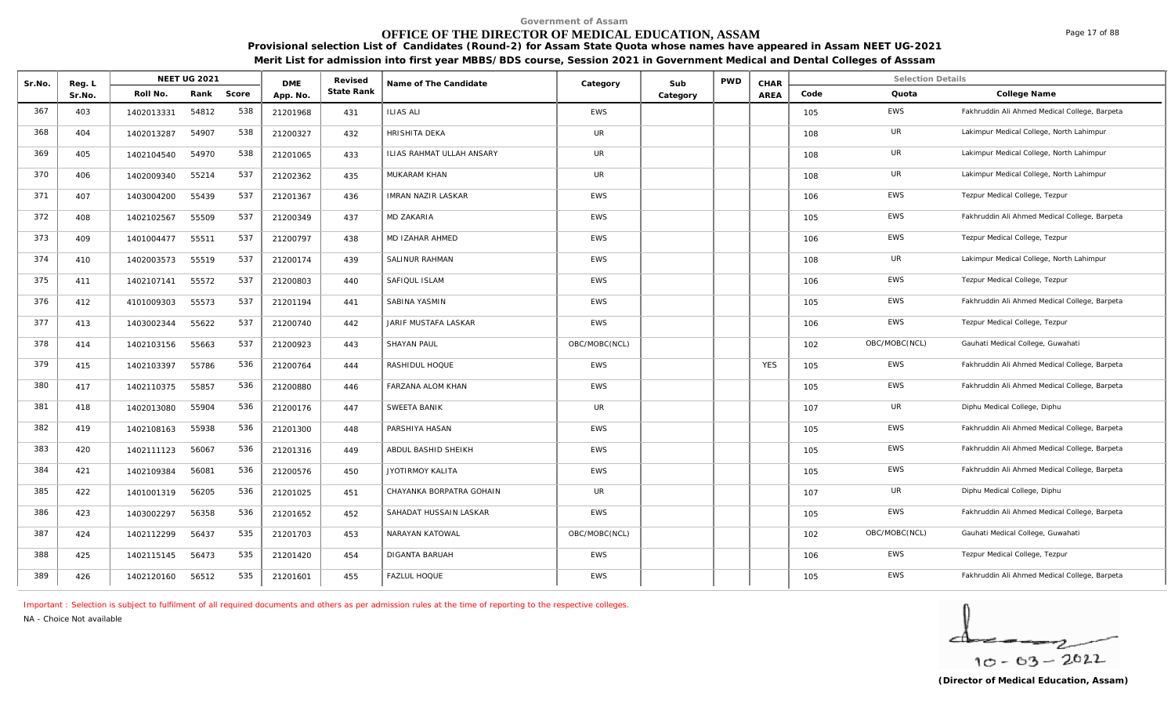# **OFFICE OF THE DIRECTOR OF MEDICAL EDUCATION, ASSAM**

**Provisional selection List of Candidates (Round-2) for Assam State Quota whose names have appeared in Assam NEET UG-2021 Merit List for admission into first year MBBS/BDS course, Session 2021 in Government Medical and Dental Colleges of Asssam**

| Sr.No. | Reg. L |            | <b>NEET UG 2021</b> |       | <b>DME</b> | Revised    | Name of The Candidate     | Category      | Sub      | <b>PWD</b> | CHAR       |      | <b>Selection Details</b> |                                               |
|--------|--------|------------|---------------------|-------|------------|------------|---------------------------|---------------|----------|------------|------------|------|--------------------------|-----------------------------------------------|
|        | Sr.No. | Roll No.   | Rank                | Score | App. No.   | State Rank |                           |               | Category |            | AREA       | Code | Quota                    | College Name                                  |
| 367    | 403    | 1402013331 | 54812               | 538   | 21201968   | 431        | <b>ILIAS ALI</b>          | EWS           |          |            |            | 105  | EWS                      | Fakhruddin Ali Ahmed Medical College, Barpeta |
| 368    | 404    | 1402013287 | 54907               | 538   | 21200327   | 432        | <b>HRISHITA DEKA</b>      | UR            |          |            |            | 108  | UR                       | Lakimpur Medical College, North Lahimpur      |
| 369    | 405    | 1402104540 | 54970               | 538   | 21201065   | 433        | ILIAS RAHMAT ULLAH ANSARY | <b>UR</b>     |          |            |            | 108  | UR                       | Lakimpur Medical College, North Lahimpur      |
| 370    | 406    | 1402009340 | 55214               | 537   | 21202362   | 435        | MUKARAM KHAN              | UR            |          |            |            | 108  | UR                       | Lakimpur Medical College, North Lahimpur      |
| 371    | 407    | 1403004200 | 55439               | 537   | 21201367   | 436        | <b>IMRAN NAZIR LASKAR</b> | <b>EWS</b>    |          |            |            | 106  | <b>EWS</b>               | Tezpur Medical College, Tezpur                |
| 372    | 408    | 1402102567 | 55509               | 537   | 21200349   | 437        | MD ZAKARIA                | <b>EWS</b>    |          |            |            | 105  | EWS                      | Fakhruddin Ali Ahmed Medical College, Barpeta |
| 373    | 409    | 1401004477 | 55511               | 537   | 21200797   | 438        | MD IZAHAR AHMED           | <b>EWS</b>    |          |            |            | 106  | EWS                      | Tezpur Medical College, Tezpur                |
| 374    | 410    | 1402003573 | 55519               | 537   | 21200174   | 439        | SALINUR RAHMAN            | <b>EWS</b>    |          |            |            | 108  | <b>UR</b>                | Lakimpur Medical College, North Lahimpur      |
| 375    | 411    | 1402107141 | 55572               | 537   | 21200803   | 440        | SAFIQUL ISLAM             | EWS           |          |            |            | 106  | EWS                      | Tezpur Medical College, Tezpur                |
| 376    | 412    | 4101009303 | 55573               | 537   | 21201194   | 441        | SABINA YASMIN             | EWS           |          |            |            | 105  | EWS                      | Fakhruddin Ali Ahmed Medical College, Barpeta |
| 377    | 413    | 1403002344 | 55622               | 537   | 21200740   | 442        | JARIF MUSTAFA LASKAR      | <b>EWS</b>    |          |            |            | 106  | <b>EWS</b>               | Tezpur Medical College, Tezpur                |
| 378    | 414    | 1402103156 | 55663               | 537   | 21200923   | 443        | <b>SHAYAN PAUL</b>        | OBC/MOBC(NCL) |          |            |            | 102  | OBC/MOBC(NCL)            | Gauhati Medical College, Guwahati             |
| 379    | 415    | 1402103397 | 55786               | 536   | 21200764   | 444        | RASHIDUL HOQUE            | EWS           |          |            | <b>YES</b> | 105  | EWS                      | Fakhruddin Ali Ahmed Medical College, Barpeta |
| 380    | 417    | 1402110375 | 55857               | 536   | 21200880   | 446        | FARZANA ALOM KHAN         | <b>EWS</b>    |          |            |            | 105  | EWS                      | Fakhruddin Ali Ahmed Medical College, Barpeta |
| 381    | 418    | 1402013080 | 55904               | 536   | 21200176   | 447        | SWEETA BANIK              | UR            |          |            |            | 107  | <b>UR</b>                | Diphu Medical College, Diphu                  |
| 382    | 419    | 1402108163 | 55938               | 536   | 21201300   | 448        | PARSHIYA HASAN            | <b>EWS</b>    |          |            |            | 105  | <b>EWS</b>               | Fakhruddin Ali Ahmed Medical College, Barpeta |
| 383    | 420    | 1402111123 | 56067               | 536   | 21201316   | 449        | ABDUL BASHID SHEIKH       | <b>EWS</b>    |          |            |            | 105  | <b>EWS</b>               | Fakhruddin Ali Ahmed Medical College, Barpeta |
| 384    | 421    | 1402109384 | 56081               | 536   | 21200576   | 450        | <b>JYOTIRMOY KALITA</b>   | <b>EWS</b>    |          |            |            | 105  | <b>EWS</b>               | Fakhruddin Ali Ahmed Medical College, Barpeta |
| 385    | 422    | 1401001319 | 56205               | 536   | 21201025   | 451        | CHAYANKA BORPATRA GOHAIN  | UR            |          |            |            | 107  | UR                       | Diphu Medical College, Diphu                  |
| 386    | 423    | 1403002297 | 56358               | 536   | 21201652   | 452        | SAHADAT HUSSAIN LASKAR    | <b>EWS</b>    |          |            |            | 105  | <b>EWS</b>               | Fakhruddin Ali Ahmed Medical College, Barpeta |
| 387    | 424    | 1402112299 | 56437               | 535   | 21201703   | 453        | NARAYAN KATOWAL           | OBC/MOBC(NCL) |          |            |            | 102  | OBC/MOBC(NCL)            | Gauhati Medical College, Guwahati             |
| 388    | 425    | 1402115145 | 56473               | 535   | 21201420   | 454        | <b>DIGANTA BARUAH</b>     | <b>EWS</b>    |          |            |            | 106  | EWS                      | Tezpur Medical College, Tezpur                |
| 389    | 426    | 1402120160 | 56512               | 535   | 21201601   | 455        | FAZLUL HOQUE              | <b>EWS</b>    |          |            |            | 105  | <b>EWS</b>               | Fakhruddin Ali Ahmed Medical College, Barpeta |

*Important : Selection is subject to fulfilment of all required documents and others as per admission rules at the time of reporting to the respective colleges.*

*NA - Choice Not available*

 $10 - 63 - 2022$ 

Page 17 of 88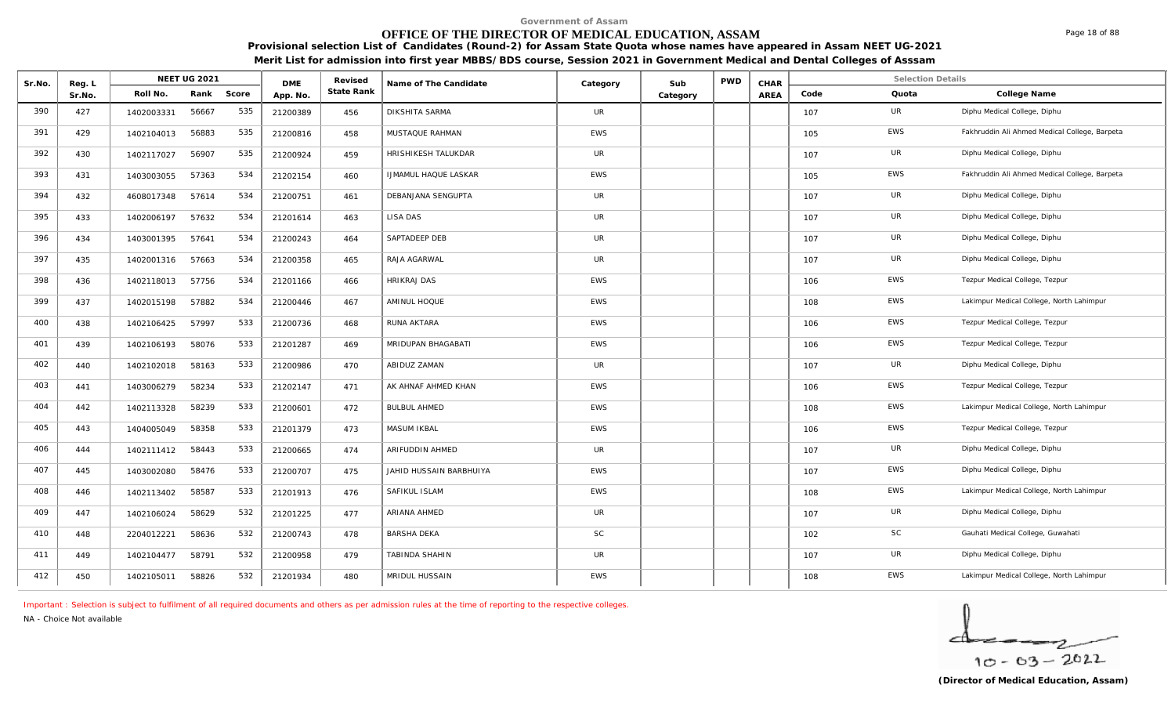# **OFFICE OF THE DIRECTOR OF MEDICAL EDUCATION, ASSAM**

**Provisional selection List of Candidates (Round-2) for Assam State Quota whose names have appeared in Assam NEET UG-2021 Merit List for admission into first year MBBS/BDS course, Session 2021 in Government Medical and Dental Colleges of Asssam**

| Sr.No. | Reg. L |            | <b>NEET UG 2021</b> |       | <b>DME</b> | Revised    | Name of The Candidate       | Category   | Sub      | <b>PWD</b> | CHAR |      | <b>Selection Details</b> |                                               |
|--------|--------|------------|---------------------|-------|------------|------------|-----------------------------|------------|----------|------------|------|------|--------------------------|-----------------------------------------------|
|        | Sr.No. | Roll No.   | Rank                | Score | App. No.   | State Rank |                             |            | Category |            | AREA | Code | Quota                    | College Name                                  |
| 390    | 427    | 1402003331 | 56667               | 535   | 21200389   | 456        | DIKSHITA SARMA              | <b>UR</b>  |          |            |      | 107  | UR                       | Diphu Medical College, Diphu                  |
| 391    | 429    | 1402104013 | 56883               | 535   | 21200816   | 458        | MUSTAQUE RAHMAN             | <b>EWS</b> |          |            |      | 105  | EWS                      | Fakhruddin Ali Ahmed Medical College, Barpeta |
| 392    | 430    | 1402117027 | 56907               | 535   | 21200924   | 459        | HRISHIKESH TALUKDAR         | UR         |          |            |      | 107  | UR                       | Diphu Medical College, Diphu                  |
| 393    | 431    | 1403003055 | 57363               | 534   | 21202154   | 460        | <b>IJMAMUL HAQUE LASKAR</b> | EWS        |          |            |      | 105  | EWS                      | Fakhruddin Ali Ahmed Medical College, Barpeta |
| 394    | 432    | 4608017348 | 57614               | 534   | 21200751   | 461        | DEBANJANA SENGUPTA          | UR         |          |            |      | 107  | UR                       | Diphu Medical College, Diphu                  |
| 395    | 433    | 1402006197 | 57632               | 534   | 21201614   | 463        | LISA DAS                    | <b>UR</b>  |          |            |      | 107  | UR                       | Diphu Medical College, Diphu                  |
| 396    | 434    | 1403001395 | 57641               | 534   | 21200243   | 464        | SAPTADEEP DEB               | UR         |          |            |      | 107  | UR                       | Diphu Medical College, Diphu                  |
| 397    | 435    | 1402001316 | 57663               | 534   | 21200358   | 465        | RAJA AGARWAL                | UR         |          |            |      | 107  | UR                       | Diphu Medical College, Diphu                  |
| 398    | 436    | 1402118013 | 57756               | 534   | 21201166   | 466        | <b>HRIKRAJ DAS</b>          | <b>EWS</b> |          |            |      | 106  | EWS                      | Tezpur Medical College, Tezpur                |
| 399    | 437    | 1402015198 | 57882               | 534   | 21200446   | 467        | AMINUL HOQUE                | <b>EWS</b> |          |            |      | 108  | EWS                      | Lakimpur Medical College, North Lahimpur      |
| 400    | 438    | 1402106425 | 57997               | 533   | 21200736   | 468        | RUNA AKTARA                 | EWS        |          |            |      | 106  | EWS                      | Tezpur Medical College, Tezpur                |
| 401    | 439    | 1402106193 | 58076               | 533   | 21201287   | 469        | MRIDUPAN BHAGABATI          | <b>EWS</b> |          |            |      | 106  | EWS                      | Tezpur Medical College, Tezpur                |
| 402    | 440    | 1402102018 | 58163               | 533   | 21200986   | 470        | ABIDUZ ZAMAN                | <b>UR</b>  |          |            |      | 107  | UR                       | Diphu Medical College, Diphu                  |
| 403    | 441    | 1403006279 | 58234               | 533   | 21202147   | 471        | AK AHNAF AHMED KHAN         | <b>EWS</b> |          |            |      | 106  | EWS                      | Tezpur Medical College, Tezpur                |
| 404    | 442    | 1402113328 | 58239               | 533   | 21200601   | 472        | <b>BULBUL AHMED</b>         | EWS        |          |            |      | 108  | EWS                      | Lakimpur Medical College, North Lahimpur      |
| 405    | 443    | 1404005049 | 58358               | 533   | 21201379   | 473        | MASUM IKBAL                 | EWS        |          |            |      | 106  | EWS                      | Tezpur Medical College, Tezpur                |
| 406    | 444    | 1402111412 | 58443               | 533   | 21200665   | 474        | ARIFUDDIN AHMED             | <b>UR</b>  |          |            |      | 107  | UR                       | Diphu Medical College, Diphu                  |
| 407    | 445    | 1403002080 | 58476               | 533   | 21200707   | 475        | JAHID HUSSAIN BARBHUIYA     | <b>EWS</b> |          |            |      | 107  | EWS                      | Diphu Medical College, Diphu                  |
| 408    | 446    | 1402113402 | 58587               | 533   | 21201913   | 476        | SAFIKUL ISLAM               | EWS        |          |            |      | 108  | EWS                      | Lakimpur Medical College, North Lahimpur      |
| 409    | 447    | 1402106024 | 58629               | 532   | 21201225   | 477        | ARIANA AHMED                | <b>UR</b>  |          |            |      | 107  | UR                       | Diphu Medical College, Diphu                  |
| 410    | 448    | 2204012221 | 58636               | 532   | 21200743   | 478        | <b>BARSHA DEKA</b>          | SC         |          |            |      | 102  | SC                       | Gauhati Medical College, Guwahati             |
| 411    | 449    | 1402104477 | 58791               | 532   | 21200958   | 479        | TABINDA SHAHIN              | UR         |          |            |      | 107  | <b>UR</b>                | Diphu Medical College, Diphu                  |
| 412    | 450    | 1402105011 | 58826               | 532   | 21201934   | 480        | MRIDUL HUSSAIN              | EWS        |          |            |      | 108  | <b>EWS</b>               | Lakimpur Medical College, North Lahimpur      |

*Important : Selection is subject to fulfilment of all required documents and others as per admission rules at the time of reporting to the respective colleges.*

*NA - Choice Not available*

$$
\frac{1}{10-03-2022}
$$

Page 18 of 88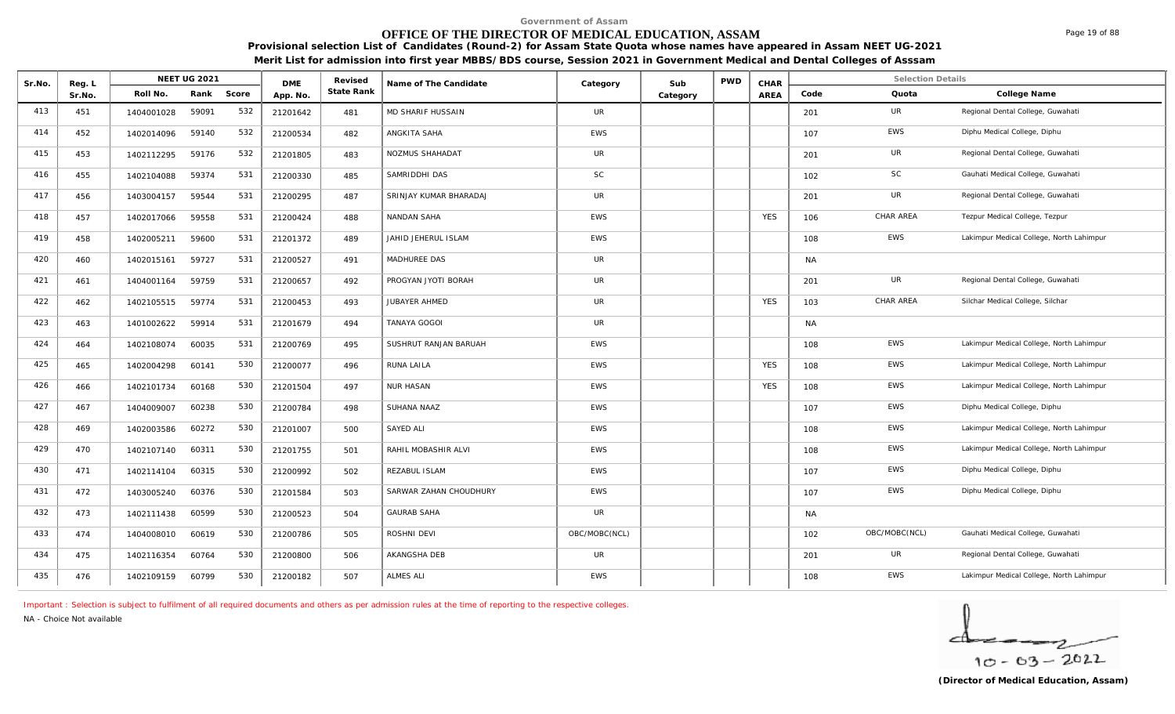# **OFFICE OF THE DIRECTOR OF MEDICAL EDUCATION, ASSAM**

**Provisional selection List of Candidates (Round-2) for Assam State Quota whose names have appeared in Assam NEET UG-2021 Merit List for admission into first year MBBS/BDS course, Session 2021 in Government Medical and Dental Colleges of Asssam**

| Sr.No. | Reg. L |            | <b>NEET UG 2021</b> |       | <b>DME</b> | Revised    | Name of The Candidate  | Category      | Sub      | <b>PWD</b> | CHAR       |           | <b>Selection Details</b> |                                          |
|--------|--------|------------|---------------------|-------|------------|------------|------------------------|---------------|----------|------------|------------|-----------|--------------------------|------------------------------------------|
|        | Sr.No. | Roll No.   | Rank                | Score | App. No.   | State Rank |                        |               | Category |            | AREA       | Code      | Quota                    | College Name                             |
| 413    | 451    | 1404001028 | 59091               | 532   | 21201642   | 481        | MD SHARIF HUSSAIN      | UR            |          |            |            | 201       | UR                       | Regional Dental College, Guwahati        |
| 414    | 452    | 1402014096 | 59140               | 532   | 21200534   | 482        | ANGKITA SAHA           | <b>EWS</b>    |          |            |            | 107       | EWS                      | Diphu Medical College, Diphu             |
| 415    | 453    | 1402112295 | 59176               | 532   | 21201805   | 483        | NOZMUS SHAHADAT        | UR            |          |            |            | 201       | UR                       | Regional Dental College, Guwahati        |
| 416    | 455    | 1402104088 | 59374               | 531   | 21200330   | 485        | SAMRIDDHI DAS          | SC            |          |            |            | 102       | SC                       | Gauhati Medical College, Guwahati        |
| 417    | 456    | 1403004157 | 59544               | 531   | 21200295   | 487        | SRINJAY KUMAR BHARADAJ | UR            |          |            |            | 201       | UR                       | Regional Dental College, Guwahati        |
| 418    | 457    | 1402017066 | 59558               | 531   | 21200424   | 488        | NANDAN SAHA            | <b>EWS</b>    |          |            | <b>YES</b> | 106       | CHAR AREA                | Tezpur Medical College, Tezpur           |
| 419    | 458    | 1402005211 | 59600               | 531   | 21201372   | 489        | JAHID JEHERUL ISLAM    | <b>EWS</b>    |          |            |            | 108       | <b>EWS</b>               | Lakimpur Medical College, North Lahimpur |
| 420    | 460    | 1402015161 | 59727               | 531   | 21200527   | 491        | MADHUREE DAS           | UR            |          |            |            | <b>NA</b> |                          |                                          |
| 421    | 461    | 1404001164 | 59759               | 531   | 21200657   | 492        | PROGYAN JYOTI BORAH    | <b>UR</b>     |          |            |            | 201       | UR                       | Regional Dental College, Guwahati        |
| 422    | 462    | 1402105515 | 59774               | 531   | 21200453   | 493        | JUBAYER AHMED          | UR            |          |            | <b>YES</b> | 103       | CHAR AREA                | Silchar Medical College, Silchar         |
| 423    | 463    | 1401002622 | 59914               | 531   | 21201679   | 494        | TANAYA GOGOI           | UR            |          |            |            | <b>NA</b> |                          |                                          |
| 424    | 464    | 1402108074 | 60035               | 531   | 21200769   | 495        | SUSHRUT RANJAN BARUAH  | <b>EWS</b>    |          |            |            | 108       | <b>EWS</b>               | Lakimpur Medical College, North Lahimpur |
| 425    | 465    | 1402004298 | 60141               | 530   | 21200077   | 496        | RUNA LAILA             | <b>EWS</b>    |          |            | <b>YES</b> | 108       | EWS                      | Lakimpur Medical College, North Lahimpur |
| 426    | 466    | 1402101734 | 60168               | 530   | 21201504   | 497        | <b>NUR HASAN</b>       | <b>EWS</b>    |          |            | <b>YES</b> | 108       | EWS                      | Lakimpur Medical College, North Lahimpur |
| 427    | 467    | 1404009007 | 60238               | 530   | 21200784   | 498        | SUHANA NAAZ            | <b>EWS</b>    |          |            |            | 107       | EWS                      | Diphu Medical College, Diphu             |
| 428    | 469    | 1402003586 | 60272               | 530   | 21201007   | 500        | <b>SAYED ALI</b>       | <b>EWS</b>    |          |            |            | 108       | EWS                      | Lakimpur Medical College, North Lahimpur |
| 429    | 470    | 1402107140 | 60311               | 530   | 21201755   | 501        | RAHIL MOBASHIR ALVI    | <b>EWS</b>    |          |            |            | 108       | <b>EWS</b>               | Lakimpur Medical College, North Lahimpur |
| 430    | 471    | 1402114104 | 60315               | 530   | 21200992   | 502        | REZABUL ISLAM          | EWS           |          |            |            | 107       | EWS                      | Diphu Medical College, Diphu             |
| 431    | 472    | 1403005240 | 60376               | 530   | 21201584   | 503        | SARWAR ZAHAN CHOUDHURY | <b>EWS</b>    |          |            |            | 107       | <b>EWS</b>               | Diphu Medical College, Diphu             |
| 432    | 473    | 1402111438 | 60599               | 530   | 21200523   | 504        | <b>GAURAB SAHA</b>     | UR            |          |            |            | NA        |                          |                                          |
| 433    | 474    | 1404008010 | 60619               | 530   | 21200786   | 505        | ROSHNI DEVI            | OBC/MOBC(NCL) |          |            |            | 102       | OBC/MOBC(NCL)            | Gauhati Medical College, Guwahati        |
| 434    | 475    | 1402116354 | 60764               | 530   | 21200800   | 506        | AKANGSHA DEB           | <b>UR</b>     |          |            |            | 201       | UR                       | Regional Dental College, Guwahati        |
| 435    | 476    | 1402109159 | 60799               | 530   | 21200182   | 507        | <b>ALMES ALI</b>       | <b>EWS</b>    |          |            |            | 108       | EWS                      | Lakimpur Medical College, North Lahimpur |

*Important : Selection is subject to fulfilment of all required documents and others as per admission rules at the time of reporting to the respective colleges.*

*NA - Choice Not available*

 $10 - 63 - 2022$ 

Page 19 of 88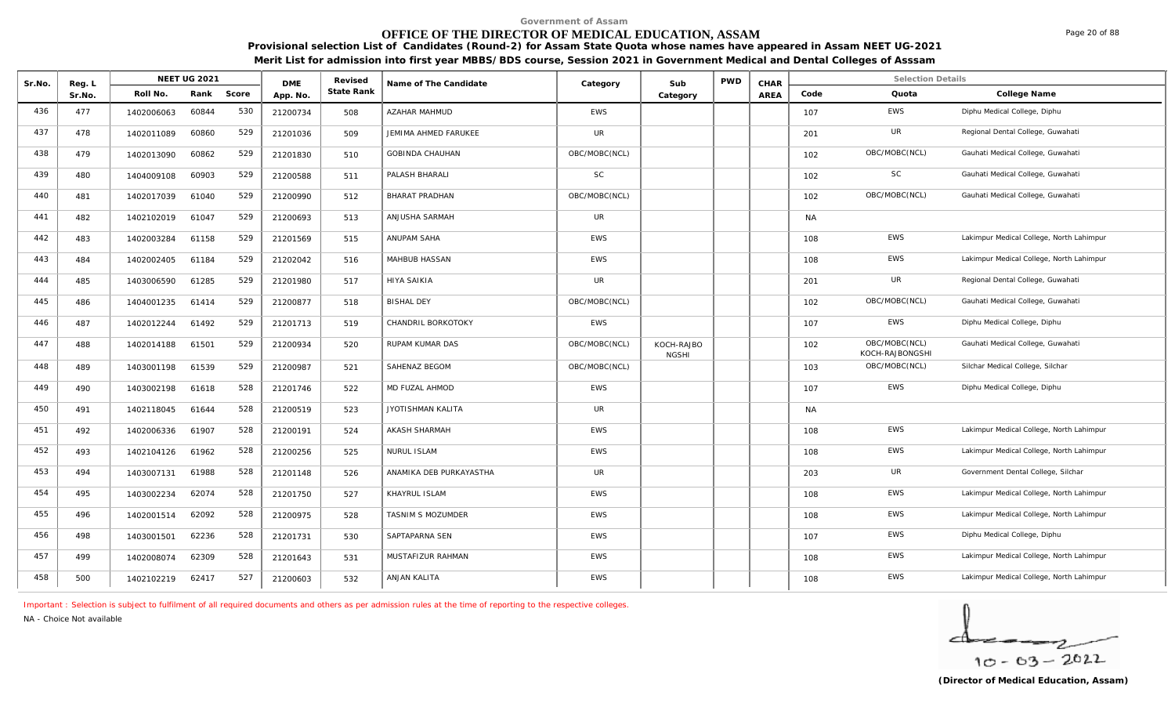# **OFFICE OF THE DIRECTOR OF MEDICAL EDUCATION, ASSAM**

**Provisional selection List of Candidates (Round-2) for Assam State Quota whose names have appeared in Assam NEET UG-2021 Merit List for admission into first year MBBS/BDS course, Session 2021 in Government Medical and Dental Colleges of Asssam**

|        |                  |            | <b>NEET UG 2021</b> |       |                        | Revised    |                         |               |                            | <b>PWD</b> |              |           | <b>Selection Details</b>         |                                          |
|--------|------------------|------------|---------------------|-------|------------------------|------------|-------------------------|---------------|----------------------------|------------|--------------|-----------|----------------------------------|------------------------------------------|
| Sr.No. | Reg. L<br>Sr.No. | Roll No.   | Rank                | Score | <b>DME</b><br>App. No. | State Rank | Name of The Candidate   | Category      | Sub<br>Category            |            | CHAR<br>AREA | Code      | Quota                            | College Name                             |
| 436    | 477              | 1402006063 | 60844               | 530   | 21200734               | 508        | <b>AZAHAR MAHMUD</b>    | <b>EWS</b>    |                            |            |              | 107       | <b>EWS</b>                       | Diphu Medical College, Diphu             |
| 437    | 478              | 1402011089 | 60860               | 529   | 21201036               | 509        | JEMIMA AHMED FARUKEE    | UR            |                            |            |              | 201       | <b>UR</b>                        | Regional Dental College, Guwahati        |
| 438    | 479              | 1402013090 | 60862               | 529   | 21201830               | 510        | <b>GOBINDA CHAUHAN</b>  | OBC/MOBC(NCL) |                            |            |              | 102       | OBC/MOBC(NCL)                    | Gauhati Medical College, Guwahati        |
| 439    | 480              | 1404009108 | 60903               | 529   | 21200588               | 511        | PALASH BHARALI          | <b>SC</b>     |                            |            |              | 102       | SC                               | Gauhati Medical College, Guwahati        |
| 440    | 481              | 1402017039 | 61040               | 529   | 21200990               | 512        | <b>BHARAT PRADHAN</b>   | OBC/MOBC(NCL) |                            |            |              | 102       | OBC/MOBC(NCL)                    | Gauhati Medical College, Guwahati        |
| 441    | 482              | 1402102019 | 61047               | 529   | 21200693               | 513        | ANJUSHA SARMAH          | UR            |                            |            |              | <b>NA</b> |                                  |                                          |
| 442    | 483              | 1402003284 | 61158               | 529   | 21201569               | 515        | ANUPAM SAHA             | EWS           |                            |            |              | 108       | <b>EWS</b>                       | Lakimpur Medical College, North Lahimpur |
| 443    | 484              | 1402002405 | 61184               | 529   | 21202042               | 516        | MAHBUB HASSAN           | EWS           |                            |            |              | 108       | <b>EWS</b>                       | Lakimpur Medical College, North Lahimpur |
| 444    | 485              | 1403006590 | 61285               | 529   | 21201980               | 517        | <b>HIYA SAIKIA</b>      | <b>UR</b>     |                            |            |              | 201       | <b>UR</b>                        | Regional Dental College, Guwahati        |
| 445    | 486              | 1404001235 | 61414               | 529   | 21200877               | 518        | <b>BISHAL DEY</b>       | OBC/MOBC(NCL) |                            |            |              | 102       | OBC/MOBC(NCL)                    | Gauhati Medical College, Guwahati        |
| 446    | 487              | 1402012244 | 61492               | 529   | 21201713               | 519        | CHANDRIL BORKOTOKY      | <b>EWS</b>    |                            |            |              | 107       | EWS                              | Diphu Medical College, Diphu             |
| 447    | 488              | 1402014188 | 61501               | 529   | 21200934               | 520        | <b>RUPAM KUMAR DAS</b>  | OBC/MOBC(NCL) | KOCH-RAJBO<br><b>NGSHI</b> |            |              | 102       | OBC/MOBC(NCL)<br>KOCH-RAJBONGSHI | Gauhati Medical College, Guwahati        |
| 448    | 489              | 1403001198 | 61539               | 529   | 21200987               | 521        | SAHENAZ BEGOM           | OBC/MOBC(NCL) |                            |            |              | 103       | OBC/MOBC(NCL)                    | Silchar Medical College, Silchar         |
| 449    | 490              | 1403002198 | 61618               | 528   | 21201746               | 522        | MD FUZAL AHMOD          | <b>EWS</b>    |                            |            |              | 107       | <b>EWS</b>                       | Diphu Medical College, Diphu             |
| 450    | 491              | 1402118045 | 61644               | 528   | 21200519               | 523        | JYOTISHMAN KALITA       | UR            |                            |            |              | NA.       |                                  |                                          |
| 451    | 492              | 1402006336 | 61907               | 528   | 21200191               | 524        | <b>AKASH SHARMAH</b>    | <b>EWS</b>    |                            |            |              | 108       | <b>EWS</b>                       | Lakimpur Medical College, North Lahimpur |
| 452    | 493              | 1402104126 | 61962               | 528   | 21200256               | 525        | <b>NURUL ISLAM</b>      | <b>EWS</b>    |                            |            |              | 108       | <b>EWS</b>                       | Lakimpur Medical College, North Lahimpur |
| 453    | 494              | 1403007131 | 61988               | 528   | 21201148               | 526        | ANAMIKA DEB PURKAYASTHA | <b>UR</b>     |                            |            |              | 203       | <b>UR</b>                        | Government Dental College, Silchar       |
| 454    | 495              | 1403002234 | 62074               | 528   | 21201750               | 527        | KHAYRUL ISLAM           | <b>EWS</b>    |                            |            |              | 108       | <b>EWS</b>                       | Lakimpur Medical College, North Lahimpur |
| 455    | 496              | 1402001514 | 62092               | 528   | 21200975               | 528        | TASNIM S MOZUMDER       | <b>EWS</b>    |                            |            |              | 108       | <b>EWS</b>                       | Lakimpur Medical College, North Lahimpur |
| 456    | 498              | 1403001501 | 62236               | 528   | 21201731               | 530        | SAPTAPARNA SEN          | <b>EWS</b>    |                            |            |              | 107       | <b>EWS</b>                       | Diphu Medical College, Diphu             |
| 457    | 499              | 1402008074 | 62309               | 528   | 21201643               | 531        | MUSTAFIZUR RAHMAN       | <b>EWS</b>    |                            |            |              | 108       | <b>EWS</b>                       | Lakimpur Medical College, North Lahimpur |
| 458    | 500              | 1402102219 | 62417               | 527   | 21200603               | 532        | ANJAN KALITA            | EWS           |                            |            |              | 108       | <b>EWS</b>                       | Lakimpur Medical College, North Lahimpur |

*Important : Selection is subject to fulfilment of all required documents and others as per admission rules at the time of reporting to the respective colleges.*

*NA - Choice Not available*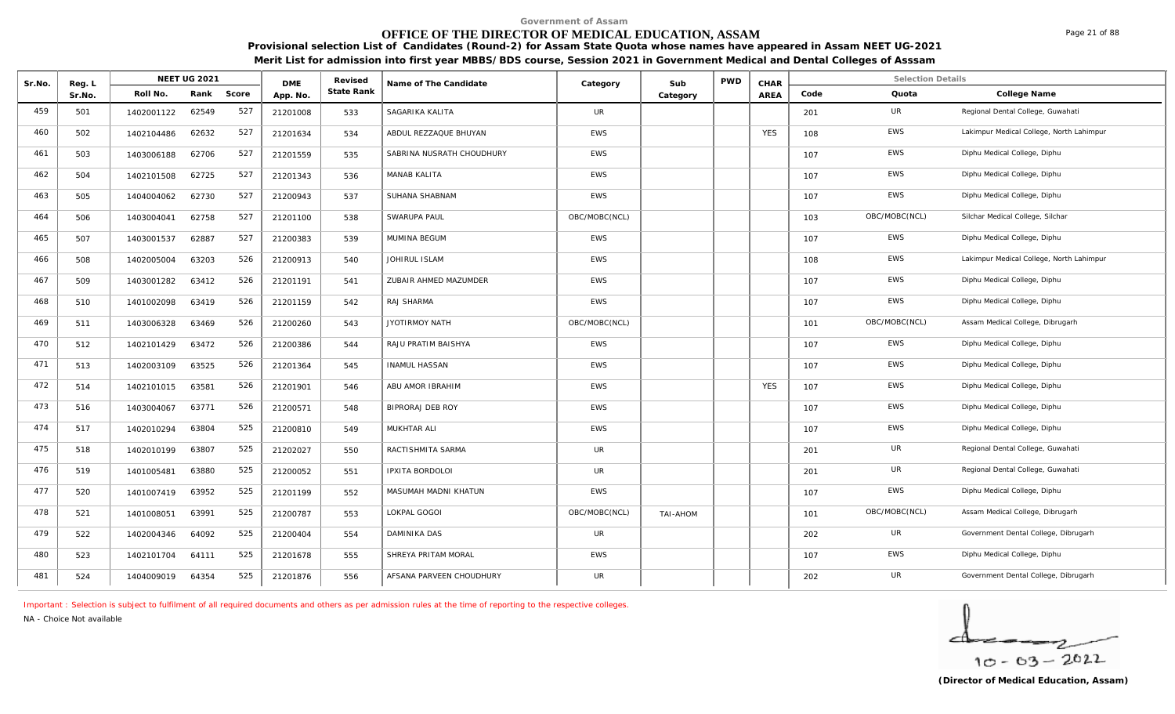# **OFFICE OF THE DIRECTOR OF MEDICAL EDUCATION, ASSAM**

**Provisional selection List of Candidates (Round-2) for Assam State Quota whose names have appeared in Assam NEET UG-2021 Merit List for admission into first year MBBS/BDS course, Session 2021 in Government Medical and Dental Colleges of Asssam**

| Sr.No. | Reg. L |            | NEET UG 2021 |       | <b>DME</b> | Revised    | Name of The Candidate     | Category      | Sub      | <b>PWD</b> | CHAR       |      | <b>Selection Details</b> |                                          |
|--------|--------|------------|--------------|-------|------------|------------|---------------------------|---------------|----------|------------|------------|------|--------------------------|------------------------------------------|
|        | Sr.No. | Roll No.   | Rank         | Score | App. No.   | State Rank |                           |               | Category |            | AREA       | Code | Quota                    | College Name                             |
| 459    | 501    | 1402001122 | 62549        | 527   | 21201008   | 533        | SAGARIKA KALITA           | UR            |          |            |            | 201  | UR                       | Regional Dental College, Guwahati        |
| 460    | 502    | 1402104486 | 62632        | 527   | 21201634   | 534        | ABDUL REZZAQUE BHUYAN     | <b>EWS</b>    |          |            | <b>YES</b> | 108  | EWS                      | Lakimpur Medical College, North Lahimpur |
| 461    | 503    | 1403006188 | 62706        | 527   | 21201559   | 535        | SABRINA NUSRATH CHOUDHURY | EWS           |          |            |            | 107  | EWS                      | Diphu Medical College, Diphu             |
| 462    | 504    | 1402101508 | 62725        | 527   | 21201343   | 536        | <b>MANAB KALITA</b>       | <b>EWS</b>    |          |            |            | 107  | <b>EWS</b>               | Diphu Medical College, Diphu             |
| 463    | 505    | 1404004062 | 62730        | 527   | 21200943   | 537        | SUHANA SHABNAM            | <b>EWS</b>    |          |            |            | 107  | EWS                      | Diphu Medical College, Diphu             |
| 464    | 506    | 1403004041 | 62758        | 527   | 21201100   | 538        | SWARUPA PAUL              | OBC/MOBC(NCL) |          |            |            | 103  | OBC/MOBC(NCL)            | Silchar Medical College, Silchar         |
| 465    | 507    | 1403001537 | 62887        | 527   | 21200383   | 539        | MUMINA BEGUM              | <b>EWS</b>    |          |            |            | 107  | <b>EWS</b>               | Diphu Medical College, Diphu             |
| 466    | 508    | 1402005004 | 63203        | 526   | 21200913   | 540        | JOHIRUL ISLAM             | <b>EWS</b>    |          |            |            | 108  | <b>EWS</b>               | Lakimpur Medical College, North Lahimpur |
| 467    | 509    | 1403001282 | 63412        | 526   | 21201191   | 541        | ZUBAIR AHMED MAZUMDER     | EWS           |          |            |            | 107  | EWS                      | Diphu Medical College, Diphu             |
| 468    | 510    | 1401002098 | 63419        | 526   | 21201159   | 542        | RAJ SHARMA                | <b>EWS</b>    |          |            |            | 107  | EWS                      | Diphu Medical College, Diphu             |
| 469    | 511    | 1403006328 | 63469        | 526   | 21200260   | 543        | JYOTIRMOY NATH            | OBC/MOBC(NCL) |          |            |            | 101  | OBC/MOBC(NCL)            | Assam Medical College, Dibrugarh         |
| 470    | 512    | 1402101429 | 63472        | 526   | 21200386   | 544        | RAJU PRATIM BAISHYA       | <b>EWS</b>    |          |            |            | 107  | EWS                      | Diphu Medical College, Diphu             |
| 471    | 513    | 1402003109 | 63525        | 526   | 21201364   | 545        | <b>INAMUL HASSAN</b>      | <b>EWS</b>    |          |            |            | 107  | EWS                      | Diphu Medical College, Diphu             |
| 472    | 514    | 1402101015 | 63581        | 526   | 21201901   | 546        | ABU AMOR IBRAHIM          | EWS           |          |            | <b>YES</b> | 107  | EWS                      | Diphu Medical College, Diphu             |
| 473    | 516    | 1403004067 | 63771        | 526   | 21200571   | 548        | <b>BIPRORAJ DEB ROY</b>   | <b>EWS</b>    |          |            |            | 107  | EWS                      | Diphu Medical College, Diphu             |
| 474    | 517    | 1402010294 | 63804        | 525   | 21200810   | 549        | MUKHTAR ALI               | <b>EWS</b>    |          |            |            | 107  | EWS                      | Diphu Medical College, Diphu             |
| 475    | 518    | 1402010199 | 63807        | 525   | 21202027   | 550        | RACTISHMITA SARMA         | UR            |          |            |            | 201  | UR                       | Regional Dental College, Guwahati        |
| 476    | 519    | 1401005481 | 63880        | 525   | 21200052   | 551        | <b>IPXITA BORDOLOI</b>    | UR            |          |            |            | 201  | UR                       | Regional Dental College, Guwahati        |
| 477    | 520    | 1401007419 | 63952        | 525   | 21201199   | 552        | MASUMAH MADNI KHATUN      | <b>EWS</b>    |          |            |            | 107  | EWS                      | Diphu Medical College, Diphu             |
| 478    | 521    | 1401008051 | 63991        | 525   | 21200787   | 553        | LOKPAL GOGOI              | OBC/MOBC(NCL) | TAI-AHOM |            |            | 101  | OBC/MOBC(NCL)            | Assam Medical College, Dibrugarh         |
| 479    | 522    | 1402004346 | 64092        | 525   | 21200404   | 554        | DAMINIKA DAS              | <b>UR</b>     |          |            |            | 202  | UR                       | Government Dental College, Dibrugarh     |
| 480    | 523    | 1402101704 | 64111        | 525   | 21201678   | 555        | SHREYA PRITAM MORAL       | <b>EWS</b>    |          |            |            | 107  | EWS                      | Diphu Medical College, Diphu             |
| 481    | 524    | 1404009019 | 64354        | 525   | 21201876   | 556        | AFSANA PARVEEN CHOUDHURY  | UR            |          |            |            | 202  | UR                       | Government Dental College, Dibrugarh     |

*Important : Selection is subject to fulfilment of all required documents and others as per admission rules at the time of reporting to the respective colleges.*

*NA - Choice Not available*

Page 21 of 88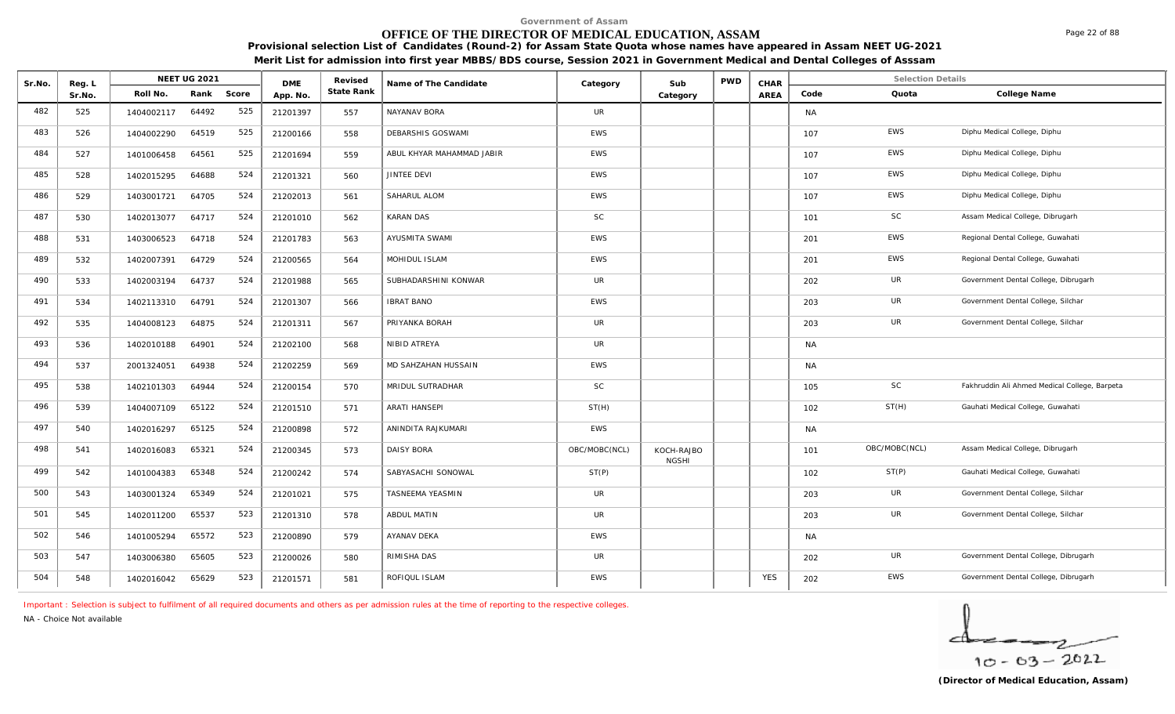# **OFFICE OF THE DIRECTOR OF MEDICAL EDUCATION, ASSAM**

**Provisional selection List of Candidates (Round-2) for Assam State Quota whose names have appeared in Assam NEET UG-2021 Merit List for admission into first year MBBS/BDS course, Session 2021 in Government Medical and Dental Colleges of Asssam**

| Sr.No. | Reg. L |            | <b>NEET UG 2021</b> |       | <b>DME</b> | Revised    | Name of The Candidate     | Category      | Sub                        | <b>PWD</b> | CHAR       |           | <b>Selection Details</b> |                                               |
|--------|--------|------------|---------------------|-------|------------|------------|---------------------------|---------------|----------------------------|------------|------------|-----------|--------------------------|-----------------------------------------------|
|        | Sr.No. | Roll No.   | Rank                | Score | App. No.   | State Rank |                           |               | Category                   |            | AREA       | Code      | Quota                    | College Name                                  |
| 482    | 525    | 1404002117 | 64492               | 525   | 21201397   | 557        | NAYANAV BORA              | UR            |                            |            |            | NA        |                          |                                               |
| 483    | 526    | 1404002290 | 64519               | 525   | 21200166   | 558        | DEBARSHIS GOSWAMI         | <b>EWS</b>    |                            |            |            | 107       | EWS                      | Diphu Medical College, Diphu                  |
| 484    | 527    | 1401006458 | 64561               | 525   | 21201694   | 559        | ABUL KHYAR MAHAMMAD JABIR | <b>EWS</b>    |                            |            |            | 107       | EWS                      | Diphu Medical College, Diphu                  |
| 485    | 528    | 1402015295 | 64688               | 524   | 21201321   | 560        | JINTEE DEVI               | EWS           |                            |            |            | 107       | EWS                      | Diphu Medical College, Diphu                  |
| 486    | 529    | 1403001721 | 64705               | 524   | 21202013   | 561        | SAHARUL ALOM              | EWS           |                            |            |            | 107       | EWS                      | Diphu Medical College, Diphu                  |
| 487    | 530    | 1402013077 | 64717               | 524   | 21201010   | 562        | <b>KARAN DAS</b>          | <b>SC</b>     |                            |            |            | 101       | SC                       | Assam Medical College, Dibrugarh              |
| 488    | 531    | 1403006523 | 64718               | 524   | 21201783   | 563        | AYUSMITA SWAMI            | EWS           |                            |            |            | 201       | EWS                      | Regional Dental College, Guwahati             |
| 489    | 532    | 1402007391 | 64729               | 524   | 21200565   | 564        | MOHIDUL ISLAM             | <b>EWS</b>    |                            |            |            | 201       | EWS                      | Regional Dental College, Guwahati             |
| 490    | 533    | 1402003194 | 64737               | 524   | 21201988   | 565        | SUBHADARSHINI KONWAR      | UR            |                            |            |            | 202       | UR                       | Government Dental College, Dibrugarh          |
| 491    | 534    | 1402113310 | 64791               | 524   | 21201307   | 566        | <b>IBRAT BANO</b>         | <b>EWS</b>    |                            |            |            | 203       | UR                       | Government Dental College, Silchar            |
| 492    | 535    | 1404008123 | 64875               | 524   | 21201311   | 567        | PRIYANKA BORAH            | <b>UR</b>     |                            |            |            | 203       | UR                       | Government Dental College, Silchar            |
| 493    | 536    | 1402010188 | 64901               | 524   | 21202100   | 568        | NIBID ATREYA              | UR            |                            |            |            | <b>NA</b> |                          |                                               |
| 494    | 537    | 2001324051 | 64938               | 524   | 21202259   | 569        | MD SAHZAHAN HUSSAIN       | <b>EWS</b>    |                            |            |            | <b>NA</b> |                          |                                               |
| 495    | 538    | 1402101303 | 64944               | 524   | 21200154   | 570        | MRIDUL SUTRADHAR          | <b>SC</b>     |                            |            |            | 105       | SC                       | Fakhruddin Ali Ahmed Medical College, Barpeta |
| 496    | 539    | 1404007109 | 65122               | 524   | 21201510   | 571        | <b>ARATI HANSEPI</b>      | ST(H)         |                            |            |            | 102       | ST(H)                    | Gauhati Medical College, Guwahati             |
| 497    | 540    | 1402016297 | 65125               | 524   | 21200898   | 572        | ANINDITA RAJKUMARI        | EWS           |                            |            |            | NA        |                          |                                               |
| 498    | 541    | 1402016083 | 65321               | 524   | 21200345   | 573        | <b>DAISY BORA</b>         | OBC/MOBC(NCL) | KOCH-RAJBO<br><b>NGSHI</b> |            |            | 101       | OBC/MOBC(NCL)            | Assam Medical College, Dibrugarh              |
| 499    | 542    | 1401004383 | 65348               | 524   | 21200242   | 574        | SABYASACHI SONOWAL        | ST(P)         |                            |            |            | 102       | ST(P)                    | Gauhati Medical College, Guwahati             |
| 500    | 543    | 1403001324 | 65349               | 524   | 21201021   | 575        | TASNEEMA YEASMIN          | <b>UR</b>     |                            |            |            | 203       | UR                       | Government Dental College, Silchar            |
| 501    | 545    | 1402011200 | 65537               | 523   | 21201310   | 578        | ABDUL MATIN               | <b>UR</b>     |                            |            |            | 203       | UR                       | Government Dental College, Silchar            |
| 502    | 546    | 1401005294 | 65572               | 523   | 21200890   | 579        | AYANAV DEKA               | EWS           |                            |            |            | NA        |                          |                                               |
| 503    | 547    | 1403006380 | 65605               | 523   | 21200026   | 580        | RIMISHA DAS               | UR            |                            |            |            | 202       | UR                       | Government Dental College, Dibrugarh          |
| 504    | 548    | 1402016042 | 65629               | 523   | 21201571   | 581        | ROFIQUL ISLAM             | EWS           |                            |            | <b>YES</b> | 202       | <b>EWS</b>               | Government Dental College, Dibrugarh          |

*Important : Selection is subject to fulfilment of all required documents and others as per admission rules at the time of reporting to the respective colleges.*

*NA - Choice Not available*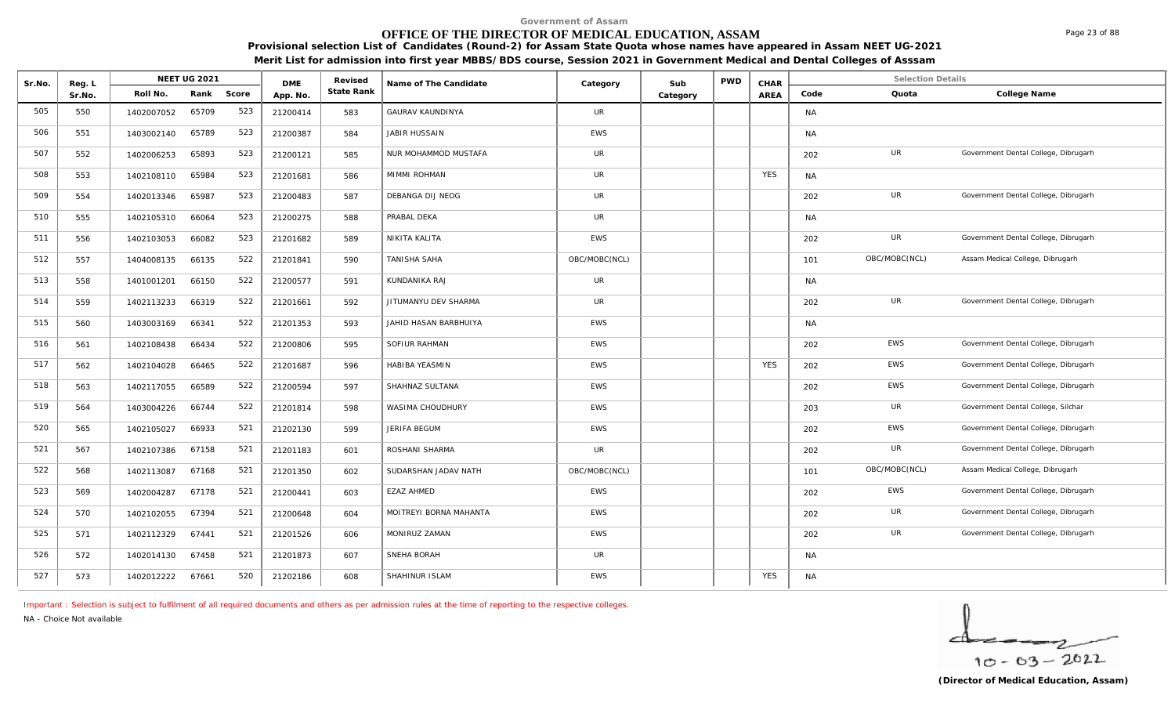#### **OFFICE OF THE DIRECTOR OF MEDICAL EDUCATION, ASSAM**

**Provisional selection List of Candidates (Round-2) for Assam State Quota whose names have appeared in Assam NEET UG-2021** 

| Merit List for admission into first year MBBS/BDS course, Session 2021 in Government Medical and Dental Colleges of Asssam |  |
|----------------------------------------------------------------------------------------------------------------------------|--|
|----------------------------------------------------------------------------------------------------------------------------|--|

| Sr.No. | Reg. L |            | <b>NEET UG 2021</b> |       | <b>DME</b> | Revised    | Name of The Candidate   | Category      | Sub      | <b>PWD</b> | CHAR       |           | <b>Selection Details</b> |                                      |
|--------|--------|------------|---------------------|-------|------------|------------|-------------------------|---------------|----------|------------|------------|-----------|--------------------------|--------------------------------------|
|        | Sr.No. | Roll No.   | Rank                | Score | App. No.   | State Rank |                         |               | Category |            | AREA       | Code      | Quota                    | College Name                         |
| 505    | 550    | 1402007052 | 65709               | 523   | 21200414   | 583        | <b>GAURAV KAUNDINYA</b> | UR            |          |            |            | <b>NA</b> |                          |                                      |
| 506    | 551    | 1403002140 | 65789               | 523   | 21200387   | 584        | JABIR HUSSAIN           | <b>EWS</b>    |          |            |            | <b>NA</b> |                          |                                      |
| 507    | 552    | 1402006253 | 65893               | 523   | 21200121   | 585        | NUR MOHAMMOD MUSTAFA    | <b>UR</b>     |          |            |            | 202       | UR                       | Government Dental College, Dibrugarh |
| 508    | 553    | 1402108110 | 65984               | 523   | 21201681   | 586        | MIMMI ROHMAN            | <b>UR</b>     |          |            | <b>YES</b> | <b>NA</b> |                          |                                      |
| 509    | 554    | 1402013346 | 65987               | 523   | 21200483   | 587        | DEBANGA DIJ NEOG        | <b>UR</b>     |          |            |            | 202       | UR                       | Government Dental College, Dibrugarh |
| 510    | 555    | 1402105310 | 66064               | 523   | 21200275   | 588        | PRABAL DEKA             | <b>UR</b>     |          |            |            | NA        |                          |                                      |
| 511    | 556    | 1402103053 | 66082               | 523   | 21201682   | 589        | NIKITA KALITA           | EWS           |          |            |            | 202       | UR                       | Government Dental College, Dibrugarh |
| 512    | 557    | 1404008135 | 66135               | 522   | 21201841   | 590        | TANISHA SAHA            | OBC/MOBC(NCL) |          |            |            | 101       | OBC/MOBC(NCL)            | Assam Medical College, Dibrugarh     |
| 513    | 558    | 1401001201 | 66150               | 522   | 21200577   | 591        | KUNDANIKA RAJ           | UR            |          |            |            | NA        |                          |                                      |
| 514    | 559    | 1402113233 | 66319               | 522   | 21201661   | 592        | JITUMANYU DEV SHARMA    | <b>UR</b>     |          |            |            | 202       | UR                       | Government Dental College, Dibrugarh |
| 515    | 560    | 1403003169 | 66341               | 522   | 21201353   | 593        | JAHID HASAN BARBHUIYA   | <b>EWS</b>    |          |            |            | <b>NA</b> |                          |                                      |
| 516    | 561    | 1402108438 | 66434               | 522   | 21200806   | 595        | SOFIUR RAHMAN           | <b>EWS</b>    |          |            |            | 202       | EWS                      | Government Dental College, Dibrugarh |
| 517    | 562    | 1402104028 | 66465               | 522   | 21201687   | 596        | HABIBA YEASMIN          | <b>EWS</b>    |          |            | <b>YES</b> | 202       | EWS                      | Government Dental College, Dibrugarh |
| 518    | 563    | 1402117055 | 66589               | 522   | 21200594   | 597        | SHAHNAZ SULTANA         | <b>EWS</b>    |          |            |            | 202       | EWS                      | Government Dental College, Dibrugarh |
| 519    | 564    | 1403004226 | 66744               | 522   | 21201814   | 598        | WASIMA CHOUDHURY        | <b>EWS</b>    |          |            |            | 203       | UR                       | Government Dental College, Silchar   |
| 520    | 565    | 1402105027 | 66933               | 521   | 21202130   | 599        | JERIFA BEGUM            | EWS           |          |            |            | 202       | <b>EWS</b>               | Government Dental College, Dibrugarh |
| 521    | 567    | 1402107386 | 67158               | 521   | 21201183   | 601        | ROSHANI SHARMA          | <b>UR</b>     |          |            |            | 202       | UR                       | Government Dental College, Dibrugarh |
| 522    | 568    | 1402113087 | 67168               | 521   | 21201350   | 602        | SUDARSHAN JADAV NATH    | OBC/MOBC(NCL) |          |            |            | 101       | OBC/MOBC(NCL)            | Assam Medical College, Dibrugarh     |
| 523    | 569    | 1402004287 | 67178               | 521   | 21200441   | 603        | <b>EZAZ AHMED</b>       | <b>EWS</b>    |          |            |            | 202       | EWS                      | Government Dental College, Dibrugarh |
| 524    | 570    | 1402102055 | 67394               | 521   | 21200648   | 604        | MOITREYI BORNA MAHANTA  | <b>EWS</b>    |          |            |            | 202       | UR                       | Government Dental College, Dibrugarh |
| 525    | 571    | 1402112329 | 67441               | 521   | 21201526   | 606        | MONIRUZ ZAMAN           | <b>EWS</b>    |          |            |            | 202       | UR                       | Government Dental College, Dibrugarh |
| 526    | 572    | 1402014130 | 67458               | 521   | 21201873   | 607        | SNEHA BORAH             | UR            |          |            |            | NA        |                          |                                      |
| 527    | 573    | 1402012222 | 67661               | 520   | 21202186   | 608        | SHAHINUR ISLAM          | <b>EWS</b>    |          |            | <b>YES</b> | NA        |                          |                                      |

*Important : Selection is subject to fulfilment of all required documents and others as per admission rules at the time of reporting to the respective colleges.*

*NA - Choice Not available*

$$
\frac{1}{10-03-2022}
$$

Page 23 of 88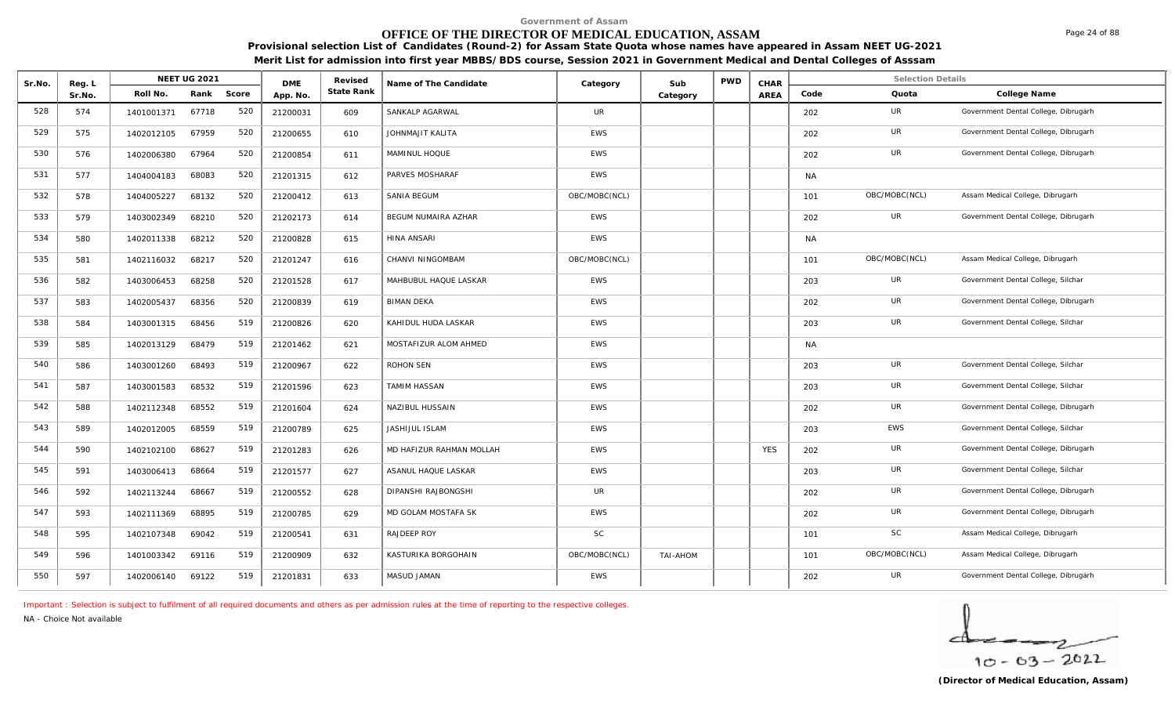# **OFFICE OF THE DIRECTOR OF MEDICAL EDUCATION, ASSAM**

**Provisional selection List of Candidates (Round-2) for Assam State Quota whose names have appeared in Assam NEET UG-2021 Merit List for admission into first year MBBS/BDS course, Session 2021 in Government Medical and Dental Colleges of Asssam**

| Sr.No. | Reg. L |            | <b>NEET UG 2021</b> |       | <b>DME</b> | Revised    | Name of The Candidate    | Category      | Sub      | <b>PWD</b> | CHAR       |           | <b>Selection Details</b> |                                      |
|--------|--------|------------|---------------------|-------|------------|------------|--------------------------|---------------|----------|------------|------------|-----------|--------------------------|--------------------------------------|
|        | Sr.No. | Roll No.   | Rank                | Score | App. No.   | State Rank |                          |               | Category |            | AREA       | Code      | Quota                    | College Name                         |
| 528    | 574    | 1401001371 | 67718               | 520   | 21200031   | 609        | SANKALP AGARWAL          | UR            |          |            |            | 202       | UR                       | Government Dental College, Dibrugarh |
| 529    | 575    | 1402012105 | 67959               | 520   | 21200655   | 610        | JOHNMAJIT KALITA         | <b>EWS</b>    |          |            |            | 202       | <b>UR</b>                | Government Dental College, Dibrugarh |
| 530    | 576    | 1402006380 | 67964               | 520   | 21200854   | 611        | MAMINUL HOQUE            | <b>EWS</b>    |          |            |            | 202       | UR                       | Government Dental College, Dibrugarh |
| 531    | 577    | 1404004183 | 68083               | 520   | 21201315   | 612        | PARVES MOSHARAF          | <b>EWS</b>    |          |            |            | <b>NA</b> |                          |                                      |
| 532    | 578    | 1404005227 | 68132               | 520   | 21200412   | 613        | SANIA BEGUM              | OBC/MOBC(NCL) |          |            |            | 101       | OBC/MOBC(NCL)            | Assam Medical College, Dibrugarh     |
| 533    | 579    | 1403002349 | 68210               | 520   | 21202173   | 614        | BEGUM NUMAIRA AZHAR      | <b>EWS</b>    |          |            |            | 202       | UR                       | Government Dental College, Dibrugarh |
| 534    | 580    | 1402011338 | 68212               | 520   | 21200828   | 615        | <b>HINA ANSARI</b>       | <b>EWS</b>    |          |            |            | <b>NA</b> |                          |                                      |
| 535    | 581    | 1402116032 | 68217               | 520   | 21201247   | 616        | CHANVI NINGOMBAM         | OBC/MOBC(NCL) |          |            |            | 101       | OBC/MOBC(NCL)            | Assam Medical College, Dibrugarh     |
| 536    | 582    | 1403006453 | 68258               | 520   | 21201528   | 617        | MAHBUBUL HAQUE LASKAR    | <b>EWS</b>    |          |            |            | 203       | UR                       | Government Dental College, Silchar   |
| 537    | 583    | 1402005437 | 68356               | 520   | 21200839   | 619        | <b>BIMAN DEKA</b>        | <b>EWS</b>    |          |            |            | 202       | UR                       | Government Dental College, Dibrugarh |
| 538    | 584    | 1403001315 | 68456               | 519   | 21200826   | 620        | KAHIDUL HUDA LASKAR      | <b>EWS</b>    |          |            |            | 203       | UR                       | Government Dental College, Silchar   |
| 539    | 585    | 1402013129 | 68479               | 519   | 21201462   | 621        | MOSTAFIZUR ALOM AHMED    | <b>EWS</b>    |          |            |            | <b>NA</b> |                          |                                      |
| 540    | 586    | 1403001260 | 68493               | 519   | 21200967   | 622        | ROHON SEN                | EWS           |          |            |            | 203       | <b>UR</b>                | Government Dental College, Silchar   |
| 541    | 587    | 1403001583 | 68532               | 519   | 21201596   | 623        | <b>TAMIM HASSAN</b>      | <b>EWS</b>    |          |            |            | 203       | UR                       | Government Dental College, Silchar   |
| 542    | 588    | 1402112348 | 68552               | 519   | 21201604   | 624        | NAZIBUL HUSSAIN          | <b>EWS</b>    |          |            |            | 202       | UR                       | Government Dental College, Dibrugarh |
| 543    | 589    | 1402012005 | 68559               | 519   | 21200789   | 625        | JASHIJUL ISLAM           | <b>EWS</b>    |          |            |            | 203       | <b>EWS</b>               | Government Dental College, Silchar   |
| 544    | 590    | 1402102100 | 68627               | 519   | 21201283   | 626        | MD HAFIZUR RAHMAN MOLLAH | <b>EWS</b>    |          |            | <b>YES</b> | 202       | UR                       | Government Dental College, Dibrugarh |
| 545    | 591    | 1403006413 | 68664               | 519   | 21201577   | 627        | ASANUL HAQUE LASKAR      | <b>EWS</b>    |          |            |            | 203       | UR                       | Government Dental College, Silchar   |
| 546    | 592    | 1402113244 | 68667               | 519   | 21200552   | 628        | DIPANSHI RAJBONGSHI      | UR            |          |            |            | 202       | UR                       | Government Dental College, Dibrugarh |
| 547    | 593    | 1402111369 | 68895               | 519   | 21200785   | 629        | MD GOLAM MOSTAFA SK      | <b>EWS</b>    |          |            |            | 202       | UR                       | Government Dental College, Dibrugarh |
| 548    | 595    | 1402107348 | 69042               | 519   | 21200541   | 631        | RAJDEEP ROY              | <b>SC</b>     |          |            |            | 101       | <b>SC</b>                | Assam Medical College, Dibrugarh     |
| 549    | 596    | 1401003342 | 69116               | 519   | 21200909   | 632        | KASTURIKA BORGOHAIN      | OBC/MOBC(NCL) | TAI-AHOM |            |            | 101       | OBC/MOBC(NCL)            | Assam Medical College, Dibrugarh     |
| 550    | 597    | 1402006140 | 69122               | 519   | 21201831   | 633        | MASUD JAMAN              | EWS           |          |            |            | 202       | UR                       | Government Dental College, Dibrugarh |

*Important : Selection is subject to fulfilment of all required documents and others as per admission rules at the time of reporting to the respective colleges.*

*NA - Choice Not available*

$$
\frac{1}{10-03-2022}
$$

Page 24 of 88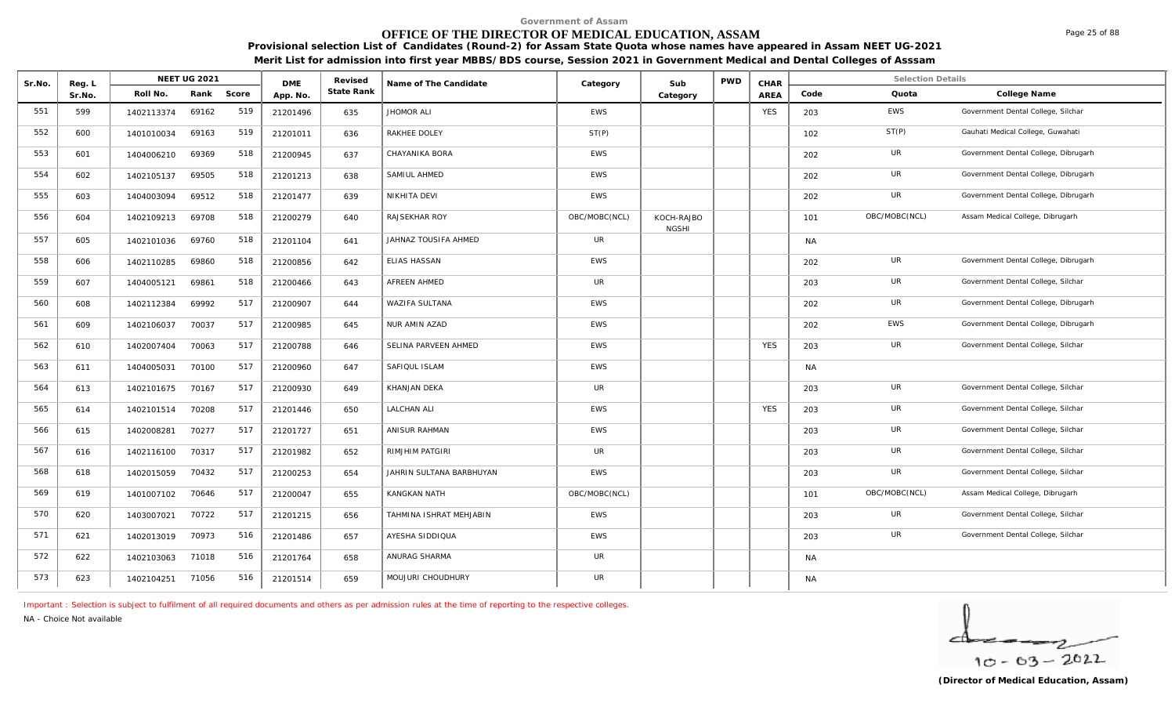# **OFFICE OF THE DIRECTOR OF MEDICAL EDUCATION, ASSAM**

**Provisional selection List of Candidates (Round-2) for Assam State Quota whose names have appeared in Assam NEET UG-2021 Merit List for admission into first year MBBS/BDS course, Session 2021 in Government Medical and Dental Colleges of Asssam**

| Sr.No. | Reg. L |            | NEET UG 2021 |       | <b>DME</b> | Revised    | Name of The Candidate    | Category      | Sub                        | <b>PWD</b> | CHAR       |           | <b>Selection Details</b> |                                      |
|--------|--------|------------|--------------|-------|------------|------------|--------------------------|---------------|----------------------------|------------|------------|-----------|--------------------------|--------------------------------------|
|        | Sr.No. | Roll No.   | Rank         | Score | App. No.   | State Rank |                          |               | Category                   |            | AREA       | Code      | Quota                    | College Name                         |
| 551    | 599    | 1402113374 | 69162        | 519   | 21201496   | 635        | <b>JHOMOR ALI</b>        | <b>EWS</b>    |                            |            | <b>YES</b> | 203       | <b>EWS</b>               | Government Dental College, Silchar   |
| 552    | 600    | 1401010034 | 69163        | 519   | 21201011   | 636        | RAKHEE DOLEY             | ST(P)         |                            |            |            | 102       | ST(P)                    | Gauhati Medical College, Guwahati    |
| 553    | 601    | 1404006210 | 69369        | 518   | 21200945   | 637        | CHAYANIKA BORA           | <b>EWS</b>    |                            |            |            | 202       | UR                       | Government Dental College, Dibrugarh |
| 554    | 602    | 1402105137 | 69505        | 518   | 21201213   | 638        | SAMIUL AHMED             | EWS           |                            |            |            | 202       | UR                       | Government Dental College, Dibrugarh |
| 555    | 603    | 1404003094 | 69512        | 518   | 21201477   | 639        | NIKHITA DEVI             | <b>EWS</b>    |                            |            |            | 202       | UR                       | Government Dental College, Dibrugarh |
| 556    | 604    | 1402109213 | 69708        | 518   | 21200279   | 640        | RAJSEKHAR ROY            | OBC/MOBC(NCL) | KOCH-RAJBO<br><b>NGSHI</b> |            |            | 101       | OBC/MOBC(NCL)            | Assam Medical College, Dibrugarh     |
| 557    | 605    | 1402101036 | 69760        | 518   | 21201104   | 641        | JAHNAZ TOUSIFA AHMED     | <b>UR</b>     |                            |            |            | <b>NA</b> |                          |                                      |
| 558    | 606    | 1402110285 | 69860        | 518   | 21200856   | 642        | <b>ELIAS HASSAN</b>      | <b>EWS</b>    |                            |            |            | 202       | UR                       | Government Dental College, Dibrugarh |
| 559    | 607    | 1404005121 | 69861        | 518   | 21200466   | 643        | AFREEN AHMED             | UR            |                            |            |            | 203       | UR                       | Government Dental College, Silchar   |
| 560    | 608    | 1402112384 | 69992        | 517   | 21200907   | 644        | WAZIFA SULTANA           | EWS           |                            |            |            | 202       | UR                       | Government Dental College, Dibrugarh |
| 561    | 609    | 1402106037 | 70037        | 517   | 21200985   | 645        | NUR AMIN AZAD            | <b>EWS</b>    |                            |            |            | 202       | EWS                      | Government Dental College, Dibrugarh |
| 562    | 610    | 1402007404 | 70063        | 517   | 21200788   | 646        | SELINA PARVEEN AHMED     | <b>EWS</b>    |                            |            | <b>YES</b> | 203       | UR                       | Government Dental College, Silchar   |
| 563    | 611    | 1404005031 | 70100        | 517   | 21200960   | 647        | SAFIQUL ISLAM            | <b>EWS</b>    |                            |            |            | <b>NA</b> |                          |                                      |
| 564    | 613    | 1402101675 | 70167        | 517   | 21200930   | 649        | KHANJAN DEKA             | UR            |                            |            |            | 203       | UR                       | Government Dental College, Silchar   |
| 565    | 614    | 1402101514 | 70208        | 517   | 21201446   | 650        | <b>LALCHAN ALI</b>       | <b>EWS</b>    |                            |            | <b>YES</b> | 203       | UR                       | Government Dental College, Silchar   |
| 566    | 615    | 1402008281 | 70277        | 517   | 21201727   | 651        | ANISUR RAHMAN            | <b>EWS</b>    |                            |            |            | 203       | UR                       | Government Dental College, Silchar   |
| 567    | 616    | 1402116100 | 70317        | 517   | 21201982   | 652        | RIMJHIM PATGIRI          | UR            |                            |            |            | 203       | UR                       | Government Dental College, Silchar   |
| 568    | 618    | 1402015059 | 70432        | 517   | 21200253   | 654        | JAHRIN SULTANA BARBHUYAN | <b>EWS</b>    |                            |            |            | 203       | <b>UR</b>                | Government Dental College, Silchar   |
| 569    | 619    | 1401007102 | 70646        | 517   | 21200047   | 655        | KANGKAN NATH             | OBC/MOBC(NCL) |                            |            |            | 101       | OBC/MOBC(NCL)            | Assam Medical College, Dibrugarh     |
| 570    | 620    | 1403007021 | 70722        | 517   | 21201215   | 656        | TAHMINA ISHRAT MEHJABIN  | <b>EWS</b>    |                            |            |            | 203       | UR                       | Government Dental College, Silchar   |
| 571    | 621    | 1402013019 | 70973        | 516   | 21201486   | 657        | AYESHA SIDDIQUA          | <b>EWS</b>    |                            |            |            | 203       | UR                       | Government Dental College, Silchar   |
| 572    | 622    | 1402103063 | 71018        | 516   | 21201764   | 658        | ANURAG SHARMA            | <b>UR</b>     |                            |            |            | <b>NA</b> |                          |                                      |
| 573    | 623    | 1402104251 | 71056        | 516   | 21201514   | 659        | MOUJURI CHOUDHURY        | UR            |                            |            |            | <b>NA</b> |                          |                                      |

*Important : Selection is subject to fulfilment of all required documents and others as per admission rules at the time of reporting to the respective colleges.*

*NA - Choice Not available*

$$
\frac{1}{10-03-2022}
$$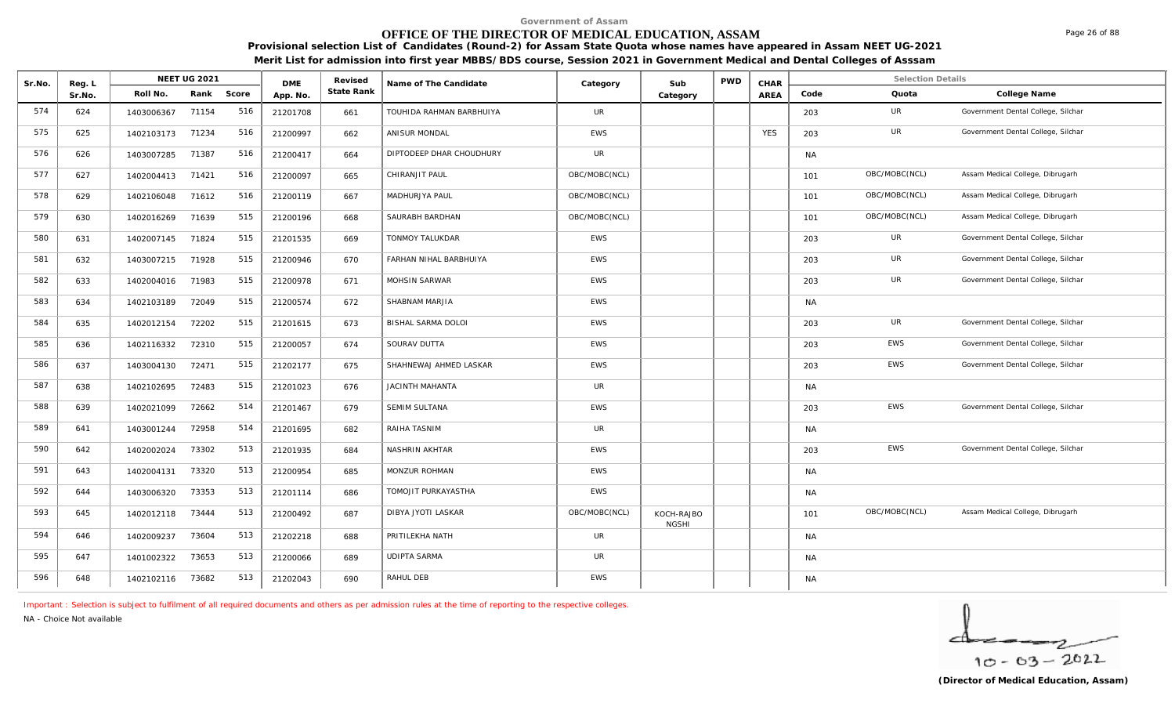# **OFFICE OF THE DIRECTOR OF MEDICAL EDUCATION, ASSAM**

**Provisional selection List of Candidates (Round-2) for Assam State Quota whose names have appeared in Assam NEET UG-2021 Merit List for admission into first year MBBS/BDS course, Session 2021 in Government Medical and Dental Colleges of Asssam**

| Sr.No. | Reg. L |            | <b>NEET UG 2021</b> |       | <b>DME</b> | Revised    | Name of The Candidate    | Category      | Sub                        | <b>PWD</b> | CHAR        |           | <b>Selection Details</b> |                                    |
|--------|--------|------------|---------------------|-------|------------|------------|--------------------------|---------------|----------------------------|------------|-------------|-----------|--------------------------|------------------------------------|
|        | Sr.No. | Roll No.   | Rank                | Score | App. No.   | State Rank |                          |               | Category                   |            | <b>AREA</b> | Code      | Quota                    | College Name                       |
| 574    | 624    | 1403006367 | 71154               | 516   | 21201708   | 661        | TOUHIDA RAHMAN BARBHUIYA | UR            |                            |            |             | 203       | <b>UR</b>                | Government Dental College, Silchar |
| 575    | 625    | 1402103173 | 71234               | 516   | 21200997   | 662        | ANISUR MONDAL            | <b>EWS</b>    |                            |            | <b>YES</b>  | 203       | UR                       | Government Dental College, Silchar |
| 576    | 626    | 1403007285 | 71387               | 516   | 21200417   | 664        | DIPTODEEP DHAR CHOUDHURY | <b>UR</b>     |                            |            |             | <b>NA</b> |                          |                                    |
| 577    | 627    | 1402004413 | 71421               | 516   | 21200097   | 665        | CHIRANJIT PAUL           | OBC/MOBC(NCL) |                            |            |             | 101       | OBC/MOBC(NCL)            | Assam Medical College, Dibrugarh   |
| 578    | 629    | 1402106048 | 71612               | 516   | 21200119   | 667        | MADHURJYA PAUL           | OBC/MOBC(NCL) |                            |            |             | 101       | OBC/MOBC(NCL)            | Assam Medical College, Dibrugarh   |
| 579    | 630    | 1402016269 | 71639               | 515   | 21200196   | 668        | SAURABH BARDHAN          | OBC/MOBC(NCL) |                            |            |             | 101       | OBC/MOBC(NCL)            | Assam Medical College, Dibrugarh   |
| 580    | 631    | 1402007145 | 71824               | 515   | 21201535   | 669        | <b>TONMOY TALUKDAR</b>   | <b>EWS</b>    |                            |            |             | 203       | UR                       | Government Dental College, Silchar |
| 581    | 632    | 1403007215 | 71928               | 515   | 21200946   | 670        | FARHAN NIHAL BARBHUIYA   | EWS           |                            |            |             | 203       | <b>UR</b>                | Government Dental College, Silchar |
| 582    | 633    | 1402004016 | 71983               | 515   | 21200978   | 671        | MOHSIN SARWAR            | <b>EWS</b>    |                            |            |             | 203       | UR                       | Government Dental College, Silchar |
| 583    | 634    | 1402103189 | 72049               | 515   | 21200574   | 672        | SHABNAM MARJIA           | EWS           |                            |            |             | <b>NA</b> |                          |                                    |
| 584    | 635    | 1402012154 | 72202               | 515   | 21201615   | 673        | BISHAL SARMA DOLOI       | EWS           |                            |            |             | 203       | UR                       | Government Dental College, Silchar |
| 585    | 636    | 1402116332 | 72310               | 515   | 21200057   | 674        | SOURAV DUTTA             | <b>EWS</b>    |                            |            |             | 203       | <b>EWS</b>               | Government Dental College, Silchar |
| 586    | 637    | 1403004130 | 72471               | 515   | 21202177   | 675        | SHAHNEWAJ AHMED LASKAR   | EWS           |                            |            |             | 203       | EWS                      | Government Dental College, Silchar |
| 587    | 638    | 1402102695 | 72483               | 515   | 21201023   | 676        | JACINTH MAHANTA          | <b>UR</b>     |                            |            |             | <b>NA</b> |                          |                                    |
| 588    | 639    | 1402021099 | 72662               | 514   | 21201467   | 679        | <b>SEMIM SULTANA</b>     | <b>EWS</b>    |                            |            |             | 203       | EWS                      | Government Dental College, Silchar |
| 589    | 641    | 1403001244 | 72958               | 514   | 21201695   | 682        | RAIHA TASNIM             | UR            |                            |            |             | <b>NA</b> |                          |                                    |
| 590    | 642    | 1402002024 | 73302               | 513   | 21201935   | 684        | NASHRIN AKHTAR           | <b>EWS</b>    |                            |            |             | 203       | <b>EWS</b>               | Government Dental College, Silchar |
| 591    | 643    | 1402004131 | 73320               | 513   | 21200954   | 685        | MONZUR ROHMAN            | <b>EWS</b>    |                            |            |             | <b>NA</b> |                          |                                    |
| 592    | 644    | 1403006320 | 73353               | 513   | 21201114   | 686        | TOMOJIT PURKAYASTHA      | <b>EWS</b>    |                            |            |             | <b>NA</b> |                          |                                    |
| 593    | 645    | 1402012118 | 73444               | 513   | 21200492   | 687        | DIBYA JYOTI LASKAR       | OBC/MOBC(NCL) | KOCH-RAJBO<br><b>NGSHI</b> |            |             | 101       | OBC/MOBC(NCL)            | Assam Medical College, Dibrugarh   |
| 594    | 646    | 1402009237 | 73604               | 513   | 21202218   | 688        | PRITILEKHA NATH          | <b>UR</b>     |                            |            |             | <b>NA</b> |                          |                                    |
| 595    | 647    | 1401002322 | 73653               | 513   | 21200066   | 689        | <b>UDIPTA SARMA</b>      | <b>UR</b>     |                            |            |             | <b>NA</b> |                          |                                    |
| 596    | 648    | 1402102116 | 73682               | 513   | 21202043   | 690        | RAHUL DEB                | EWS           |                            |            |             | <b>NA</b> |                          |                                    |

*Important : Selection is subject to fulfilment of all required documents and others as per admission rules at the time of reporting to the respective colleges.*

*NA - Choice Not available*

$$
\frac{1}{10-03-2022}
$$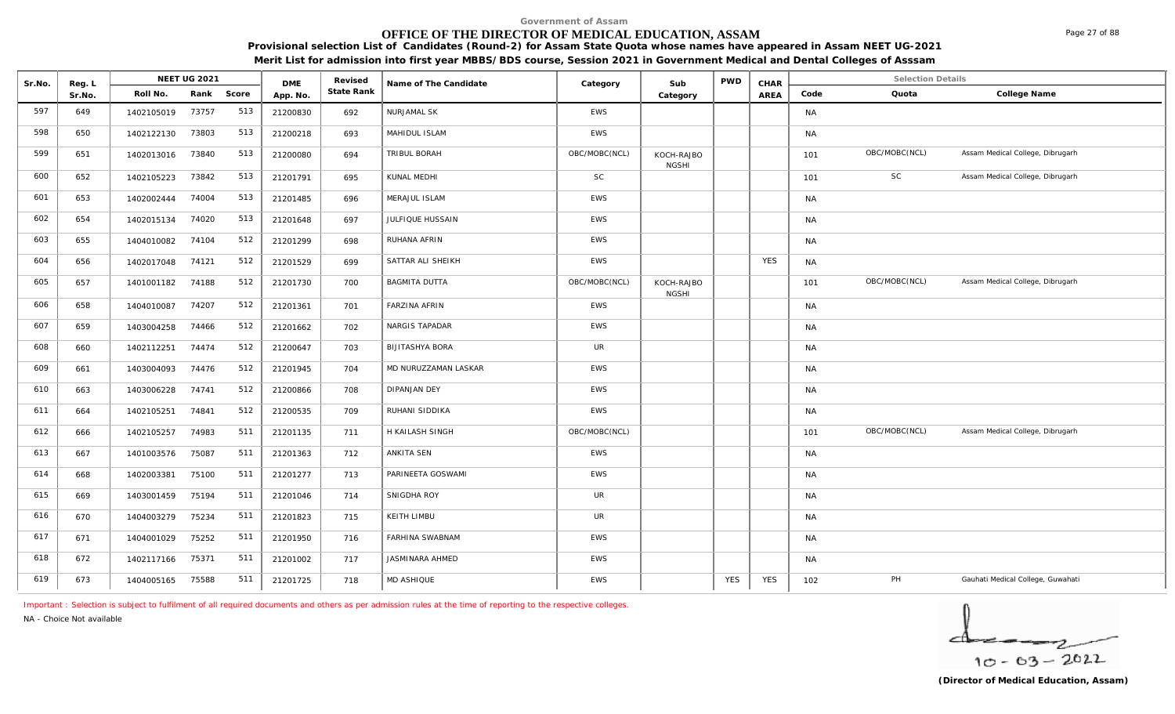# **OFFICE OF THE DIRECTOR OF MEDICAL EDUCATION, ASSAM**

**Provisional selection List of Candidates (Round-2) for Assam State Quota whose names have appeared in Assam NEET UG-2021 Merit List for admission into first year MBBS/BDS course, Session 2021 in Government Medical and Dental Colleges of Asssam**

| Sr.No. | Reg. L |            | <b>NEET UG 2021</b> |       | <b>DME</b> | Revised    | Name of The Candidate  | Category      | Sub                        | <b>PWD</b> | CHAR       |           | <b>Selection Details</b> |                                   |
|--------|--------|------------|---------------------|-------|------------|------------|------------------------|---------------|----------------------------|------------|------------|-----------|--------------------------|-----------------------------------|
|        | Sr.No. | Roll No.   | Rank                | Score | App. No.   | State Rank |                        |               | Category                   |            | AREA       | Code      | Quota                    | College Name                      |
| 597    | 649    | 1402105019 | 73757               | 513   | 21200830   | 692        | NURJAMAL SK            | <b>EWS</b>    |                            |            |            | <b>NA</b> |                          |                                   |
| 598    | 650    | 1402122130 | 73803               | 513   | 21200218   | 693        | MAHIDUL ISLAM          | EWS           |                            |            |            | <b>NA</b> |                          |                                   |
| 599    | 651    | 1402013016 | 73840               | 513   | 21200080   | 694        | TRIBUL BORAH           | OBC/MOBC(NCL) | KOCH-RAJBO<br><b>NGSHI</b> |            |            | 101       | OBC/MOBC(NCL)            | Assam Medical College, Dibrugarh  |
| 600    | 652    | 1402105223 | 73842               | 513   | 21201791   | 695        | KUNAL MEDHI            | SC            |                            |            |            | 101       | SC                       | Assam Medical College, Dibrugarh  |
| 601    | 653    | 1402002444 | 74004               | 513   | 21201485   | 696        | MERAJUL ISLAM          | EWS           |                            |            |            | <b>NA</b> |                          |                                   |
| 602    | 654    | 1402015134 | 74020               | 513   | 21201648   | 697        | JULFIQUE HUSSAIN       | EWS           |                            |            |            | <b>NA</b> |                          |                                   |
| 603    | 655    | 1404010082 | 74104               | 512   | 21201299   | 698        | RUHANA AFRIN           | <b>EWS</b>    |                            |            |            | <b>NA</b> |                          |                                   |
| 604    | 656    | 1402017048 | 74121               | 512   | 21201529   | 699        | SATTAR ALI SHEIKH      | <b>EWS</b>    |                            |            | <b>YES</b> | <b>NA</b> |                          |                                   |
| 605    | 657    | 1401001182 | 74188               | 512   | 21201730   | 700        | <b>BAGMITA DUTTA</b>   | OBC/MOBC(NCL) | KOCH-RAJBO<br><b>NGSHI</b> |            |            | 101       | OBC/MOBC(NCL)            | Assam Medical College, Dibrugarh  |
| 606    | 658    | 1404010087 | 74207               | 512   | 21201361   | 701        | <b>FARZINA AFRIN</b>   | EWS           |                            |            |            | <b>NA</b> |                          |                                   |
| 607    | 659    | 1403004258 | 74466               | 512   | 21201662   | 702        | NARGIS TAPADAR         | EWS           |                            |            |            | <b>NA</b> |                          |                                   |
| 608    | 660    | 1402112251 | 74474               | 512   | 21200647   | 703        | <b>BIJITASHYA BORA</b> | UR            |                            |            |            | <b>NA</b> |                          |                                   |
| 609    | 661    | 1403004093 | 74476               | 512   | 21201945   | 704        | MD NURUZZAMAN LASKAR   | <b>EWS</b>    |                            |            |            | <b>NA</b> |                          |                                   |
| 610    | 663    | 1403006228 | 74741               | 512   | 21200866   | 708        | <b>DIPANJAN DEY</b>    | EWS           |                            |            |            | <b>NA</b> |                          |                                   |
| 611    | 664    | 1402105251 | 74841               | 512   | 21200535   | 709        | RUHANI SIDDIKA         | <b>EWS</b>    |                            |            |            | <b>NA</b> |                          |                                   |
| 612    | 666    | 1402105257 | 74983               | 511   | 21201135   | 711        | H KAILASH SINGH        | OBC/MOBC(NCL) |                            |            |            | 101       | OBC/MOBC(NCL)            | Assam Medical College, Dibrugarh  |
| 613    | 667    | 1401003576 | 75087               | 511   | 21201363   | 712        | ANKITA SEN             | EWS           |                            |            |            | <b>NA</b> |                          |                                   |
| 614    | 668    | 1402003381 | 75100               | 511   | 21201277   | 713        | PARINEETA GOSWAMI      | EWS           |                            |            |            | <b>NA</b> |                          |                                   |
| 615    | 669    | 1403001459 | 75194               | 511   | 21201046   | 714        | SNIGDHA ROY            | <b>UR</b>     |                            |            |            | <b>NA</b> |                          |                                   |
| 616    | 670    | 1404003279 | 75234               | 511   | 21201823   | 715        | KEITH LIMBU            | <b>UR</b>     |                            |            |            | <b>NA</b> |                          |                                   |
| 617    | 671    | 1404001029 | 75252               | 511   | 21201950   | 716        | FARHINA SWABNAM        | EWS           |                            |            |            | <b>NA</b> |                          |                                   |
| 618    | 672    | 1402117166 | 75371               | 511   | 21201002   | 717        | <b>JASMINARA AHMED</b> | <b>EWS</b>    |                            |            |            | <b>NA</b> |                          |                                   |
| 619    | 673    | 1404005165 | 75588               | 511   | 21201725   | 718        | MD ASHIQUE             | <b>EWS</b>    |                            | <b>YES</b> | <b>YES</b> | 102       | PH                       | Gauhati Medical College, Guwahati |

*Important : Selection is subject to fulfilment of all required documents and others as per admission rules at the time of reporting to the respective colleges.*

*NA - Choice Not available*

Page 27 of 88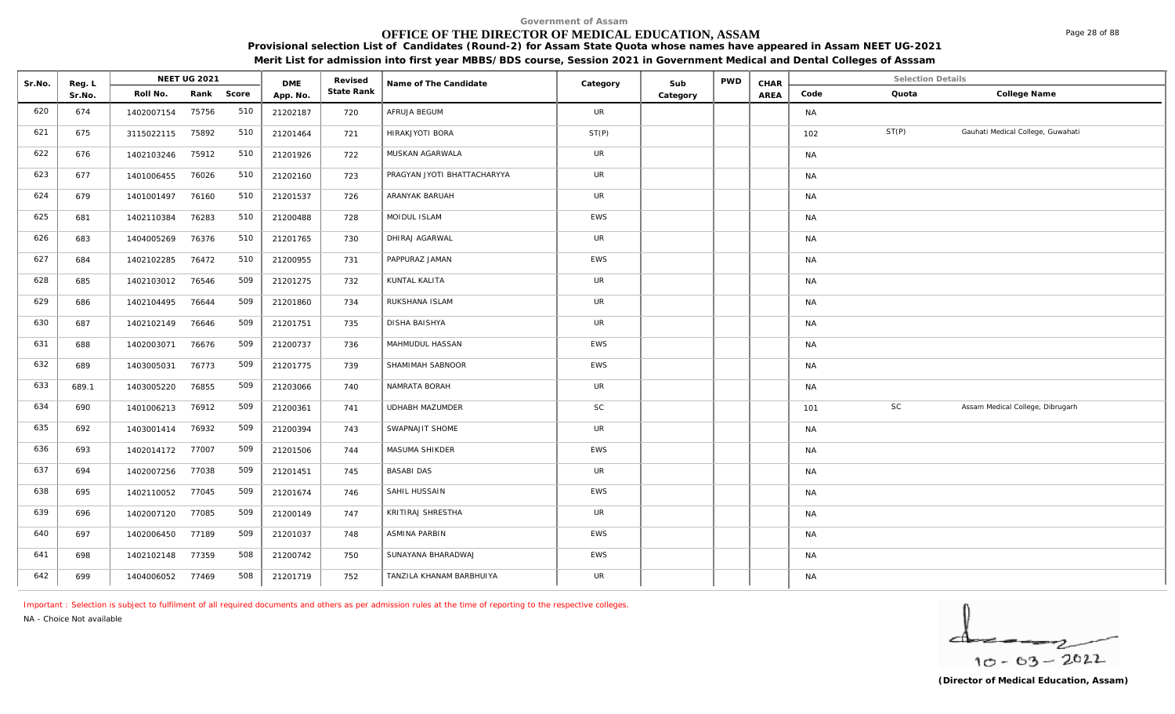# **OFFICE OF THE DIRECTOR OF MEDICAL EDUCATION, ASSAM**

**Provisional selection List of Candidates (Round-2) for Assam State Quota whose names have appeared in Assam NEET UG-2021 Merit List for admission into first year MBBS/BDS course, Session 2021 in Government Medical and Dental Colleges of Asssam**

| Sr.No. | Reg. L |                  | NEET UG 2021 |       | <b>DME</b> | Revised    | Name of The Candidate       | Category   | Sub      | PWD | CHAR |           | Selection Details |                                   |
|--------|--------|------------------|--------------|-------|------------|------------|-----------------------------|------------|----------|-----|------|-----------|-------------------|-----------------------------------|
|        | Sr.No. | Roll No.         | Rank         | Score | App. No.   | State Rank |                             |            | Category |     | AREA | Code      | Quota             | College Name                      |
| 620    | 674    | 1402007154       | 75756        | 510   | 21202187   | 720        | AFRUJA BEGUM                | <b>UR</b>  |          |     |      | <b>NA</b> |                   |                                   |
| 621    | 675    | 3115022115       | 75892        | 510   | 21201464   | 721        | HIRAKJYOTI BORA             | ST(P)      |          |     |      | 102       | ST(P)             | Gauhati Medical College, Guwahati |
| 622    | 676    | 1402103246       | 75912        | 510   | 21201926   | 722        | MUSKAN AGARWALA             | <b>UR</b>  |          |     |      | <b>NA</b> |                   |                                   |
| 623    | 677    | 1401006455       | 76026        | 510   | 21202160   | 723        | PRAGYAN JYOTI BHATTACHARYYA | UR         |          |     |      | <b>NA</b> |                   |                                   |
| 624    | 679    | 1401001497       | 76160        | 510   | 21201537   | 726        | ARANYAK BARUAH              | UR         |          |     |      | <b>NA</b> |                   |                                   |
| 625    | 681    | 1402110384       | 76283        | 510   | 21200488   | 728        | MOIDUL ISLAM                | EWS        |          |     |      | <b>NA</b> |                   |                                   |
| 626    | 683    | 1404005269       | 76376        | 510   | 21201765   | 730        | DHIRAJ AGARWAL              | <b>UR</b>  |          |     |      | <b>NA</b> |                   |                                   |
| 627    | 684    | 1402102285       | 76472        | 510   | 21200955   | 731        | PAPPURAZ JAMAN              | <b>EWS</b> |          |     |      | <b>NA</b> |                   |                                   |
| 628    | 685    | 1402103012       | 76546        | 509   | 21201275   | 732        | KUNTAL KALITA               | <b>UR</b>  |          |     |      | <b>NA</b> |                   |                                   |
| 629    | 686    | 1402104495       | 76644        | 509   | 21201860   | 734        | RUKSHANA ISLAM              | <b>UR</b>  |          |     |      | <b>NA</b> |                   |                                   |
| 630    | 687    | 1402102149       | 76646        | 509   | 21201751   | 735        | <b>DISHA BAISHYA</b>        | <b>UR</b>  |          |     |      | <b>NA</b> |                   |                                   |
| 631    | 688    | 1402003071       | 76676        | 509   | 21200737   | 736        | MAHMUDUL HASSAN             | <b>EWS</b> |          |     |      | <b>NA</b> |                   |                                   |
| 632    | 689    | 1403005031       | 76773        | 509   | 21201775   | 739        | SHAMIMAH SABNOOR            | EWS        |          |     |      | <b>NA</b> |                   |                                   |
| 633    | 689.1  | 1403005220       | 76855        | 509   | 21203066   | 740        | NAMRATA BORAH               | <b>UR</b>  |          |     |      | <b>NA</b> |                   |                                   |
| 634    | 690    | 1401006213       | 76912        | 509   | 21200361   | 741        | UDHABH MAZUMDER             | SC         |          |     |      | 101       | SC                | Assam Medical College, Dibrugarh  |
| 635    | 692    | 1403001414       | 76932        | 509   | 21200394   | 743        | SWAPNAJIT SHOME             | UR         |          |     |      | <b>NA</b> |                   |                                   |
| 636    | 693    | 1402014172 77007 |              | 509   | 21201506   | 744        | MASUMA SHIKDER              | EWS        |          |     |      | NA        |                   |                                   |
| 637    | 694    | 1402007256       | 77038        | 509   | 21201451   | 745        | <b>BASABI DAS</b>           | UR         |          |     |      | <b>NA</b> |                   |                                   |
| 638    | 695    | 1402110052       | 77045        | 509   | 21201674   | 746        | SAHIL HUSSAIN               | <b>EWS</b> |          |     |      | <b>NA</b> |                   |                                   |
| 639    | 696    | 1402007120       | 77085        | 509   | 21200149   | 747        | KRITIRAJ SHRESTHA           | UR         |          |     |      | <b>NA</b> |                   |                                   |
| 640    | 697    | 1402006450       | 77189        | 509   | 21201037   | 748        | ASMINA PARBIN               | EWS        |          |     |      | <b>NA</b> |                   |                                   |
| 641    | 698    | 1402102148       | 77359        | 508   | 21200742   | 750        | SUNAYANA BHARADWAJ          | <b>EWS</b> |          |     |      | <b>NA</b> |                   |                                   |
| 642    | 699    | 1404006052       | 77469        | 508   | 21201719   | 752        | TANZILA KHANAM BARBHUIYA    | UR         |          |     |      | NA        |                   |                                   |

*Important : Selection is subject to fulfilment of all required documents and others as per admission rules at the time of reporting to the respective colleges.*

*NA - Choice Not available*



Page 28 of 88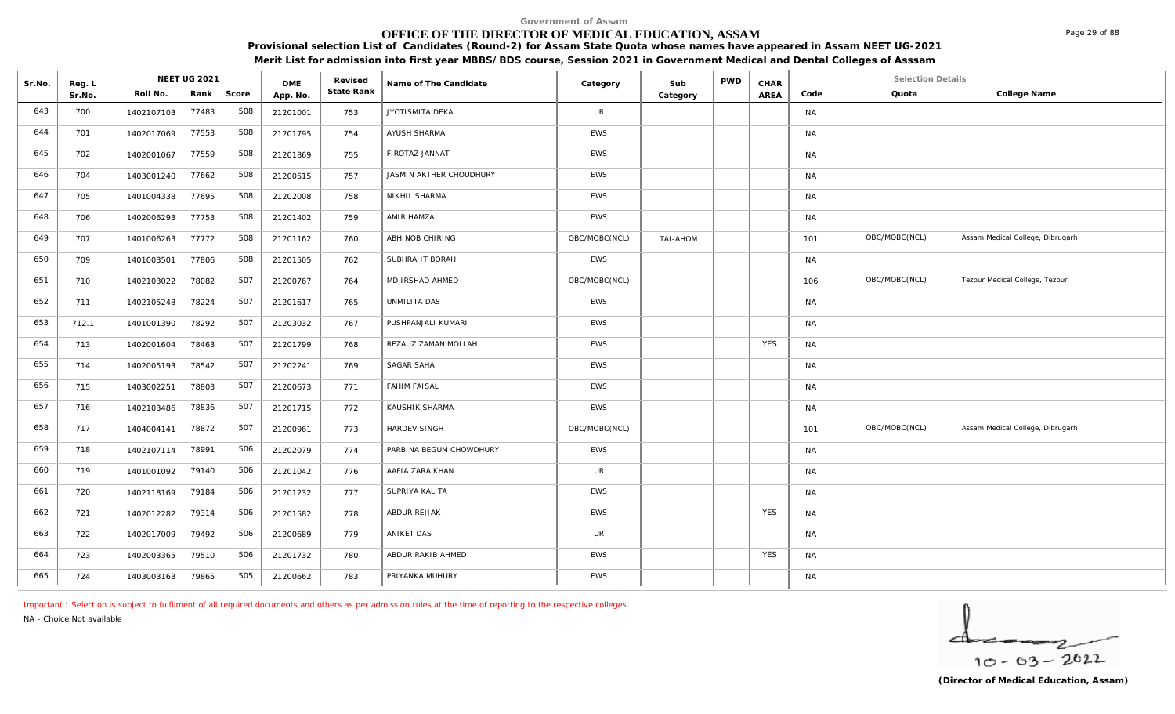# **OFFICE OF THE DIRECTOR OF MEDICAL EDUCATION, ASSAM**

**Provisional selection List of Candidates (Round-2) for Assam State Quota whose names have appeared in Assam NEET UG-2021 Merit List for admission into first year MBBS/BDS course, Session 2021 in Government Medical and Dental Colleges of Asssam**

| Sr.No. | Reg. L |            | NEET UG 2021 |       | <b>DME</b> | Revised    | Name of The Candidate   | Category      | Sub      | <b>PWD</b> | CHAR       |           | <b>Selection Details</b> |                                  |
|--------|--------|------------|--------------|-------|------------|------------|-------------------------|---------------|----------|------------|------------|-----------|--------------------------|----------------------------------|
|        | Sr.No. | Roll No.   | Rank         | Score | App. No.   | State Rank |                         |               | Category |            | AREA       | Code      | Quota                    | College Name                     |
| 643    | 700    | 1402107103 | 77483        | 508   | 21201001   | 753        | JYOTISMITA DEKA         | <b>UR</b>     |          |            |            | NA        |                          |                                  |
| 644    | 701    | 1402017069 | 77553        | 508   | 21201795   | 754        | AYUSH SHARMA            | <b>EWS</b>    |          |            |            | <b>NA</b> |                          |                                  |
| 645    | 702    | 1402001067 | 77559        | 508   | 21201869   | 755        | FIROTAZ JANNAT          | <b>EWS</b>    |          |            |            | <b>NA</b> |                          |                                  |
| 646    | 704    | 1403001240 | 77662        | 508   | 21200515   | 757        | JASMIN AKTHER CHOUDHURY | EWS           |          |            |            | <b>NA</b> |                          |                                  |
| 647    | 705    | 1401004338 | 77695        | 508   | 21202008   | 758        | NIKHIL SHARMA           | <b>EWS</b>    |          |            |            | <b>NA</b> |                          |                                  |
| 648    | 706    | 1402006293 | 77753        | 508   | 21201402   | 759        | AMIR HAMZA              | EWS           |          |            |            | <b>NA</b> |                          |                                  |
| 649    | 707    | 1401006263 | 77772        | 508   | 21201162   | 760        | ABHINOB CHIRING         | OBC/MOBC(NCL) | TAI-AHOM |            |            | 101       | OBC/MOBC(NCL)            | Assam Medical College, Dibrugarh |
| 650    | 709    | 1401003501 | 77806        | 508   | 21201505   | 762        | SUBHRAJIT BORAH         | <b>EWS</b>    |          |            |            | <b>NA</b> |                          |                                  |
| 651    | 710    | 1402103022 | 78082        | 507   | 21200767   | 764        | MD IRSHAD AHMED         | OBC/MOBC(NCL) |          |            |            | 106       | OBC/MOBC(NCL)            | Tezpur Medical College, Tezpur   |
| 652    | 711    | 1402105248 | 78224        | 507   | 21201617   | 765        | UNMILITA DAS            | <b>EWS</b>    |          |            |            | <b>NA</b> |                          |                                  |
| 653    | 712.1  | 1401001390 | 78292        | 507   | 21203032   | 767        | PUSHPANJALI KUMARI      | EWS           |          |            |            | <b>NA</b> |                          |                                  |
| 654    | 713    | 1402001604 | 78463        | 507   | 21201799   | 768        | REZAUZ ZAMAN MOLLAH     | <b>EWS</b>    |          |            | <b>YES</b> | <b>NA</b> |                          |                                  |
| 655    | 714    | 1402005193 | 78542        | 507   | 21202241   | 769        | SAGAR SAHA              | <b>EWS</b>    |          |            |            | <b>NA</b> |                          |                                  |
| 656    | 715    | 1403002251 | 78803        | 507   | 21200673   | 771        | <b>FAHIM FAISAL</b>     | EWS           |          |            |            | <b>NA</b> |                          |                                  |
| 657    | 716    | 1402103486 | 78836        | 507   | 21201715   | 772        | KAUSHIK SHARMA          | <b>EWS</b>    |          |            |            | <b>NA</b> |                          |                                  |
| 658    | 717    | 1404004141 | 78872        | 507   | 21200961   | 773        | <b>HARDEV SINGH</b>     | OBC/MOBC(NCL) |          |            |            | 101       | OBC/MOBC(NCL)            | Assam Medical College, Dibrugarh |
| 659    | 718    | 1402107114 | 78991        | 506   | 21202079   | 774        | PARBINA BEGUM CHOWDHURY | EWS           |          |            |            | <b>NA</b> |                          |                                  |
| 660    | 719    | 1401001092 | 79140        | 506   | 21201042   | 776        | AAFIA ZARA KHAN         | <b>UR</b>     |          |            |            | <b>NA</b> |                          |                                  |
| 661    | 720    | 1402118169 | 79184        | 506   | 21201232   | 777        | SUPRIYA KALITA          | <b>EWS</b>    |          |            |            | NA        |                          |                                  |
| 662    | 721    | 1402012282 | 79314        | 506   | 21201582   | 778        | ABDUR REJJAK            | <b>EWS</b>    |          |            | <b>YES</b> | <b>NA</b> |                          |                                  |
| 663    | 722    | 1402017009 | 79492        | 506   | 21200689   | 779        | ANIKET DAS              | UR            |          |            |            | <b>NA</b> |                          |                                  |
| 664    | 723    | 1402003365 | 79510        | 506   | 21201732   | 780        | ABDUR RAKIB AHMED       | <b>EWS</b>    |          |            | <b>YES</b> | <b>NA</b> |                          |                                  |
| 665    | 724    | 1403003163 | 79865        | 505   | 21200662   | 783        | PRIYANKA MUHURY         | <b>EWS</b>    |          |            |            | NA        |                          |                                  |

*Important : Selection is subject to fulfilment of all required documents and others as per admission rules at the time of reporting to the respective colleges.*

*NA - Choice Not available*



Page 29 of 88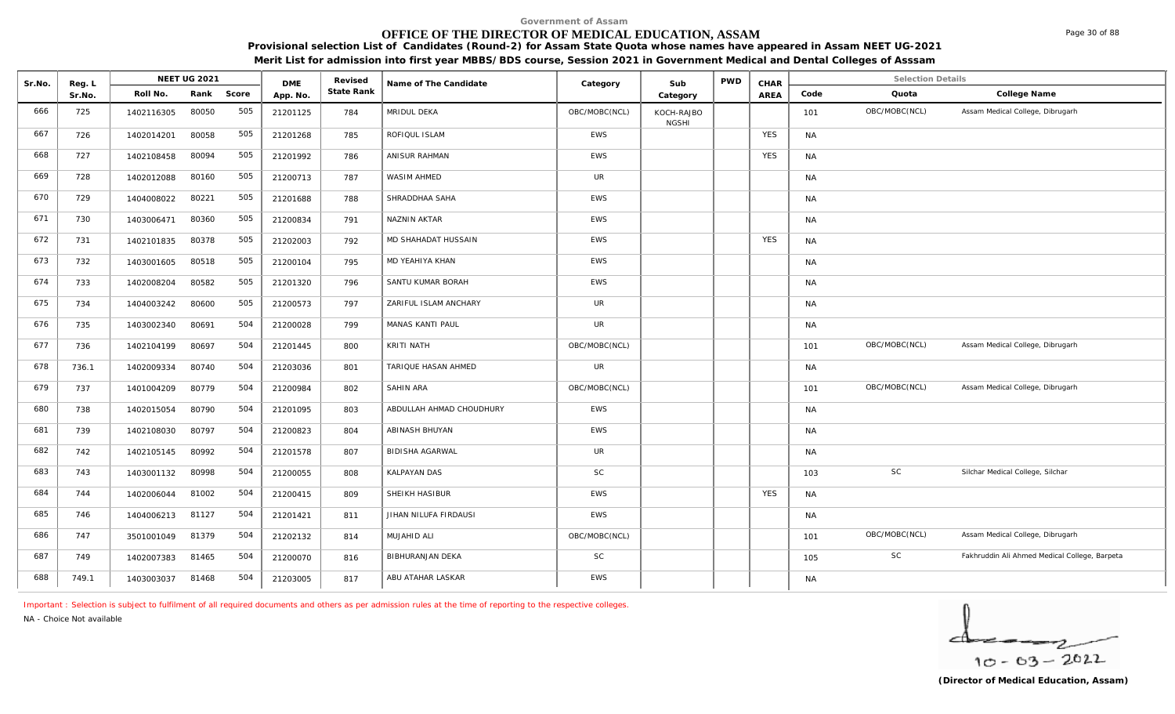# **OFFICE OF THE DIRECTOR OF MEDICAL EDUCATION, ASSAM**

**Provisional selection List of Candidates (Round-2) for Assam State Quota whose names have appeared in Assam NEET UG-2021** 

**Merit List for admission into first year MBBS/BDS course, Session 2021 in Government Medical and Dental Colleges of Asssam**

| Sr.No. | Reg. L |            | <b>NEET UG 2021</b> |       | <b>DME</b> | Revised    | Name of The Candidate    | Category      | Sub                        | <b>PWD</b> | CHAR       |           | <b>Selection Details</b> |                                               |
|--------|--------|------------|---------------------|-------|------------|------------|--------------------------|---------------|----------------------------|------------|------------|-----------|--------------------------|-----------------------------------------------|
|        | Sr.No. | Roll No.   | Rank                | Score | App. No.   | State Rank |                          |               | Category                   |            | AREA       | Code      | Quota                    | College Name                                  |
| 666    | 725    | 1402116305 | 80050               | 505   | 21201125   | 784        | MRIDUL DEKA              | OBC/MOBC(NCL) | KOCH-RAJBO<br><b>NGSHI</b> |            |            | 101       | OBC/MOBC(NCL)            | Assam Medical College, Dibrugarh              |
| 667    | 726    | 1402014201 | 80058               | 505   | 21201268   | 785        | ROFIQUL ISLAM            | <b>EWS</b>    |                            |            | <b>YES</b> | <b>NA</b> |                          |                                               |
| 668    | 727    | 1402108458 | 80094               | 505   | 21201992   | 786        | ANISUR RAHMAN            | EWS           |                            |            | <b>YES</b> | <b>NA</b> |                          |                                               |
| 669    | 728    | 1402012088 | 80160               | 505   | 21200713   | 787        | WASIM AHMED              | <b>UR</b>     |                            |            |            | <b>NA</b> |                          |                                               |
| 670    | 729    | 1404008022 | 80221               | 505   | 21201688   | 788        | SHRADDHAA SAHA           | EWS           |                            |            |            | <b>NA</b> |                          |                                               |
| 671    | 730    | 1403006471 | 80360               | 505   | 21200834   | 791        | NAZNIN AKTAR             | <b>EWS</b>    |                            |            |            | <b>NA</b> |                          |                                               |
| 672    | 731    | 1402101835 | 80378               | 505   | 21202003   | 792        | MD SHAHADAT HUSSAIN      | <b>EWS</b>    |                            |            | <b>YES</b> | <b>NA</b> |                          |                                               |
| 673    | 732    | 1403001605 | 80518               | 505   | 21200104   | 795        | MD YEAHIYA KHAN          | EWS           |                            |            |            | <b>NA</b> |                          |                                               |
| 674    | 733    | 1402008204 | 80582               | 505   | 21201320   | 796        | SANTU KUMAR BORAH        | <b>EWS</b>    |                            |            |            | <b>NA</b> |                          |                                               |
| 675    | 734    | 1404003242 | 80600               | 505   | 21200573   | 797        | ZARIFUL ISLAM ANCHARY    | <b>UR</b>     |                            |            |            | <b>NA</b> |                          |                                               |
| 676    | 735    | 1403002340 | 80691               | 504   | 21200028   | 799        | MANAS KANTI PAUL         | <b>UR</b>     |                            |            |            | <b>NA</b> |                          |                                               |
| 677    | 736    | 1402104199 | 80697               | 504   | 21201445   | 800        | KRITI NATH               | OBC/MOBC(NCL) |                            |            |            | 101       | OBC/MOBC(NCL)            | Assam Medical College, Dibrugarh              |
| 678    | 736.1  | 1402009334 | 80740               | 504   | 21203036   | 801        | TARIQUE HASAN AHMED      | <b>UR</b>     |                            |            |            | <b>NA</b> |                          |                                               |
| 679    | 737    | 1401004209 | 80779               | 504   | 21200984   | 802        | <b>SAHIN ARA</b>         | OBC/MOBC(NCL) |                            |            |            | 101       | OBC/MOBC(NCL)            | Assam Medical College, Dibrugarh              |
| 680    | 738    | 1402015054 | 80790               | 504   | 21201095   | 803        | ABDULLAH AHMAD CHOUDHURY | <b>EWS</b>    |                            |            |            | <b>NA</b> |                          |                                               |
| 681    | 739    | 1402108030 | 80797               | 504   | 21200823   | 804        | ABINASH BHUYAN           | <b>EWS</b>    |                            |            |            | <b>NA</b> |                          |                                               |
| 682    | 742    | 1402105145 | 80992               | 504   | 21201578   | 807        | <b>BIDISHA AGARWAL</b>   | <b>UR</b>     |                            |            |            | <b>NA</b> |                          |                                               |
| 683    | 743    | 1403001132 | 80998               | 504   | 21200055   | 808        | KALPAYAN DAS             | <b>SC</b>     |                            |            |            | 103       | SC                       | Silchar Medical College, Silchar              |
| 684    | 744    | 1402006044 | 81002               | 504   | 21200415   | 809        | SHEIKH HASIBUR           | <b>EWS</b>    |                            |            | <b>YES</b> | <b>NA</b> |                          |                                               |
| 685    | 746    | 1404006213 | 81127               | 504   | 21201421   | 811        | JIHAN NILUFA FIRDAUSI    | EWS           |                            |            |            | <b>NA</b> |                          |                                               |
| 686    | 747    | 3501001049 | 81379               | 504   | 21202132   | 814        | MUJAHID ALI              | OBC/MOBC(NCL) |                            |            |            | 101       | OBC/MOBC(NCL)            | Assam Medical College, Dibrugarh              |
| 687    | 749    | 1402007383 | 81465               | 504   | 21200070   | 816        | BIBHURANJAN DEKA         | <b>SC</b>     |                            |            |            | 105       | SC                       | Fakhruddin Ali Ahmed Medical College, Barpeta |
| 688    | 749.1  | 1403003037 | 81468               | 504   | 21203005   | 817        | ABU ATAHAR LASKAR        | <b>EWS</b>    |                            |            |            | <b>NA</b> |                          |                                               |

*Important : Selection is subject to fulfilment of all required documents and others as per admission rules at the time of reporting to the respective colleges.*

*NA - Choice Not available*

$$
\frac{1}{10-63-2022}
$$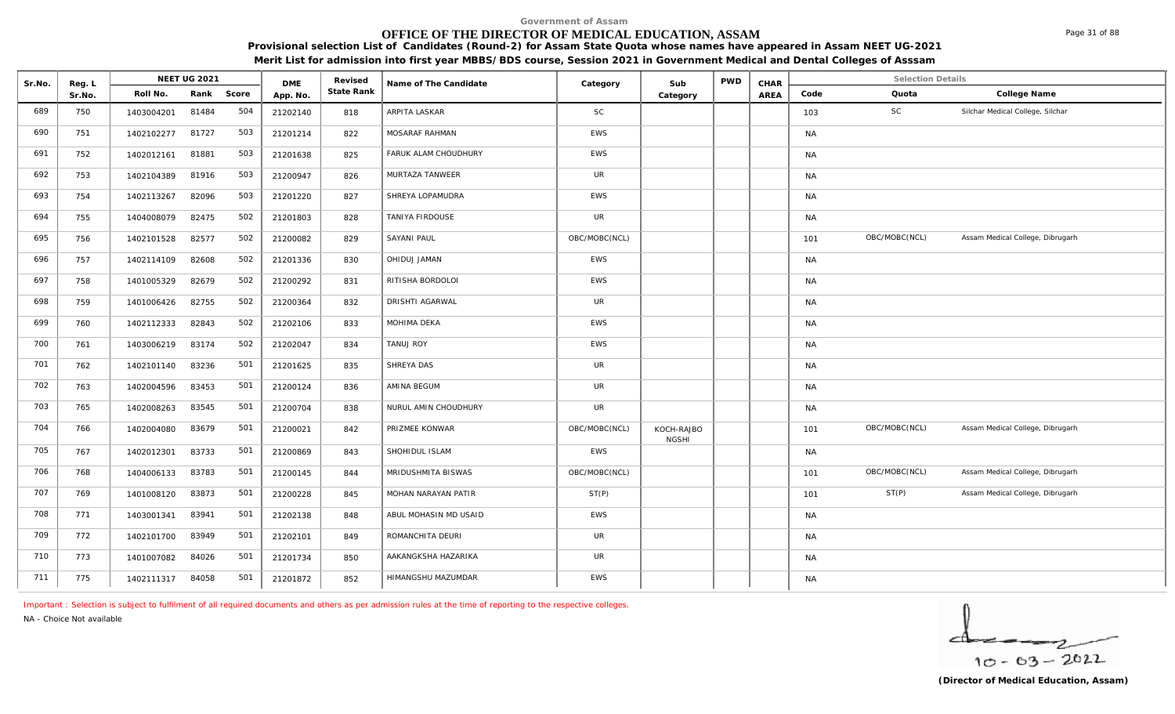# **OFFICE OF THE DIRECTOR OF MEDICAL EDUCATION, ASSAM**

**Provisional selection List of Candidates (Round-2) for Assam State Quota whose names have appeared in Assam NEET UG-2021 Merit List for admission into first year MBBS/BDS course, Session 2021 in Government Medical and Dental Colleges of Asssam**

| Sr.No. | Reg. L |            | <b>NEET UG 2021</b> |       | <b>DMF</b> | Revised    | Name of The Candidate | Category      | Sub                        | <b>PWD</b> | CHAR |           | <b>Selection Details</b> |                                  |
|--------|--------|------------|---------------------|-------|------------|------------|-----------------------|---------------|----------------------------|------------|------|-----------|--------------------------|----------------------------------|
|        | Sr.No. | Roll No.   | Rank                | Score | App. No.   | State Rank |                       |               | Category                   |            | AREA | Code      | Quota                    | College Name                     |
| 689    | 750    | 1403004201 | 81484               | 504   | 21202140   | 818        | ARPITA LASKAR         | SC            |                            |            |      | 103       | SC                       | Silchar Medical College, Silchar |
| 690    | 751    | 1402102277 | 81727               | 503   | 21201214   | 822        | MOSARAF RAHMAN        | EWS           |                            |            |      | <b>NA</b> |                          |                                  |
| 691    | 752    | 1402012161 | 81881               | 503   | 21201638   | 825        | FARUK ALAM CHOUDHURY  | EWS           |                            |            |      | <b>NA</b> |                          |                                  |
| 692    | 753    | 1402104389 | 81916               | 503   | 21200947   | 826        | MURTAZA TANWEER       | <b>UR</b>     |                            |            |      | <b>NA</b> |                          |                                  |
| 693    | 754    | 1402113267 | 82096               | 503   | 21201220   | 827        | SHREYA LOPAMUDRA      | <b>EWS</b>    |                            |            |      | <b>NA</b> |                          |                                  |
| 694    | 755    | 1404008079 | 82475               | 502   | 21201803   | 828        | TANIYA FIRDOUSE       | <b>UR</b>     |                            |            |      | <b>NA</b> |                          |                                  |
| 695    | 756    | 1402101528 | 82577               | 502   | 21200082   | 829        | SAYANI PAUL           | OBC/MOBC(NCL) |                            |            |      | 101       | OBC/MOBC(NCL)            | Assam Medical College, Dibrugarh |
| 696    | 757    | 1402114109 | 82608               | 502   | 21201336   | 830        | OHIDUJ JAMAN          | <b>EWS</b>    |                            |            |      | <b>NA</b> |                          |                                  |
| 697    | 758    | 1401005329 | 82679               | 502   | 21200292   | 831        | RITISHA BORDOLOI      | <b>EWS</b>    |                            |            |      | <b>NA</b> |                          |                                  |
| 698    | 759    | 1401006426 | 82755               | 502   | 21200364   | 832        | DRISHTI AGARWAL       | <b>UR</b>     |                            |            |      | <b>NA</b> |                          |                                  |
| 699    | 760    | 1402112333 | 82843               | 502   | 21202106   | 833        | MOHIMA DEKA           | EWS           |                            |            |      | <b>NA</b> |                          |                                  |
| 700    | 761    | 1403006219 | 83174               | 502   | 21202047   | 834        | <b>TANUJ ROY</b>      | <b>EWS</b>    |                            |            |      | <b>NA</b> |                          |                                  |
| 701    | 762    | 1402101140 | 83236               | 501   | 21201625   | 835        | SHREYA DAS            | UR            |                            |            |      | <b>NA</b> |                          |                                  |
| 702    | 763    | 1402004596 | 83453               | 501   | 21200124   | 836        | AMINA BEGUM           | <b>UR</b>     |                            |            |      | <b>NA</b> |                          |                                  |
| 703    | 765    | 1402008263 | 83545               | 501   | 21200704   | 838        | NURUL AMIN CHOUDHURY  | UR            |                            |            |      | <b>NA</b> |                          |                                  |
| 704    | 766    | 1402004080 | 83679               | 501   | 21200021   | 842        | PRIZMEE KONWAR        | OBC/MOBC(NCL) | KOCH-RAJBO<br><b>NGSHI</b> |            |      | 101       | OBC/MOBC(NCL)            | Assam Medical College, Dibrugarh |
| 705    | 767    | 1402012301 | 83733               | 501   | 21200869   | 843        | SHOHIDUL ISLAM        | <b>EWS</b>    |                            |            |      | <b>NA</b> |                          |                                  |
| 706    | 768    | 1404006133 | 83783               | 501   | 21200145   | 844        | MRIDUSHMITA BISWAS    | OBC/MOBC(NCL) |                            |            |      | 101       | OBC/MOBC(NCL)            | Assam Medical College, Dibrugarh |
| 707    | 769    | 1401008120 | 83873               | 501   | 21200228   | 845        | MOHAN NARAYAN PATIR   | ST(P)         |                            |            |      | 101       | ST(P)                    | Assam Medical College, Dibrugarh |
| 708    | 771    | 1403001341 | 83941               | 501   | 21202138   | 848        | ABUL MOHASIN MD USAID | <b>EWS</b>    |                            |            |      | <b>NA</b> |                          |                                  |
| 709    | 772    | 1402101700 | 83949               | 501   | 21202101   | 849        | ROMANCHITA DEURI      | UR            |                            |            |      | <b>NA</b> |                          |                                  |
| 710    | 773    | 1401007082 | 84026               | 501   | 21201734   | 850        | AAKANGKSHA HAZARIKA   | UR            |                            |            |      | <b>NA</b> |                          |                                  |
| 711    | 775    | 1402111317 | 84058               | 501   | 21201872   | 852        | HIMANGSHU MAZUMDAR    | <b>EWS</b>    |                            |            |      | <b>NA</b> |                          |                                  |

*Important : Selection is subject to fulfilment of all required documents and others as per admission rules at the time of reporting to the respective colleges.*

*NA - Choice Not available*

$$
\frac{1}{10-03-2022}
$$

Page 31 of 88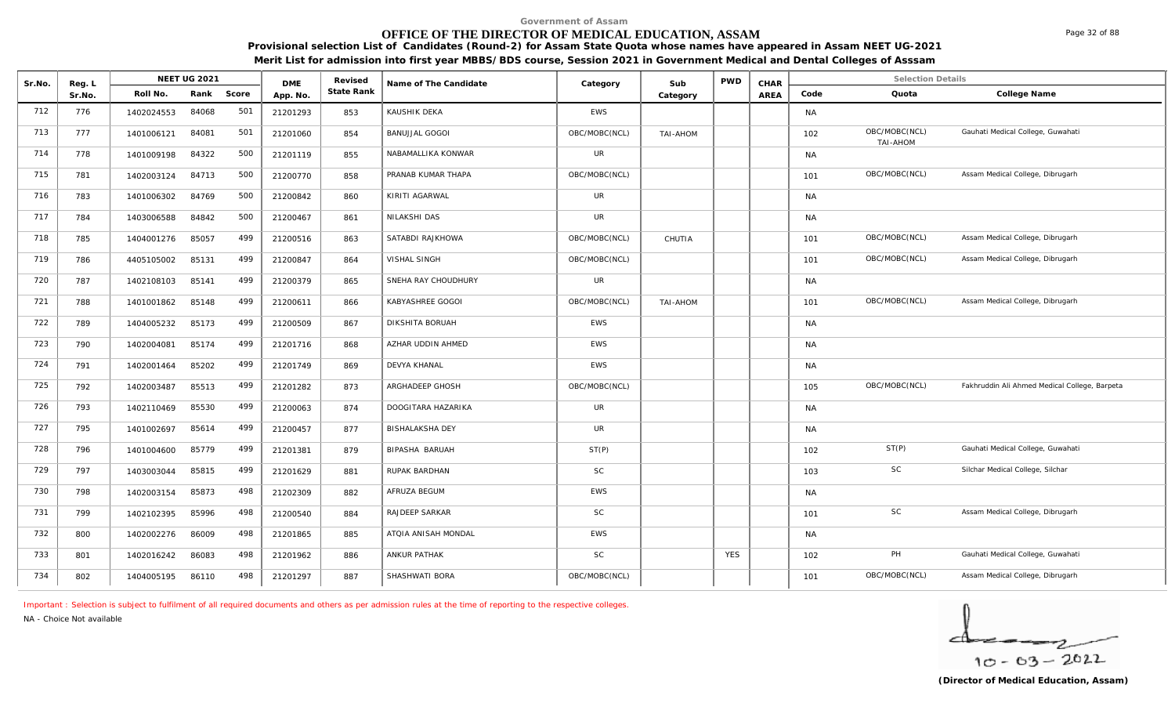# **OFFICE OF THE DIRECTOR OF MEDICAL EDUCATION, ASSAM**

**Provisional selection List of Candidates (Round-2) for Assam State Quota whose names have appeared in Assam NEET UG-2021 Merit List for admission into first year MBBS/BDS course, Session 2021 in Government Medical and Dental Colleges of Asssam**

| Sr.No. | Reg. L |            | NEET UG 2021 |       | <b>DME</b> | Revised    | Name of The Candidate  | Category      | Sub      | <b>PWD</b> | CHAR        |           | <b>Selection Details</b>  |                                               |
|--------|--------|------------|--------------|-------|------------|------------|------------------------|---------------|----------|------------|-------------|-----------|---------------------------|-----------------------------------------------|
|        | Sr.No. | Roll No.   | Rank         | Score | App. No.   | State Rank |                        |               | Category |            | <b>AREA</b> | Code      | Quota                     | College Name                                  |
| 712    | 776    | 1402024553 | 84068        | 501   | 21201293   | 853        | KAUSHIK DEKA           | <b>EWS</b>    |          |            |             | <b>NA</b> |                           |                                               |
| 713    | 777    | 1401006121 | 84081        | 501   | 21201060   | 854        | <b>BANUJJAL GOGOI</b>  | OBC/MOBC(NCL) | TAI-AHOM |            |             | 102       | OBC/MOBC(NCL)<br>TAI-AHOM | Gauhati Medical College, Guwahati             |
| 714    | 778    | 1401009198 | 84322        | 500   | 21201119   | 855        | NABAMALLIKA KONWAR     | UR            |          |            |             | <b>NA</b> |                           |                                               |
| 715    | 781    | 1402003124 | 84713        | 500   | 21200770   | 858        | PRANAB KUMAR THAPA     | OBC/MOBC(NCL) |          |            |             | 101       | OBC/MOBC(NCL)             | Assam Medical College, Dibrugarh              |
| 716    | 783    | 1401006302 | 84769        | 500   | 21200842   | 860        | KIRITI AGARWAL         | <b>UR</b>     |          |            |             | <b>NA</b> |                           |                                               |
| 717    | 784    | 1403006588 | 84842        | 500   | 21200467   | 861        | NILAKSHI DAS           | <b>UR</b>     |          |            |             | <b>NA</b> |                           |                                               |
| 718    | 785    | 1404001276 | 85057        | 499   | 21200516   | 863        | SATABDI RAJKHOWA       | OBC/MOBC(NCL) | CHUTIA   |            |             | 101       | OBC/MOBC(NCL)             | Assam Medical College, Dibrugarh              |
| 719    | 786    | 4405105002 | 85131        | 499   | 21200847   | 864        | VISHAL SINGH           | OBC/MOBC(NCL) |          |            |             | 101       | OBC/MOBC(NCL)             | Assam Medical College, Dibrugarh              |
| 720    | 787    | 1402108103 | 85141        | 499   | 21200379   | 865        | SNEHA RAY CHOUDHURY    | UR            |          |            |             | <b>NA</b> |                           |                                               |
| 721    | 788    | 1401001862 | 85148        | 499   | 21200611   | 866        | KABYASHREE GOGOI       | OBC/MOBC(NCL) | TAI-AHOM |            |             | 101       | OBC/MOBC(NCL)             | Assam Medical College, Dibrugarh              |
| 722    | 789    | 1404005232 | 85173        | 499   | 21200509   | 867        | DIKSHITA BORUAH        | <b>EWS</b>    |          |            |             | <b>NA</b> |                           |                                               |
| 723    | 790    | 1402004081 | 85174        | 499   | 21201716   | 868        | AZHAR UDDIN AHMED      | <b>EWS</b>    |          |            |             | <b>NA</b> |                           |                                               |
| 724    | 791    | 1402001464 | 85202        | 499   | 21201749   | 869        | <b>DEVYA KHANAL</b>    | <b>EWS</b>    |          |            |             | <b>NA</b> |                           |                                               |
| 725    | 792    | 1402003487 | 85513        | 499   | 21201282   | 873        | ARGHADEEP GHOSH        | OBC/MOBC(NCL) |          |            |             | 105       | OBC/MOBC(NCL)             | Fakhruddin Ali Ahmed Medical College, Barpeta |
| 726    | 793    | 1402110469 | 85530        | 499   | 21200063   | 874        | DOOGITARA HAZARIKA     | <b>UR</b>     |          |            |             | <b>NA</b> |                           |                                               |
| 727    | 795    | 1401002697 | 85614        | 499   | 21200457   | 877        | <b>BISHALAKSHA DEY</b> | <b>UR</b>     |          |            |             | <b>NA</b> |                           |                                               |
| 728    | 796    | 1401004600 | 85779        | 499   | 21201381   | 879        | BIPASHA BARUAH         | ST(P)         |          |            |             | 102       | ST(P)                     | Gauhati Medical College, Guwahati             |
| 729    | 797    | 1403003044 | 85815        | 499   | 21201629   | 881        | RUPAK BARDHAN          | <b>SC</b>     |          |            |             | 103       | <b>SC</b>                 | Silchar Medical College, Silchar              |
| 730    | 798    | 1402003154 | 85873        | 498   | 21202309   | 882        | AFRUZA BEGUM           | EWS           |          |            |             | <b>NA</b> |                           |                                               |
| 731    | 799    | 1402102395 | 85996        | 498   | 21200540   | 884        | RAJDEEP SARKAR         | <b>SC</b>     |          |            |             | 101       | SC                        | Assam Medical College, Dibrugarh              |
| 732    | 800    | 1402002276 | 86009        | 498   | 21201865   | 885        | ATQIA ANISAH MONDAL    | <b>EWS</b>    |          |            |             | <b>NA</b> |                           |                                               |
| 733    | 801    | 1402016242 | 86083        | 498   | 21201962   | 886        | ANKUR PATHAK           | <b>SC</b>     |          | <b>YES</b> |             | 102       | PH                        | Gauhati Medical College, Guwahati             |
| 734    | 802    | 1404005195 | 86110        | 498   | 21201297   | 887        | SHASHWATI BORA         | OBC/MOBC(NCL) |          |            |             | 101       | OBC/MOBC(NCL)             | Assam Medical College, Dibrugarh              |

*Important : Selection is subject to fulfilment of all required documents and others as per admission rules at the time of reporting to the respective colleges.*

*NA - Choice Not available*

$$
\frac{1}{10-03-2022}
$$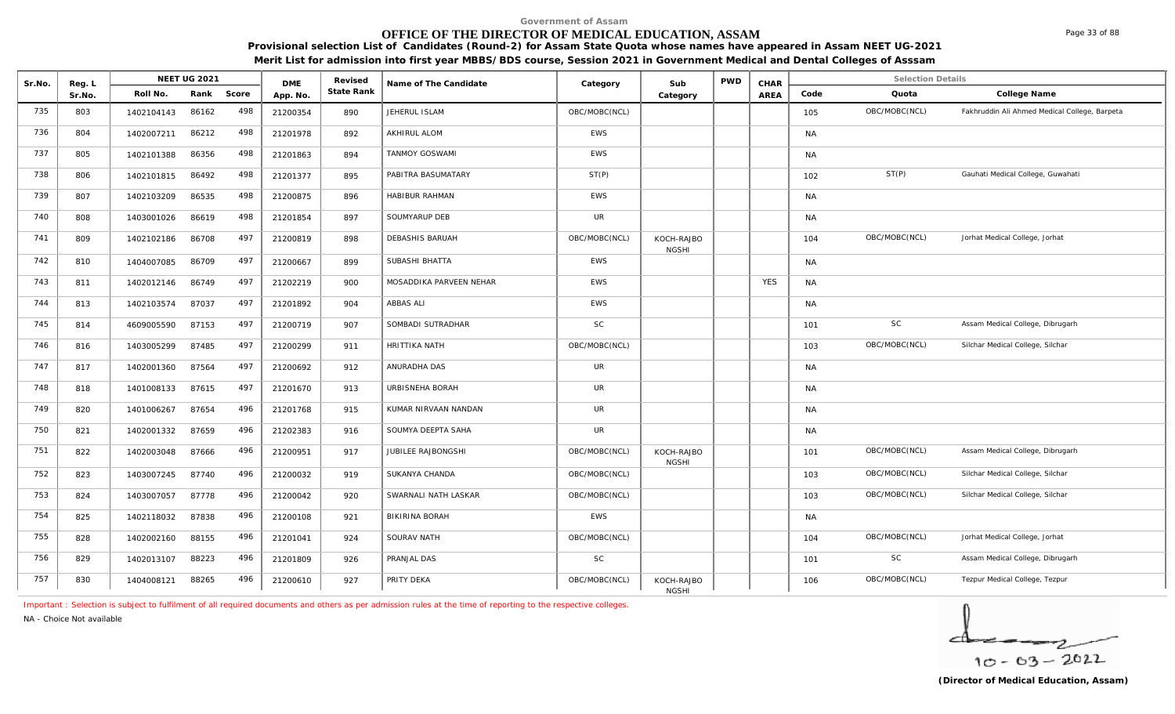#### **OFFICE OF THE DIRECTOR OF MEDICAL EDUCATION, ASSAM**

NEET UG 2021 **Revised** Revised Name of The Candidate **Category** Category Sub PWD CHAR

Sr.No. Reg. L Reg.L **NEET UG** 2021 MB Revised Rame of The Candidate (Category Sub PWD CHAR Selection Details Selection Details

**Name of The Candidate Revised**

**Provisional selection List of Candidates (Round-2) for Assam State Quota whose names have appeared in Assam NEET UG-2021 Merit List for admission into first year MBBS/BDS course, Session 2021 in Government Medical and Dental Colleges of Asssam**

AREA Code Quota

**State Rank Code Quota College Name**

**Category**

T35 803 1402104143 86162 498 21200354 890 JEHERUL ISLAM BOBC/MOBC(NCL) OBC/MOBC(NCL) 105 OBC/MOBC(NCL) Fakhruddin Ali Ahmed Medical College, Barpeta 736 804 1402007211 86212 498 21201978 892 AKHIRUL ALOM EWS NA 737 805 1402101388 86356 498 21201863 894 TANMOY GOSWAMI EWS NA 738 | 806 | 1402101815 86492 498 | 21201377 | 895 |PABITRA BASUMATARY ST(P) | ST(P) | | | | | | | | | | | | | ST(P) Gauhati Medical College, Guwahati 739 807 1402103209 86535 498 21200875 896 HABIBUR RAHMAN EWS NA 740 808 1403001026 86619 498 21201854 897 SOUMYARUP DEB UR NA 741 | 809 | 1402102186 86708 497 | 21200819 | 898 | DEBASHIS BARUAH | OBC/MOBC(NCL) | KOCH-RAJBO | | | 104 OBC/MOBC(NCL) Jorhat Medical College, Jorhat CH-RAJBO | | 104 OBC/MOBC(NCL) Jorna<br>NGSHI | | | 104 OBC/MOBC(NCL) Jorna 742 | 810 | 1404007085 86709 497 | 21200667 | 899 | SUBASHI BHATTA NANA NASA | KWS | NANA NANA NANA NANA NANA N 143 811 | 1402012146 86749 497 | 21202219 | 900 | MOSADDIKA PARVEEN NEHAR TAN HEWS | TAN HES | NA 744 813 1402103574 87037 497 21201892 904 ABBAS ALI EWS NA 745 814 4609005590 87153 497 21200719 907 SOMBADI SUTRADHAR SC SC RESERVED SC 101 SC Assam Medical College, Dibrugarh 746 816 1403005299 87485 497 21200299 911 HRITTIKA NATH OBC/MOBC(NCL) ORC/MOBC(NCL) 103 OBC/MOBC(NCL) Silchar Medical College, Silchar 747 | 817 | 1402001360 87564 497 | 21200692 | 912 | ANURADHA DAS UR | | | | NA 748 | 818 | 1401008133 87615 497 | 21201670 | 913 |URBISNEHA BORAH | UR | | | | | NA 749 820 1401006267 87654 496 21201768 915 KUMAR NIRVAAN NANDAN UR NA 750 | 821 | 1402001332 87659 496 | 21202383 | 916 |SOUMYA<code>DEEPTA</code> SAHA | UR | | | NA 751 822 1402003048 87666 496 21200951 917 JUBILEE RAJBONGSHI (OBC/MOBC(NCL) KOCH-RAJBO ADSALD 101 OBC/MOBC(NCL) Assam Medical College, Dibrugarh CH-RAJBO | | | 101 OBC/MOBC(NCL) Assa<br>NGSHI | | | | 752 823 1403007245 87740 496 21200032 919 SUKANYA CHANDA OBC/MOBC(NCL) OBC/MOBC(NCL) 103 OBC/MOBC(NCL) Silchar Medical College, Silchar 753 824 1403007057 87778 496 21200042 920 SWARNALI NATH LASKAR BOBC/MOBC(NCL) 103 OBC/MOBC(NCL) Silchar Medical College, Silchar 754 825 | 1402118032 87838 496 | 21200108 | 921 | BIKIRINA BORAH NAMEL | EWS | NAMEL | | | | | | | | | | | | | 755 828 1402002160 88155 496 21201041 924 SOURAV NATH BEC/MOBC(NCL) OBC/MOBC(NCL) 104 OBC/MOBC(NCL) Jorhat Medical College, Jorhat 756 829 1402013107 88223 496 21201809 926 PRANJAL DAS SC SC STROM SC 101 SC Assam Medical College, Dibrugarh SC 757 | 830 | 1404008121 88265 496 | 21200610 | 927 | PRITY DEKA OBC/MOBC(NCL) | OBC/MOBC(NCL) | KOCH-RAJBO | | | | 106 OBC/MOBC(NCL) Tezpur Medical College, Tezpur CH-RAJBO | | | 106 OBC/MOBC(NCL) Tezp<br>NGSHI

*Important : Selection is subject to fulfilment of all required documents and others as per admission rules at the time of reporting to the respective colleges.*

DME Revised<br> **State Rank** 

*NA - Choice Not available*

Reg. L<br> **Reg. L**<br>
Roll No. Rank

Sr.No. | Roll No. Rank Score | App.No. | State Ra

 $\overline{\phantom{a}}$  $10 - 63 - 2022$ 

Page 33 of 88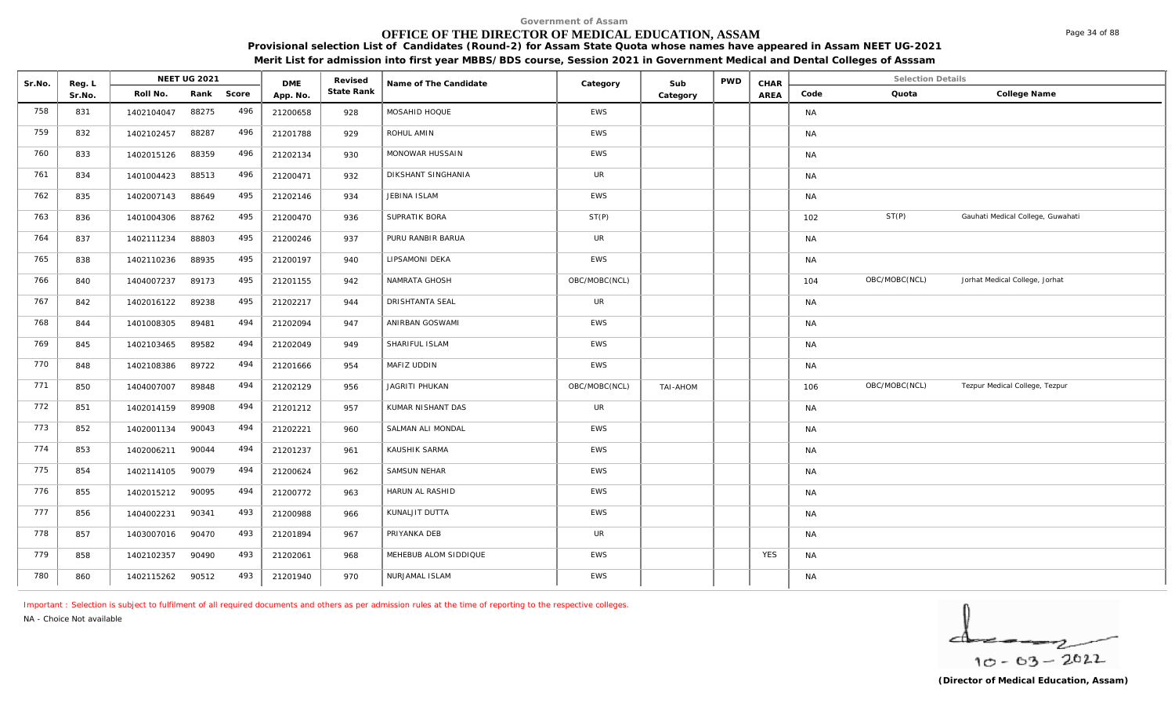# **OFFICE OF THE DIRECTOR OF MEDICAL EDUCATION, ASSAM**

**Provisional selection List of Candidates (Round-2) for Assam State Quota whose names have appeared in Assam NEET UG-2021 Merit List for admission into first year MBBS/BDS course, Session 2021 in Government Medical and Dental Colleges of Asssam**

| Sr.No. | Reg. L |            | <b>NEET UG 2021</b> |            | <b>DME</b> | Revised    | Name of The Candidate | Category      | Sub      | <b>PWD</b> | CHAR       |           | <b>Selection Details</b> |                                   |
|--------|--------|------------|---------------------|------------|------------|------------|-----------------------|---------------|----------|------------|------------|-----------|--------------------------|-----------------------------------|
|        | Sr.No. | Roll No.   |                     | Rank Score | App. No.   | State Rank |                       |               | Category |            | AREA       | Code      | Quota                    | College Name                      |
| 758    | 831    | 1402104047 | 88275               | 496        | 21200658   | 928        | MOSAHID HOQUE         | EWS           |          |            |            | <b>NA</b> |                          |                                   |
| 759    | 832    | 1402102457 | 88287               | 496        | 21201788   | 929        | ROHUL AMIN            | <b>EWS</b>    |          |            |            | <b>NA</b> |                          |                                   |
| 760    | 833    | 1402015126 | 88359               | 496        | 21202134   | 930        | MONOWAR HUSSAIN       | <b>EWS</b>    |          |            |            | <b>NA</b> |                          |                                   |
| 761    | 834    | 1401004423 | 88513               | 496        | 21200471   | 932        | DIKSHANT SINGHANIA    | <b>UR</b>     |          |            |            | <b>NA</b> |                          |                                   |
| 762    | 835    | 1402007143 | 88649               | 495        | 21202146   | 934        | JEBINA ISLAM          | EWS           |          |            |            | <b>NA</b> |                          |                                   |
| 763    | 836    | 1401004306 | 88762               | 495        | 21200470   | 936        | SUPRATIK BORA         | ST(P)         |          |            |            | 102       | ST(P)                    | Gauhati Medical College, Guwahati |
| 764    | 837    | 1402111234 | 88803               | 495        | 21200246   | 937        | PURU RANBIR BARUA     | <b>UR</b>     |          |            |            | <b>NA</b> |                          |                                   |
| 765    | 838    | 1402110236 | 88935               | 495        | 21200197   | 940        | LIPSAMONI DEKA        | <b>EWS</b>    |          |            |            | <b>NA</b> |                          |                                   |
| 766    | 840    | 1404007237 | 89173               | 495        | 21201155   | 942        | NAMRATA GHOSH         | OBC/MOBC(NCL) |          |            |            | 104       | OBC/MOBC(NCL)            | Jorhat Medical College, Jorhat    |
| 767    | 842    | 1402016122 | 89238               | 495        | 21202217   | 944        | DRISHTANTA SEAL       | UR            |          |            |            | <b>NA</b> |                          |                                   |
| 768    | 844    | 1401008305 | 89481               | 494        | 21202094   | 947        | ANIRBAN GOSWAMI       | <b>EWS</b>    |          |            |            | <b>NA</b> |                          |                                   |
| 769    | 845    | 1402103465 | 89582               | 494        | 21202049   | 949        | SHARIFUL ISLAM        | EWS           |          |            |            | <b>NA</b> |                          |                                   |
| 770    | 848    | 1402108386 | 89722               | 494        | 21201666   | 954        | MAFIZ UDDIN           | <b>EWS</b>    |          |            |            | <b>NA</b> |                          |                                   |
| 771    | 850    | 1404007007 | 89848               | 494        | 21202129   | 956        | JAGRITI PHUKAN        | OBC/MOBC(NCL) | TAI-AHOM |            |            | 106       | OBC/MOBC(NCL)            | Tezpur Medical College, Tezpur    |
| 772    | 851    | 1402014159 | 89908               | 494        | 21201212   | 957        | KUMAR NISHANT DAS     | <b>UR</b>     |          |            |            | <b>NA</b> |                          |                                   |
| 773    | 852    | 1402001134 | 90043               | 494        | 21202221   | 960        | SALMAN ALI MONDAL     | <b>EWS</b>    |          |            |            | <b>NA</b> |                          |                                   |
| 774    | 853    | 1402006211 | 90044               | 494        | 21201237   | 961        | KAUSHIK SARMA         | EWS           |          |            |            | <b>NA</b> |                          |                                   |
| 775    | 854    | 1402114105 | 90079               | 494        | 21200624   | 962        | <b>SAMSUN NEHAR</b>   | <b>EWS</b>    |          |            |            | <b>NA</b> |                          |                                   |
| 776    | 855    | 1402015212 | 90095               | 494        | 21200772   | 963        | HARUN AL RASHID       | <b>EWS</b>    |          |            |            | <b>NA</b> |                          |                                   |
| 777    | 856    | 1404002231 | 90341               | 493        | 21200988   | 966        | KUNALJIT DUTTA        | EWS           |          |            |            | <b>NA</b> |                          |                                   |
| 778    | 857    | 1403007016 | 90470               | 493        | 21201894   | 967        | PRIYANKA DEB          | UR            |          |            |            | NA        |                          |                                   |
| 779    | 858    | 1402102357 | 90490               | 493        | 21202061   | 968        | MEHEBUB ALOM SIDDIQUE | <b>EWS</b>    |          |            | <b>YES</b> | <b>NA</b> |                          |                                   |
| 780    | 860    | 1402115262 | 90512               | 493        | 21201940   | 970        | NURJAMAL ISLAM        | <b>EWS</b>    |          |            |            | NA        |                          |                                   |

*Important : Selection is subject to fulfilment of all required documents and others as per admission rules at the time of reporting to the respective colleges.*

*NA - Choice Not available*

$$
\frac{1}{10-03-2022}
$$

Page 34 of 88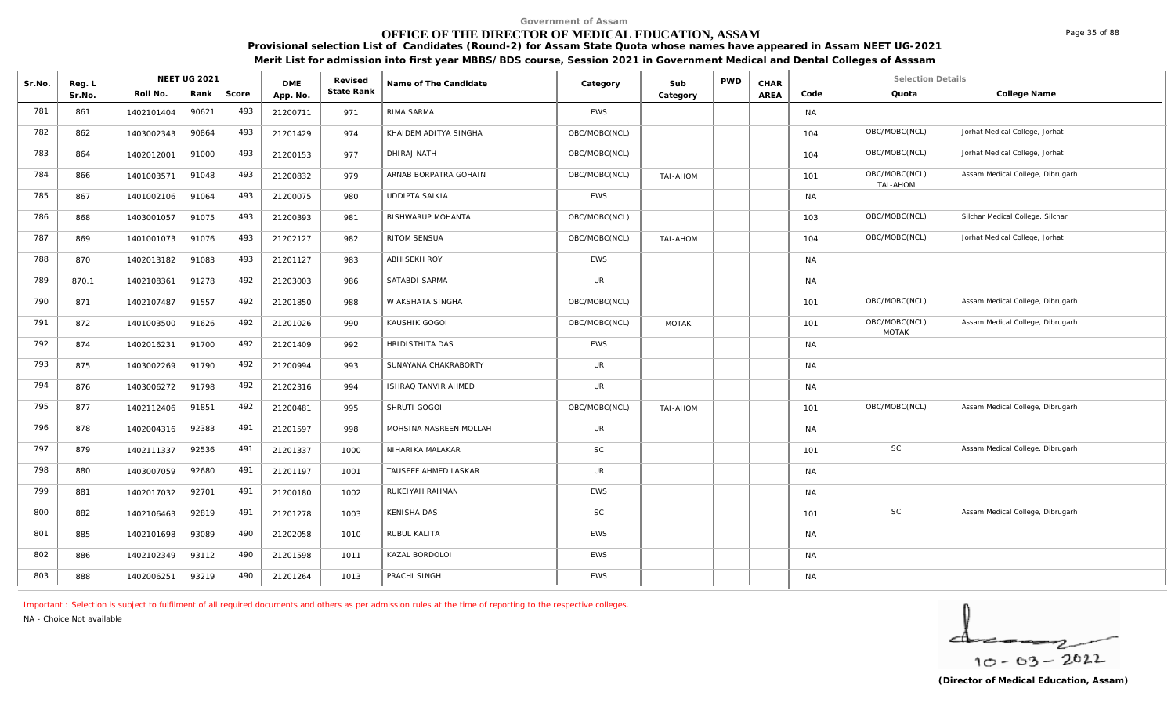# **OFFICE OF THE DIRECTOR OF MEDICAL EDUCATION, ASSAM**

**Provisional selection List of Candidates (Round-2) for Assam State Quota whose names have appeared in Assam NEET UG-2021 Merit List for admission into first year MBBS/BDS course, Session 2021 in Government Medical and Dental Colleges of Asssam**

| Sr.No. | Reg. L |            | <b>NEET UG 2021</b> |       | <b>DME</b> | Revised    | Name of The Candidate    | Category      | Sub          | <b>PWD</b> | CHAR |           | <b>Selection Details</b>      |                                  |
|--------|--------|------------|---------------------|-------|------------|------------|--------------------------|---------------|--------------|------------|------|-----------|-------------------------------|----------------------------------|
|        | Sr.No. | Roll No.   | Rank                | Score | App. No    | State Rank |                          |               | Category     |            | AREA | Code      | Quota                         | College Name                     |
| 781    | 861    | 1402101404 | 90621               | 493   | 21200711   | 971        | RIMA SARMA               | <b>EWS</b>    |              |            |      | <b>NA</b> |                               |                                  |
| 782    | 862    | 1403002343 | 90864               | 493   | 21201429   | 974        | KHAIDEM ADITYA SINGHA    | OBC/MOBC(NCL) |              |            |      | 104       | OBC/MOBC(NCL)                 | Jorhat Medical College, Jorhat   |
| 783    | 864    | 1402012001 | 91000               | 493   | 21200153   | 977        | DHIRAJ NATH              | OBC/MOBC(NCL) |              |            |      | 104       | OBC/MOBC(NCL)                 | Jorhat Medical College, Jorhat   |
| 784    | 866    | 1401003571 | 91048               | 493   | 21200832   | 979        | ARNAB BORPATRA GOHAIN    | OBC/MOBC(NCL) | TAI-AHOM     |            |      | 101       | OBC/MOBC(NCL)<br>TAI-AHOM     | Assam Medical College, Dibrugarh |
| 785    | 867    | 1401002106 | 91064               | 493   | 21200075   | 980        | <b>UDDIPTA SAIKIA</b>    | <b>EWS</b>    |              |            |      | <b>NA</b> |                               |                                  |
| 786    | 868    | 1403001057 | 91075               | 493   | 21200393   | 981        | <b>BISHWARUP MOHANTA</b> | OBC/MOBC(NCL) |              |            |      | 103       | OBC/MOBC(NCL)                 | Silchar Medical College, Silchar |
| 787    | 869    | 1401001073 | 91076               | 493   | 21202127   | 982        | <b>RITOM SENSUA</b>      | OBC/MOBC(NCL) | TAI-AHOM     |            |      | 104       | OBC/MOBC(NCL)                 | Jorhat Medical College, Jorhat   |
| 788    | 870    | 1402013182 | 91083               | 493   | 21201127   | 983        | ABHISEKH ROY             | EWS           |              |            |      | <b>NA</b> |                               |                                  |
| 789    | 870.1  | 1402108361 | 91278               | 492   | 21203003   | 986        | SATABDI SARMA            | <b>UR</b>     |              |            |      | <b>NA</b> |                               |                                  |
| 790    | 871    | 1402107487 | 91557               | 492   | 21201850   | 988        | W AKSHATA SINGHA         | OBC/MOBC(NCL) |              |            |      | 101       | OBC/MOBC(NCL)                 | Assam Medical College, Dibrugarh |
| 791    | 872    | 1401003500 | 91626               | 492   | 21201026   | 990        | KAUSHIK GOGOI            | OBC/MOBC(NCL) | <b>MOTAK</b> |            |      | 101       | OBC/MOBC(NCL)<br><b>MOTAK</b> | Assam Medical College, Dibrugarh |
| 792    | 874    | 1402016231 | 91700               | 492   | 21201409   | 992        | HRIDISTHITA DAS          | <b>EWS</b>    |              |            |      | <b>NA</b> |                               |                                  |
| 793    | 875    | 1403002269 | 91790               | 492   | 21200994   | 993        | SUNAYANA CHAKRABORTY     | <b>UR</b>     |              |            |      | <b>NA</b> |                               |                                  |
| 794    | 876    | 1403006272 | 91798               | 492   | 21202316   | 994        | ISHRAQ TANVIR AHMED      | <b>UR</b>     |              |            |      | <b>NA</b> |                               |                                  |
| 795    | 877    | 1402112406 | 91851               | 492   | 21200481   | 995        | SHRUTI GOGOI             | OBC/MOBC(NCL) | TAI-AHOM     |            |      | 101       | OBC/MOBC(NCL)                 | Assam Medical College, Dibrugarh |
| 796    | 878    | 1402004316 | 92383               | 491   | 21201597   | 998        | MOHSINA NASREEN MOLLAH   | <b>UR</b>     |              |            |      | <b>NA</b> |                               |                                  |
| 797    | 879    | 1402111337 | 92536               | 491   | 21201337   | 1000       | NIHARIKA MALAKAR         | SC            |              |            |      | 101       | <b>SC</b>                     | Assam Medical College, Dibrugarh |
| 798    | 880    | 1403007059 | 92680               | 491   | 21201197   | 1001       | TAUSEEF AHMED LASKAR     | <b>UR</b>     |              |            |      | <b>NA</b> |                               |                                  |
| 799    | 881    | 1402017032 | 92701               | 491   | 21200180   | 1002       | RUKEIYAH RAHMAN          | EWS           |              |            |      | <b>NA</b> |                               |                                  |
| 800    | 882    | 1402106463 | 92819               | 491   | 21201278   | 1003       | KENISHA DAS              | SC            |              |            |      | 101       | SC                            | Assam Medical College, Dibrugarh |
| 801    | 885    | 1402101698 | 93089               | 490   | 21202058   | 1010       | RUBUL KALITA             | EWS           |              |            |      | <b>NA</b> |                               |                                  |
| 802    | 886    | 1402102349 | 93112               | 490   | 21201598   | 1011       | KAZAL BORDOLOI           | <b>EWS</b>    |              |            |      | <b>NA</b> |                               |                                  |
| 803    | 888    | 1402006251 | 93219               | 490   | 21201264   | 1013       | PRACHI SINGH             | EWS           |              |            |      | <b>NA</b> |                               |                                  |

*Important : Selection is subject to fulfilment of all required documents and others as per admission rules at the time of reporting to the respective colleges.*

*NA - Choice Not available*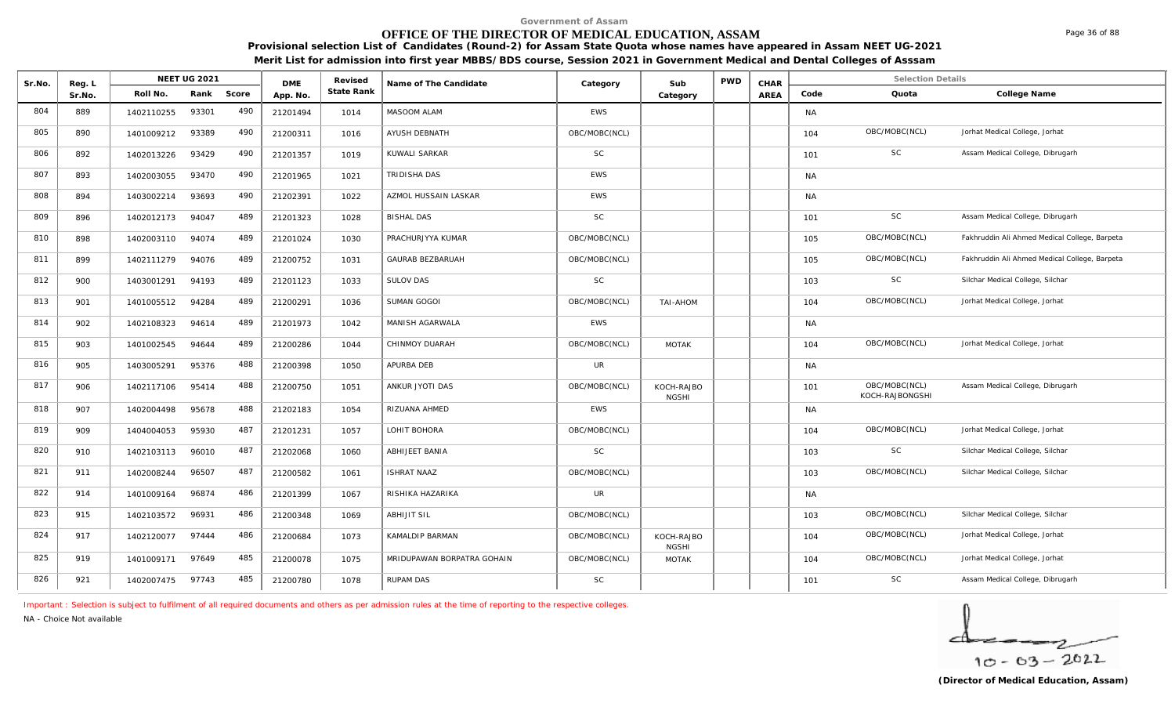# **OFFICE OF THE DIRECTOR OF MEDICAL EDUCATION, ASSAM**

**Provisional selection List of Candidates (Round-2) for Assam State Quota whose names have appeared in Assam NEET UG-2021 Merit List for admission into first year MBBS/BDS course, Session 2021 in Government Medical and Dental Colleges of Asssam**

| Sr.No. | Reg. L |            | <b>NEET UG 2021</b> |       | <b>DMF</b> | Revised    | Name of The Candidate      | Category      | Sub                        | <b>PWD</b> | CHAR |           | <b>Selection Details</b>         |                                               |
|--------|--------|------------|---------------------|-------|------------|------------|----------------------------|---------------|----------------------------|------------|------|-----------|----------------------------------|-----------------------------------------------|
|        | Sr.No. | Roll No.   | Rank                | Score | App. No.   | State Rank |                            |               | Category                   |            | AREA | Code      | Quota                            | College Name                                  |
| 804    | 889    | 1402110255 | 93301               | 490   | 21201494   | 1014       | MASOOM ALAM                | <b>EWS</b>    |                            |            |      | <b>NA</b> |                                  |                                               |
| 805    | 890    | 1401009212 | 93389               | 490   | 21200311   | 1016       | AYUSH DEBNATH              | OBC/MOBC(NCL) |                            |            |      | 104       | OBC/MOBC(NCL)                    | Jorhat Medical College, Jorhat                |
| 806    | 892    | 1402013226 | 93429               | 490   | 21201357   | 1019       | KUWALI SARKAR              | <b>SC</b>     |                            |            |      | 101       | <b>SC</b>                        | Assam Medical College, Dibrugarh              |
| 807    | 893    | 1402003055 | 93470               | 490   | 21201965   | 1021       | TRIDISHA DAS               | <b>EWS</b>    |                            |            |      | <b>NA</b> |                                  |                                               |
| 808    | 894    | 1403002214 | 93693               | 490   | 21202391   | 1022       | AZMOL HUSSAIN LASKAR       | <b>EWS</b>    |                            |            |      | <b>NA</b> |                                  |                                               |
| 809    | 896    | 1402012173 | 94047               | 489   | 21201323   | 1028       | <b>BISHAL DAS</b>          | <b>SC</b>     |                            |            |      | 101       | <b>SC</b>                        | Assam Medical College, Dibrugarh              |
| 810    | 898    | 1402003110 | 94074               | 489   | 21201024   | 1030       | PRACHURJYYA KUMAR          | OBC/MOBC(NCL) |                            |            |      | 105       | OBC/MOBC(NCL)                    | Fakhruddin Ali Ahmed Medical College, Barpeta |
| 811    | 899    | 1402111279 | 94076               | 489   | 21200752   | 1031       | GAURAB BEZBARUAH           | OBC/MOBC(NCL) |                            |            |      | 105       | OBC/MOBC(NCL)                    | Fakhruddin Ali Ahmed Medical College, Barpeta |
| 812    | 900    | 1403001291 | 94193               | 489   | 21201123   | 1033       | <b>SULOV DAS</b>           | <b>SC</b>     |                            |            |      | 103       | SC                               | Silchar Medical College, Silchar              |
| 813    | 901    | 1401005512 | 94284               | 489   | 21200291   | 1036       | SUMAN GOGOI                | OBC/MOBC(NCL) | TAI-AHOM                   |            |      | 104       | OBC/MOBC(NCL)                    | Jorhat Medical College, Jorhat                |
| 814    | 902    | 1402108323 | 94614               | 489   | 21201973   | 1042       | MANISH AGARWALA            | <b>EWS</b>    |                            |            |      | <b>NA</b> |                                  |                                               |
| 815    | 903    | 1401002545 | 94644               | 489   | 21200286   | 1044       | CHINMOY DUARAH             | OBC/MOBC(NCL) | <b>MOTAK</b>               |            |      | 104       | OBC/MOBC(NCL)                    | Jorhat Medical College, Jorhat                |
| 816    | 905    | 1403005291 | 95376               | 488   | 21200398   | 1050       | APURBA DEB                 | UR            |                            |            |      | <b>NA</b> |                                  |                                               |
| 817    | 906    | 1402117106 | 95414               | 488   | 21200750   | 1051       | ANKUR JYOTI DAS            | OBC/MOBC(NCL) | KOCH-RAJBO<br><b>NGSHI</b> |            |      | 101       | OBC/MOBC(NCL)<br>KOCH-RAJBONGSHI | Assam Medical College, Dibrugarh              |
| 818    | 907    | 1402004498 | 95678               | 488   | 21202183   | 1054       | RIZUANA AHMED              | <b>EWS</b>    |                            |            |      | <b>NA</b> |                                  |                                               |
| 819    | 909    | 1404004053 | 95930               | 487   | 21201231   | 1057       | LOHIT BOHORA               | OBC/MOBC(NCL) |                            |            |      | 104       | OBC/MOBC(NCL)                    | Jorhat Medical College, Jorhat                |
| 820    | 910    | 1402103113 | 96010               | 487   | 21202068   | 1060       | ABHIJEET BANIA             | <b>SC</b>     |                            |            |      | 103       | SC                               | Silchar Medical College, Silchar              |
| 821    | 911    | 1402008244 | 96507               | 487   | 21200582   | 1061       | <b>ISHRAT NAAZ</b>         | OBC/MOBC(NCL) |                            |            |      | 103       | OBC/MOBC(NCL)                    | Silchar Medical College, Silchar              |
| 822    | 914    | 1401009164 | 96874               | 486   | 21201399   | 1067       | RISHIKA HAZARIKA           | <b>UR</b>     |                            |            |      | <b>NA</b> |                                  |                                               |
| 823    | 915    | 1402103572 | 96931               | 486   | 21200348   | 1069       | <b>ABHIJIT SIL</b>         | OBC/MOBC(NCL) |                            |            |      | 103       | OBC/MOBC(NCL)                    | Silchar Medical College, Silchar              |
| 824    | 917    | 1402120077 | 97444               | 486   | 21200684   | 1073       | KAMALDIP BARMAN            | OBC/MOBC(NCL) | KOCH-RAJBO<br><b>NGSHI</b> |            |      | 104       | OBC/MOBC(NCL)                    | Jorhat Medical College, Jorhat                |
| 825    | 919    | 1401009171 | 97649               | 485   | 21200078   | 1075       | MRIDUPAWAN BORPATRA GOHAIN | OBC/MOBC(NCL) | MOTAK                      |            |      | 104       | OBC/MOBC(NCL)                    | Jorhat Medical College, Jorhat                |
| 826    | 921    | 1402007475 | 97743               | 485   | 21200780   | 1078       | RUPAM DAS                  | <b>SC</b>     |                            |            |      | 101       | SC                               | Assam Medical College, Dibrugarh              |

*Important : Selection is subject to fulfilment of all required documents and others as per admission rules at the time of reporting to the respective colleges.*

*NA - Choice Not available*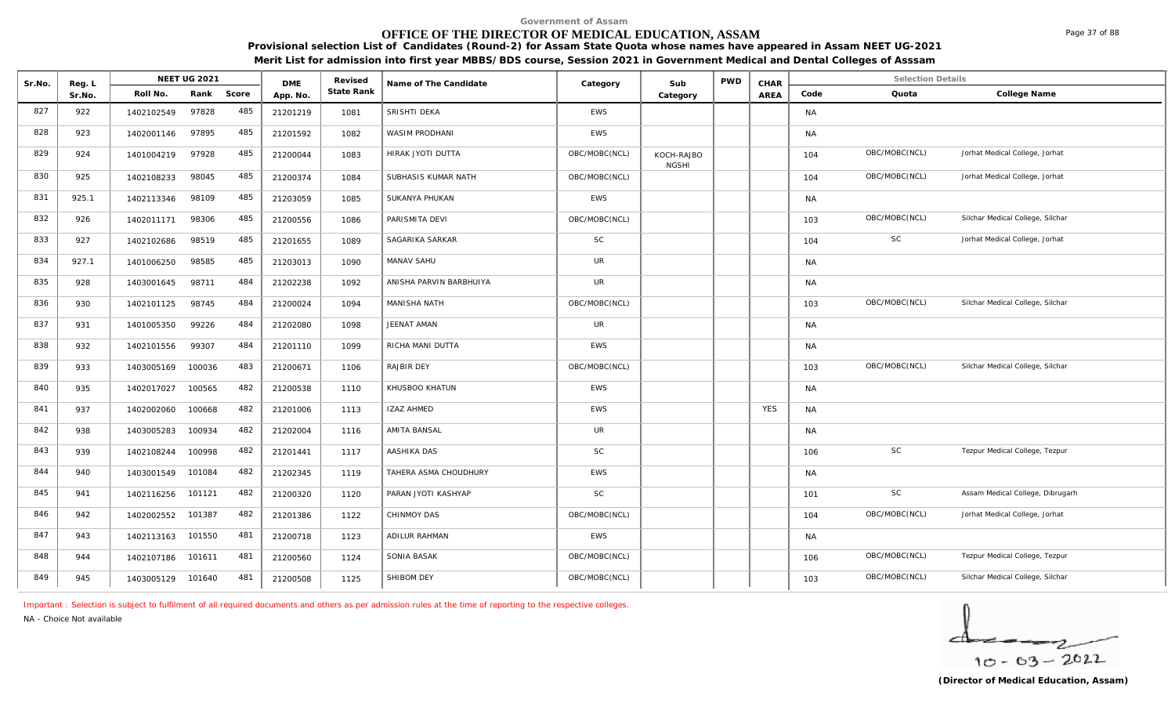# **OFFICE OF THE DIRECTOR OF MEDICAL EDUCATION, ASSAM**

**Provisional selection List of Candidates (Round-2) for Assam State Quota whose names have appeared in Assam NEET UG-2021 Merit List for admission into first year MBBS/BDS course, Session 2021 in Government Medical and Dental Colleges of Asssam**

| Sr.No. | Reg. L |                   | <b>NEET UG 2021</b> |       | <b>DME</b> | Revised    | Name of The Candidate   |               | Sub                        | <b>PWD</b> | CHAR       |           | <b>Selection Details</b> |                                  |
|--------|--------|-------------------|---------------------|-------|------------|------------|-------------------------|---------------|----------------------------|------------|------------|-----------|--------------------------|----------------------------------|
|        | Sr.No. | Roll No.          | Rank                | Score | App. No.   | State Rank |                         | Category      | Category                   |            | AREA       | Code      | Quota                    | College Name                     |
| 827    | 922    | 1402102549        | 97828               | 485   | 21201219   | 1081       | SRISHTI DEKA            | <b>EWS</b>    |                            |            |            | <b>NA</b> |                          |                                  |
| 828    | 923    | 1402001146        | 97895               | 485   | 21201592   | 1082       | <b>WASIM PRODHANI</b>   | <b>EWS</b>    |                            |            |            | NA        |                          |                                  |
| 829    | 924    | 1401004219        | 97928               | 485   | 21200044   | 1083       | HIRAK JYOTI DUTTA       | OBC/MOBC(NCL) | KOCH-RAJBO<br><b>NGSHI</b> |            |            | 104       | OBC/MOBC(NCL)            | Jorhat Medical College, Jorhat   |
| 830    | 925    | 1402108233        | 98045               | 485   | 21200374   | 1084       | SUBHASIS KUMAR NATH     | OBC/MOBC(NCL) |                            |            |            | 104       | OBC/MOBC(NCL)            | Jorhat Medical College, Jorhat   |
| 831    | 925.1  | 1402113346        | 98109               | 485   | 21203059   | 1085       | SUKANYA PHUKAN          | <b>EWS</b>    |                            |            |            | <b>NA</b> |                          |                                  |
| 832    | 926    | 1402011171        | 98306               | 485   | 21200556   | 1086       | PARISMITA DEVI          | OBC/MOBC(NCL) |                            |            |            | 103       | OBC/MOBC(NCL)            | Silchar Medical College, Silchar |
| 833    | 927    | 1402102686        | 98519               | 485   | 21201655   | 1089       | SAGARIKA SARKAR         | <b>SC</b>     |                            |            |            | 104       | SC                       | Jorhat Medical College, Jorhat   |
| 834    | 927.1  | 1401006250        | 98585               | 485   | 21203013   | 1090       | MANAV SAHU              | UR            |                            |            |            | NA        |                          |                                  |
| 835    | 928    | 1403001645        | 98711               | 484   | 21202238   | 1092       | ANISHA PARVIN BARBHUIYA | UR            |                            |            |            | <b>NA</b> |                          |                                  |
| 836    | 930    | 1402101125        | 98745               | 484   | 21200024   | 1094       | MANISHA NATH            | OBC/MOBC(NCL) |                            |            |            | 103       | OBC/MOBC(NCL)            | Silchar Medical College, Silchar |
| 837    | 931    | 1401005350        | 99226               | 484   | 21202080   | 1098       | JEENAT AMAN             | UR            |                            |            |            | NA        |                          |                                  |
| 838    | 932    | 1402101556        | 99307               | 484   | 21201110   | 1099       | RICHA MANI DUTTA        | <b>EWS</b>    |                            |            |            | NA        |                          |                                  |
| 839    | 933    | 1403005169        | 100036              | 483   | 21200671   | 1106       | RAJBIR DEY              | OBC/MOBC(NCL) |                            |            |            | 103       | OBC/MOBC(NCL)            | Silchar Medical College, Silchar |
| 840    | 935    | 1402017027        | 100565              | 482   | 21200538   | 1110       | KHUSBOO KHATUN          | <b>EWS</b>    |                            |            |            | <b>NA</b> |                          |                                  |
| 841    | 937    | 1402002060        | 100668              | 482   | 21201006   | 1113       | <b>IZAZ AHMED</b>       | <b>EWS</b>    |                            |            | <b>YES</b> | <b>NA</b> |                          |                                  |
| 842    | 938    | 1403005283        | 100934              | 482   | 21202004   | 1116       | AMITA BANSAL            | UR            |                            |            |            | NA.       |                          |                                  |
| 843    | 939    | 1402108244        | 100998              | 482   | 21201441   | 1117       | AASHIKA DAS             | <b>SC</b>     |                            |            |            | 106       | <b>SC</b>                | Tezpur Medical College, Tezpur   |
| 844    | 940    | 1403001549        | 101084              | 482   | 21202345   | 1119       | TAHERA ASMA CHOUDHURY   | <b>EWS</b>    |                            |            |            | <b>NA</b> |                          |                                  |
| 845    | 941    | 1402116256        | 101121              | 482   | 21200320   | 1120       | PARAN JYOTI KASHYAP     | <b>SC</b>     |                            |            |            | 101       | <b>SC</b>                | Assam Medical College, Dibrugarh |
| 846    | 942    | 1402002552        | 101387              | 482   | 21201386   | 1122       | CHINMOY DAS             | OBC/MOBC(NCL) |                            |            |            | 104       | OBC/MOBC(NCL)            | Jorhat Medical College, Jorhat   |
| 847    | 943    | 1402113163        | 101550              | 481   | 21200718   | 1123       | ADILUR RAHMAN           | <b>EWS</b>    |                            |            |            | NA        |                          |                                  |
| 848    | 944    | 1402107186        | 101611              | 481   | 21200560   | 1124       | SONIA BASAK             | OBC/MOBC(NCL) |                            |            |            | 106       | OBC/MOBC(NCL)            | Tezpur Medical College, Tezpur   |
| 849    | 945    | 1403005129 101640 |                     | 481   | 21200508   | 1125       | SHIBOM DEY              | OBC/MOBC(NCL) |                            |            |            | 103       | OBC/MOBC(NCL)            | Silchar Medical College, Silchar |

*Important : Selection is subject to fulfilment of all required documents and others as per admission rules at the time of reporting to the respective colleges.*

*NA - Choice Not available*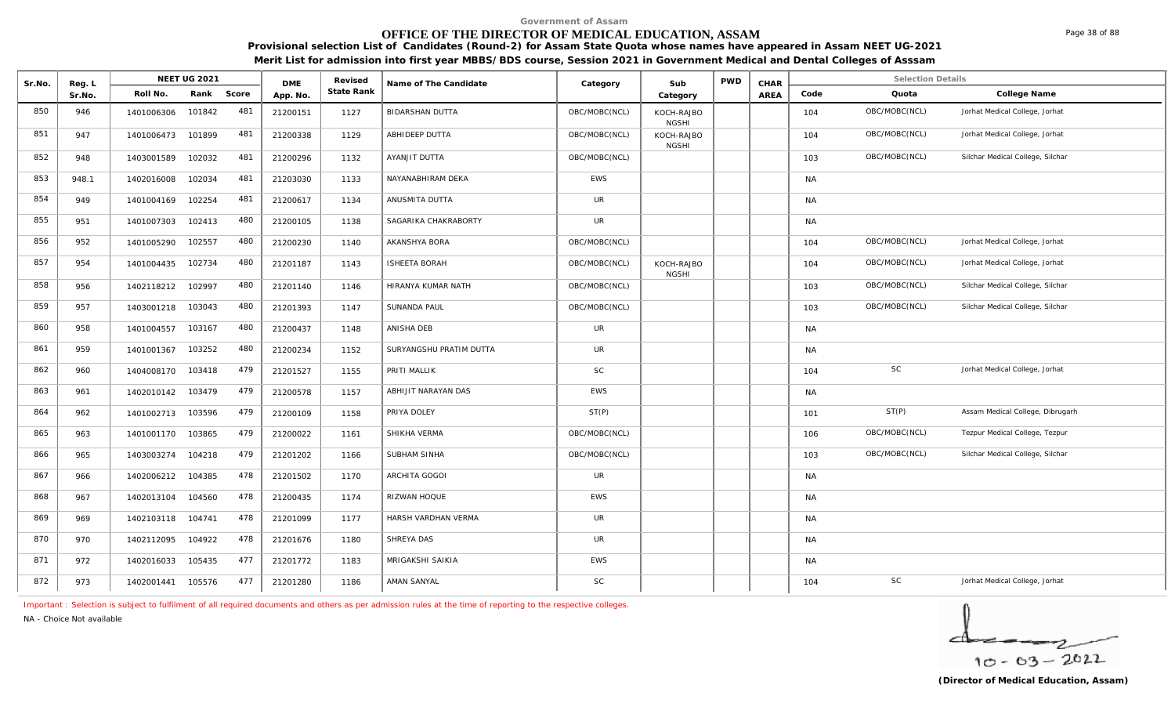# **OFFICE OF THE DIRECTOR OF MEDICAL EDUCATION, ASSAM**

**Provisional selection List of Candidates (Round-2) for Assam State Quota whose names have appeared in Assam NEET UG-2021** 

**Merit List for admission into first year MBBS/BDS course, Session 2021 in Government Medical and Dental Colleges of Asssam**

| Sr.No. | Reg. L |                   | <b>NEET UG 2021</b> |       | <b>DME</b> | Revised    | Name of The Candidate   | Category      | Sub                        | <b>PWD</b> | CHAR        |           | <b>Selection Details</b> |                                  |
|--------|--------|-------------------|---------------------|-------|------------|------------|-------------------------|---------------|----------------------------|------------|-------------|-----------|--------------------------|----------------------------------|
|        | Sr.No. | Roll No.          | Rank                | Score | App. No.   | State Rank |                         |               | Category                   |            | <b>AREA</b> | Code      | Quota                    | College Name                     |
| 850    | 946    | 1401006306        | 101842              | 481   | 21200151   | 1127       | <b>BIDARSHAN DUTTA</b>  | OBC/MOBC(NCL) | KOCH-RAJBO<br><b>NGSHI</b> |            |             | 104       | OBC/MOBC(NCL)            | Jorhat Medical College, Jorhat   |
| 851    | 947    | 1401006473        | 101899              | 481   | 21200338   | 1129       | ABHIDEEP DUTTA          | OBC/MOBC(NCL) | KOCH-RAJBO<br><b>NGSHI</b> |            |             | 104       | OBC/MOBC(NCL)            | Jorhat Medical College, Jorhat   |
| 852    | 948    | 1403001589        | 102032              | 481   | 21200296   | 1132       | AYANJIT DUTTA           | OBC/MOBC(NCL) |                            |            |             | 103       | OBC/MOBC(NCL)            | Silchar Medical College, Silchar |
| 853    | 948.1  | 1402016008        | 102034              | 481   | 21203030   | 1133       | NAYANABHIRAM DEKA       | EWS           |                            |            |             | <b>NA</b> |                          |                                  |
| 854    | 949    | 1401004169        | 102254              | 481   | 21200617   | 1134       | ANUSMITA DUTTA          | UR            |                            |            |             | <b>NA</b> |                          |                                  |
| 855    | 951    | 1401007303        | 102413              | 480   | 21200105   | 1138       | SAGARIKA CHAKRABORTY    | UR            |                            |            |             | <b>NA</b> |                          |                                  |
| 856    | 952    | 1401005290        | 102557              | 480   | 21200230   | 1140       | AKANSHYA BORA           | OBC/MOBC(NCL) |                            |            |             | 104       | OBC/MOBC(NCL)            | Jorhat Medical College, Jorhat   |
| 857    | 954    | 1401004435        | 102734              | 480   | 21201187   | 1143       | <b>ISHEETA BORAH</b>    | OBC/MOBC(NCL) | KOCH-RAJBO<br><b>NGSHI</b> |            |             | 104       | OBC/MOBC(NCL)            | Jorhat Medical College, Jorhat   |
| 858    | 956    | 1402118212        | 102997              | 480   | 21201140   | 1146       | HIRANYA KUMAR NATH      | OBC/MOBC(NCL) |                            |            |             | 103       | OBC/MOBC(NCL)            | Silchar Medical College, Silchar |
| 859    | 957    | 1403001218        | 103043              | 480   | 21201393   | 1147       | <b>SUNANDA PAUL</b>     | OBC/MOBC(NCL) |                            |            |             | 103       | OBC/MOBC(NCL)            | Silchar Medical College, Silchar |
| 860    | 958    | 1401004557        | 103167              | 480   | 21200437   | 1148       | ANISHA DEB              | <b>UR</b>     |                            |            |             | <b>NA</b> |                          |                                  |
| 861    | 959    | 1401001367        | 103252              | 480   | 21200234   | 1152       | SURYANGSHU PRATIM DUTTA | UR            |                            |            |             | <b>NA</b> |                          |                                  |
| 862    | 960    | 1404008170 103418 |                     | 479   | 21201527   | 1155       | PRITI MALLIK            | SC            |                            |            |             | 104       | SC                       | Jorhat Medical College, Jorhat   |
| 863    | 961    | 1402010142        | 103479              | 479   | 21200578   | 1157       | ABHIJIT NARAYAN DAS     | EWS           |                            |            |             | <b>NA</b> |                          |                                  |
| 864    | 962    | 1401002713        | 103596              | 479   | 21200109   | 1158       | PRIYA DOLEY             | ST(P)         |                            |            |             | 101       | ST(P)                    | Assam Medical College, Dibrugarh |
| 865    | 963    | 1401001170        | 103865              | 479   | 21200022   | 1161       | SHIKHA VERMA            | OBC/MOBC(NCL) |                            |            |             | 106       | OBC/MOBC(NCL)            | Tezpur Medical College, Tezpur   |
| 866    | 965    | 1403003274        | 104218              | 479   | 21201202   | 1166       | SUBHAM SINHA            | OBC/MOBC(NCL) |                            |            |             | 103       | OBC/MOBC(NCL)            | Silchar Medical College, Silchar |
| 867    | 966    | 1402006212        | 104385              | 478   | 21201502   | 1170       | ARCHITA GOGOI           | UR            |                            |            |             | <b>NA</b> |                          |                                  |
| 868    | 967    | 1402013104        | 104560              | 478   | 21200435   | 1174       | RIZWAN HOQUE            | EWS           |                            |            |             | <b>NA</b> |                          |                                  |
| 869    | 969    | 1402103118        | 104741              | 478   | 21201099   | 1177       | HARSH VARDHAN VERMA     | UR            |                            |            |             | <b>NA</b> |                          |                                  |
| 870    | 970    | 1402112095        | 104922              | 478   | 21201676   | 1180       | SHREYA DAS              | UR            |                            |            |             | <b>NA</b> |                          |                                  |
| 871    | 972    | 1402016033        | 105435              | 477   | 21201772   | 1183       | MRIGAKSHI SAIKIA        | EWS           |                            |            |             | <b>NA</b> |                          |                                  |
| 872    | 973    | 1402001441        | 105576              | 477   | 21201280   | 1186       | AMAN SANYAL             | SC            |                            |            |             | 104       | SC                       | Jorhat Medical College, Jorhat   |

*Important : Selection is subject to fulfilment of all required documents and others as per admission rules at the time of reporting to the respective colleges.*

*NA - Choice Not available*

 $10 - 63 - 2022$ 

Page 38 of 88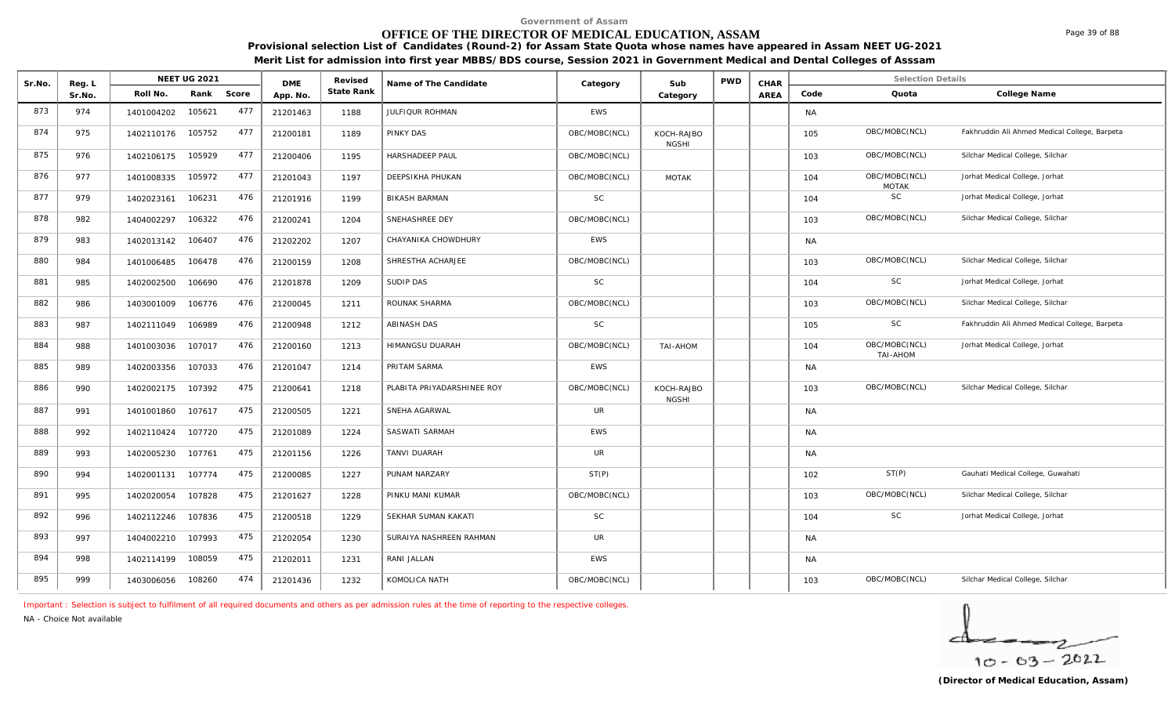# **OFFICE OF THE DIRECTOR OF MEDICAL EDUCATION, ASSAM**

**Provisional selection List of Candidates (Round-2) for Assam State Quota whose names have appeared in Assam NEET UG-2021 Merit List for admission into first year MBBS/BDS course, Session 2021 in Government Medical and Dental Colleges of Asssam**

| Sr.No. | Reg. L |            | NEET UG 2021 |       | <b>DME</b> | Revised    | Name of The Candidate      | Category      | Sub                        | <b>PWD</b> | CHAR        |           | <b>Selection Details</b>      |                                               |
|--------|--------|------------|--------------|-------|------------|------------|----------------------------|---------------|----------------------------|------------|-------------|-----------|-------------------------------|-----------------------------------------------|
|        | Sr.No. | Roll No.   | Rank         | Score | App. No.   | State Rank |                            |               | Category                   |            | <b>AREA</b> | Code      | Quota                         | College Name                                  |
| 873    | 974    | 1401004202 | 105621       | 477   | 21201463   | 1188       | JULFIQUR ROHMAN            | <b>EWS</b>    |                            |            |             | <b>NA</b> |                               |                                               |
| 874    | 975    | 1402110176 | 105752       | 477   | 21200181   | 1189       | <b>PINKY DAS</b>           | OBC/MOBC(NCL) | KOCH-RAJBO<br><b>NGSHI</b> |            |             | 105       | OBC/MOBC(NCL)                 | Fakhruddin Ali Ahmed Medical College, Barpeta |
| 875    | 976    | 1402106175 | 105929       | 477   | 21200406   | 1195       | <b>HARSHADEEP PAUL</b>     | OBC/MOBC(NCL) |                            |            |             | 103       | OBC/MOBC(NCL)                 | Silchar Medical College, Silchar              |
| 876    | 977    | 1401008335 | 105972       | 477   | 21201043   | 1197       | <b>DEEPSIKHA PHUKAN</b>    | OBC/MOBC(NCL) | <b>MOTAK</b>               |            |             | 104       | OBC/MOBC(NCL)<br><b>MOTAK</b> | Jorhat Medical College, Jorhat                |
| 877    | 979    | 1402023161 | 106231       | 476   | 21201916   | 1199       | <b>BIKASH BARMAN</b>       | <b>SC</b>     |                            |            |             | 104       | SC                            | Jorhat Medical College, Jorhat                |
| 878    | 982    | 1404002297 | 106322       | 476   | 21200241   | 1204       | SNEHASHREE DEY             | OBC/MOBC(NCL) |                            |            |             | 103       | OBC/MOBC(NCL)                 | Silchar Medical College, Silchar              |
| 879    | 983    | 1402013142 | 106407       | 476   | 21202202   | 1207       | CHAYANIKA CHOWDHURY        | <b>EWS</b>    |                            |            |             | <b>NA</b> |                               |                                               |
| 880    | 984    | 1401006485 | 106478       | 476   | 21200159   | 1208       | SHRESTHA ACHARJEE          | OBC/MOBC(NCL) |                            |            |             | 103       | OBC/MOBC(NCL)                 | Silchar Medical College, Silchar              |
| 881    | 985    | 1402002500 | 106690       | 476   | 21201878   | 1209       | SUDIP DAS                  | <b>SC</b>     |                            |            |             | 104       | SC                            | Jorhat Medical College, Jorhat                |
| 882    | 986    | 1403001009 | 106776       | 476   | 21200045   | 1211       | ROUNAK SHARMA              | OBC/MOBC(NCL) |                            |            |             | 103       | OBC/MOBC(NCL)                 | Silchar Medical College, Silchar              |
| 883    | 987    | 1402111049 | 106989       | 476   | 21200948   | 1212       | <b>ABINASH DAS</b>         | <b>SC</b>     |                            |            |             | 105       | SC                            | Fakhruddin Ali Ahmed Medical College, Barpeta |
| 884    | 988    | 1401003036 | 107017       | 476   | 21200160   | 1213       | HIMANGSU DUARAH            | OBC/MOBC(NCL) | TAI-AHOM                   |            |             | 104       | OBC/MOBC(NCL)<br>TAI-AHOM     | Jorhat Medical College, Jorhat                |
| 885    | 989    | 1402003356 | 107033       | 476   | 21201047   | 1214       | PRITAM SARMA               | <b>EWS</b>    |                            |            |             | <b>NA</b> |                               |                                               |
| 886    | 990    | 1402002175 | 107392       | 475   | 21200641   | 1218       | PLABITA PRIYADARSHINEE ROY | OBC/MOBC(NCL) | KOCH-RAJBO<br><b>NGSHI</b> |            |             | 103       | OBC/MOBC(NCL)                 | Silchar Medical College, Silchar              |
| 887    | 991    | 1401001860 | 107617       | 475   | 21200505   | 1221       | SNEHA AGARWAL              | <b>UR</b>     |                            |            |             | <b>NA</b> |                               |                                               |
| 888    | 992    | 1402110424 | 107720       | 475   | 21201089   | 1224       | SASWATI SARMAH             | EWS           |                            |            |             | <b>NA</b> |                               |                                               |
| 889    | 993    | 1402005230 | 107761       | 475   | 21201156   | 1226       | <b>TANVI DUARAH</b>        | <b>UR</b>     |                            |            |             | <b>NA</b> |                               |                                               |
| 890    | 994    | 1402001131 | 107774       | 475   | 21200085   | 1227       | PUNAM NARZARY              | ST(P)         |                            |            |             | 102       | ST(P)                         | Gauhati Medical College, Guwahati             |
| 891    | 995    | 1402020054 | 107828       | 475   | 21201627   | 1228       | PINKU MANI KUMAR           | OBC/MOBC(NCL) |                            |            |             | 103       | OBC/MOBC(NCL)                 | Silchar Medical College, Silchar              |
| 892    | 996    | 1402112246 | 107836       | 475   | 21200518   | 1229       | SEKHAR SUMAN KAKATI        | <b>SC</b>     |                            |            |             | 104       | SC                            | Jorhat Medical College, Jorhat                |
| 893    | 997    | 1404002210 | 107993       | 475   | 21202054   | 1230       | SURAIYA NASHREEN RAHMAN    | <b>UR</b>     |                            |            |             | <b>NA</b> |                               |                                               |
| 894    | 998    | 1402114199 | 108059       | 475   | 21202011   | 1231       | RANI JALLAN                | <b>EWS</b>    |                            |            |             | <b>NA</b> |                               |                                               |
| 895    | 999    | 1403006056 | 108260       | 474   | 21201436   | 1232       | KOMOLICA NATH              | OBC/MOBC(NCL) |                            |            |             | 103       | OBC/MOBC(NCL)                 | Silchar Medical College, Silchar              |

*Important : Selection is subject to fulfilment of all required documents and others as per admission rules at the time of reporting to the respective colleges.*

*NA - Choice Not available*

 $10 - 63 - 2022$ 

Page 39 of 88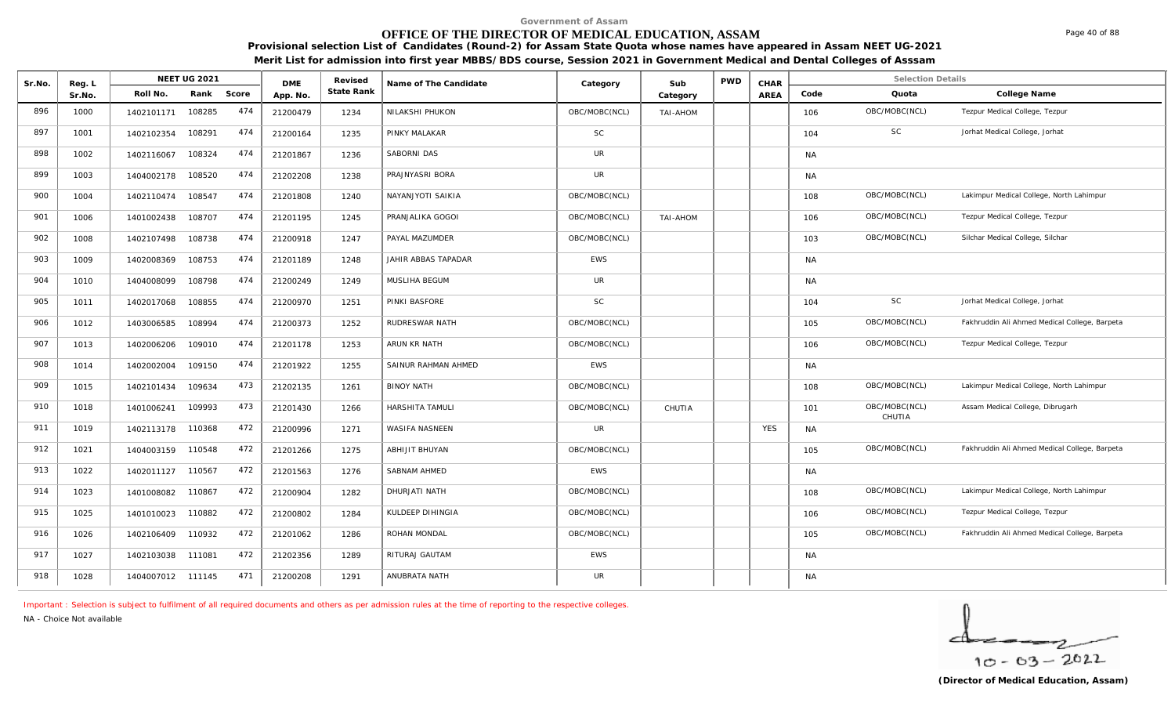# **OFFICE OF THE DIRECTOR OF MEDICAL EDUCATION, ASSAM**

**Provisional selection List of Candidates (Round-2) for Assam State Quota whose names have appeared in Assam NEET UG-2021 Merit List for admission into first year MBBS/BDS course, Session 2021 in Government Medical and Dental Colleges of Asssam**

| Sr.No. | Reg. L | <b>NEET UG 2021</b> |        |       | <b>DME</b> | Revised    | Name of The Candidate   | Category      | Sub      | <b>PWD</b> | CHAR       |           | <b>Selection Details</b> |                                               |
|--------|--------|---------------------|--------|-------|------------|------------|-------------------------|---------------|----------|------------|------------|-----------|--------------------------|-----------------------------------------------|
|        | Sr.No. | Roll No.            | Rank   | Score | App. No.   | State Rank |                         |               | Category |            | AREA       | Code      | Quota                    | College Name                                  |
| 896    | 1000   | 1402101171          | 108285 | 474   | 21200479   | 1234       | NILAKSHI PHUKON         | OBC/MOBC(NCL) | TAI-AHOM |            |            | 106       | OBC/MOBC(NCL)            | Tezpur Medical College, Tezpur                |
| 897    | 1001   | 1402102354          | 108291 | 474   | 21200164   | 1235       | PINKY MALAKAR           | <b>SC</b>     |          |            |            | 104       | <b>SC</b>                | Jorhat Medical College, Jorhat                |
| 898    | 1002   | 1402116067          | 108324 | 474   | 21201867   | 1236       | SABORNI DAS             | <b>UR</b>     |          |            |            | <b>NA</b> |                          |                                               |
| 899    | 1003   | 1404002178          | 108520 | 474   | 21202208   | 1238       | PRAJNYASRI BORA         | <b>UR</b>     |          |            |            | <b>NA</b> |                          |                                               |
| 900    | 1004   | 1402110474          | 108547 | 474   | 21201808   | 1240       | NAYANJYOTI SAIKIA       | OBC/MOBC(NCL) |          |            |            | 108       | OBC/MOBC(NCL)            | Lakimpur Medical College, North Lahimpur      |
| 901    | 1006   | 1401002438          | 108707 | 474   | 21201195   | 1245       | PRANJALIKA GOGOI        | OBC/MOBC(NCL) | TAI-AHOM |            |            | 106       | OBC/MOBC(NCL)            | Tezpur Medical College, Tezpur                |
| 902    | 1008   | 1402107498          | 108738 | 474   | 21200918   | 1247       | PAYAL MAZUMDER          | OBC/MOBC(NCL) |          |            |            | 103       | OBC/MOBC(NCL)            | Silchar Medical College, Silchar              |
| 903    | 1009   | 1402008369          | 108753 | 474   | 21201189   | 1248       | JAHIR ABBAS TAPADAR     | <b>EWS</b>    |          |            |            | <b>NA</b> |                          |                                               |
| 904    | 1010   | 1404008099          | 108798 | 474   | 21200249   | 1249       | MUSLIHA BEGUM           | UR            |          |            |            | <b>NA</b> |                          |                                               |
| 905    | 1011   | 1402017068          | 108855 | 474   | 21200970   | 1251       | PINKI BASFORE           | <b>SC</b>     |          |            |            | 104       | $\mathsf{SC}$            | Jorhat Medical College, Jorhat                |
| 906    | 1012   | 1403006585          | 108994 | 474   | 21200373   | 1252       | RUDRESWAR NATH          | OBC/MOBC(NCL) |          |            |            | 105       | OBC/MOBC(NCL)            | Fakhruddin Ali Ahmed Medical College, Barpeta |
| 907    | 1013   | 1402006206          | 109010 | 474   | 21201178   | 1253       | ARUN KR NATH            | OBC/MOBC(NCL) |          |            |            | 106       | OBC/MOBC(NCL)            | Tezpur Medical College, Tezpur                |
| 908    | 1014   | 1402002004          | 109150 | 474   | 21201922   | 1255       | SAINUR RAHMAN AHMED     | EWS           |          |            |            | <b>NA</b> |                          |                                               |
| 909    | 1015   | 1402101434          | 109634 | 473   | 21202135   | 1261       | <b>BINOY NATH</b>       | OBC/MOBC(NCL) |          |            |            | 108       | OBC/MOBC(NCL)            | Lakimpur Medical College, North Lahimpur      |
| 910    | 1018   | 1401006241          | 109993 | 473   | 21201430   | 1266       | HARSHITA TAMULI         | OBC/MOBC(NCL) | CHUTIA   |            |            | 101       | OBC/MOBC(NCL)<br>CHUTIA  | Assam Medical College, Dibrugarh              |
| 911    | 1019   | 1402113178          | 110368 | 472   | 21200996   | 1271       | WASIFA NASNEEN          | UR            |          |            | <b>YES</b> | <b>NA</b> |                          |                                               |
| 912    | 1021   | 1404003159          | 110548 | 472   | 21201266   | 1275       | ABHIJIT BHUYAN          | OBC/MOBC(NCL) |          |            |            | 105       | OBC/MOBC(NCL)            | Fakhruddin Ali Ahmed Medical College, Barpeta |
| 913    | 1022   | 1402011127          | 110567 | 472   | 21201563   | 1276       | <b>SABNAM AHMED</b>     | <b>EWS</b>    |          |            |            | <b>NA</b> |                          |                                               |
| 914    | 1023   | 1401008082          | 110867 | 472   | 21200904   | 1282       | DHURJATI NATH           | OBC/MOBC(NCL) |          |            |            | 108       | OBC/MOBC(NCL)            | Lakimpur Medical College, North Lahimpur      |
| 915    | 1025   | 1401010023          | 110882 | 472   | 21200802   | 1284       | <b>KULDEEP DIHINGIA</b> | OBC/MOBC(NCL) |          |            |            | 106       | OBC/MOBC(NCL)            | Tezpur Medical College, Tezpur                |
| 916    | 1026   | 1402106409          | 110932 | 472   | 21201062   | 1286       | ROHAN MONDAL            | OBC/MOBC(NCL) |          |            |            | 105       | OBC/MOBC(NCL)            | Fakhruddin Ali Ahmed Medical College, Barpeta |
| 917    | 1027   | 1402103038          | 111081 | 472   | 21202356   | 1289       | RITURAJ GAUTAM          | <b>EWS</b>    |          |            |            | <b>NA</b> |                          |                                               |
| 918    | 1028   | 1404007012 111145   |        | 471   | 21200208   | 1291       | ANUBRATA NATH           | <b>UR</b>     |          |            |            | <b>NA</b> |                          |                                               |

*Important : Selection is subject to fulfilment of all required documents and others as per admission rules at the time of reporting to the respective colleges.*

*NA - Choice Not available*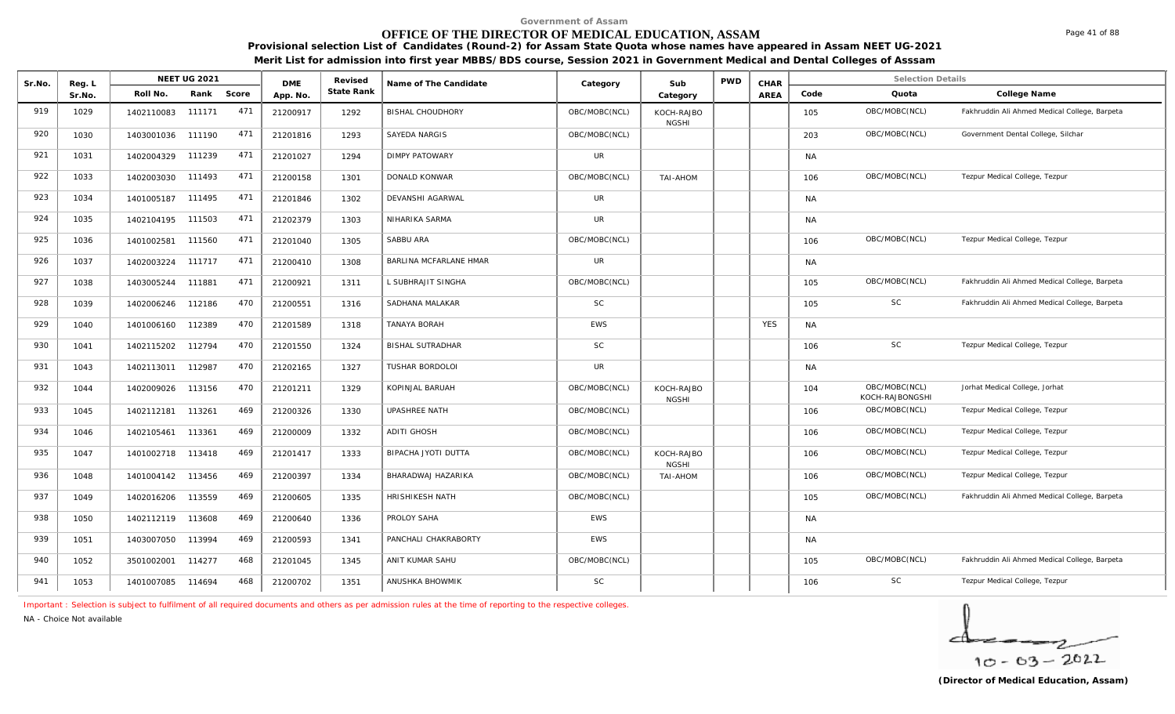# **OFFICE OF THE DIRECTOR OF MEDICAL EDUCATION, ASSAM**

**Provisional selection List of Candidates (Round-2) for Assam State Quota whose names have appeared in Assam NEET UG-2021** 

**Merit List for admission into first year MBBS/BDS course, Session 2021 in Government Medical and Dental Colleges of Asssam**

| Sr.No. | Reg. L |                   | <b>NEET UG 2021</b> |       | <b>DMF</b> | Revised    | Name of The Candidate   | Category      | Sub                        | <b>PWD</b> | CHAR       |           | <b>Selection Details</b>         |                                               |
|--------|--------|-------------------|---------------------|-------|------------|------------|-------------------------|---------------|----------------------------|------------|------------|-----------|----------------------------------|-----------------------------------------------|
|        | Sr.No. | Roll No.          | Rank                | Score | App. No.   | State Rank |                         |               | Category                   |            | AREA       | Code      | Quota                            | College Name                                  |
| 919    | 1029   | 1402110083        | 111171              | 471   | 21200917   | 1292       | <b>BISHAL CHOUDHORY</b> | OBC/MOBC(NCL) | KOCH-RAJBO<br><b>NGSHI</b> |            |            | 105       | OBC/MOBC(NCL)                    | Fakhruddin Ali Ahmed Medical College, Barpeta |
| 920    | 1030   | 1403001036        | 111190              | 471   | 21201816   | 1293       | SAYEDA NARGIS           | OBC/MOBC(NCL) |                            |            |            | 203       | OBC/MOBC(NCL)                    | Government Dental College, Silchar            |
| 921    | 1031   | 1402004329        | 111239              | 471   | 21201027   | 1294       | <b>DIMPY PATOWARY</b>   | <b>UR</b>     |                            |            |            | <b>NA</b> |                                  |                                               |
| 922    | 1033   | 1402003030        | 111493              | 471   | 21200158   | 1301       | DONALD KONWAR           | OBC/MOBC(NCL) | TAI-AHOM                   |            |            | 106       | OBC/MOBC(NCL)                    | Tezpur Medical College, Tezpur                |
| 923    | 1034   | 1401005187        | 111495              | 471   | 21201846   | 1302       | DEVANSHI AGARWAL        | UR            |                            |            |            | <b>NA</b> |                                  |                                               |
| 924    | 1035   | 1402104195 111503 |                     | 471   | 21202379   | 1303       | NIHARIKA SARMA          | <b>UR</b>     |                            |            |            | <b>NA</b> |                                  |                                               |
| 925    | 1036   | 1401002581        | 111560              | 471   | 21201040   | 1305       | SABBU ARA               | OBC/MOBC(NCL) |                            |            |            | 106       | OBC/MOBC(NCL)                    | Tezpur Medical College, Tezpur                |
| 926    | 1037   | 1402003224        | 111717              | 471   | 21200410   | 1308       | BARLINA MCFARLANE HMAR  | <b>UR</b>     |                            |            |            | <b>NA</b> |                                  |                                               |
| 927    | 1038   | 1403005244        | 111881              | 471   | 21200921   | 1311       | L SUBHRAJIT SINGHA      | OBC/MOBC(NCL) |                            |            |            | 105       | OBC/MOBC(NCL)                    | Fakhruddin Ali Ahmed Medical College, Barpeta |
| 928    | 1039   | 1402006246        | 112186              | 470   | 21200551   | 1316       | SADHANA MALAKAR         | <b>SC</b>     |                            |            |            | 105       | <b>SC</b>                        | Fakhruddin Ali Ahmed Medical College, Barpeta |
| 929    | 1040   | 1401006160        | 112389              | 470   | 21201589   | 1318       | TANAYA BORAH            | <b>EWS</b>    |                            |            | <b>YES</b> | <b>NA</b> |                                  |                                               |
| 930    | 1041   | 1402115202        | 112794              | 470   | 21201550   | 1324       | <b>BISHAL SUTRADHAR</b> | <b>SC</b>     |                            |            |            | 106       | <b>SC</b>                        | Tezpur Medical College, Tezpur                |
| 931    | 1043   | 1402113011        | 112987              | 470   | 21202165   | 1327       | <b>TUSHAR BORDOLOI</b>  | <b>UR</b>     |                            |            |            | <b>NA</b> |                                  |                                               |
| 932    | 1044   | 1402009026        | 113156              | 470   | 21201211   | 1329       | KOPINJAL BARUAH         | OBC/MOBC(NCL) | KOCH-RAJBO<br><b>NGSHI</b> |            |            | 104       | OBC/MOBC(NCL)<br>KOCH-RAJBONGSHI | Jorhat Medical College, Jorhat                |
| 933    | 1045   | 1402112181        | 113261              | 469   | 21200326   | 1330       | UPASHREE NATH           | OBC/MOBC(NCL) |                            |            |            | 106       | OBC/MOBC(NCL)                    | Tezpur Medical College, Tezpur                |
| 934    | 1046   | 1402105461        | 113361              | 469   | 21200009   | 1332       | <b>ADITI GHOSH</b>      | OBC/MOBC(NCL) |                            |            |            | 106       | OBC/MOBC(NCL)                    | Tezpur Medical College, Tezpur                |
| 935    | 1047   | 1401002718        | 113418              | 469   | 21201417   | 1333       | BIPACHA JYOTI DUTTA     | OBC/MOBC(NCL) | KOCH-RAJBO<br><b>NGSHI</b> |            |            | 106       | OBC/MOBC(NCL)                    | Tezpur Medical College, Tezpur                |
| 936    | 1048   | 1401004142        | 113456              | 469   | 21200397   | 1334       | BHARADWAJ HAZARIKA      | OBC/MOBC(NCL) | TAI-AHOM                   |            |            | 106       | OBC/MOBC(NCL)                    | Tezpur Medical College, Tezpur                |
| 937    | 1049   | 1402016206 113559 |                     | 469   | 21200605   | 1335       | <b>HRISHIKESH NATH</b>  | OBC/MOBC(NCL) |                            |            |            | 105       | OBC/MOBC(NCL)                    | Fakhruddin Ali Ahmed Medical College, Barpeta |
| 938    | 1050   | 1402112119 113608 |                     | 469   | 21200640   | 1336       | PROLOY SAHA             | <b>EWS</b>    |                            |            |            | <b>NA</b> |                                  |                                               |
| 939    | 1051   | 1403007050 113994 |                     | 469   | 21200593   | 1341       | PANCHALI CHAKRABORTY    | <b>EWS</b>    |                            |            |            | <b>NA</b> |                                  |                                               |
| 940    | 1052   | 3501002001        | 114277              | 468   | 21201045   | 1345       | ANIT KUMAR SAHU         | OBC/MOBC(NCL) |                            |            |            | 105       | OBC/MOBC(NCL)                    | Fakhruddin Ali Ahmed Medical College, Barpeta |
| 941    | 1053   | 1401007085        | 114694              | 468   | 21200702   | 1351       | ANUSHKA BHOWMIK         | SC            |                            |            |            | 106       | $\mathsf{SC}$                    | Tezpur Medical College, Tezpur                |

*Important : Selection is subject to fulfilment of all required documents and others as per admission rules at the time of reporting to the respective colleges.*

*NA - Choice Not available*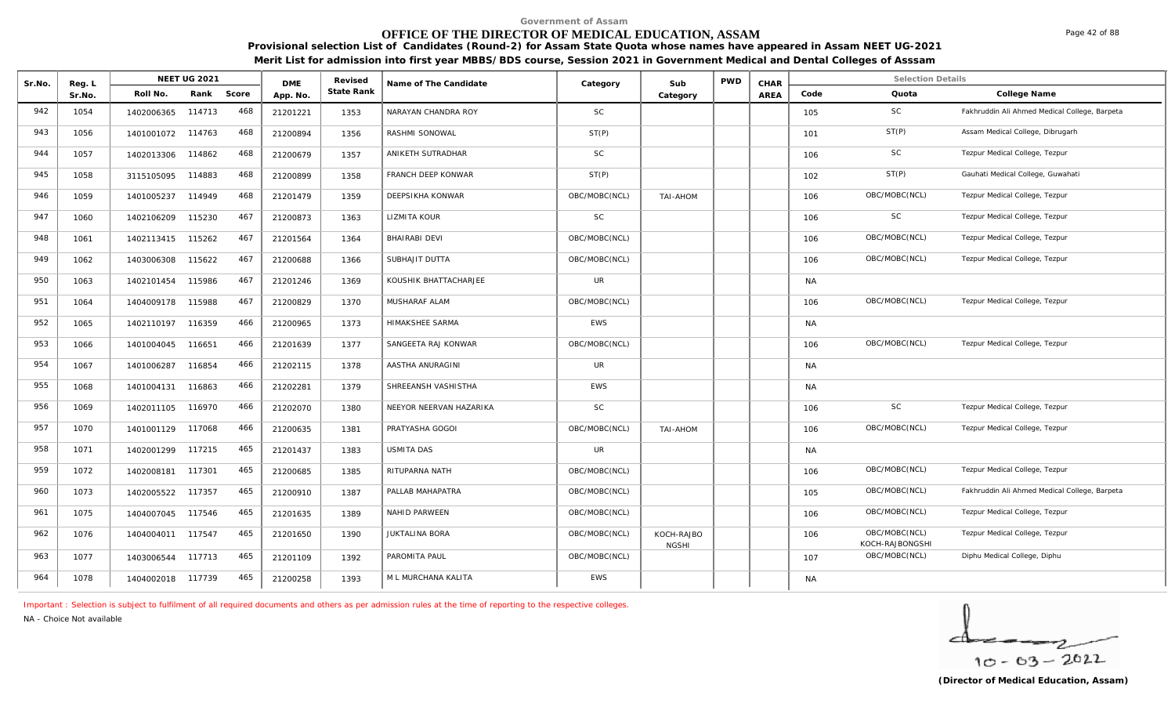# **OFFICE OF THE DIRECTOR OF MEDICAL EDUCATION, ASSAM**

**Provisional selection List of Candidates (Round-2) for Assam State Quota whose names have appeared in Assam NEET UG-2021 Merit List for admission into first year MBBS/BDS course, Session 2021 in Government Medical and Dental Colleges of Asssam**

| Sr.No. | Reg. L |                   | <b>NEET UG 2021</b> |     | <b>DME</b> | Revised    | Name of The Candidate   | Category      | Sub                        | <b>PWD</b> | CHAR |           | <b>Selection Details</b>         |                                               |
|--------|--------|-------------------|---------------------|-----|------------|------------|-------------------------|---------------|----------------------------|------------|------|-----------|----------------------------------|-----------------------------------------------|
|        | Sr.No. | Roll No.          | Rank Score          |     | App. No.   | State Rank |                         |               | Category                   |            | AREA | Code      | Quota                            | College Name                                  |
| 942    | 1054   | 1402006365        | 114713              | 468 | 21201221   | 1353       | NARAYAN CHANDRA ROY     | <b>SC</b>     |                            |            |      | 105       | SC.                              | Fakhruddin Ali Ahmed Medical College, Barpeta |
| 943    | 1056   | 1401001072        | 114763              | 468 | 21200894   | 1356       | RASHMI SONOWAL          | ST(P)         |                            |            |      | 101       | ST(P)                            | Assam Medical College, Dibrugarh              |
| 944    | 1057   | 1402013306        | 114862              | 468 | 21200679   | 1357       | ANIKETH SUTRADHAR       | <b>SC</b>     |                            |            |      | 106       | <b>SC</b>                        | Tezpur Medical College, Tezpur                |
| 945    | 1058   | 3115105095        | 114883              | 468 | 21200899   | 1358       | FRANCH DEEP KONWAR      | ST(P)         |                            |            |      | 102       | ST(P)                            | Gauhati Medical College, Guwahati             |
| 946    | 1059   | 1401005237        | 114949              | 468 | 21201479   | 1359       | DEEPSIKHA KONWAR        | OBC/MOBC(NCL) | <b>TAI-AHOM</b>            |            |      | 106       | OBC/MOBC(NCL)                    | Tezpur Medical College, Tezpur                |
| 947    | 1060   | 1402106209        | 115230              | 467 | 21200873   | 1363       | LIZMITA KOUR            | <b>SC</b>     |                            |            |      | 106       | <b>SC</b>                        | Tezpur Medical College, Tezpur                |
| 948    | 1061   | 1402113415        | 115262              | 467 | 21201564   | 1364       | <b>BHAIRABI DEVI</b>    | OBC/MOBC(NCL) |                            |            |      | 106       | OBC/MOBC(NCL)                    | Tezpur Medical College, Tezpur                |
| 949    | 1062   | 1403006308        | 115622              | 467 | 21200688   | 1366       | SUBHAJIT DUTTA          | OBC/MOBC(NCL) |                            |            |      | 106       | OBC/MOBC(NCL)                    | Tezpur Medical College, Tezpur                |
| 950    | 1063   | 1402101454        | 115986              | 467 | 21201246   | 1369       | KOUSHIK BHATTACHARJEE   | <b>UR</b>     |                            |            |      | NA        |                                  |                                               |
| 951    | 1064   | 1404009178        | 115988              | 467 | 21200829   | 1370       | MUSHARAF ALAM           | OBC/MOBC(NCL) |                            |            |      | 106       | OBC/MOBC(NCL)                    | Tezpur Medical College, Tezpur                |
| 952    | 1065   | 1402110197        | 116359              | 466 | 21200965   | 1373       | HIMAKSHEE SARMA         | EWS           |                            |            |      | <b>NA</b> |                                  |                                               |
| 953    | 1066   | 1401004045        | 116651              | 466 | 21201639   | 1377       | SANGEETA RAJ KONWAR     | OBC/MOBC(NCL) |                            |            |      | 106       | OBC/MOBC(NCL)                    | Tezpur Medical College, Tezpur                |
| 954    | 1067   | 1401006287        | 116854              | 466 | 21202115   | 1378       | AASTHA ANURAGINI        | <b>UR</b>     |                            |            |      | <b>NA</b> |                                  |                                               |
| 955    | 1068   | 1401004131        | 116863              | 466 | 21202281   | 1379       | SHREEANSH VASHISTHA     | <b>EWS</b>    |                            |            |      | <b>NA</b> |                                  |                                               |
| 956    | 1069   | 1402011105        | 116970              | 466 | 21202070   | 1380       | NEEYOR NEERVAN HAZARIKA | <b>SC</b>     |                            |            |      | 106       | SC                               | Tezpur Medical College, Tezpur                |
| 957    | 1070   | 1401001129        | 117068              | 466 | 21200635   | 1381       | PRATYASHA GOGOI         | OBC/MOBC(NCL) | TAI-AHOM                   |            |      | 106       | OBC/MOBC(NCL)                    | Tezpur Medical College, Tezpur                |
| 958    | 1071   | 1402001299        | 117215              | 465 | 21201437   | 1383       | USMITA DAS              | <b>UR</b>     |                            |            |      | <b>NA</b> |                                  |                                               |
| 959    | 1072   | 1402008181        | 117301              | 465 | 21200685   | 1385       | RITUPARNA NATH          | OBC/MOBC(NCL) |                            |            |      | 106       | OBC/MOBC(NCL)                    | Tezpur Medical College, Tezpur                |
| 960    | 1073   | 1402005522        | 117357              | 465 | 21200910   | 1387       | PALLAB MAHAPATRA        | OBC/MOBC(NCL) |                            |            |      | 105       | OBC/MOBC(NCL)                    | Fakhruddin Ali Ahmed Medical College, Barpeta |
| 961    | 1075   | 1404007045        | 117546              | 465 | 21201635   | 1389       | <b>NAHID PARWEEN</b>    | OBC/MOBC(NCL) |                            |            |      | 106       | OBC/MOBC(NCL)                    | Tezpur Medical College, Tezpur                |
| 962    | 1076   | 1404004011        | 117547              | 465 | 21201650   | 1390       | <b>JUKTALINA BORA</b>   | OBC/MOBC(NCL) | KOCH-RAJBO<br><b>NGSHI</b> |            |      | 106       | OBC/MOBC(NCL)<br>KOCH-RAJBONGSHI | Tezpur Medical College, Tezpur                |
| 963    | 1077   | 1403006544        | 117713              | 465 | 21201109   | 1392       | PAROMITA PAUL           | OBC/MOBC(NCL) |                            |            |      | 107       | OBC/MOBC(NCL)                    | Diphu Medical College, Diphu                  |
| 964    | 1078   | 1404002018 117739 |                     | 465 | 21200258   | 1393       | M L MURCHANA KALITA     | <b>EWS</b>    |                            |            |      | <b>NA</b> |                                  |                                               |

*Important : Selection is subject to fulfilment of all required documents and others as per admission rules at the time of reporting to the respective colleges.*

*NA - Choice Not available*

$$
\frac{1}{10-63-2022}
$$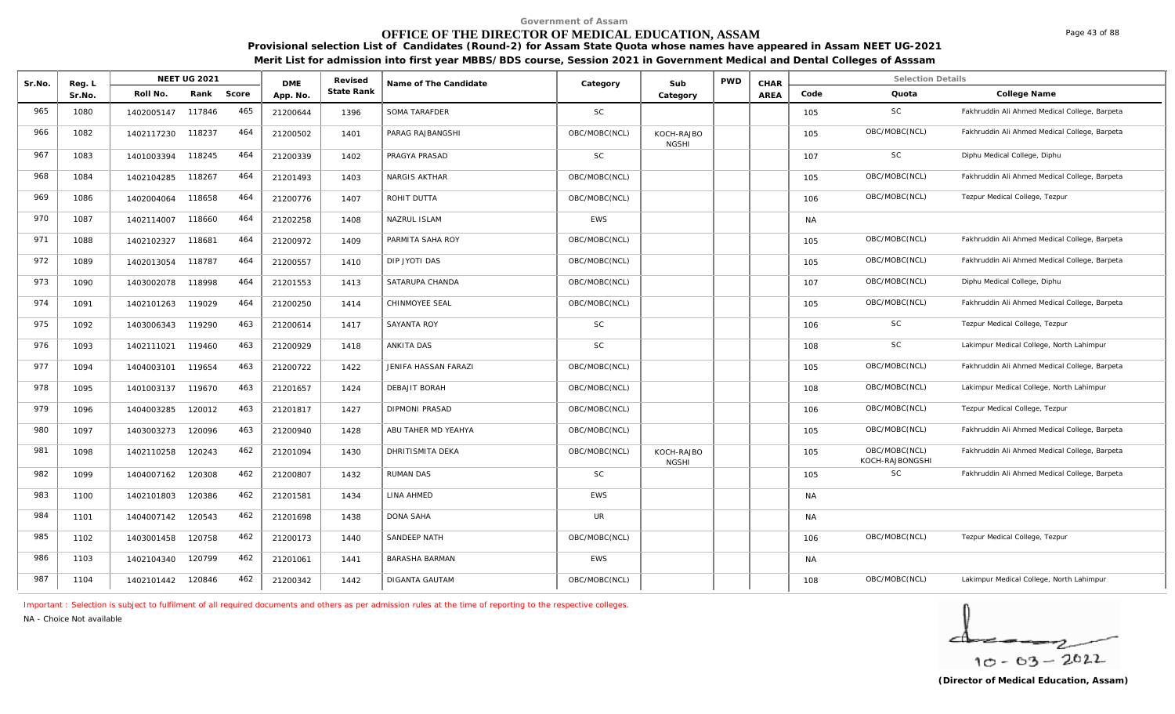# **OFFICE OF THE DIRECTOR OF MEDICAL EDUCATION, ASSAM**

**Provisional selection List of Candidates (Round-2) for Assam State Quota whose names have appeared in Assam NEET UG-2021 Merit List for admission into first year MBBS/BDS course, Session 2021 in Government Medical and Dental Colleges of Asssam**

| Sr.No. | Reg. L |            | <b>NEET UG 2021</b> |       | <b>DME</b> | Revised    | Name of The Candidate | Category      | Sub                        | <b>PWD</b> | CHAR        |           | <b>Selection Details</b>         |                                               |
|--------|--------|------------|---------------------|-------|------------|------------|-----------------------|---------------|----------------------------|------------|-------------|-----------|----------------------------------|-----------------------------------------------|
|        | Sr.No. | Roll No.   | Rank                | Score | App. No.   | State Rank |                       |               | Category                   |            | <b>AREA</b> | Code      | Quota                            | College Name                                  |
| 965    | 1080   | 1402005147 | 117846              | 465   | 21200644   | 1396       | SOMA TARAFDER         | <b>SC</b>     |                            |            |             | 105       | SC                               | Fakhruddin Ali Ahmed Medical College, Barpeta |
| 966    | 1082   | 1402117230 | 118237              | 464   | 21200502   | 1401       | PARAG RAJBANGSHI      | OBC/MOBC(NCL) | KOCH-RAJBO<br><b>NGSHI</b> |            |             | 105       | OBC/MOBC(NCL)                    | Fakhruddin Ali Ahmed Medical College, Barpeta |
| 967    | 1083   | 1401003394 | 118245              | 464   | 21200339   | 1402       | PRAGYA PRASAD         | <b>SC</b>     |                            |            |             | 107       | <b>SC</b>                        | Diphu Medical College, Diphu                  |
| 968    | 1084   | 1402104285 | 118267              | 464   | 21201493   | 1403       | NARGIS AKTHAR         | OBC/MOBC(NCL) |                            |            |             | 105       | OBC/MOBC(NCL)                    | Fakhruddin Ali Ahmed Medical College, Barpeta |
| 969    | 1086   | 1402004064 | 118658              | 464   | 21200776   | 1407       | ROHIT DUTTA           | OBC/MOBC(NCL) |                            |            |             | 106       | OBC/MOBC(NCL)                    | Tezpur Medical College, Tezpur                |
| 970    | 1087   | 1402114007 | 118660              | 464   | 21202258   | 1408       | NAZRUL ISLAM          | <b>EWS</b>    |                            |            |             | <b>NA</b> |                                  |                                               |
| 971    | 1088   | 1402102327 | 118681              | 464   | 21200972   | 1409       | PARMITA SAHA ROY      | OBC/MOBC(NCL) |                            |            |             | 105       | OBC/MOBC(NCL)                    | Fakhruddin Ali Ahmed Medical College, Barpeta |
| 972    | 1089   | 1402013054 | 118787              | 464   | 21200557   | 1410       | DIP JYOTI DAS         | OBC/MOBC(NCL) |                            |            |             | 105       | OBC/MOBC(NCL)                    | Fakhruddin Ali Ahmed Medical College, Barpeta |
| 973    | 1090   | 1403002078 | 118998              | 464   | 21201553   | 1413       | SATARUPA CHANDA       | OBC/MOBC(NCL) |                            |            |             | 107       | OBC/MOBC(NCL)                    | Diphu Medical College, Diphu                  |
| 974    | 1091   | 1402101263 | 119029              | 464   | 21200250   | 1414       | CHINMOYEE SEAL        | OBC/MOBC(NCL) |                            |            |             | 105       | OBC/MOBC(NCL)                    | Fakhruddin Ali Ahmed Medical College, Barpeta |
| 975    | 1092   | 1403006343 | 119290              | 463   | 21200614   | 1417       | SAYANTA ROY           | <b>SC</b>     |                            |            |             | 106       | SC                               | Tezpur Medical College, Tezpur                |
| 976    | 1093   | 1402111021 | 119460              | 463   | 21200929   | 1418       | ANKITA DAS            | <b>SC</b>     |                            |            |             | 108       | SC                               | Lakimpur Medical College, North Lahimpur      |
| 977    | 1094   | 1404003101 | 119654              | 463   | 21200722   | 1422       | JENIFA HASSAN FARAZI  | OBC/MOBC(NCL) |                            |            |             | 105       | OBC/MOBC(NCL)                    | Fakhruddin Ali Ahmed Medical College, Barpeta |
| 978    | 1095   | 1401003137 | 119670              | 463   | 21201657   | 1424       | DEBAJIT BORAH         | OBC/MOBC(NCL) |                            |            |             | 108       | OBC/MOBC(NCL)                    | Lakimpur Medical College, North Lahimpur      |
| 979    | 1096   | 1404003285 | 120012              | 463   | 21201817   | 1427       | DIPMONI PRASAD        | OBC/MOBC(NCL) |                            |            |             | 106       | OBC/MOBC(NCL)                    | Tezpur Medical College, Tezpur                |
| 980    | 1097   | 1403003273 | 120096              | 463   | 21200940   | 1428       | ABU TAHER MD YEAHYA   | OBC/MOBC(NCL) |                            |            |             | 105       | OBC/MOBC(NCL)                    | Fakhruddin Ali Ahmed Medical College, Barpeta |
| 981    | 1098   | 1402110258 | 120243              | 462   | 21201094   | 1430       | DHRITISMITA DEKA      | OBC/MOBC(NCL) | KOCH-RAJBO<br><b>NGSHI</b> |            |             | 105       | OBC/MOBC(NCL)<br>KOCH-RAJBONGSHI | Fakhruddin Ali Ahmed Medical College, Barpeta |
| 982    | 1099   | 1404007162 | 120308              | 462   | 21200807   | 1432       | <b>RUMAN DAS</b>      | <b>SC</b>     |                            |            |             | 105       | SC                               | Fakhruddin Ali Ahmed Medical College, Barpeta |
| 983    | 1100   | 1402101803 | 120386              | 462   | 21201581   | 1434       | LINA AHMED            | <b>EWS</b>    |                            |            |             | NA        |                                  |                                               |
| 984    | 1101   | 1404007142 | 120543              | 462   | 21201698   | 1438       | <b>DONA SAHA</b>      | <b>UR</b>     |                            |            |             | <b>NA</b> |                                  |                                               |
| 985    | 1102   | 1403001458 | 120758              | 462   | 21200173   | 1440       | SANDEEP NATH          | OBC/MOBC(NCL) |                            |            |             | 106       | OBC/MOBC(NCL)                    | Tezpur Medical College, Tezpur                |
| 986    | 1103   | 1402104340 | 120799              | 462   | 21201061   | 1441       | BARASHA BARMAN        | <b>EWS</b>    |                            |            |             | <b>NA</b> |                                  |                                               |
| 987    | 1104   | 1402101442 | 120846              | 462   | 21200342   | 1442       | DIGANTA GAUTAM        | OBC/MOBC(NCL) |                            |            |             | 108       | OBC/MOBC(NCL)                    | Lakimpur Medical College, North Lahimpur      |

*Important : Selection is subject to fulfilment of all required documents and others as per admission rules at the time of reporting to the respective colleges.*

*NA - Choice Not available*

 $10 - 63 - 2022$ 

Page 43 of 88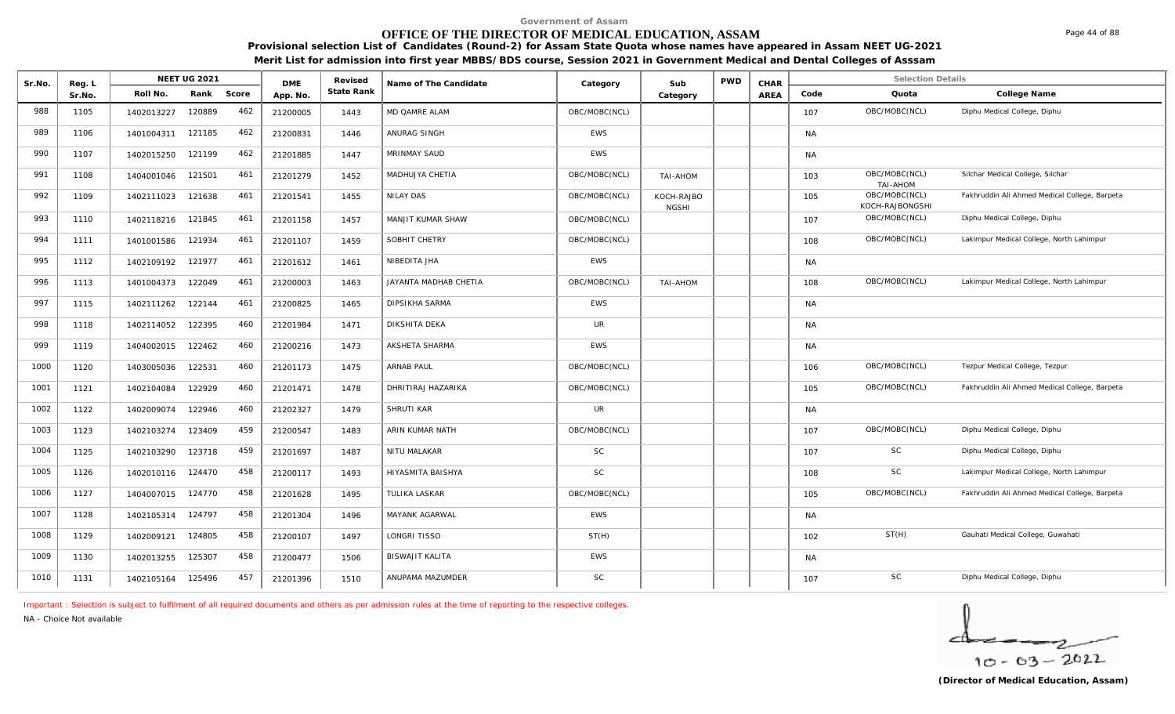# **OFFICE OF THE DIRECTOR OF MEDICAL EDUCATION, ASSAM**

**Provisional selection List of Candidates (Round-2) for Assam State Quota whose names have appeared in Assam NEET UG-2021 Merit List for admission into first year MBBS/BDS course, Session 2021 in Government Medical and Dental Colleges of Asssam**

| Sr.No. | Reg. L |                   | <b>NEET UG 2021</b> |       | <b>DME</b> | Revised           | Name of The Candidate | Category      | Sub                        | <b>PWD</b> | CHAR |           | <b>Selection Details</b>         |                                               |
|--------|--------|-------------------|---------------------|-------|------------|-------------------|-----------------------|---------------|----------------------------|------------|------|-----------|----------------------------------|-----------------------------------------------|
|        | Sr.No. | Roll No.          | Rank                | Score | App. No.   | <b>State Rank</b> |                       |               | Category                   |            | AREA | Code      | Quota                            | College Name                                  |
| 988    | 1105   | 1402013227        | 120889              | 462   | 21200005   | 1443              | MD QAMRE ALAM         | OBC/MOBC(NCL) |                            |            |      | 107       | OBC/MOBC(NCL)                    | Diphu Medical College, Diphu                  |
| 989    | 1106   | 1401004311        | 121185              | 462   | 21200831   | 1446              | ANURAG SINGH          | EWS           |                            |            |      | <b>NA</b> |                                  |                                               |
| 990    | 1107   | 1402015250        | 121199              | 462   | 21201885   | 1447              | MRINMAY SAUD          | EWS           |                            |            |      | <b>NA</b> |                                  |                                               |
| 991    | 1108   | 1404001046        | 121501              | 461   | 21201279   | 1452              | MADHUJYA CHETIA       | OBC/MOBC(NCL) | TAI-AHOM                   |            |      | 103       | OBC/MOBC(NCL)<br>TAI-AHOM        | Silchar Medical College, Silchar              |
| 992    | 1109   | 1402111023        | 121638              | 461   | 21201541   | 1455              | NILAY DAS             | OBC/MOBC(NCL) | KOCH-RAJBO<br><b>NGSHI</b> |            |      | 105       | OBC/MOBC(NCL)<br>KOCH-RAJBONGSHI | Fakhruddin Ali Ahmed Medical College, Barpeta |
| 993    | 1110   | 1402118216 121845 |                     | 461   | 21201158   | 1457              | MANJIT KUMAR SHAW     | OBC/MOBC(NCL) |                            |            |      | 107       | OBC/MOBC(NCL)                    | Diphu Medical College, Diphu                  |
| 994    | 1111   | 1401001586        | 121934              | 461   | 21201107   | 1459              | SOBHIT CHETRY         | OBC/MOBC(NCL) |                            |            |      | 108       | OBC/MOBC(NCL)                    | Lakimpur Medical College, North Lahimpur      |
| 995    | 1112   | 1402109192        | 121977              | 461   | 21201612   | 1461              | NIBEDITA JHA          | EWS           |                            |            |      | <b>NA</b> |                                  |                                               |
| 996    | 1113   | 1401004373        | 122049              | 461   | 21200003   | 1463              | JAYANTA MADHAB CHETIA | OBC/MOBC(NCL) | TAI-AHOM                   |            |      | 108       | OBC/MOBC(NCL)                    | Lakimpur Medical College, North Lahimpur      |
| 997    | 1115   | 1402111262        | 122144              | 461   | 21200825   | 1465              | <b>DIPSIKHA SARMA</b> | EWS           |                            |            |      | <b>NA</b> |                                  |                                               |
| 998    | 1118   | 1402114052        | 122395              | 460   | 21201984   | 1471              | DIKSHITA DEKA         | <b>UR</b>     |                            |            |      | <b>NA</b> |                                  |                                               |
| 999    | 1119   | 1404002015        | 122462              | 460   | 21200216   | 1473              | AKSHETA SHARMA        | EWS           |                            |            |      | <b>NA</b> |                                  |                                               |
| 1000   | 1120   | 1403005036        | 122531              | 460   | 21201173   | 1475              | <b>ARNAB PAUL</b>     | OBC/MOBC(NCL) |                            |            |      | 106       | OBC/MOBC(NCL)                    | Tezpur Medical College, Tezpur                |
| 1001   | 1121   | 1402104084        | 122929              | 460   | 21201471   | 1478              | DHRITIRAJ HAZARIKA    | OBC/MOBC(NCL) |                            |            |      | 105       | OBC/MOBC(NCL)                    | Fakhruddin Ali Ahmed Medical College, Barpeta |
| 1002   | 1122   | 1402009074        | 122946              | 460   | 21202327   | 1479              | SHRUTI KAR            | <b>UR</b>     |                            |            |      | <b>NA</b> |                                  |                                               |
| 1003   | 1123   | 1402103274        | 123409              | 459   | 21200547   | 1483              | ARIN KUMAR NATH       | OBC/MOBC(NCL) |                            |            |      | 107       | OBC/MOBC(NCL)                    | Diphu Medical College, Diphu                  |
| 1004   | 1125   | 1402103290        | 123718              | 459   | 21201697   | 1487              | NITU MALAKAR          | <b>SC</b>     |                            |            |      | 107       | SC                               | Diphu Medical College, Diphu                  |
| 1005   | 1126   | 1402010116        | 124470              | 458   | 21200117   | 1493              | HIYASMITA BAISHYA     | <b>SC</b>     |                            |            |      | 108       | SC                               | Lakimpur Medical College, North Lahimpur      |
| 1006   | 1127   | 1404007015        | 124770              | 458   | 21201628   | 1495              | <b>TULIKA LASKAR</b>  | OBC/MOBC(NCL) |                            |            |      | 105       | OBC/MOBC(NCL)                    | Fakhruddin Ali Ahmed Medical College, Barpeta |
| 1007   | 1128   | 1402105314 124797 |                     | 458   | 21201304   | 1496              | MAYANK AGARWAL        | <b>EWS</b>    |                            |            |      | <b>NA</b> |                                  |                                               |

1008 | 1129 | 1402009121 124805 458 | 21200107 | 1497 |LONGRITISSO | ST(H) | ST(H) | | | | | | | | | | | | | ST(H) Gauhati Medical College, Guwahati

1010 | 1131 | 1402105164 125496 457 | 21201396 | 1510 |ANUPAMA<code>MAZUMDER</code> SC | | | | | | | 107 SC Diphu Medical College, Diphu Medical College, Diphu Medical College, Diphu Medical College, Diphu Medical College, Diphu Medi

*Important : Selection is subject to fulfilment of all required documents and others as per admission rules at the time of reporting to the respective colleges.*

1009 1130 1402013255 125307 458 21200477 1506 BISWAJIT KALITA EWS NA

*NA - Choice Not available*

$$
\frac{1}{10-63-2022}
$$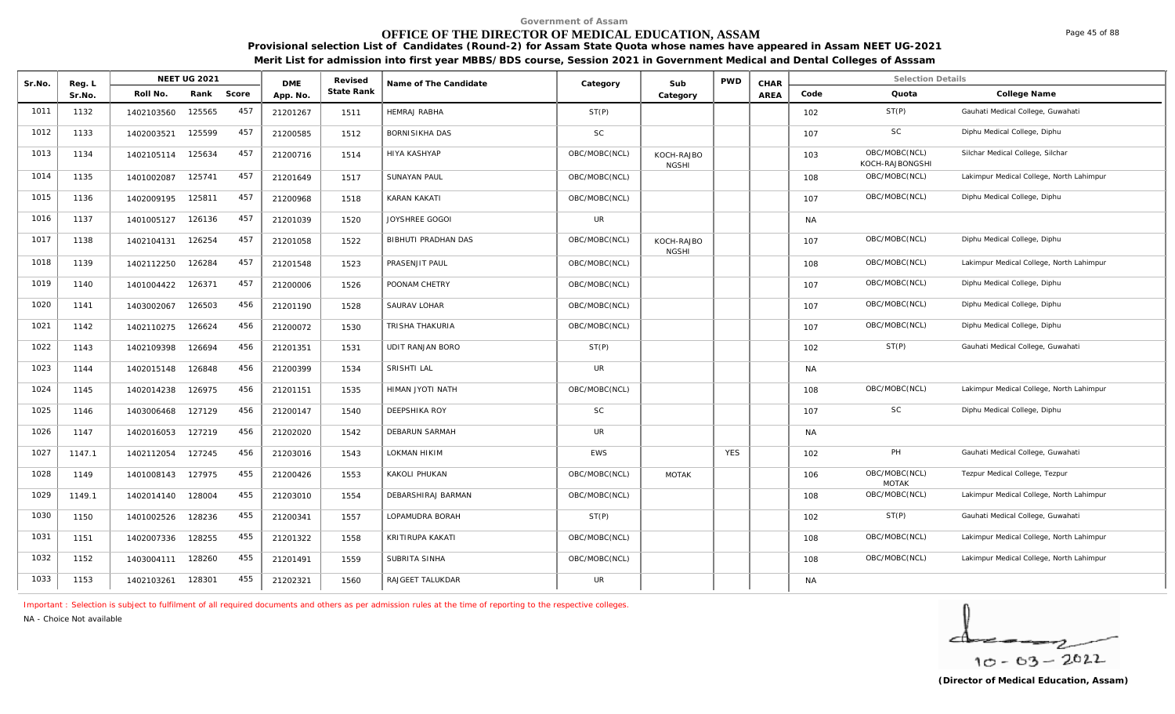# **OFFICE OF THE DIRECTOR OF MEDICAL EDUCATION, ASSAM**

**Provisional selection List of Candidates (Round-2) for Assam State Quota whose names have appeared in Assam NEET UG-2021 Merit List for admission into first year MBBS/BDS course, Session 2021 in Government Medical and Dental Colleges of Asssam**

| Sr.No. | Reg. L |            | <b>NEET UG 2021</b> |       | <b>DME</b> | Revised    | Name of The Candidate | Category      | Sub                        | <b>PWD</b> | CHAR        |           | <b>Selection Details</b>         |                                          |
|--------|--------|------------|---------------------|-------|------------|------------|-----------------------|---------------|----------------------------|------------|-------------|-----------|----------------------------------|------------------------------------------|
|        | Sr.No. | Roll No.   | Rank                | Score | App. No.   | State Rank |                       |               | Category                   |            | <b>AREA</b> | Code      | Quota                            | College Name                             |
| 1011   | 1132   | 1402103560 | 125565              | 457   | 21201267   | 1511       | <b>HEMRAJ RABHA</b>   | ST(P)         |                            |            |             | 102       | ST(P)                            | Gauhati Medical College, Guwahati        |
| 1012   | 1133   | 1402003521 | 125599              | 457   | 21200585   | 1512       | BORNISIKHA DAS        | SC            |                            |            |             | 107       | <b>SC</b>                        | Diphu Medical College, Diphu             |
| 1013   | 1134   | 1402105114 | 125634              | 457   | 21200716   | 1514       | HIYA KASHYAP          | OBC/MOBC(NCL) | KOCH-RAJBO<br><b>NGSHI</b> |            |             | 103       | OBC/MOBC(NCL)<br>KOCH-RAJBONGSHI | Silchar Medical College, Silchar         |
| 1014   | 1135   | 1401002087 | 125741              | 457   | 21201649   | 1517       | <b>SUNAYAN PAUL</b>   | OBC/MOBC(NCL) |                            |            |             | 108       | OBC/MOBC(NCL)                    | Lakimpur Medical College, North Lahimpur |
| 1015   | 1136   | 1402009195 | 125811              | 457   | 21200968   | 1518       | KARAN KAKATI          | OBC/MOBC(NCL) |                            |            |             | 107       | OBC/MOBC(NCL)                    | Diphu Medical College, Diphu             |
| 1016   | 1137   | 1401005127 | 126136              | 457   | 21201039   | 1520       | JOYSHREE GOGOI        | <b>UR</b>     |                            |            |             | <b>NA</b> |                                  |                                          |
| 1017   | 1138   | 1402104131 | 126254              | 457   | 21201058   | 1522       | BIBHUTI PRADHAN DAS   | OBC/MOBC(NCL) | KOCH-RAJBO<br><b>NGSHI</b> |            |             | 107       | OBC/MOBC(NCL)                    | Diphu Medical College, Diphu             |
| 1018   | 1139   | 1402112250 | 126284              | 457   | 21201548   | 1523       | PRASENJIT PAUL        | OBC/MOBC(NCL) |                            |            |             | 108       | OBC/MOBC(NCL)                    | Lakimpur Medical College, North Lahimpur |
| 1019   | 1140   | 1401004422 | 126371              | 457   | 21200006   | 1526       | POONAM CHETRY         | OBC/MOBC(NCL) |                            |            |             | 107       | OBC/MOBC(NCL)                    | Diphu Medical College, Diphu             |
| 1020   | 1141   | 1403002067 | 126503              | 456   | 21201190   | 1528       | SAURAV LOHAR          | OBC/MOBC(NCL) |                            |            |             | 107       | OBC/MOBC(NCL)                    | Diphu Medical College, Diphu             |
| 1021   | 1142   | 1402110275 | 126624              | 456   | 21200072   | 1530       | TRISHA THAKURIA       | OBC/MOBC(NCL) |                            |            |             | 107       | OBC/MOBC(NCL)                    | Diphu Medical College, Diphu             |
| 1022   | 1143   | 1402109398 | 126694              | 456   | 21201351   | 1531       | UDIT RANJAN BORO      | ST(P)         |                            |            |             | 102       | ST(P)                            | Gauhati Medical College, Guwahati        |
| 1023   | 1144   | 1402015148 | 126848              | 456   | 21200399   | 1534       | <b>SRISHTI LAL</b>    | <b>UR</b>     |                            |            |             | <b>NA</b> |                                  |                                          |
| 1024   | 1145   | 1402014238 | 126975              | 456   | 21201151   | 1535       | HIMAN JYOTI NATH      | OBC/MOBC(NCL) |                            |            |             | 108       | OBC/MOBC(NCL)                    | Lakimpur Medical College, North Lahimpur |
| 1025   | 1146   | 1403006468 | 127129              | 456   | 21200147   | 1540       | DEEPSHIKA ROY         | <b>SC</b>     |                            |            |             | 107       | <b>SC</b>                        | Diphu Medical College, Diphu             |
| 1026   | 1147   | 1402016053 | 127219              | 456   | 21202020   | 1542       | DEBARUN SARMAH        | <b>UR</b>     |                            |            |             | <b>NA</b> |                                  |                                          |
| 1027   | 1147.1 | 1402112054 | 127245              | 456   | 21203016   | 1543       | LOKMAN HIKIM          | <b>EWS</b>    |                            | <b>YES</b> |             | 102       | PH                               | Gauhati Medical College, Guwahati        |
| 1028   | 1149   | 1401008143 | 127975              | 455   | 21200426   | 1553       | KAKOLI PHUKAN         | OBC/MOBC(NCL) | <b>MOTAK</b>               |            |             | 106       | OBC/MOBC(NCL)<br><b>MOTAK</b>    | Tezpur Medical College, Tezpur           |
| 1029   | 1149.1 | 1402014140 | 128004              | 455   | 21203010   | 1554       | DEBARSHIRAJ BARMAN    | OBC/MOBC(NCL) |                            |            |             | 108       | OBC/MOBC(NCL)                    | Lakimpur Medical College, North Lahimpur |
| 1030   | 1150   | 1401002526 | 128236              | 455   | 21200341   | 1557       | LOPAMUDRA BORAH       | ST(P)         |                            |            |             | 102       | ST(P)                            | Gauhati Medical College, Guwahati        |
| 1031   | 1151   | 1402007336 | 128255              | 455   | 21201322   | 1558       | KRITIRUPA KAKATI      | OBC/MOBC(NCL) |                            |            |             | 108       | OBC/MOBC(NCL)                    | Lakimpur Medical College, North Lahimpur |
| 1032   | 1152   | 1403004111 | 128260              | 455   | 21201491   | 1559       | SUBRITA SINHA         | OBC/MOBC(NCL) |                            |            |             | 108       | OBC/MOBC(NCL)                    | Lakimpur Medical College, North Lahimpur |
| 1033   | 1153   | 1402103261 | 128301              | 455   | 21202321   | 1560       | RAJGEET TALUKDAR      | UR            |                            |            |             | <b>NA</b> |                                  |                                          |

*Important : Selection is subject to fulfilment of all required documents and others as per admission rules at the time of reporting to the respective colleges.*

*NA - Choice Not available*

$$
\frac{1}{10-03-2022}
$$

Page 45 of 88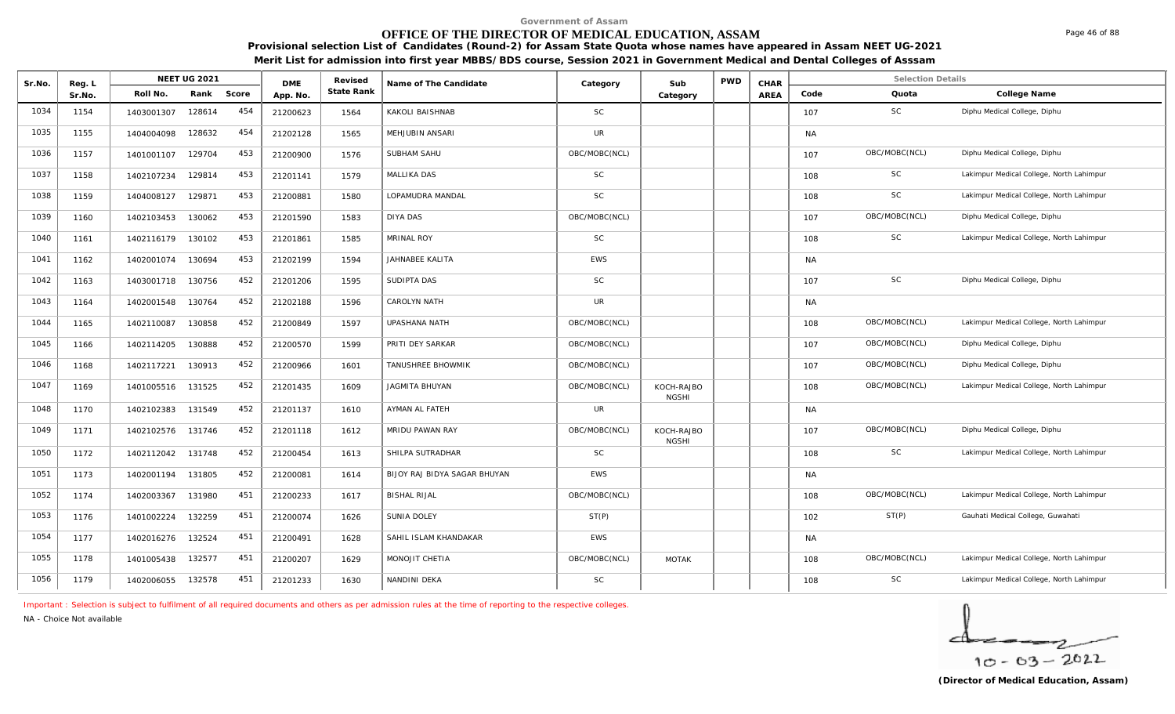# **OFFICE OF THE DIRECTOR OF MEDICAL EDUCATION, ASSAM**

**Provisional selection List of Candidates (Round-2) for Assam State Quota whose names have appeared in Assam NEET UG-2021 Merit List for admission into first year MBBS/BDS course, Session 2021 in Government Medical and Dental Colleges of Asssam**

| Sr.No. | Reg. L |            | NEET UG 2021 |       | <b>DME</b> | Revised    | Name of The Candidate        | Category      | Sub                        | <b>PWD</b> | CHAR |           | <b>Selection Details</b> |                                          |
|--------|--------|------------|--------------|-------|------------|------------|------------------------------|---------------|----------------------------|------------|------|-----------|--------------------------|------------------------------------------|
|        | Sr.No. | Roll No.   | Rank         | Score | App. No.   | State Rank |                              |               | Category                   |            | AREA | Code      | Quota                    | College Name                             |
| 1034   | 1154   | 1403001307 | 128614       | 454   | 21200623   | 1564       | KAKOLI BAISHNAB              | <b>SC</b>     |                            |            |      | 107       | <b>SC</b>                | Diphu Medical College, Diphu             |
| 1035   | 1155   | 1404004098 | 128632       | 454   | 21202128   | 1565       | MEHJUBIN ANSARI              | <b>UR</b>     |                            |            |      | NA        |                          |                                          |
| 1036   | 1157   | 1401001107 | 129704       | 453   | 21200900   | 1576       | SUBHAM SAHU                  | OBC/MOBC(NCL) |                            |            |      | 107       | OBC/MOBC(NCL)            | Diphu Medical College, Diphu             |
| 1037   | 1158   | 1402107234 | 129814       | 453   | 21201141   | 1579       | MALLIKA DAS                  | <b>SC</b>     |                            |            |      | 108       | <b>SC</b>                | Lakimpur Medical College, North Lahimpur |
| 1038   | 1159   | 1404008127 | 129871       | 453   | 21200881   | 1580       | LOPAMUDRA MANDAL             | <b>SC</b>     |                            |            |      | 108       | <b>SC</b>                | Lakimpur Medical College, North Lahimpur |
| 1039   | 1160   | 1402103453 | 130062       | 453   | 21201590   | 1583       | <b>DIYA DAS</b>              | OBC/MOBC(NCL) |                            |            |      | 107       | OBC/MOBC(NCL)            | Diphu Medical College, Diphu             |
| 1040   | 1161   | 1402116179 | 130102       | 453   | 21201861   | 1585       | <b>MRINAL ROY</b>            | <b>SC</b>     |                            |            |      | 108       | SC                       | Lakimpur Medical College, North Lahimpur |
| 1041   | 1162   | 1402001074 | 130694       | 453   | 21202199   | 1594       | JAHNABEE KALITA              | <b>EWS</b>    |                            |            |      | <b>NA</b> |                          |                                          |
| 1042   | 1163   | 1403001718 | 130756       | 452   | 21201206   | 1595       | SUDIPTA DAS                  | <b>SC</b>     |                            |            |      | 107       | <b>SC</b>                | Diphu Medical College, Diphu             |
| 1043   | 1164   | 1402001548 | 130764       | 452   | 21202188   | 1596       | CAROLYN NATH                 | <b>UR</b>     |                            |            |      | NA        |                          |                                          |
| 1044   | 1165   | 1402110087 | 130858       | 452   | 21200849   | 1597       | UPASHANA NATH                | OBC/MOBC(NCL) |                            |            |      | 108       | OBC/MOBC(NCL)            | Lakimpur Medical College, North Lahimpur |
| 1045   | 1166   | 1402114205 | 130888       | 452   | 21200570   | 1599       | PRITI DEY SARKAR             | OBC/MOBC(NCL) |                            |            |      | 107       | OBC/MOBC(NCL)            | Diphu Medical College, Diphu             |
| 1046   | 1168   | 1402117221 | 130913       | 452   | 21200966   | 1601       | TANUSHREE BHOWMIK            | OBC/MOBC(NCL) |                            |            |      | 107       | OBC/MOBC(NCL)            | Diphu Medical College, Diphu             |
| 1047   | 1169   | 1401005516 | 131525       | 452   | 21201435   | 1609       | <b>JAGMITA BHUYAN</b>        | OBC/MOBC(NCL) | KOCH-RAJBO<br><b>NGSHI</b> |            |      | 108       | OBC/MOBC(NCL)            | Lakimpur Medical College, North Lahimpur |
| 1048   | 1170   | 1402102383 | 131549       | 452   | 21201137   | 1610       | AYMAN AL FATEH               | UR            |                            |            |      | <b>NA</b> |                          |                                          |
| 1049   | 1171   | 1402102576 | 131746       | 452   | 21201118   | 1612       | MRIDU PAWAN RAY              | OBC/MOBC(NCL) | KOCH-RAJBO<br><b>NGSHI</b> |            |      | 107       | OBC/MOBC(NCL)            | Diphu Medical College, Diphu             |
| 1050   | 1172   | 1402112042 | 131748       | 452   | 21200454   | 1613       | SHILPA SUTRADHAR             | <b>SC</b>     |                            |            |      | 108       | <b>SC</b>                | Lakimpur Medical College, North Lahimpur |
| 1051   | 1173   | 1402001194 | 131805       | 452   | 21200081   | 1614       | BIJOY RAJ BIDYA SAGAR BHUYAN | <b>EWS</b>    |                            |            |      | NA        |                          |                                          |
| 1052   | 1174   | 1402003367 | 131980       | 451   | 21200233   | 1617       | <b>BISHAL RIJAL</b>          | OBC/MOBC(NCL) |                            |            |      | 108       | OBC/MOBC(NCL)            | Lakimpur Medical College, North Lahimpur |
| 1053   | 1176   | 1401002224 | 132259       | 451   | 21200074   | 1626       | <b>SUNIA DOLEY</b>           | ST(P)         |                            |            |      | 102       | ST(P)                    | Gauhati Medical College, Guwahati        |
| 1054   | 1177   | 1402016276 | 132524       | 451   | 21200491   | 1628       | SAHIL ISLAM KHANDAKAR        | <b>EWS</b>    |                            |            |      | <b>NA</b> |                          |                                          |
| 1055   | 1178   | 1401005438 | 132577       | 451   | 21200207   | 1629       | MONOJIT CHETIA               | OBC/MOBC(NCL) | <b>MOTAK</b>               |            |      | 108       | OBC/MOBC(NCL)            | Lakimpur Medical College, North Lahimpur |
| 1056   | 1179   | 1402006055 | 132578       | 451   | 21201233   | 1630       | NANDINI DEKA                 | SC            |                            |            |      | 108       | SC                       | Lakimpur Medical College, North Lahimpur |

*Important : Selection is subject to fulfilment of all required documents and others as per admission rules at the time of reporting to the respective colleges.*

*NA - Choice Not available*

$$
\frac{1}{10-03-2022}
$$

Page 46 of 88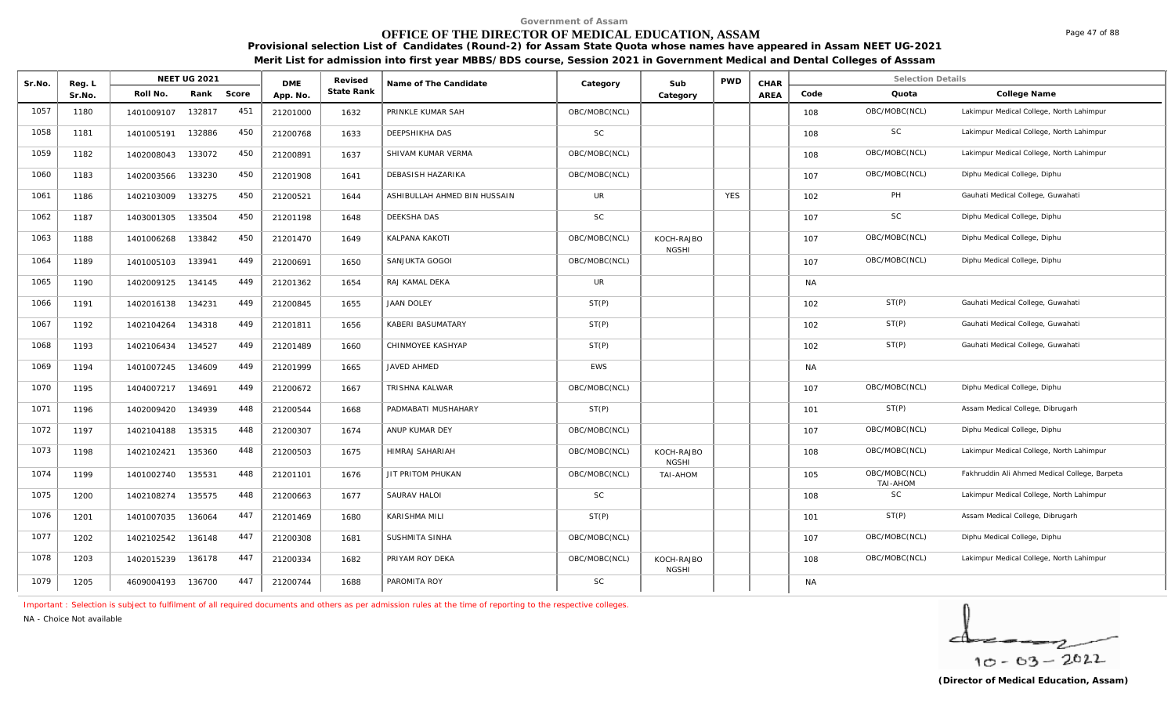# **OFFICE OF THE DIRECTOR OF MEDICAL EDUCATION, ASSAM**

**Provisional selection List of Candidates (Round-2) for Assam State Quota whose names have appeared in Assam NEET UG-2021 Merit List for admission into first year MBBS/BDS course, Session 2021 in Government Medical and Dental Colleges of Asssam**

| Sr.No. | Reg. L | <b>NEET UG 2021</b>  |       | <b>DME</b> | Revised           | Name of The Candidate        | Category      | Sub                        | <b>PWD</b> | CHAR |           | <b>Selection Details</b>  |                                               |
|--------|--------|----------------------|-------|------------|-------------------|------------------------------|---------------|----------------------------|------------|------|-----------|---------------------------|-----------------------------------------------|
|        | Sr.No. | Roll No.<br>Rank     | Score | App. No.   | <b>State Rank</b> |                              |               | Category                   |            | AREA | Code      | Quota                     | College Name                                  |
| 1057   | 1180   | 132817<br>1401009107 | 451   | 21201000   | 1632              | PRINKLE KUMAR SAH            | OBC/MOBC(NCL) |                            |            |      | 108       | OBC/MOBC(NCL)             | Lakimpur Medical College, North Lahimpur      |
| 1058   | 1181   | 132886<br>1401005191 | 450   | 21200768   | 1633              | DEEPSHIKHA DAS               | <b>SC</b>     |                            |            |      | 108       | <b>SC</b>                 | Lakimpur Medical College, North Lahimpur      |
| 1059   | 1182   | 1402008043<br>133072 | 450   | 21200891   | 1637              | SHIVAM KUMAR VERMA           | OBC/MOBC(NCL) |                            |            |      | 108       | OBC/MOBC(NCL)             | Lakimpur Medical College, North Lahimpur      |
| 1060   | 1183   | 133230<br>1402003566 | 450   | 21201908   | 1641              | DEBASISH HAZARIKA            | OBC/MOBC(NCL) |                            |            |      | 107       | OBC/MOBC(NCL)             | Diphu Medical College, Diphu                  |
| 1061   | 1186   | 133275<br>1402103009 | 450   | 21200521   | 1644              | ASHIBULLAH AHMED BIN HUSSAIN | <b>UR</b>     |                            | <b>YES</b> |      | 102       | PH                        | Gauhati Medical College, Guwahati             |
| 1062   | 1187   | 133504<br>1403001305 | 450   | 21201198   | 1648              | DEEKSHA DAS                  | <b>SC</b>     |                            |            |      | 107       | <b>SC</b>                 | Diphu Medical College, Diphu                  |
| 1063   | 1188   | 133842<br>1401006268 | 450   | 21201470   | 1649              | KALPANA KAKOTI               | OBC/MOBC(NCL) | KOCH-RAJBO<br><b>NGSHI</b> |            |      | 107       | OBC/MOBC(NCL)             | Diphu Medical College, Diphu                  |
| 1064   | 1189   | 1401005103<br>133941 | 449   | 21200691   | 1650              | SANJUKTA GOGOI               | OBC/MOBC(NCL) |                            |            |      | 107       | OBC/MOBC(NCL)             | Diphu Medical College, Diphu                  |
| 1065   | 1190   | 134145<br>1402009125 | 449   | 21201362   | 1654              | RAJ KAMAL DEKA               | <b>UR</b>     |                            |            |      | <b>NA</b> |                           |                                               |
| 1066   | 1191   | 1402016138<br>134231 | 449   | 21200845   | 1655              | <b>JAAN DOLEY</b>            | ST(P)         |                            |            |      | 102       | ST(P)                     | Gauhati Medical College, Guwahati             |
| 1067   | 1192   | 134318<br>1402104264 | 449   | 21201811   | 1656              | KABERI BASUMATARY            | ST(P)         |                            |            |      | 102       | ST(P)                     | Gauhati Medical College, Guwahati             |
| 1068   | 1193   | 134527<br>1402106434 | 449   | 21201489   | 1660              | CHINMOYEE KASHYAP            | ST(P)         |                            |            |      | 102       | ST(P)                     | Gauhati Medical College, Guwahati             |
| 1069   | 1194   | 134609<br>1401007245 | 449   | 21201999   | 1665              | JAVED AHMED                  | <b>EWS</b>    |                            |            |      | <b>NA</b> |                           |                                               |
| 1070   | 1195   | 1404007217<br>134691 | 449   | 21200672   | 1667              | TRISHNA KALWAR               | OBC/MOBC(NCL) |                            |            |      | 107       | OBC/MOBC(NCL)             | Diphu Medical College, Diphu                  |
| 1071   | 1196   | 134939<br>1402009420 | 448   | 21200544   | 1668              | PADMABATI MUSHAHARY          | ST(P)         |                            |            |      | 101       | ST(P)                     | Assam Medical College, Dibrugarh              |
| 1072   | 1197   | 135315<br>1402104188 | 448   | 21200307   | 1674              | ANUP KUMAR DEY               | OBC/MOBC(NCL) |                            |            |      | 107       | OBC/MOBC(NCL)             | Diphu Medical College, Diphu                  |
| 1073   | 1198   | 135360<br>1402102421 | 448   | 21200503   | 1675              | <b>HIMRAJ SAHARIAH</b>       | OBC/MOBC(NCL) | KOCH-RAJBO<br><b>NGSHI</b> |            |      | 108       | OBC/MOBC(NCL)             | Lakimpur Medical College, North Lahimpur      |
| 1074   | 1199   | 1401002740<br>135531 | 448   | 21201101   | 1676              | JIT PRITOM PHUKAN            | OBC/MOBC(NCL) | TAI-AHOM                   |            |      | 105       | OBC/MOBC(NCL)<br>TAI-AHOM | Fakhruddin Ali Ahmed Medical College, Barpeta |
| 1075   | 1200   | 135575<br>1402108274 | 448   | 21200663   | 1677              | SAURAV HALOI                 | <b>SC</b>     |                            |            |      | 108       | <b>SC</b>                 | Lakimpur Medical College, North Lahimpur      |
| 1076   | 1201   | 136064<br>1401007035 | 447   | 21201469   | 1680              | KARISHMA MILI                | ST(P)         |                            |            |      | 101       | ST(P)                     | Assam Medical College, Dibrugarh              |
| 1077   | 1202   | 1402102542<br>136148 | 447   | 21200308   | 1681              | SUSHMITA SINHA               | OBC/MOBC(NCL) |                            |            |      | 107       | OBC/MOBC(NCL)             | Diphu Medical College, Diphu                  |
| 1078   | 1203   | 1402015239<br>136178 | 447   | 21200334   | 1682              | PRIYAM ROY DEKA              | OBC/MOBC(NCL) | KOCH-RAJBO<br><b>NGSHI</b> |            |      | 108       | OBC/MOBC(NCL)             | Lakimpur Medical College, North Lahimpur      |
| 1079   | 1205   | 136700<br>4609004193 | 447   | 21200744   | 1688              | PAROMITA ROY                 | <b>SC</b>     |                            |            |      | <b>NA</b> |                           |                                               |

*Important : Selection is subject to fulfilment of all required documents and others as per admission rules at the time of reporting to the respective colleges.*

*NA - Choice Not available*

╭  $10 - 63 - 2022$ 

Page 47 of 88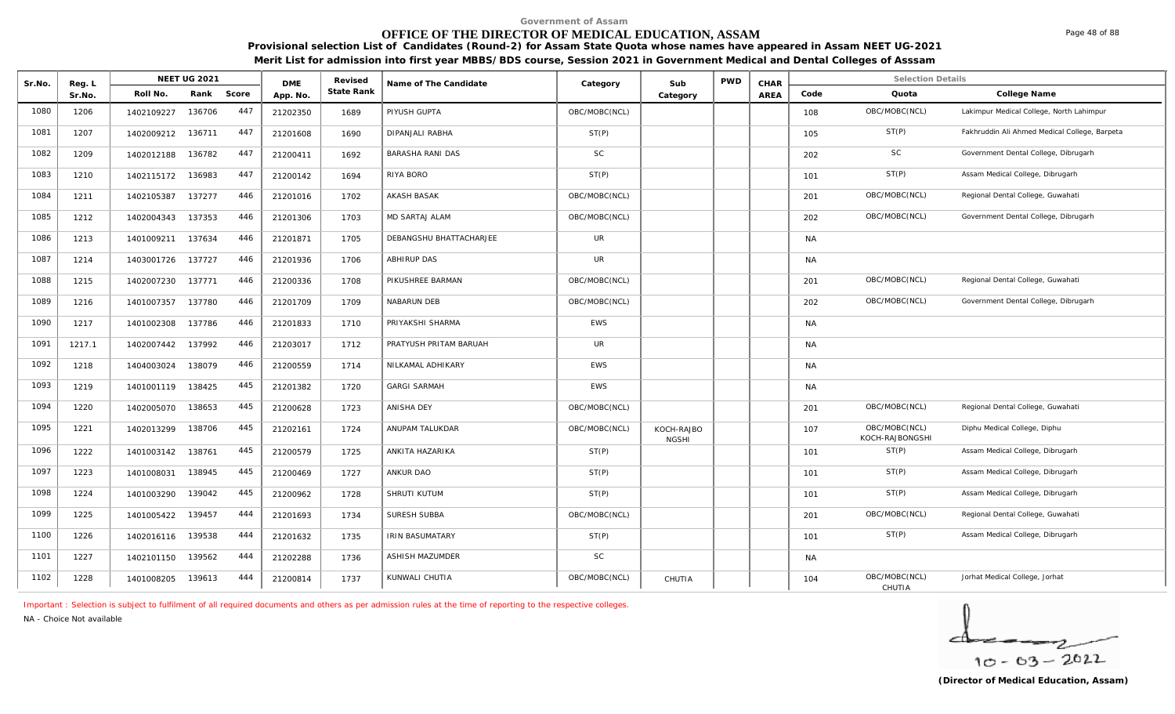# **OFFICE OF THE DIRECTOR OF MEDICAL EDUCATION, ASSAM**

**Provisional selection List of Candidates (Round-2) for Assam State Quota whose names have appeared in Assam NEET UG-2021 Merit List for admission into first year MBBS/BDS course, Session 2021 in Government Medical and Dental Colleges of Asssam**

| Sr.No. | Reg. L | <b>NEET UG 2021</b>  |       | <b>DME</b> | Revised           | Name of The Candidate   | Category      | Sub                        | <b>PWD</b> | CHAR        |           | <b>Selection Details</b>         |                                               |
|--------|--------|----------------------|-------|------------|-------------------|-------------------------|---------------|----------------------------|------------|-------------|-----------|----------------------------------|-----------------------------------------------|
|        | Sr.No. | Roll No.<br>Rank     | Score | App. No.   | <b>State Rank</b> |                         |               | Category                   |            | <b>AREA</b> | Code      | Quota                            | College Name                                  |
| 1080   | 1206   | 136706<br>1402109227 | 447   | 21202350   | 1689              | PIYUSH GUPTA            | OBC/MOBC(NCL) |                            |            |             | 108       | OBC/MOBC(NCL)                    | Lakimpur Medical College, North Lahimpur      |
| 1081   | 1207   | 1402009212 136711    | 447   | 21201608   | 1690              | DIPANJALI RABHA         | ST(P)         |                            |            |             | 105       | ST(P)                            | Fakhruddin Ali Ahmed Medical College, Barpeta |
| 1082   | 1209   | 1402012188<br>136782 | 447   | 21200411   | 1692              | <b>BARASHA RANI DAS</b> | <b>SC</b>     |                            |            |             | 202       | <b>SC</b>                        | Government Dental College, Dibrugarh          |
| 1083   | 1210   | 136983<br>1402115172 | 447   | 21200142   | 1694              | RIYA BORO               | ST(P)         |                            |            |             | 101       | ST(P)                            | Assam Medical College, Dibrugarh              |
| 1084   | 1211   | 137277<br>1402105387 | 446   | 21201016   | 1702              | <b>AKASH BASAK</b>      | OBC/MOBC(NCL) |                            |            |             | 201       | OBC/MOBC(NCL)                    | Regional Dental College, Guwahati             |
| 1085   | 1212   | 137353<br>1402004343 | 446   | 21201306   | 1703              | MD SARTAJ ALAM          | OBC/MOBC(NCL) |                            |            |             | 202       | OBC/MOBC(NCL)                    | Government Dental College, Dibrugarh          |
| 1086   | 1213   | 137634<br>1401009211 | 446   | 21201871   | 1705              | DEBANGSHU BHATTACHARJEE | UR            |                            |            |             | <b>NA</b> |                                  |                                               |
| 1087   | 1214   | 137727<br>1403001726 | 446   | 21201936   | 1706              | <b>ABHIRUP DAS</b>      | <b>UR</b>     |                            |            |             | <b>NA</b> |                                  |                                               |
| 1088   | 1215   | 137771<br>1402007230 | 446   | 21200336   | 1708              | PIKUSHREE BARMAN        | OBC/MOBC(NCL) |                            |            |             | 201       | OBC/MOBC(NCL)                    | Regional Dental College, Guwahati             |
| 1089   | 1216   | 137780<br>1401007357 | 446   | 21201709   | 1709              | NABARUN DEB             | OBC/MOBC(NCL) |                            |            |             | 202       | OBC/MOBC(NCL)                    | Government Dental College, Dibrugarh          |
| 1090   | 1217   | 137786<br>1401002308 | 446   | 21201833   | 1710              | PRIYAKSHI SHARMA        | <b>EWS</b>    |                            |            |             | <b>NA</b> |                                  |                                               |
| 1091   | 1217.1 | 137992<br>1402007442 | 446   | 21203017   | 1712              | PRATYUSH PRITAM BARUAH  | UR            |                            |            |             | <b>NA</b> |                                  |                                               |
| 1092   | 1218   | 138079<br>1404003024 | 446   | 21200559   | 1714              | NILKAMAL ADHIKARY       | <b>EWS</b>    |                            |            |             | <b>NA</b> |                                  |                                               |
| 1093   | 1219   | 1401001119<br>138425 | 445   | 21201382   | 1720              | <b>GARGI SARMAH</b>     | <b>EWS</b>    |                            |            |             | <b>NA</b> |                                  |                                               |
| 1094   | 1220   | 138653<br>1402005070 | 445   | 21200628   | 1723              | ANISHA DEY              | OBC/MOBC(NCL) |                            |            |             | 201       | OBC/MOBC(NCL)                    | Regional Dental College, Guwahati             |
| 1095   | 1221   | 138706<br>1402013299 | 445   | 21202161   | 1724              | ANUPAM TALUKDAR         | OBC/MOBC(NCL) | KOCH-RAJBO<br><b>NGSHI</b> |            |             | 107       | OBC/MOBC(NCL)<br>KOCH-RAJBONGSHI | Diphu Medical College, Diphu                  |
| 1096   | 1222   | 138761<br>1401003142 | 445   | 21200579   | 1725              | ANKITA HAZARIKA         | ST(P)         |                            |            |             | 101       | ST(P)                            | Assam Medical College, Dibrugarh              |
| 1097   | 1223   | 138945<br>1401008031 | 445   | 21200469   | 1727              | ANKUR DAO               | ST(P)         |                            |            |             | 101       | ST(P)                            | Assam Medical College, Dibrugarh              |
| 1098   | 1224   | 139042<br>1401003290 | 445   | 21200962   | 1728              | SHRUTI KUTUM            | ST(P)         |                            |            |             | 101       | ST(P)                            | Assam Medical College, Dibrugarh              |
| 1099   | 1225   | 1401005422<br>139457 | 444   | 21201693   | 1734              | SURESH SUBBA            | OBC/MOBC(NCL) |                            |            |             | 201       | OBC/MOBC(NCL)                    | Regional Dental College, Guwahati             |
| 1100   | 1226   | 139538<br>1402016116 | 444   | 21201632   | 1735              | <b>IRIN BASUMATARY</b>  | ST(P)         |                            |            |             | 101       | ST(P)                            | Assam Medical College, Dibrugarh              |
| 1101   | 1227   | 1402101150<br>139562 | 444   | 21202288   | 1736              | ASHISH MAZUMDER         | <b>SC</b>     |                            |            |             | NA        |                                  |                                               |
| 1102   | 1228   | 139613<br>1401008205 | 444   | 21200814   | 1737              | KUNWALI CHUTIA          | OBC/MOBC(NCL) | CHUTIA                     |            |             | 104       | OBC/MOBC(NCL)<br>CHUTIA          | Jorhat Medical College, Jorhat                |

*Important : Selection is subject to fulfilment of all required documents and others as per admission rules at the time of reporting to the respective colleges.*

*NA - Choice Not available*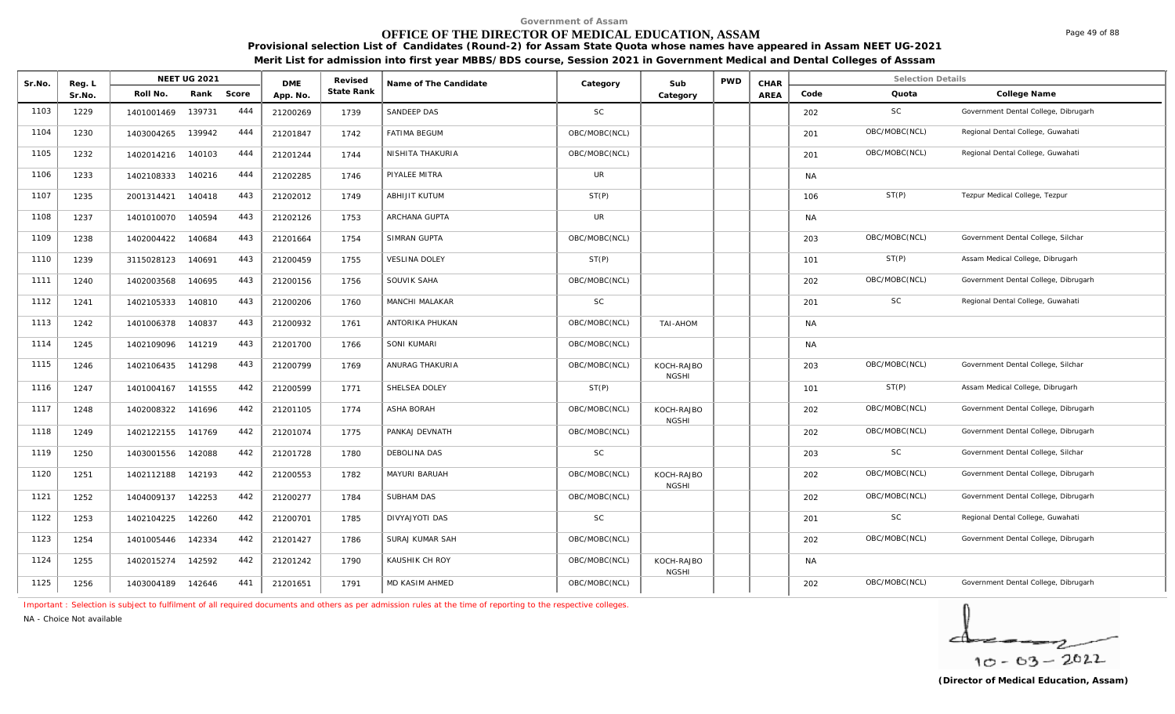# **OFFICE OF THE DIRECTOR OF MEDICAL EDUCATION, ASSAM**

**Provisional selection List of Candidates (Round-2) for Assam State Quota whose names have appeared in Assam NEET UG-2021 Merit List for admission into first year MBBS/BDS course, Session 2021 in Government Medical and Dental Colleges of Asssam**

| Sr.No. | Reg. L |            | NEET UG 2021 |       | <b>DME</b> | Revised    | Name of The Candidate | Category      | Sub                        | <b>PWD</b> | CHAR |           | <b>Selection Details</b> |                                      |
|--------|--------|------------|--------------|-------|------------|------------|-----------------------|---------------|----------------------------|------------|------|-----------|--------------------------|--------------------------------------|
|        | Sr.No. | Roll No.   | Rank         | Score | App. No.   | State Rank |                       |               | Category                   |            | AREA | Code      | Quota                    | College Name                         |
| 1103   | 1229   | 1401001469 | 139731       | 444   | 21200269   | 1739       | SANDEEP DAS           | <b>SC</b>     |                            |            |      | 202       | SC                       | Government Dental College, Dibrugarh |
| 1104   | 1230   | 1403004265 | 139942       | 444   | 21201847   | 1742       | <b>FATIMA BEGUM</b>   | OBC/MOBC(NCL) |                            |            |      | 201       | OBC/MOBC(NCL)            | Regional Dental College, Guwahati    |
| 1105   | 1232   | 1402014216 | 140103       | 444   | 21201244   | 1744       | NISHITA THAKURIA      | OBC/MOBC(NCL) |                            |            |      | 201       | OBC/MOBC(NCL)            | Regional Dental College, Guwahati    |
| 1106   | 1233   | 1402108333 | 140216       | 444   | 21202285   | 1746       | PIYALEE MITRA         | <b>UR</b>     |                            |            |      | <b>NA</b> |                          |                                      |
| 1107   | 1235   | 2001314421 | 140418       | 443   | 21202012   | 1749       | ABHIJIT KUTUM         | ST(P)         |                            |            |      | 106       | ST(P)                    | Tezpur Medical College, Tezpur       |
| 1108   | 1237   | 1401010070 | 140594       | 443   | 21202126   | 1753       | ARCHANA GUPTA         | <b>UR</b>     |                            |            |      | <b>NA</b> |                          |                                      |
| 1109   | 1238   | 1402004422 | 140684       | 443   | 21201664   | 1754       | SIMRAN GUPTA          | OBC/MOBC(NCL) |                            |            |      | 203       | OBC/MOBC(NCL)            | Government Dental College, Silchar   |
| 1110   | 1239   | 3115028123 | 140691       | 443   | 21200459   | 1755       | <b>VESLINA DOLEY</b>  | ST(P)         |                            |            |      | 101       | ST(P)                    | Assam Medical College, Dibrugarh     |
| 1111   | 1240   | 1402003568 | 140695       | 443   | 21200156   | 1756       | SOUVIK SAHA           | OBC/MOBC(NCL) |                            |            |      | 202       | OBC/MOBC(NCL)            | Government Dental College, Dibrugarh |
| 1112   | 1241   | 1402105333 | 140810       | 443   | 21200206   | 1760       | MANCHI MALAKAR        | <b>SC</b>     |                            |            |      | 201       | SC                       | Regional Dental College, Guwahati    |
| 1113   | 1242   | 1401006378 | 140837       | 443   | 21200932   | 1761       | ANTORIKA PHUKAN       | OBC/MOBC(NCL) | TAI-AHOM                   |            |      | <b>NA</b> |                          |                                      |
| 1114   | 1245   | 1402109096 | 141219       | 443   | 21201700   | 1766       | SONI KUMARI           | OBC/MOBC(NCL) |                            |            |      | <b>NA</b> |                          |                                      |
| 1115   | 1246   | 1402106435 | 141298       | 443   | 21200799   | 1769       | ANURAG THAKURIA       | OBC/MOBC(NCL) | KOCH-RAJBO<br><b>NGSHI</b> |            |      | 203       | OBC/MOBC(NCL)            | Government Dental College, Silchar   |
| 1116   | 1247   | 1401004167 | 141555       | 442   | 21200599   | 1771       | SHELSEA DOLEY         | ST(P)         |                            |            |      | 101       | ST(P)                    | Assam Medical College, Dibrugarh     |
| 1117   | 1248   | 1402008322 | 141696       | 442   | 21201105   | 1774       | ASHA BORAH            | OBC/MOBC(NCL) | KOCH-RAJBO<br><b>NGSHI</b> |            |      | 202       | OBC/MOBC(NCL)            | Government Dental College, Dibrugarh |
| 1118   | 1249   | 1402122155 | 141769       | 442   | 21201074   | 1775       | PANKAJ DEVNATH        | OBC/MOBC(NCL) |                            |            |      | 202       | OBC/MOBC(NCL)            | Government Dental College, Dibrugarh |
| 1119   | 1250   | 1403001556 | 142088       | 442   | 21201728   | 1780       | DEBOLINA DAS          | <b>SC</b>     |                            |            |      | 203       | SC                       | Government Dental College, Silchar   |
| 1120   | 1251   | 1402112188 | 142193       | 442   | 21200553   | 1782       | MAYURI BARUAH         | OBC/MOBC(NCL) | KOCH-RAJBO<br><b>NGSHI</b> |            |      | 202       | OBC/MOBC(NCL)            | Government Dental College, Dibrugarh |
| 1121   | 1252   | 1404009137 | 142253       | 442   | 21200277   | 1784       | SUBHAM DAS            | OBC/MOBC(NCL) |                            |            |      | 202       | OBC/MOBC(NCL)            | Government Dental College, Dibrugarh |
| 1122   | 1253   | 1402104225 | 142260       | 442   | 21200701   | 1785       | DIVYAJYOTI DAS        | <b>SC</b>     |                            |            |      | 201       | <b>SC</b>                | Regional Dental College, Guwahati    |
| 1123   | 1254   | 1401005446 | 142334       | 442   | 21201427   | 1786       | SURAJ KUMAR SAH       | OBC/MOBC(NCL) |                            |            |      | 202       | OBC/MOBC(NCL)            | Government Dental College, Dibrugarh |
| 1124   | 1255   | 1402015274 | 142592       | 442   | 21201242   | 1790       | KAUSHIK CH ROY        | OBC/MOBC(NCL) | KOCH-RAJBO<br><b>NGSHI</b> |            |      | <b>NA</b> |                          |                                      |
| 1125   | 1256   | 1403004189 | 142646       | 441   | 21201651   | 1791       | MD KASIM AHMED        | OBC/MOBC(NCL) |                            |            |      | 202       | OBC/MOBC(NCL)            | Government Dental College, Dibrugarh |

*Important : Selection is subject to fulfilment of all required documents and others as per admission rules at the time of reporting to the respective colleges.*

*NA - Choice Not available*

 $10 - 63 - 2022$ 

Page 49 of 88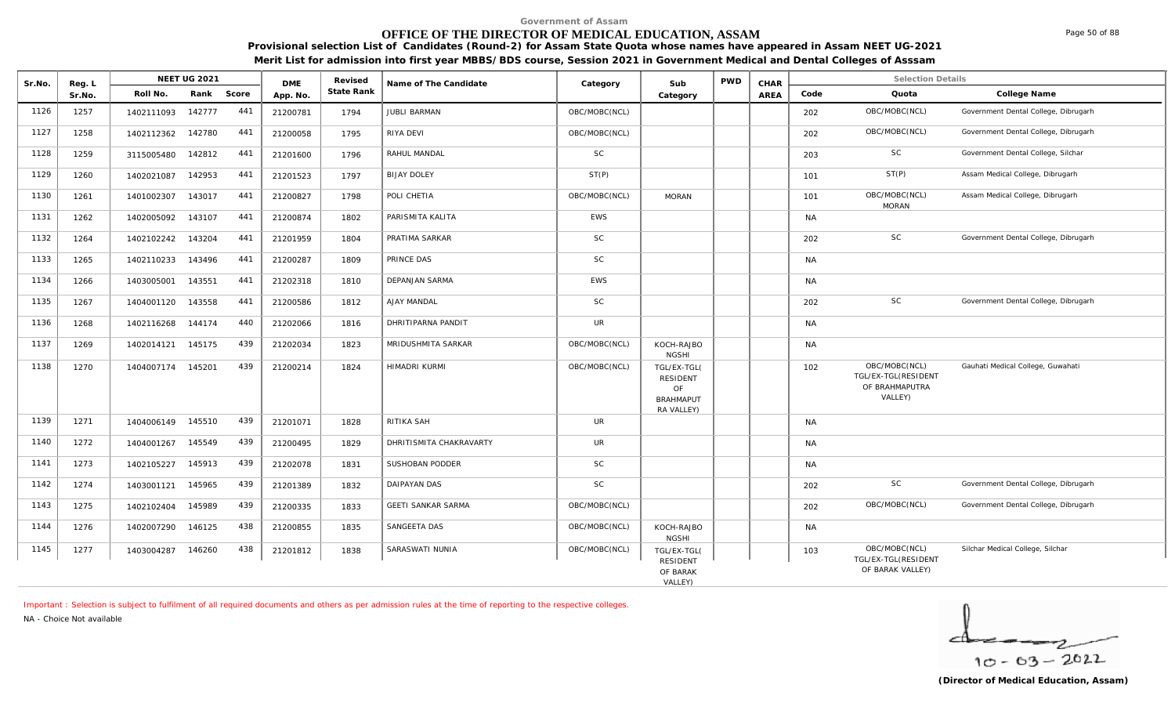# **OFFICE OF THE DIRECTOR OF MEDICAL EDUCATION, ASSAM**

**Provisional selection List of Candidates (Round-2) for Assam State Quota whose names have appeared in Assam NEET UG-2021 Merit List for admission into first year MBBS/BDS course, Session 2021 in Government Medical and Dental Colleges of Asssam**

|        |            | <b>NEET UG 2021</b> |                                        |          | Revised    |                           |                       |                                                          | <b>PWD</b>                                   | CHAR |           | <b>Selection Details</b>                                          |                                      |
|--------|------------|---------------------|----------------------------------------|----------|------------|---------------------------|-----------------------|----------------------------------------------------------|----------------------------------------------|------|-----------|-------------------------------------------------------------------|--------------------------------------|
| Sr.No. | Roll No.   | Rank                |                                        | App. No. | State Rank |                           |                       | Category                                                 |                                              | AREA | Code      | Quota                                                             | College Name                         |
| 1257   | 1402111093 | 142777              | 441                                    | 21200781 | 1794       | <b>JUBLI BARMAN</b>       | OBC/MOBC(NCL)         |                                                          |                                              |      | 202       | OBC/MOBC(NCL)                                                     | Government Dental College, Dibrugarh |
| 1258   | 1402112362 | 142780              | 441                                    | 21200058 | 1795       | RIYA DEVI                 | OBC/MOBC(NCL)         |                                                          |                                              |      | 202       | OBC/MOBC(NCL)                                                     | Government Dental College, Dibrugarh |
| 1259   | 3115005480 | 142812              | 441                                    | 21201600 | 1796       | RAHUL MANDAL              | <b>SC</b>             |                                                          |                                              |      | 203       | SC                                                                | Government Dental College, Silchar   |
| 1260   | 1402021087 | 142953              | 441                                    | 21201523 | 1797       | <b>BIJAY DOLEY</b>        | ST(P)                 |                                                          |                                              |      | 101       | ST(P)                                                             | Assam Medical College, Dibrugarh     |
| 1261   | 1401002307 | 143017              | 441                                    | 21200827 | 1798       | POLI CHETIA               | OBC/MOBC(NCL)         | <b>MORAN</b>                                             |                                              |      | 101       | OBC/MOBC(NCL)                                                     | Assam Medical College, Dibrugarh     |
| 1262   | 1402005092 | 143107              | 441                                    | 21200874 | 1802       | PARISMITA KALITA          | <b>EWS</b>            |                                                          |                                              |      | <b>NA</b> |                                                                   |                                      |
| 1264   | 1402102242 | 143204              | 441                                    | 21201959 | 1804       | PRATIMA SARKAR            | <b>SC</b>             |                                                          |                                              |      | 202       | <b>SC</b>                                                         | Government Dental College, Dibrugarh |
| 1265   | 1402110233 | 143496              | 441                                    | 21200287 | 1809       | PRINCE DAS                | <b>SC</b>             |                                                          |                                              |      | <b>NA</b> |                                                                   |                                      |
| 1266   | 1403005001 | 143551              | 441                                    | 21202318 | 1810       | <b>DEPANJAN SARMA</b>     | <b>EWS</b>            |                                                          |                                              |      | <b>NA</b> |                                                                   |                                      |
| 1267   | 1404001120 | 143558              | 441                                    | 21200586 | 1812       | AJAY MANDAL               | <b>SC</b>             |                                                          |                                              |      | 202       | <b>SC</b>                                                         | Government Dental College, Dibrugarh |
| 1268   | 1402116268 | 144174              | 440                                    | 21202066 | 1816       | DHRITIPARNA PANDIT        | UR                    |                                                          |                                              |      | <b>NA</b> |                                                                   |                                      |
| 1269   | 1402014121 | 145175              | 439                                    | 21202034 | 1823       | MRIDUSHMITA SARKAR        | OBC/MOBC(NCL)         | KOCH-RAJBO                                               |                                              |      | <b>NA</b> |                                                                   |                                      |
| 1270   |            |                     | 439                                    | 21200214 | 1824       | HIMADRI KURMI             | OBC/MOBC(NCL)         | TGL/EX-TGL(<br><b>RESIDENT</b><br>OF<br><b>BRAHMAPUT</b> |                                              |      | 102       | OBC/MOBC(NCL)<br>TGL/EX-TGL(RESIDENT<br>OF BRAHMAPUTRA<br>VALLEY) | Gauhati Medical College, Guwahati    |
| 1271   |            |                     | 439                                    | 21201071 | 1828       | RITIKA SAH                | UR                    |                                                          |                                              |      | <b>NA</b> |                                                                   |                                      |
| 1272   | 1404001267 | 145549              | 439                                    | 21200495 | 1829       | DHRITISMITA CHAKRAVARTY   | <b>UR</b>             |                                                          |                                              |      | <b>NA</b> |                                                                   |                                      |
| 1273   | 1402105227 | 145913              | 439                                    | 21202078 | 1831       | SUSHOBAN PODDER           | <b>SC</b>             |                                                          |                                              |      | <b>NA</b> |                                                                   |                                      |
| 1274   | 1403001121 | 145965              | 439                                    | 21201389 | 1832       | DAIPAYAN DAS              | <b>SC</b>             |                                                          |                                              |      | 202       | <b>SC</b>                                                         | Government Dental College, Dibrugarh |
| 1275   | 1402102404 | 145989              | 439                                    | 21200335 | 1833       | <b>GEETI SANKAR SARMA</b> | OBC/MOBC(NCL)         |                                                          |                                              |      | 202       | OBC/MOBC(NCL)                                                     | Government Dental College, Dibrugarh |
| 1276   | 1402007290 | 146125              | 438                                    | 21200855 | 1835       | SANGEETA DAS              | OBC/MOBC(NCL)         | KOCH-RAJBO<br><b>NGSHI</b>                               |                                              |      | <b>NA</b> |                                                                   |                                      |
| 1277   | 1403004287 | 146260              | 438                                    | 21201812 | 1838       | SARASWATI NUNIA           | OBC/MOBC(NCL)         | TGL/EX-TGL(<br><b>RESIDENT</b><br>OF BARAK               |                                              |      | 103       | OBC/MOBC(NCL)<br>TGL/EX-TGL(RESIDENT<br>OF BARAK VALLEY)          | Silchar Medical College, Silchar     |
|        | Reg. L     |                     | 1404007174 145201<br>1404006149 145510 | Score    | <b>DME</b> |                           | Name of The Candidate | Category                                                 | Sub<br><b>NGSHI</b><br>RA VALLEY)<br>VALLEY) |      |           |                                                                   | <b>MORAN</b>                         |

*Important : Selection is subject to fulfilment of all required documents and others as per admission rules at the time of reporting to the respective colleges.*

*NA - Choice Not available*

 $10 - 63 - 2022$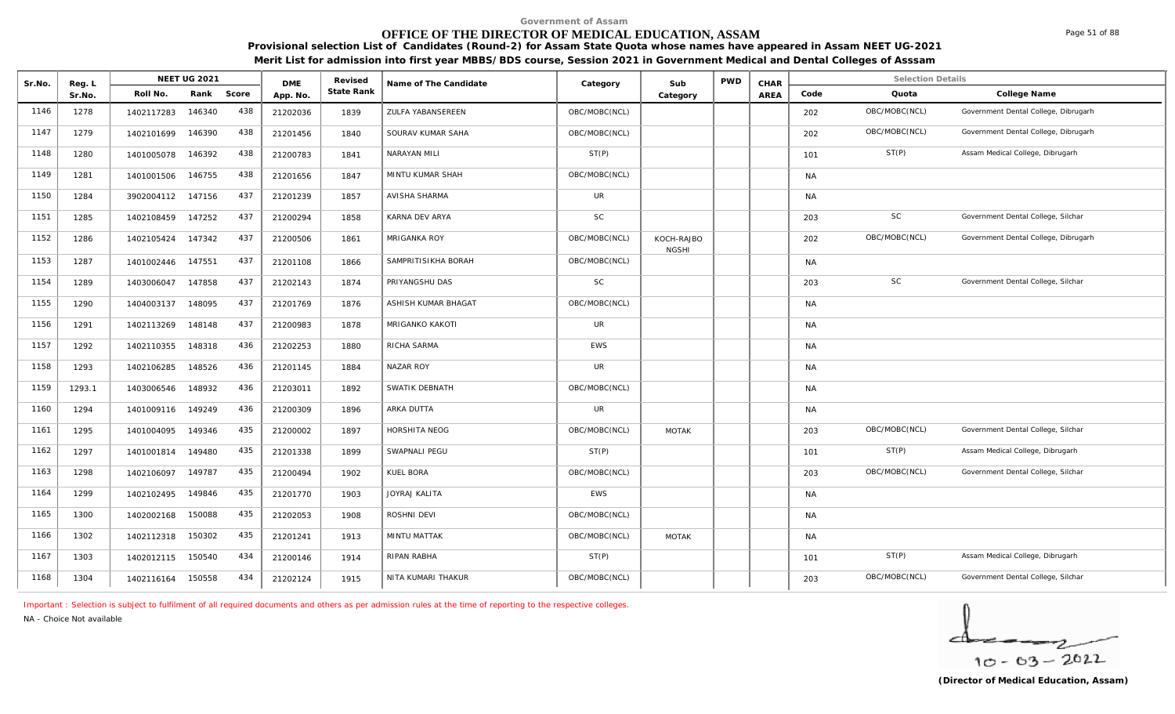# **OFFICE OF THE DIRECTOR OF MEDICAL EDUCATION, ASSAM**

**Provisional selection List of Candidates (Round-2) for Assam State Quota whose names have appeared in Assam NEET UG-2021 Merit List for admission into first year MBBS/BDS course, Session 2021 in Government Medical and Dental Colleges of Asssam**

| Sr.No. | Reg. L |                   | <b>NEET UG 2021</b> |       | <b>DME</b> | Revised    | Name of The Candidate | Category      | Sub                        | <b>PWD</b> | CHAR        |           | <b>Selection Details</b> |                                      |
|--------|--------|-------------------|---------------------|-------|------------|------------|-----------------------|---------------|----------------------------|------------|-------------|-----------|--------------------------|--------------------------------------|
|        | Sr.No. | Roll No.          | Rank                | Score | App. No.   | State Rank |                       |               | Category                   |            | <b>AREA</b> | Code      | Quota                    | College Name                         |
| 1146   | 1278   | 1402117283        | 146340              | 438   | 21202036   | 1839       | ZULFA YABANSEREEN     | OBC/MOBC(NCL) |                            |            |             | 202       | OBC/MOBC(NCL)            | Government Dental College, Dibrugarh |
| 1147   | 1279   | 1402101699        | 146390              | 438   | 21201456   | 1840       | SOURAV KUMAR SAHA     | OBC/MOBC(NCL) |                            |            |             | 202       | OBC/MOBC(NCL)            | Government Dental College, Dibrugarh |
| 1148   | 1280   | 1401005078        | 146392              | 438   | 21200783   | 1841       | NARAYAN MILI          | ST(P)         |                            |            |             | 101       | ST(P)                    | Assam Medical College, Dibrugarh     |
| 1149   | 1281   | 1401001506        | 146755              | 438   | 21201656   | 1847       | MINTU KUMAR SHAH      | OBC/MOBC(NCL) |                            |            |             | <b>NA</b> |                          |                                      |
| 1150   | 1284   | 3902004112 147156 |                     | 437   | 21201239   | 1857       | AVISHA SHARMA         | <b>UR</b>     |                            |            |             | <b>NA</b> |                          |                                      |
| 1151   | 1285   | 1402108459        | 147252              | 437   | 21200294   | 1858       | KARNA DEV ARYA        | <b>SC</b>     |                            |            |             | 203       | $\mathsf{SC}$            | Government Dental College, Silchar   |
| 1152   | 1286   | 1402105424 147342 |                     | 437   | 21200506   | 1861       | <b>MRIGANKA ROY</b>   | OBC/MOBC(NCL) | KOCH-RAJBO<br><b>NGSHI</b> |            |             | 202       | OBC/MOBC(NCL)            | Government Dental College, Dibrugarh |
| 1153   | 1287   | 1401002446        | 147551              | 437   | 21201108   | 1866       | SAMPRITISIKHA BORAH   | OBC/MOBC(NCL) |                            |            |             | <b>NA</b> |                          |                                      |
| 1154   | 1289   | 1403006047        | 147858              | 437   | 21202143   | 1874       | PRIYANGSHU DAS        | SC            |                            |            |             | 203       | <b>SC</b>                | Government Dental College, Silchar   |
| 1155   | 1290   | 1404003137        | 148095              | 437   | 21201769   | 1876       | ASHISH KUMAR BHAGAT   | OBC/MOBC(NCL) |                            |            |             | <b>NA</b> |                          |                                      |
| 1156   | 1291   | 1402113269        | 148148              | 437   | 21200983   | 1878       | MRIGANKO KAKOTI       | UR            |                            |            |             | <b>NA</b> |                          |                                      |
| 1157   | 1292   | 1402110355        | 148318              | 436   | 21202253   | 1880       | RICHA SARMA           | <b>EWS</b>    |                            |            |             | NA.       |                          |                                      |
| 1158   | 1293   | 1402106285        | 148526              | 436   | 21201145   | 1884       | <b>NAZAR ROY</b>      | <b>UR</b>     |                            |            |             | <b>NA</b> |                          |                                      |
| 1159   | 1293.1 | 1403006546        | 148932              | 436   | 21203011   | 1892       | SWATIK DEBNATH        | OBC/MOBC(NCL) |                            |            |             | <b>NA</b> |                          |                                      |
| 1160   | 1294   | 1401009116 149249 |                     | 436   | 21200309   | 1896       | ARKA DUTTA            | UR            |                            |            |             | <b>NA</b> |                          |                                      |
| 1161   | 1295   | 1401004095        | 149346              | 435   | 21200002   | 1897       | HORSHITA NEOG         | OBC/MOBC(NCL) | <b>MOTAK</b>               |            |             | 203       | OBC/MOBC(NCL)            | Government Dental College, Silchar   |
| 1162   | 1297   | 1401001814        | 149480              | 435   | 21201338   | 1899       | SWAPNALI PEGU         | ST(P)         |                            |            |             | 101       | ST(P)                    | Assam Medical College, Dibrugarh     |
| 1163   | 1298   | 1402106097        | 149787              | 435   | 21200494   | 1902       | KUEL BORA             | OBC/MOBC(NCL) |                            |            |             | 203       | OBC/MOBC(NCL)            | Government Dental College, Silchar   |
| 1164   | 1299   | 1402102495        | 149846              | 435   | 21201770   | 1903       | <b>JOYRAJ KALITA</b>  | <b>EWS</b>    |                            |            |             | <b>NA</b> |                          |                                      |
| 1165   | 1300   | 1402002168        | 150088              | 435   | 21202053   | 1908       | ROSHNI DEVI           | OBC/MOBC(NCL) |                            |            |             | <b>NA</b> |                          |                                      |
| 1166   | 1302   | 1402112318        | 150302              | 435   | 21201241   | 1913       | <b>MINTU MATTAK</b>   | OBC/MOBC(NCL) | <b>MOTAK</b>               |            |             | <b>NA</b> |                          |                                      |
| 1167   | 1303   | 1402012115        | 150540              | 434   | 21200146   | 1914       | RIPAN RABHA           | ST(P)         |                            |            |             | 101       | ST(P)                    | Assam Medical College, Dibrugarh     |
| 1168   | 1304   | 1402116164        | 150558              | 434   | 21202124   | 1915       | NITA KUMARI THAKUR    | OBC/MOBC(NCL) |                            |            |             | 203       | OBC/MOBC(NCL)            | Government Dental College, Silchar   |

*Important : Selection is subject to fulfilment of all required documents and others as per admission rules at the time of reporting to the respective colleges.*

*NA - Choice Not available*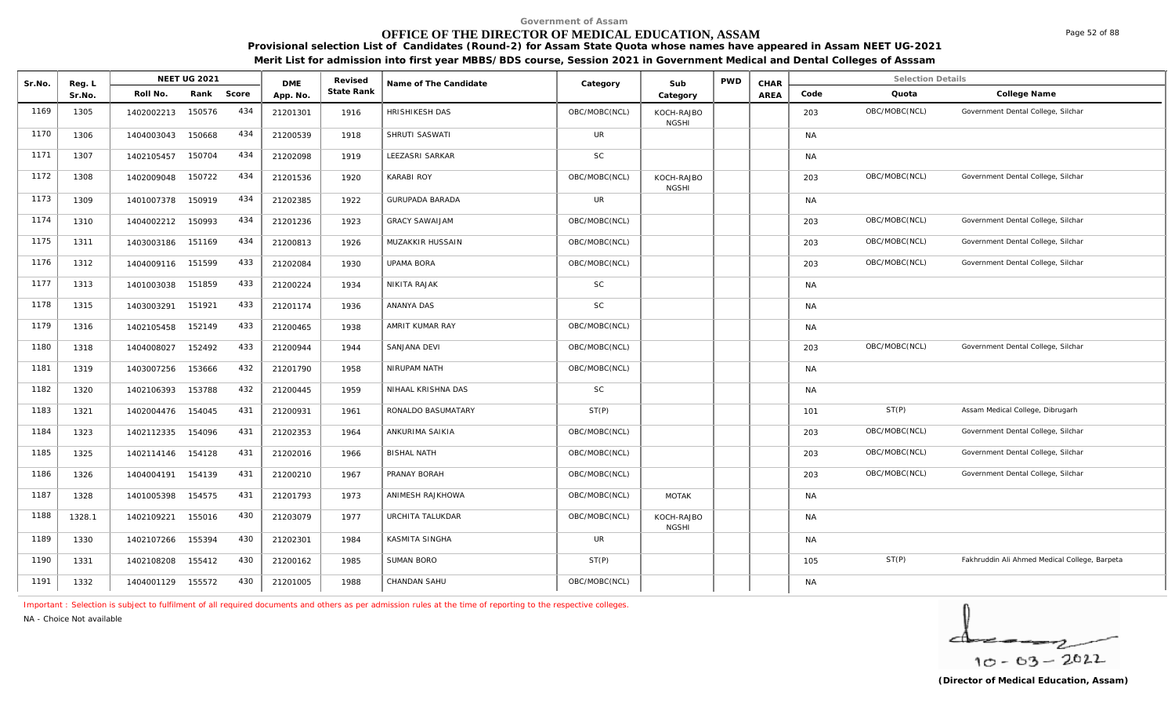# **OFFICE OF THE DIRECTOR OF MEDICAL EDUCATION, ASSAM**

**Provisional selection List of Candidates (Round-2) for Assam State Quota whose names have appeared in Assam NEET UG-2021** 

**Merit List for admission into first year MBBS/BDS course, Session 2021 in Government Medical and Dental Colleges of Asssam**

| Sr.No. | Reg. L |            | <b>NEET UG 2021</b> |       | <b>DME</b> | Revised    | Name of The Candidate  | Category      | Sub                        | <b>PWD</b> | CHAR        |           | <b>Selection Details</b> |                                               |
|--------|--------|------------|---------------------|-------|------------|------------|------------------------|---------------|----------------------------|------------|-------------|-----------|--------------------------|-----------------------------------------------|
|        | Sr.No. | Roll No.   | Rank                | Score | App. No.   | State Rank |                        |               | Category                   |            | <b>AREA</b> | Code      | Quota                    | College Name                                  |
| 1169   | 1305   | 1402002213 | 150576              | 434   | 21201301   | 1916       | HRISHIKESH DAS         | OBC/MOBC(NCL) | KOCH-RAJBO<br><b>NGSHI</b> |            |             | 203       | OBC/MOBC(NCL)            | Government Dental College, Silchar            |
| 1170   | 1306   | 1404003043 | 150668              | 434   | 21200539   | 1918       | SHRUTI SASWATI         | <b>UR</b>     |                            |            |             | <b>NA</b> |                          |                                               |
| 1171   | 1307   | 1402105457 | 150704              | 434   | 21202098   | 1919       | LEEZASRI SARKAR        | <b>SC</b>     |                            |            |             | <b>NA</b> |                          |                                               |
| 1172   | 1308   | 1402009048 | 150722              | 434   | 21201536   | 1920       | <b>KARABI ROY</b>      | OBC/MOBC(NCL) | KOCH-RAJBO<br><b>NGSHI</b> |            |             | 203       | OBC/MOBC(NCL)            | Government Dental College, Silchar            |
| 1173   | 1309   | 1401007378 | 150919              | 434   | 21202385   | 1922       | <b>GURUPADA BARADA</b> | UR            |                            |            |             | <b>NA</b> |                          |                                               |
| 1174   | 1310   | 1404002212 | 150993              | 434   | 21201236   | 1923       | <b>GRACY SAWAIJAM</b>  | OBC/MOBC(NCL) |                            |            |             | 203       | OBC/MOBC(NCL)            | Government Dental College, Silchar            |
| 1175   | 1311   | 1403003186 | 151169              | 434   | 21200813   | 1926       | MUZAKKIR HUSSAIN       | OBC/MOBC(NCL) |                            |            |             | 203       | OBC/MOBC(NCL)            | Government Dental College, Silchar            |
| 1176   | 1312   | 1404009116 | 151599              | 433   | 21202084   | 1930       | <b>UPAMA BORA</b>      | OBC/MOBC(NCL) |                            |            |             | 203       | OBC/MOBC(NCL)            | Government Dental College, Silchar            |
| 1177   | 1313   | 1401003038 | 151859              | 433   | 21200224   | 1934       | NIKITA RAJAK           | <b>SC</b>     |                            |            |             | <b>NA</b> |                          |                                               |
| 1178   | 1315   | 1403003291 | 151921              | 433   | 21201174   | 1936       | ANANYA DAS             | <b>SC</b>     |                            |            |             | <b>NA</b> |                          |                                               |
| 1179   | 1316   | 1402105458 | 152149              | 433   | 21200465   | 1938       | AMRIT KUMAR RAY        | OBC/MOBC(NCL) |                            |            |             | <b>NA</b> |                          |                                               |
| 1180   | 1318   | 1404008027 | 152492              | 433   | 21200944   | 1944       | SANJANA DEVI           | OBC/MOBC(NCL) |                            |            |             | 203       | OBC/MOBC(NCL)            | Government Dental College, Silchar            |
| 1181   | 1319   | 1403007256 | 153666              | 432   | 21201790   | 1958       | NIRUPAM NATH           | OBC/MOBC(NCL) |                            |            |             | <b>NA</b> |                          |                                               |
| 1182   | 1320   | 1402106393 | 153788              | 432   | 21200445   | 1959       | NIHAAL KRISHNA DAS     | SC            |                            |            |             | <b>NA</b> |                          |                                               |
| 1183   | 1321   | 1402004476 | 154045              | 431   | 21200931   | 1961       | RONALDO BASUMATARY     | ST(P)         |                            |            |             | 101       | ST(P)                    | Assam Medical College, Dibrugarh              |
| 1184   | 1323   | 1402112335 | 154096              | 431   | 21202353   | 1964       | ANKURIMA SAIKIA        | OBC/MOBC(NCL) |                            |            |             | 203       | OBC/MOBC(NCL)            | Government Dental College, Silchar            |
| 1185   | 1325   | 1402114146 | 154128              | 431   | 21202016   | 1966       | <b>BISHAL NATH</b>     | OBC/MOBC(NCL) |                            |            |             | 203       | OBC/MOBC(NCL)            | Government Dental College, Silchar            |
| 1186   | 1326   | 1404004191 | 154139              | 431   | 21200210   | 1967       | PRANAY BORAH           | OBC/MOBC(NCL) |                            |            |             | 203       | OBC/MOBC(NCL)            | Government Dental College, Silchar            |
| 1187   | 1328   | 1401005398 | 154575              | 431   | 21201793   | 1973       | ANIMESH RAJKHOWA       | OBC/MOBC(NCL) | MOTAK                      |            |             | <b>NA</b> |                          |                                               |
| 1188   | 1328.1 | 1402109221 | 155016              | 430   | 21203079   | 1977       | URCHITA TALUKDAR       | OBC/MOBC(NCL) | KOCH-RAJBO<br><b>NGSHI</b> |            |             | <b>NA</b> |                          |                                               |
| 1189   | 1330   | 1402107266 | 155394              | 430   | 21202301   | 1984       | KASMITA SINGHA         | <b>UR</b>     |                            |            |             | <b>NA</b> |                          |                                               |
| 1190   | 1331   | 1402108208 | 155412              | 430   | 21200162   | 1985       | <b>SUMAN BORO</b>      | ST(P)         |                            |            |             | 105       | ST(P)                    | Fakhruddin Ali Ahmed Medical College, Barpeta |
| 1191   | 1332   | 1404001129 | 155572              | 430   | 21201005   | 1988       | CHANDAN SAHU           | OBC/MOBC(NCL) |                            |            |             | <b>NA</b> |                          |                                               |

*Important : Selection is subject to fulfilment of all required documents and others as per admission rules at the time of reporting to the respective colleges.*

*NA - Choice Not available*

 $10 - 63 - 2022$ 

Page 52 of 88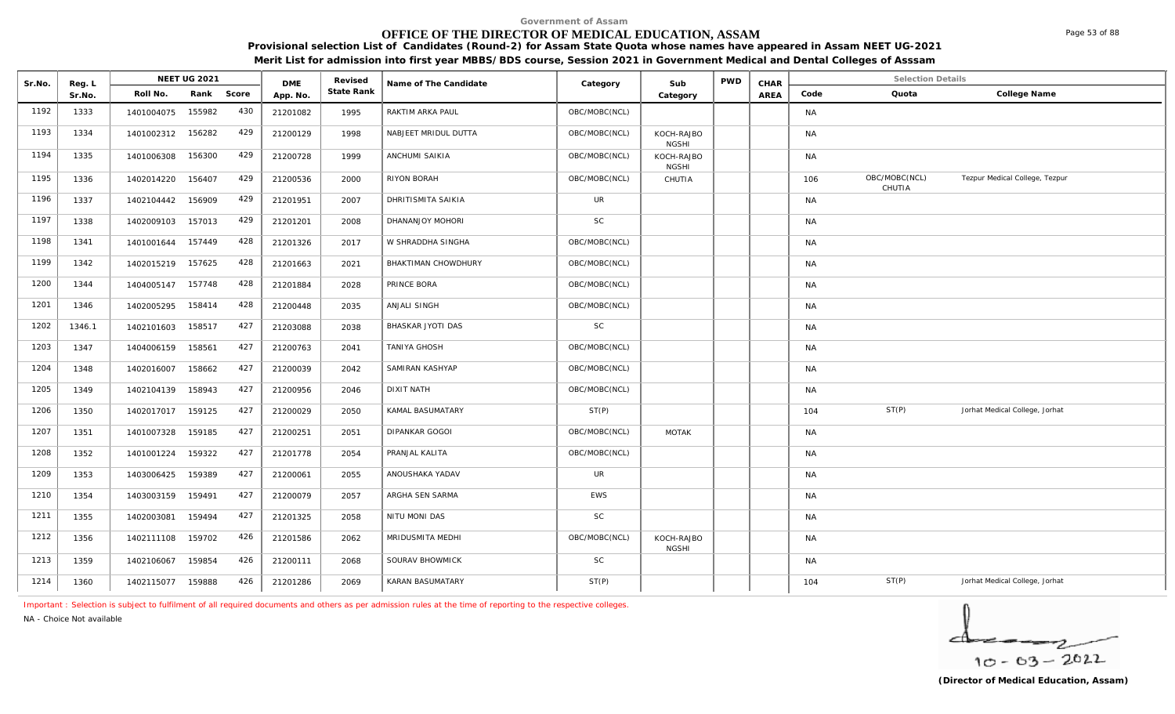# **OFFICE OF THE DIRECTOR OF MEDICAL EDUCATION, ASSAM**

**Provisional selection List of Candidates (Round-2) for Assam State Quota whose names have appeared in Assam NEET UG-2021** 

**Merit List for admission into first year MBBS/BDS course, Session 2021 in Government Medical and Dental Colleges of Asssam**

| Sr.No. | Reg. L |            | <b>NEET UG 2021</b> |       | <b>DME</b> | Revised    | Name of The Candidate | Category      | Sub                        | <b>PWD</b> | CHAR |           | <b>Selection Details</b> |                                |
|--------|--------|------------|---------------------|-------|------------|------------|-----------------------|---------------|----------------------------|------------|------|-----------|--------------------------|--------------------------------|
|        | Sr.No. | Roll No.   | Rank                | Score | App. No.   | State Rank |                       |               | Category                   |            | AREA | Code      | Quota                    | College Name                   |
| 1192   | 1333   | 1401004075 | 155982              | 430   | 21201082   | 1995       | RAKTIM ARKA PAUL      | OBC/MOBC(NCL) |                            |            |      | NA        |                          |                                |
| 1193   | 1334   | 1401002312 | 156282              | 429   | 21200129   | 1998       | NABJEET MRIDUL DUTTA  | OBC/MOBC(NCL) | KOCH-RAJBO<br><b>NGSHI</b> |            |      | <b>NA</b> |                          |                                |
| 1194   | 1335   | 1401006308 | 156300              | 429   | 21200728   | 1999       | ANCHUMI SAIKIA        | OBC/MOBC(NCL) | KOCH-RAJBO<br><b>NGSHI</b> |            |      | NA        |                          |                                |
| 1195   | 1336   | 1402014220 | 156407              | 429   | 21200536   | 2000       | RIYON BORAH           | OBC/MOBC(NCL) | CHUTIA                     |            |      | 106       | OBC/MOBC(NCL)<br>CHUTIA  | Tezpur Medical College, Tezpur |
| 1196   | 1337   | 1402104442 | 156909              | 429   | 21201951   | 2007       | DHRITISMITA SAIKIA    | <b>UR</b>     |                            |            |      | <b>NA</b> |                          |                                |
| 1197   | 1338   | 1402009103 | 157013              | 429   | 21201201   | 2008       | DHANANJOY MOHORI      | <b>SC</b>     |                            |            |      | <b>NA</b> |                          |                                |
| 1198   | 1341   | 1401001644 | 157449              | 428   | 21201326   | 2017       | W SHRADDHA SINGHA     | OBC/MOBC(NCL) |                            |            |      | NA        |                          |                                |
| 1199   | 1342   | 1402015219 | 157625              | 428   | 21201663   | 2021       | BHAKTIMAN CHOWDHURY   | OBC/MOBC(NCL) |                            |            |      | <b>NA</b> |                          |                                |
| 1200   | 1344   | 1404005147 | 157748              | 428   | 21201884   | 2028       | PRINCE BORA           | OBC/MOBC(NCL) |                            |            |      | <b>NA</b> |                          |                                |
| 1201   | 1346   | 1402005295 | 158414              | 428   | 21200448   | 2035       | ANJALI SINGH          | OBC/MOBC(NCL) |                            |            |      | <b>NA</b> |                          |                                |
| 1202   | 1346.1 | 1402101603 | 158517              | 427   | 21203088   | 2038       | BHASKAR JYOTI DAS     | <b>SC</b>     |                            |            |      | <b>NA</b> |                          |                                |
| 1203   | 1347   | 1404006159 | 158561              | 427   | 21200763   | 2041       | TANIYA GHOSH          | OBC/MOBC(NCL) |                            |            |      | <b>NA</b> |                          |                                |
| 1204   | 1348   | 1402016007 | 158662              | 427   | 21200039   | 2042       | SAMIRAN KASHYAP       | OBC/MOBC(NCL) |                            |            |      | NA        |                          |                                |
| 1205   | 1349   | 1402104139 | 158943              | 427   | 21200956   | 2046       | <b>DIXIT NATH</b>     | OBC/MOBC(NCL) |                            |            |      | <b>NA</b> |                          |                                |
| 1206   | 1350   | 1402017017 | 159125              | 427   | 21200029   | 2050       | KAMAL BASUMATARY      | ST(P)         |                            |            |      | 104       | ST(P)                    | Jorhat Medical College, Jorhat |
| 1207   | 1351   | 1401007328 | 159185              | 427   | 21200251   | 2051       | <b>DIPANKAR GOGOI</b> | OBC/MOBC(NCL) | <b>MOTAK</b>               |            |      | <b>NA</b> |                          |                                |
| 1208   | 1352   | 1401001224 | 159322              | 427   | 21201778   | 2054       | PRANJAL KALITA        | OBC/MOBC(NCL) |                            |            |      | NA        |                          |                                |
| 1209   | 1353   | 1403006425 | 159389              | 427   | 21200061   | 2055       | ANOUSHAKA YADAV       | <b>UR</b>     |                            |            |      | NA        |                          |                                |
| 1210   | 1354   | 1403003159 | 159491              | 427   | 21200079   | 2057       | ARGHA SEN SARMA       | <b>EWS</b>    |                            |            |      | <b>NA</b> |                          |                                |
| 1211   | 1355   | 1402003081 | 159494              | 427   | 21201325   | 2058       | NITU MONI DAS         | <b>SC</b>     |                            |            |      | <b>NA</b> |                          |                                |
| 1212   | 1356   | 1402111108 | 159702              | 426   | 21201586   | 2062       | MRIDUSMITA MEDHI      | OBC/MOBC(NCL) | KOCH-RAJBO<br><b>NGSHI</b> |            |      | <b>NA</b> |                          |                                |
| 1213   | 1359   | 1402106067 | 159854              | 426   | 21200111   | 2068       | SOURAV BHOWMICK       | <b>SC</b>     |                            |            |      | NA        |                          |                                |
| 1214   | 1360   | 1402115077 | 159888              | 426   | 21201286   | 2069       | KARAN BASUMATARY      | ST(P)         |                            |            |      | 104       | ST(P)                    | Jorhat Medical College, Jorhat |

*Important : Selection is subject to fulfilment of all required documents and others as per admission rules at the time of reporting to the respective colleges.*

*NA - Choice Not available*

 $10 - 63 - 2022$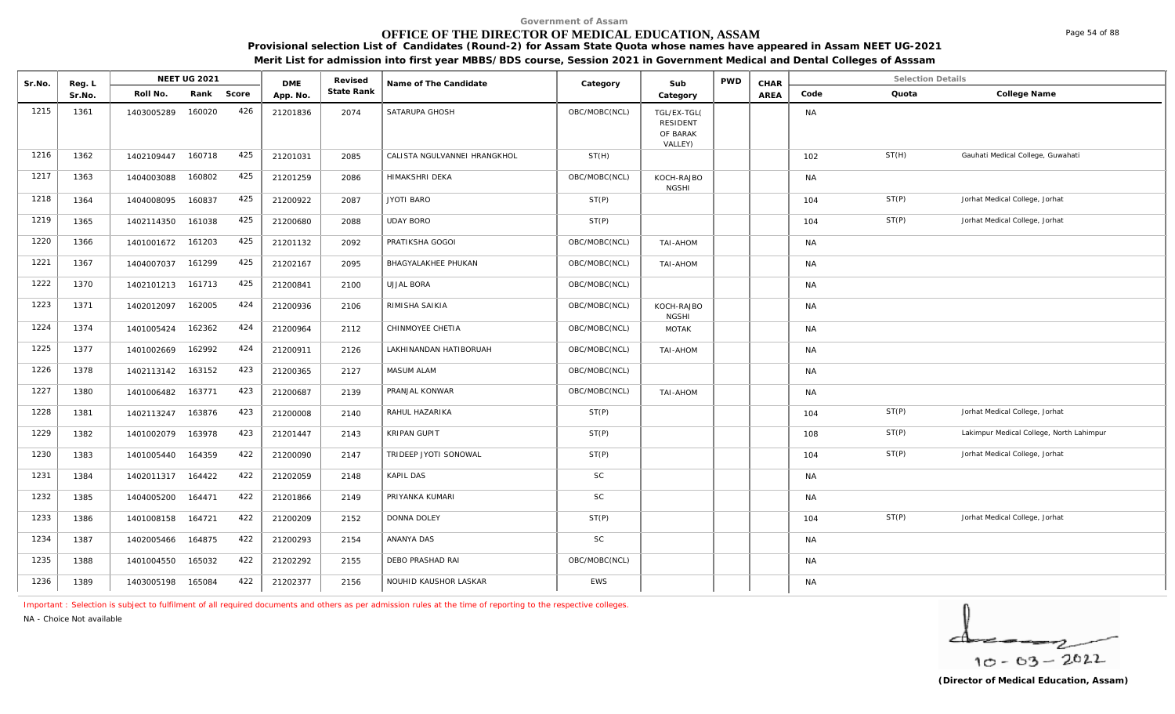# **OFFICE OF THE DIRECTOR OF MEDICAL EDUCATION, ASSAM**

**Provisional selection List of Candidates (Round-2) for Assam State Quota whose names have appeared in Assam NEET UG-2021** 

**Merit List for admission into first year MBBS/BDS course, Session 2021 in Government Medical and Dental Colleges of Asssam**

| Sr.No. | Reg. L |            | <b>NEET UG 2021</b> |       | <b>DME</b> | Revised    | Name of The Candidate        | Category      | Sub                                                   | <b>PWD</b> | CHAR        |           | <b>Selection Details</b> |                                          |
|--------|--------|------------|---------------------|-------|------------|------------|------------------------------|---------------|-------------------------------------------------------|------------|-------------|-----------|--------------------------|------------------------------------------|
|        | Sr.No. | Roll No.   | Rank                | Score | App. No.   | State Rank |                              |               | Category                                              |            | <b>AREA</b> | Code      | Quota                    | College Name                             |
| 1215   | 1361   | 1403005289 | 160020              | 426   | 21201836   | 2074       | SATARUPA GHOSH               | OBC/MOBC(NCL) | TGL/EX-TGL(<br><b>RESIDENT</b><br>OF BARAK<br>VALLEY) |            |             | <b>NA</b> |                          |                                          |
| 1216   | 1362   | 1402109447 | 160718              | 425   | 21201031   | 2085       | CALISTA NGULVANNEI HRANGKHOL | ST(H)         |                                                       |            |             | 102       | ST(H)                    | Gauhati Medical College, Guwahati        |
| 1217   | 1363   | 1404003088 | 160802              | 425   | 21201259   | 2086       | HIMAKSHRI DEKA               | OBC/MOBC(NCL) | KOCH-RAJBO<br><b>NGSHI</b>                            |            |             | <b>NA</b> |                          |                                          |
| 1218   | 1364   | 1404008095 | 160837              | 425   | 21200922   | 2087       | <b>JYOTI BARO</b>            | ST(P)         |                                                       |            |             | 104       | ST(P)                    | Jorhat Medical College, Jorhat           |
| 1219   | 1365   | 1402114350 | 161038              | 425   | 21200680   | 2088       | <b>UDAY BORO</b>             | ST(P)         |                                                       |            |             | 104       | ST(P)                    | Jorhat Medical College, Jorhat           |
| 1220   | 1366   | 1401001672 | 161203              | 425   | 21201132   | 2092       | PRATIKSHA GOGOI              | OBC/MOBC(NCL) | TAI-AHOM                                              |            |             | <b>NA</b> |                          |                                          |
| 1221   | 1367   | 1404007037 | 161299              | 425   | 21202167   | 2095       | BHAGYALAKHEE PHUKAN          | OBC/MOBC(NCL) | TAI-AHOM                                              |            |             | <b>NA</b> |                          |                                          |
| 1222   | 1370   | 1402101213 | 161713              | 425   | 21200841   | 2100       | <b>UJJAL BORA</b>            | OBC/MOBC(NCL) |                                                       |            |             | <b>NA</b> |                          |                                          |
| 1223   | 1371   | 1402012097 | 162005              | 424   | 21200936   | 2106       | RIMISHA SAIKIA               | OBC/MOBC(NCL) | KOCH-RAJBO<br><b>NGSHI</b>                            |            |             | <b>NA</b> |                          |                                          |
| 1224   | 1374   | 1401005424 | 162362              | 424   | 21200964   | 2112       | CHINMOYEE CHETIA             | OBC/MOBC(NCL) | <b>MOTAK</b>                                          |            |             | <b>NA</b> |                          |                                          |
| 1225   | 1377   | 1401002669 | 162992              | 424   | 21200911   | 2126       | LAKHINANDAN HATIBORUAH       | OBC/MOBC(NCL) | TAI-AHOM                                              |            |             | <b>NA</b> |                          |                                          |
| 1226   | 1378   | 1402113142 | 163152              | 423   | 21200365   | 2127       | <b>MASUM ALAM</b>            | OBC/MOBC(NCL) |                                                       |            |             | <b>NA</b> |                          |                                          |
| 1227   | 1380   | 1401006482 | 163771              | 423   | 21200687   | 2139       | PRANJAL KONWAR               | OBC/MOBC(NCL) | TAI-AHOM                                              |            |             | <b>NA</b> |                          |                                          |
| 1228   | 1381   | 1402113247 | 163876              | 423   | 21200008   | 2140       | RAHUL HAZARIKA               | ST(P)         |                                                       |            |             | 104       | ST(P)                    | Jorhat Medical College, Jorhat           |
| 1229   | 1382   | 1401002079 | 163978              | 423   | 21201447   | 2143       | KRIPAN GUPIT                 | ST(P)         |                                                       |            |             | 108       | ST(P)                    | Lakimpur Medical College, North Lahimpur |
| 1230   | 1383   | 1401005440 | 164359              | 422   | 21200090   | 2147       | TRIDEEP JYOTI SONOWAL        | ST(P)         |                                                       |            |             | 104       | ST(P)                    | Jorhat Medical College, Jorhat           |
| 1231   | 1384   | 1402011317 | 164422              | 422   | 21202059   | 2148       | KAPIL DAS                    | $\mathsf{SC}$ |                                                       |            |             | <b>NA</b> |                          |                                          |
| 1232   | 1385   | 1404005200 | 164471              | 422   | 21201866   | 2149       | PRIYANKA KUMARI              | $\mathsf{SC}$ |                                                       |            |             | <b>NA</b> |                          |                                          |
| 1233   | 1386   | 1401008158 | 164721              | 422   | 21200209   | 2152       | <b>DONNA DOLEY</b>           | ST(P)         |                                                       |            |             | 104       | ST(P)                    | Jorhat Medical College, Jorhat           |
| 1234   | 1387   | 1402005466 | 164875              | 422   | 21200293   | 2154       | ANANYA DAS                   | SC            |                                                       |            |             | <b>NA</b> |                          |                                          |
| 1235   | 1388   | 1401004550 | 165032              | 422   | 21202292   | 2155       | DEBO PRASHAD RAI             | OBC/MOBC(NCL) |                                                       |            |             | <b>NA</b> |                          |                                          |
| 1236   | 1389   | 1403005198 | 165084              | 422   | 21202377   | 2156       | NOUHID KAUSHOR LASKAR        | <b>EWS</b>    |                                                       |            |             | <b>NA</b> |                          |                                          |

*Important : Selection is subject to fulfilment of all required documents and others as per admission rules at the time of reporting to the respective colleges.*

*NA - Choice Not available*

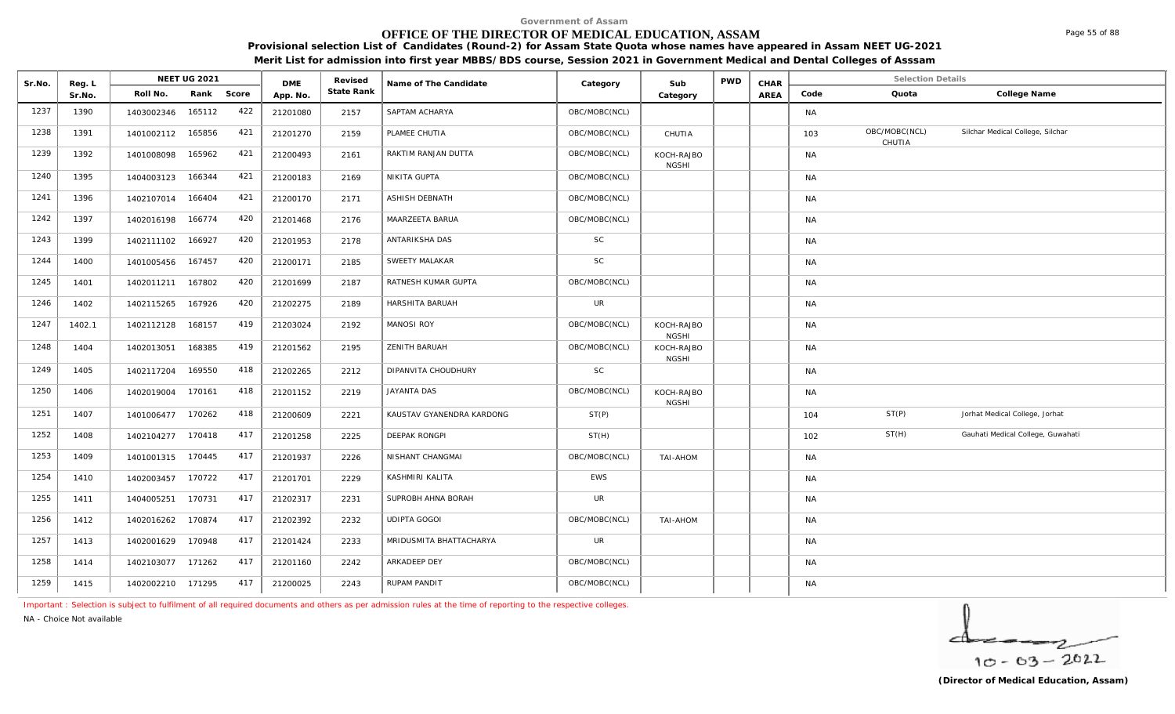# **OFFICE OF THE DIRECTOR OF MEDICAL EDUCATION, ASSAM**

**Provisional selection List of Candidates (Round-2) for Assam State Quota whose names have appeared in Assam NEET UG-2021 Merit List for admission into first year MBBS/BDS course, Session 2021 in Government Medical and Dental Colleges of Asssam**

|        |                  |                   | <b>NEET UG 2021</b> |       |                        | Revised    |                           |               |                            | <b>PWD</b> |              |           | <b>Selection Details</b> |                                   |
|--------|------------------|-------------------|---------------------|-------|------------------------|------------|---------------------------|---------------|----------------------------|------------|--------------|-----------|--------------------------|-----------------------------------|
| Sr.No. | Reg. L<br>Sr.No. | Roll No.          | Rank                | Score | <b>DME</b><br>App. No. | State Rank | Name of The Candidate     | Category      | Sub<br>Category            |            | CHAR<br>AREA | Code      | Quota                    | College Name                      |
| 1237   | 1390             | 1403002346        | 165112              | 422   | 21201080               | 2157       | SAPTAM ACHARYA            | OBC/MOBC(NCL) |                            |            |              | <b>NA</b> |                          |                                   |
| 1238   | 1391             | 1401002112 165856 |                     | 421   | 21201270               | 2159       | PLAMEE CHUTIA             | OBC/MOBC(NCL) | CHUTIA                     |            |              | 103       | OBC/MOBC(NCL)<br>CHUTIA  | Silchar Medical College, Silchar  |
| 1239   | 1392             | 1401008098        | 165962              | 421   | 21200493               | 2161       | RAKTIM RANJAN DUTTA       | OBC/MOBC(NCL) | KOCH-RAJBO<br><b>NGSHI</b> |            |              | <b>NA</b> |                          |                                   |
| 1240   | 1395             | 1404003123        | 166344              | 421   | 21200183               | 2169       | NIKITA GUPTA              | OBC/MOBC(NCL) |                            |            |              | <b>NA</b> |                          |                                   |
| 1241   | 1396             | 1402107014        | 166404              | 421   | 21200170               | 2171       | ASHISH DEBNATH            | OBC/MOBC(NCL) |                            |            |              | <b>NA</b> |                          |                                   |
| 1242   | 1397             | 1402016198        | 166774              | 420   | 21201468               | 2176       | MAARZEETA BARUA           | OBC/MOBC(NCL) |                            |            |              | <b>NA</b> |                          |                                   |
| 1243   | 1399             | 1402111102        | 166927              | 420   | 21201953               | 2178       | ANTARIKSHA DAS            | SC            |                            |            |              | <b>NA</b> |                          |                                   |
| 1244   | 1400             | 1401005456        | 167457              | 420   | 21200171               | 2185       | SWEETY MALAKAR            | SC            |                            |            |              | <b>NA</b> |                          |                                   |
| 1245   | 1401             | 1402011211        | 167802              | 420   | 21201699               | 2187       | RATNESH KUMAR GUPTA       | OBC/MOBC(NCL) |                            |            |              | <b>NA</b> |                          |                                   |
| 1246   | 1402             | 1402115265        | 167926              | 420   | 21202275               | 2189       | HARSHITA BARUAH           | <b>UR</b>     |                            |            |              | <b>NA</b> |                          |                                   |
| 1247   | 1402.1           | 1402112128        | 168157              | 419   | 21203024               | 2192       | <b>MANOSI ROY</b>         | OBC/MOBC(NCL) | KOCH-RAJBO<br><b>NGSHI</b> |            |              | <b>NA</b> |                          |                                   |
| 1248   | 1404             | 1402013051        | 168385              | 419   | 21201562               | 2195       | ZENITH BARUAH             | OBC/MOBC(NCL) | KOCH-RAJBO<br><b>NGSHI</b> |            |              | <b>NA</b> |                          |                                   |
| 1249   | 1405             | 1402117204        | 169550              | 418   | 21202265               | 2212       | DIPANVITA CHOUDHURY       | <b>SC</b>     |                            |            |              | <b>NA</b> |                          |                                   |
| 1250   | 1406             | 1402019004        | 170161              | 418   | 21201152               | 2219       | <b>JAYANTA DAS</b>        | OBC/MOBC(NCL) | KOCH-RAJBO<br><b>NGSHI</b> |            |              | <b>NA</b> |                          |                                   |
| 1251   | 1407             | 1401006477 170262 |                     | 418   | 21200609               | 2221       | KAUSTAV GYANENDRA KARDONG | ST(P)         |                            |            |              | 104       | ST(P)                    | Jorhat Medical College, Jorhat    |
| 1252   | 1408             | 1402104277        | 170418              | 417   | 21201258               | 2225       | DEEPAK RONGPI             | ST(H)         |                            |            |              | 102       | ST(H)                    | Gauhati Medical College, Guwahati |
| 1253   | 1409             | 1401001315 170445 |                     | 417   | 21201937               | 2226       | NISHANT CHANGMAI          | OBC/MOBC(NCL) | TAI-AHOM                   |            |              | <b>NA</b> |                          |                                   |
| 1254   | 1410             | 1402003457        | 170722              | 417   | 21201701               | 2229       | KASHMIRI KALITA           | <b>EWS</b>    |                            |            |              | <b>NA</b> |                          |                                   |
| 1255   | 1411             | 1404005251        | 170731              | 417   | 21202317               | 2231       | SUPROBH AHNA BORAH        | <b>UR</b>     |                            |            |              | <b>NA</b> |                          |                                   |
| 1256   | 1412             | 1402016262        | 170874              | 417   | 21202392               | 2232       | <b>UDIPTA GOGOI</b>       | OBC/MOBC(NCL) | <b>TAI-AHOM</b>            |            |              | <b>NA</b> |                          |                                   |
| 1257   | 1413             | 1402001629 170948 |                     | 417   | 21201424               | 2233       | MRIDUSMITA BHATTACHARYA   | <b>UR</b>     |                            |            |              | <b>NA</b> |                          |                                   |
| 1258   | 1414             | 1402103077 171262 |                     | 417   | 21201160               | 2242       | ARKADEEP DEY              | OBC/MOBC(NCL) |                            |            |              | <b>NA</b> |                          |                                   |
| 1259   | 1415             | 1402002210 171295 |                     | 417   | 21200025               | 2243       | RUPAM PANDIT              | OBC/MOBC(NCL) |                            |            |              | <b>NA</b> |                          |                                   |

*Important : Selection is subject to fulfilment of all required documents and others as per admission rules at the time of reporting to the respective colleges.*

*NA - Choice Not available*



Page 55 of 88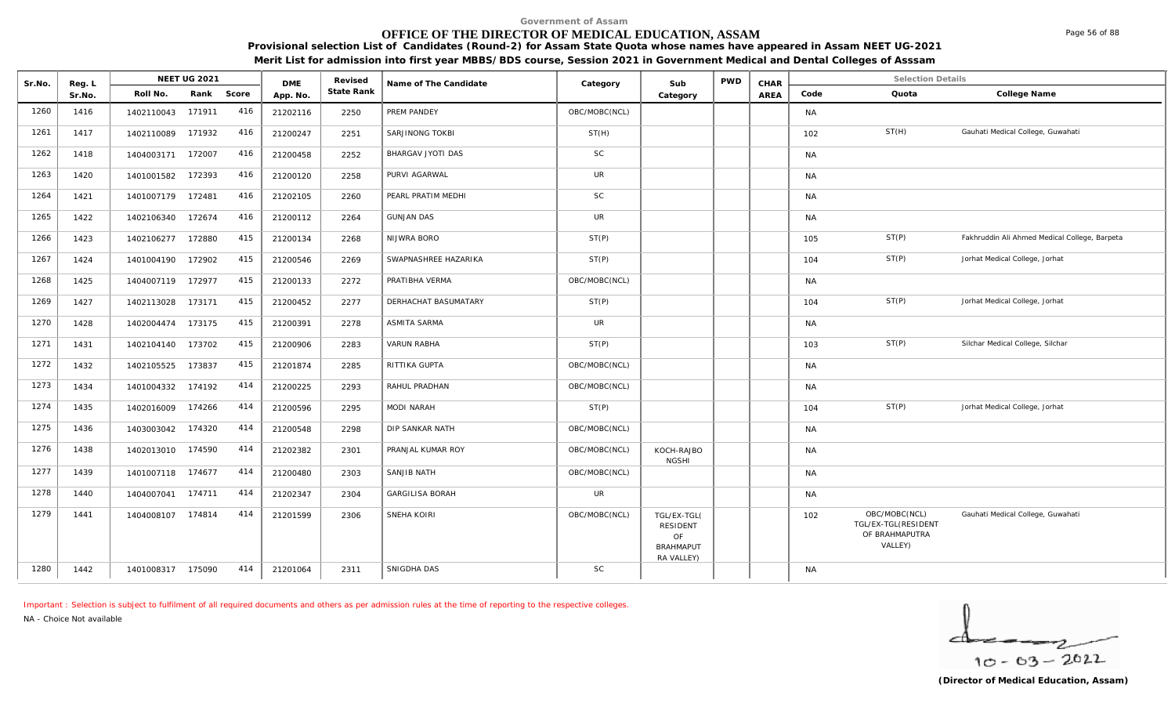# **OFFICE OF THE DIRECTOR OF MEDICAL EDUCATION, ASSAM**

NEET UG 2021 **Media Arel Access Conducts Category Category CHAR CHAR** 

Sr.No. Reg. L Reg.L **NEET UG** 2021 MB Revised Rame of The Candidate (Category Sub PWD CHAR Selection Details Selection Details

**Provisional selection List of Candidates (Round-2) for Assam State Quota whose names have appeared in Assam NEET UG-2021 Merit List for admission into first year MBBS/BDS course, Session 2021 in Government Medical and Dental Colleges of Asssam**

|      | Sr.No. | Roll No.          | Rank   | Score | App. No. | State Rank |                        |               | Category                                                               | AREA | Code      | Quota                                                             | College Name                                  |
|------|--------|-------------------|--------|-------|----------|------------|------------------------|---------------|------------------------------------------------------------------------|------|-----------|-------------------------------------------------------------------|-----------------------------------------------|
| 1260 | 1416   | 1402110043        | 171911 | 416   | 21202116 | 2250       | PREM PANDEY            | OBC/MOBC(NCL) |                                                                        |      | <b>NA</b> |                                                                   |                                               |
| 1261 | 1417   | 1402110089        | 171932 | 416   | 21200247 | 2251       | SARJINONG TOKBI        | ST(H)         |                                                                        |      | 102       | ST(H)                                                             | Gauhati Medical College, Guwahati             |
| 1262 | 1418   | 1404003171        | 172007 | 416   | 21200458 | 2252       | BHARGAV JYOTI DAS      | <b>SC</b>     |                                                                        |      | <b>NA</b> |                                                                   |                                               |
| 1263 | 1420   | 1401001582        | 172393 | 416   | 21200120 | 2258       | PURVI AGARWAL          | <b>UR</b>     |                                                                        |      | <b>NA</b> |                                                                   |                                               |
| 1264 | 1421   | 1401007179 172481 |        | 416   | 21202105 | 2260       | PEARL PRATIM MEDHI     | <b>SC</b>     |                                                                        |      | <b>NA</b> |                                                                   |                                               |
| 1265 | 1422   | 1402106340        | 172674 | 416   | 21200112 | 2264       | <b>GUNJAN DAS</b>      | <b>UR</b>     |                                                                        |      | <b>NA</b> |                                                                   |                                               |
| 1266 | 1423   | 1402106277        | 172880 | 415   | 21200134 | 2268       | NIJWRA BORO            | ST(P)         |                                                                        |      | 105       | ST(P)                                                             | Fakhruddin Ali Ahmed Medical College, Barpeta |
| 1267 | 1424   | 1401004190        | 172902 | 415   | 21200546 | 2269       | SWAPNASHREE HAZARIKA   | ST(P)         |                                                                        |      | 104       | ST(P)                                                             | Jorhat Medical College, Jorhat                |
| 1268 | 1425   | 1404007119 172977 |        | 415   | 21200133 | 2272       | PRATIBHA VERMA         | OBC/MOBC(NCL) |                                                                        |      | <b>NA</b> |                                                                   |                                               |
| 1269 | 1427   | 1402113028        | 173171 | 415   | 21200452 | 2277       | DERHACHAT BASUMATARY   | ST(P)         |                                                                        |      | 104       | ST(P)                                                             | Jorhat Medical College, Jorhat                |
| 1270 | 1428   | 1402004474        | 173175 | 415   | 21200391 | 2278       | ASMITA SARMA           | <b>UR</b>     |                                                                        |      | <b>NA</b> |                                                                   |                                               |
| 1271 | 1431   | 1402104140        | 173702 | 415   | 21200906 | 2283       | <b>VARUN RABHA</b>     | ST(P)         |                                                                        |      | 103       | ST(P)                                                             | Silchar Medical College, Silchar              |
| 1272 | 1432   | 1402105525        | 173837 | 415   | 21201874 | 2285       | RITTIKA GUPTA          | OBC/MOBC(NCL) |                                                                        |      | NA        |                                                                   |                                               |
| 1273 | 1434   | 1401004332        | 174192 | 414   | 21200225 | 2293       | RAHUL PRADHAN          | OBC/MOBC(NCL) |                                                                        |      | NA        |                                                                   |                                               |
| 1274 | 1435   | 1402016009        | 174266 | 414   | 21200596 | 2295       | MODI NARAH             | ST(P)         |                                                                        |      | 104       | ST(P)                                                             | Jorhat Medical College, Jorhat                |
| 1275 | 1436   | 1403003042        | 174320 | 414   | 21200548 | 2298       | DIP SANKAR NATH        | OBC/MOBC(NCL) |                                                                        |      | <b>NA</b> |                                                                   |                                               |
| 1276 | 1438   | 1402013010        | 174590 | 414   | 21202382 | 2301       | PRANJAL KUMAR ROY      | OBC/MOBC(NCL) | KOCH-RAJBO<br><b>NGSHI</b>                                             |      | <b>NA</b> |                                                                   |                                               |
| 1277 | 1439   | 1401007118        | 174677 | 414   | 21200480 | 2303       | SANJIB NATH            | OBC/MOBC(NCL) |                                                                        |      | <b>NA</b> |                                                                   |                                               |
| 1278 | 1440   | 1404007041 174711 |        | 414   | 21202347 | 2304       | <b>GARGILISA BORAH</b> | <b>UR</b>     |                                                                        |      | <b>NA</b> |                                                                   |                                               |
| 1279 | 1441   | 1404008107        | 174814 | 414   | 21201599 | 2306       | SNEHA KOIRI            | OBC/MOBC(NCL) | TGL/EX-TGL(<br><b>RESIDENT</b><br>OF<br><b>BRAHMAPUT</b><br>RA VALLEY) |      | 102       | OBC/MOBC(NCL)<br>TGL/EX-TGL(RESIDENT<br>OF BRAHMAPUTRA<br>VALLEY) | Gauhati Medical College, Guwahati             |
| 1280 | 1442   | 1401008317 175090 |        | 414   | 21201064 | 2311       | SNIGDHA DAS            | <b>SC</b>     |                                                                        |      | <b>NA</b> |                                                                   |                                               |

*Important : Selection is subject to fulfilment of all required documents and others as per admission rules at the time of reporting to the respective colleges.*

DMF Revised

*NA - Choice Not available*

**Reg. L NEET UG 2021** 

 $10 - 63 - 2022$ 

Page 56 of 88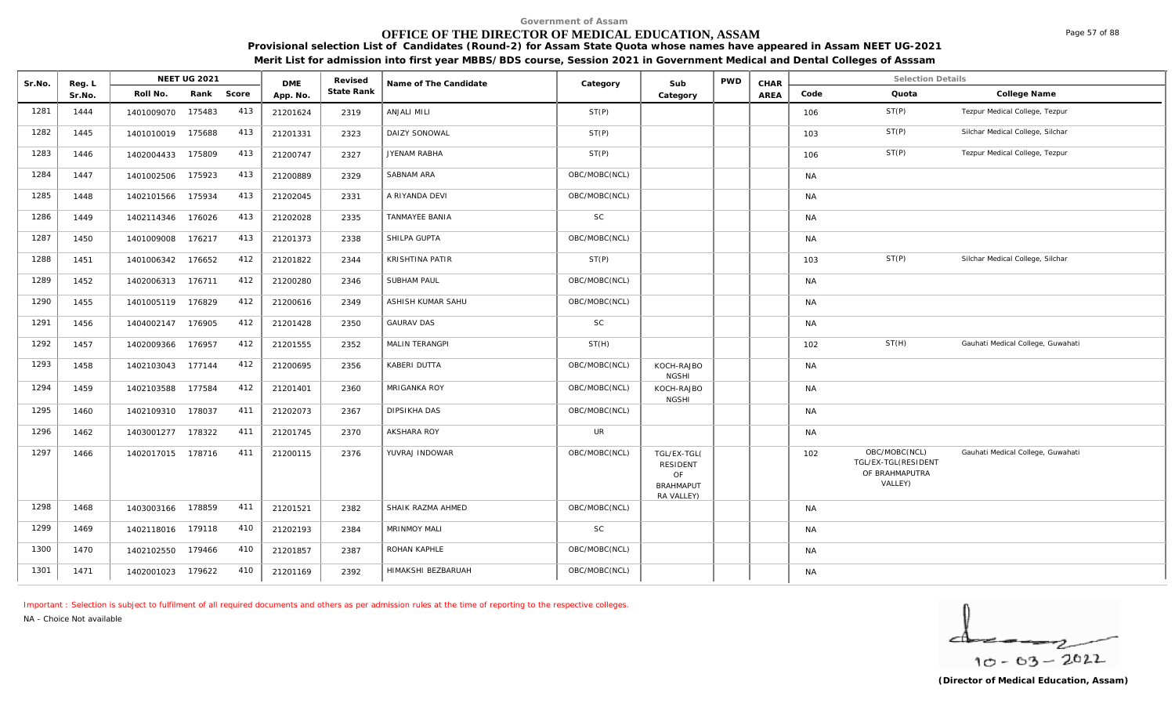# **OFFICE OF THE DIRECTOR OF MEDICAL EDUCATION, ASSAM**

**Provisional selection List of Candidates (Round-2) for Assam State Quota whose names have appeared in Assam NEET UG-2021 Merit List for admission into first year MBBS/BDS course, Session 2021 in Government Medical and Dental Colleges of Asssam**

| Sr.No. | Reg. L |                   | <b>NEET UG 2021</b> |     | <b>DME</b> | Revised    | Name of The Candidate  | Category      | Sub                                                                    | PWD | CHAR |           | <b>Selection Details</b>                                          |                                   |
|--------|--------|-------------------|---------------------|-----|------------|------------|------------------------|---------------|------------------------------------------------------------------------|-----|------|-----------|-------------------------------------------------------------------|-----------------------------------|
|        | Sr.No. | Roll No.          | Rank Score          |     | App. No.   | State Rank |                        |               | Category                                                               |     | AREA | Code      | Quota                                                             | College Name                      |
| 1281   | 1444   | 1401009070        | 175483              | 413 | 21201624   | 2319       | ANJALI MILI            | ST(P)         |                                                                        |     |      | 106       | ST(P)                                                             | Tezpur Medical College, Tezpur    |
| 1282   | 1445   | 1401010019 175688 |                     | 413 | 21201331   | 2323       | DAIZY SONOWAL          | ST(P)         |                                                                        |     |      | 103       | ST(P)                                                             | Silchar Medical College, Silchar  |
| 1283   | 1446   | 1402004433        | 175809              | 413 | 21200747   | 2327       | JYENAM RABHA           | ST(P)         |                                                                        |     |      | 106       | ST(P)                                                             | Tezpur Medical College, Tezpur    |
| 1284   | 1447   | 1401002506        | 175923              | 413 | 21200889   | 2329       | SABNAM ARA             | OBC/MOBC(NCL) |                                                                        |     |      | <b>NA</b> |                                                                   |                                   |
| 1285   | 1448   | 1402101566        | 175934              | 413 | 21202045   | 2331       | A RIYANDA DEVI         | OBC/MOBC(NCL) |                                                                        |     |      | <b>NA</b> |                                                                   |                                   |
| 1286   | 1449   | 1402114346        | 176026              | 413 | 21202028   | 2335       | <b>TANMAYEE BANIA</b>  | <b>SC</b>     |                                                                        |     |      | <b>NA</b> |                                                                   |                                   |
| 1287   | 1450   | 1401009008        | 176217              | 413 | 21201373   | 2338       | SHILPA GUPTA           | OBC/MOBC(NCL) |                                                                        |     |      | <b>NA</b> |                                                                   |                                   |
| 1288   | 1451   | 1401006342        | 176652              | 412 | 21201822   | 2344       | <b>KRISHTINA PATIR</b> | ST(P)         |                                                                        |     |      | 103       | ST(P)                                                             | Silchar Medical College, Silchar  |
| 1289   | 1452   | 1402006313        | 176711              | 412 | 21200280   | 2346       | <b>SUBHAM PAUL</b>     | OBC/MOBC(NCL) |                                                                        |     |      | <b>NA</b> |                                                                   |                                   |
| 1290   | 1455   | 1401005119        | 176829              | 412 | 21200616   | 2349       | ASHISH KUMAR SAHU      | OBC/MOBC(NCL) |                                                                        |     |      | <b>NA</b> |                                                                   |                                   |
| 1291   | 1456   | 1404002147 176905 |                     | 412 | 21201428   | 2350       | <b>GAURAV DAS</b>      | SC            |                                                                        |     |      | <b>NA</b> |                                                                   |                                   |
| 1292   | 1457   | 1402009366        | 176957              | 412 | 21201555   | 2352       | MALIN TERANGPI         | ST(H)         |                                                                        |     |      | 102       | ST(H)                                                             | Gauhati Medical College, Guwahati |
| 1293   | 1458   | 1402103043 177144 |                     | 412 | 21200695   | 2356       | <b>KABERI DUTTA</b>    | OBC/MOBC(NCL) | KOCH-RAJBO<br><b>NGSHI</b>                                             |     |      | <b>NA</b> |                                                                   |                                   |
| 1294   | 1459   | 1402103588        | 177584              | 412 | 21201401   | 2360       | MRIGANKA ROY           | OBC/MOBC(NCL) | KOCH-RAJBO<br><b>NGSHI</b>                                             |     |      | <b>NA</b> |                                                                   |                                   |
| 1295   | 1460   | 1402109310        | 178037              | 411 | 21202073   | 2367       | <b>DIPSIKHA DAS</b>    | OBC/MOBC(NCL) |                                                                        |     |      | <b>NA</b> |                                                                   |                                   |
| 1296   | 1462   | 1403001277 178322 |                     | 411 | 21201745   | 2370       | AKSHARA ROY            | <b>UR</b>     |                                                                        |     |      | NA        |                                                                   |                                   |
| 1297   | 1466   | 1402017015        | 178716              | 411 | 21200115   | 2376       | YUVRAJ INDOWAR         | OBC/MOBC(NCL) | TGL/EX-TGL(<br><b>RESIDENT</b><br>OF<br><b>BRAHMAPUT</b><br>RA VALLEY) |     |      | 102       | OBC/MOBC(NCL)<br>TGL/EX-TGL(RESIDENT<br>OF BRAHMAPUTRA<br>VALLEY) | Gauhati Medical College, Guwahati |
| 1298   | 1468   | 1403003166        | 178859              | 411 | 21201521   | 2382       | SHAIK RAZMA AHMED      | OBC/MOBC(NCL) |                                                                        |     |      | <b>NA</b> |                                                                   |                                   |
| 1299   | 1469   | 1402118016 179118 |                     | 410 | 21202193   | 2384       | MRINMOY MALI           | <b>SC</b>     |                                                                        |     |      | <b>NA</b> |                                                                   |                                   |
| 1300   | 1470   | 1402102550        | 179466              | 410 | 21201857   | 2387       | ROHAN KAPHLE           | OBC/MOBC(NCL) |                                                                        |     |      | <b>NA</b> |                                                                   |                                   |
| 1301   | 1471   | 1402001023 179622 |                     | 410 | 21201169   | 2392       | HIMAKSHI BEZBARUAH     | OBC/MOBC(NCL) |                                                                        |     |      | <b>NA</b> |                                                                   |                                   |

*Important : Selection is subject to fulfilment of all required documents and others as per admission rules at the time of reporting to the respective colleges.*

*NA - Choice Not available*

Page 57 of 88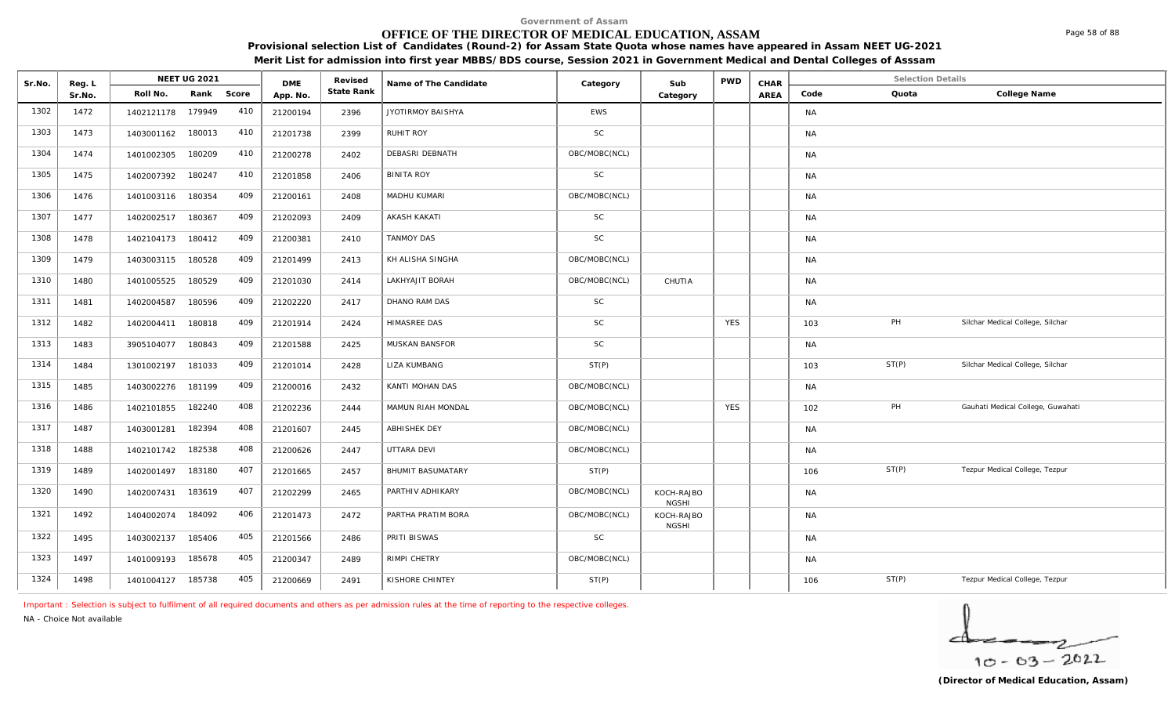# **OFFICE OF THE DIRECTOR OF MEDICAL EDUCATION, ASSAM**

**Provisional selection List of Candidates (Round-2) for Assam State Quota whose names have appeared in Assam NEET UG-2021 Merit List for admission into first year MBBS/BDS course, Session 2021 in Government Medical and Dental Colleges of Asssam**

| Sr.No. | Reg. L |                   | <b>NEET UG 2021</b> |     | <b>DME</b> | Revised    | Name of The Candidate    | Category      | Sub                        | <b>PWD</b> | CHAR |           | <b>Selection Details</b> |                                   |
|--------|--------|-------------------|---------------------|-----|------------|------------|--------------------------|---------------|----------------------------|------------|------|-----------|--------------------------|-----------------------------------|
|        | Sr.No. | Roll No.          | Rank Score          |     | App. No.   | State Rank |                          |               | Category                   |            | AREA | Code      | Quota                    | College Name                      |
| 1302   | 1472   | 1402121178        | 179949              | 410 | 21200194   | 2396       | JYOTIRMOY BAISHYA        | <b>EWS</b>    |                            |            |      | <b>NA</b> |                          |                                   |
| 1303   | 1473   | 1403001162        | 180013              | 410 | 21201738   | 2399       | RUHIT ROY                | SC            |                            |            |      | <b>NA</b> |                          |                                   |
| 1304   | 1474   | 1401002305        | 180209              | 410 | 21200278   | 2402       | DEBASRI DEBNATH          | OBC/MOBC(NCL) |                            |            |      | <b>NA</b> |                          |                                   |
| 1305   | 1475   | 1402007392        | 180247              | 410 | 21201858   | 2406       | <b>BINITA ROY</b>        | SC            |                            |            |      | <b>NA</b> |                          |                                   |
| 1306   | 1476   | 1401003116        | 180354              | 409 | 21200161   | 2408       | MADHU KUMARI             | OBC/MOBC(NCL) |                            |            |      | <b>NA</b> |                          |                                   |
| 1307   | 1477   | 1402002517        | 180367              | 409 | 21202093   | 2409       | <b>AKASH KAKATI</b>      | <b>SC</b>     |                            |            |      | <b>NA</b> |                          |                                   |
| 1308   | 1478   | 1402104173        | 180412              | 409 | 21200381   | 2410       | <b>TANMOY DAS</b>        | SC            |                            |            |      | <b>NA</b> |                          |                                   |
| 1309   | 1479   | 1403003115 180528 |                     | 409 | 21201499   | 2413       | KH ALISHA SINGHA         | OBC/MOBC(NCL) |                            |            |      | <b>NA</b> |                          |                                   |
| 1310   | 1480   | 1401005525        | 180529              | 409 | 21201030   | 2414       | LAKHYAJIT BORAH          | OBC/MOBC(NCL) | CHUTIA                     |            |      | <b>NA</b> |                          |                                   |
| 1311   | 1481   | 1402004587        | 180596              | 409 | 21202220   | 2417       | DHANO RAM DAS            | SC            |                            |            |      | <b>NA</b> |                          |                                   |
| 1312   | 1482   | 1402004411        | 180818              | 409 | 21201914   | 2424       | HIMASREE DAS             | <b>SC</b>     |                            | <b>YES</b> |      | 103       | PH                       | Silchar Medical College, Silchar  |
| 1313   | 1483   | 3905104077        | 180843              | 409 | 21201588   | 2425       | MUSKAN BANSFOR           | <b>SC</b>     |                            |            |      | <b>NA</b> |                          |                                   |
| 1314   | 1484   | 1301002197        | 181033              | 409 | 21201014   | 2428       | <b>LIZA KUMBANG</b>      | ST(P)         |                            |            |      | 103       | ST(P)                    | Silchar Medical College, Silchar  |
| 1315   | 1485   | 1403002276        | 181199              | 409 | 21200016   | 2432       | KANTI MOHAN DAS          | OBC/MOBC(NCL) |                            |            |      | <b>NA</b> |                          |                                   |
| 1316   | 1486   | 1402101855        | 182240              | 408 | 21202236   | 2444       | MAMUN RIAH MONDAL        | OBC/MOBC(NCL) |                            | <b>YES</b> |      | 102       | PH                       | Gauhati Medical College, Guwahati |
| 1317   | 1487   | 1403001281        | 182394              | 408 | 21201607   | 2445       | <b>ABHISHEK DEY</b>      | OBC/MOBC(NCL) |                            |            |      | <b>NA</b> |                          |                                   |
| 1318   | 1488   | 1402101742        | 182538              | 408 | 21200626   | 2447       | UTTARA DEVI              | OBC/MOBC(NCL) |                            |            |      | <b>NA</b> |                          |                                   |
| 1319   | 1489   | 1402001497        | 183180              | 407 | 21201665   | 2457       | <b>BHUMIT BASUMATARY</b> | ST(P)         |                            |            |      | 106       | ST(P)                    | Tezpur Medical College, Tezpur    |
| 1320   | 1490   | 1402007431        | 183619              | 407 | 21202299   | 2465       | PARTHIV ADHIKARY         | OBC/MOBC(NCL) | KOCH-RAJBO<br><b>NGSHI</b> |            |      | <b>NA</b> |                          |                                   |
| 1321   | 1492   | 1404002074        | 184092              | 406 | 21201473   | 2472       | PARTHA PRATIM BORA       | OBC/MOBC(NCL) | KOCH-RAJBO<br><b>NGSHI</b> |            |      | <b>NA</b> |                          |                                   |
| 1322   | 1495   | 1403002137        | 185406              | 405 | 21201566   | 2486       | PRITI BISWAS             | <b>SC</b>     |                            |            |      | <b>NA</b> |                          |                                   |
| 1323   | 1497   | 1401009193        | 185678              | 405 | 21200347   | 2489       | RIMPI CHETRY             | OBC/MOBC(NCL) |                            |            |      | <b>NA</b> |                          |                                   |
| 1324   | 1498   | 1401004127 185738 |                     | 405 | 21200669   | 2491       | KISHORE CHINTEY          | ST(P)         |                            |            |      | 106       | ST(P)                    | Tezpur Medical College, Tezpur    |

*Important : Selection is subject to fulfilment of all required documents and others as per admission rules at the time of reporting to the respective colleges.*

*NA - Choice Not available*

$$
\frac{1}{10-03-2022}
$$

Page 58 of 88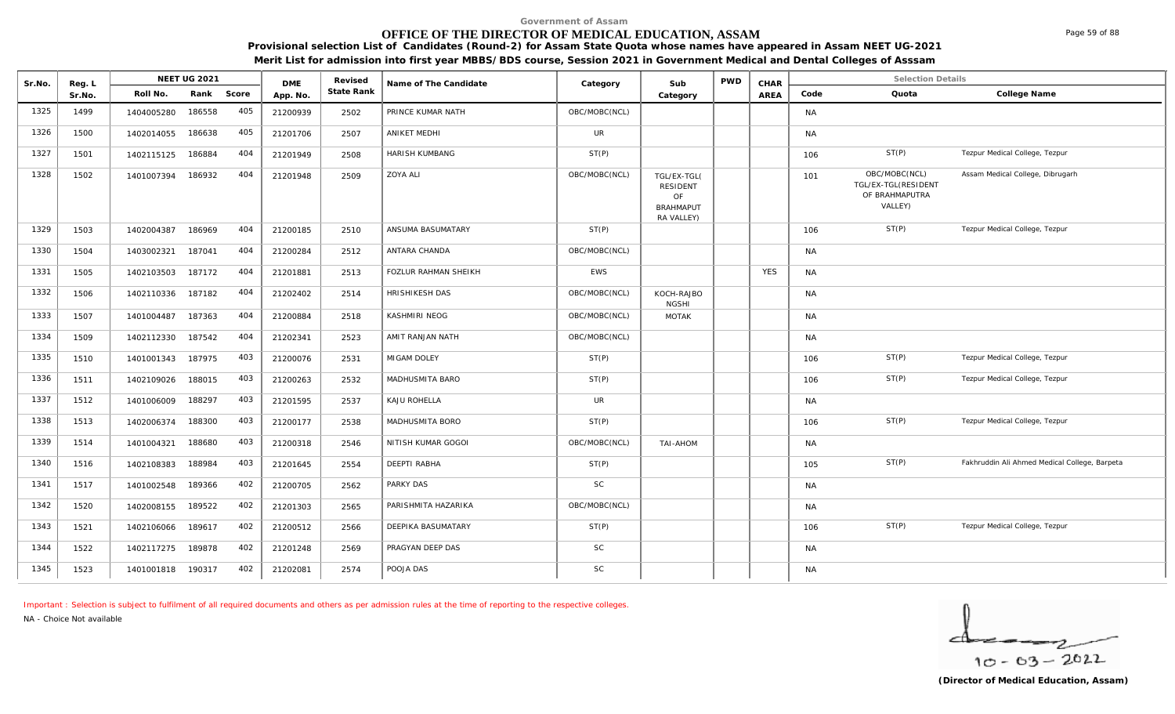# **OFFICE OF THE DIRECTOR OF MEDICAL EDUCATION, ASSAM**

**Provisional selection List of Candidates (Round-2) for Assam State Quota whose names have appeared in Assam NEET UG-2021** 

**Merit List for admission into first year MBBS/BDS course, Session 2021 in Government Medical and Dental Colleges of Asssam**

| Sr.No. | Reg. L |                   | <b>NEET UG 2021</b> |            | <b>DME</b> | Revised    | Name of The Candidate       | Category      | Sub                                                                    | <b>PWD</b> | CHAR       |           | <b>Selection Details</b>                                          |                                               |
|--------|--------|-------------------|---------------------|------------|------------|------------|-----------------------------|---------------|------------------------------------------------------------------------|------------|------------|-----------|-------------------------------------------------------------------|-----------------------------------------------|
|        | Sr.No. | Roll No.          |                     | Rank Score | App. No.   | State Rank |                             |               | Category                                                               |            | AREA       | Code      | Quota                                                             | College Name                                  |
| 1325   | 1499   | 1404005280        | 186558              | 405        | 21200939   | 2502       | PRINCE KUMAR NATH           | OBC/MOBC(NCL) |                                                                        |            |            | <b>NA</b> |                                                                   |                                               |
| 1326   | 1500   | 1402014055        | 186638              | 405        | 21201706   | 2507       | <b>ANIKET MEDHI</b>         | <b>UR</b>     |                                                                        |            |            | <b>NA</b> |                                                                   |                                               |
| 1327   | 1501   | 1402115125        | 186884              | 404        | 21201949   | 2508       | HARISH KUMBANG              | ST(P)         |                                                                        |            |            | 106       | ST(P)                                                             | Tezpur Medical College, Tezpur                |
| 1328   | 1502   | 1401007394        | 186932              | 404        | 21201948   | 2509       | <b>ZOYA ALI</b>             | OBC/MOBC(NCL) | TGL/EX-TGL(<br><b>RESIDENT</b><br>OF<br><b>BRAHMAPUT</b><br>RA VALLEY) |            |            | 101       | OBC/MOBC(NCL)<br>TGL/EX-TGL(RESIDENT<br>OF BRAHMAPUTRA<br>VALLEY) | Assam Medical College, Dibrugarh              |
| 1329   | 1503   | 1402004387        | 186969              | 404        | 21200185   | 2510       | ANSUMA BASUMATARY           | ST(P)         |                                                                        |            |            | 106       | ST(P)                                                             | Tezpur Medical College, Tezpur                |
| 1330   | 1504   | 1403002321        | 187041              | 404        | 21200284   | 2512       | ANTARA CHANDA               | OBC/MOBC(NCL) |                                                                        |            |            | <b>NA</b> |                                                                   |                                               |
| 1331   | 1505   | 1402103503        | 187172              | 404        | 21201881   | 2513       | <b>FOZLUR RAHMAN SHEIKH</b> | <b>EWS</b>    |                                                                        |            | <b>YES</b> | <b>NA</b> |                                                                   |                                               |
| 1332   | 1506   | 1402110336        | 187182              | 404        | 21202402   | 2514       | HRISHIKESH DAS              | OBC/MOBC(NCL) | KOCH-RAJBO<br><b>NGSHI</b>                                             |            |            | <b>NA</b> |                                                                   |                                               |
| 1333   | 1507   | 1401004487        | 187363              | 404        | 21200884   | 2518       | KASHMIRI NEOG               | OBC/MOBC(NCL) | MOTAK                                                                  |            |            | <b>NA</b> |                                                                   |                                               |
| 1334   | 1509   | 1402112330        | 187542              | 404        | 21202341   | 2523       | AMIT RANJAN NATH            | OBC/MOBC(NCL) |                                                                        |            |            | <b>NA</b> |                                                                   |                                               |
| 1335   | 1510   | 1401001343        | 187975              | 403        | 21200076   | 2531       | MIGAM DOLEY                 | ST(P)         |                                                                        |            |            | 106       | ST(P)                                                             | Tezpur Medical College, Tezpur                |
| 1336   | 1511   | 1402109026        | 188015              | 403        | 21200263   | 2532       | MADHUSMITA BARO             | ST(P)         |                                                                        |            |            | 106       | ST(P)                                                             | Tezpur Medical College, Tezpur                |
| 1337   | 1512   | 1401006009        | 188297              | 403        | 21201595   | 2537       | KAJU ROHELLA                | <b>UR</b>     |                                                                        |            |            | <b>NA</b> |                                                                   |                                               |
| 1338   | 1513   | 1402006374        | 188300              | 403        | 21200177   | 2538       | MADHUSMITA BORO             | ST(P)         |                                                                        |            |            | 106       | ST(P)                                                             | Tezpur Medical College, Tezpur                |
| 1339   | 1514   | 1401004321        | 188680              | 403        | 21200318   | 2546       | NITISH KUMAR GOGOI          | OBC/MOBC(NCL) | TAI-AHOM                                                               |            |            | <b>NA</b> |                                                                   |                                               |
| 1340   | 1516   | 1402108383        | 188984              | 403        | 21201645   | 2554       | <b>DEEPTI RABHA</b>         | ST(P)         |                                                                        |            |            | 105       | ST(P)                                                             | Fakhruddin Ali Ahmed Medical College, Barpeta |
| 1341   | 1517   | 1401002548        | 189366              | 402        | 21200705   | 2562       | PARKY DAS                   | <b>SC</b>     |                                                                        |            |            | <b>NA</b> |                                                                   |                                               |
| 1342   | 1520   | 1402008155        | 189522              | 402        | 21201303   | 2565       | PARISHMITA HAZARIKA         | OBC/MOBC(NCL) |                                                                        |            |            | <b>NA</b> |                                                                   |                                               |
| 1343   | 1521   | 1402106066        | 189617              | 402        | 21200512   | 2566       | DEEPIKA BASUMATARY          | ST(P)         |                                                                        |            |            | 106       | ST(P)                                                             | Tezpur Medical College, Tezpur                |
| 1344   | 1522   | 1402117275        | 189878              | 402        | 21201248   | 2569       | PRAGYAN DEEP DAS            | <b>SC</b>     |                                                                        |            |            | <b>NA</b> |                                                                   |                                               |
| 1345   | 1523   | 1401001818 190317 |                     | 402        | 21202081   | 2574       | POOJA DAS                   | SC            |                                                                        |            |            | <b>NA</b> |                                                                   |                                               |

*Important : Selection is subject to fulfilment of all required documents and others as per admission rules at the time of reporting to the respective colleges.*

*NA - Choice Not available*

 $10 - 63 - 2022$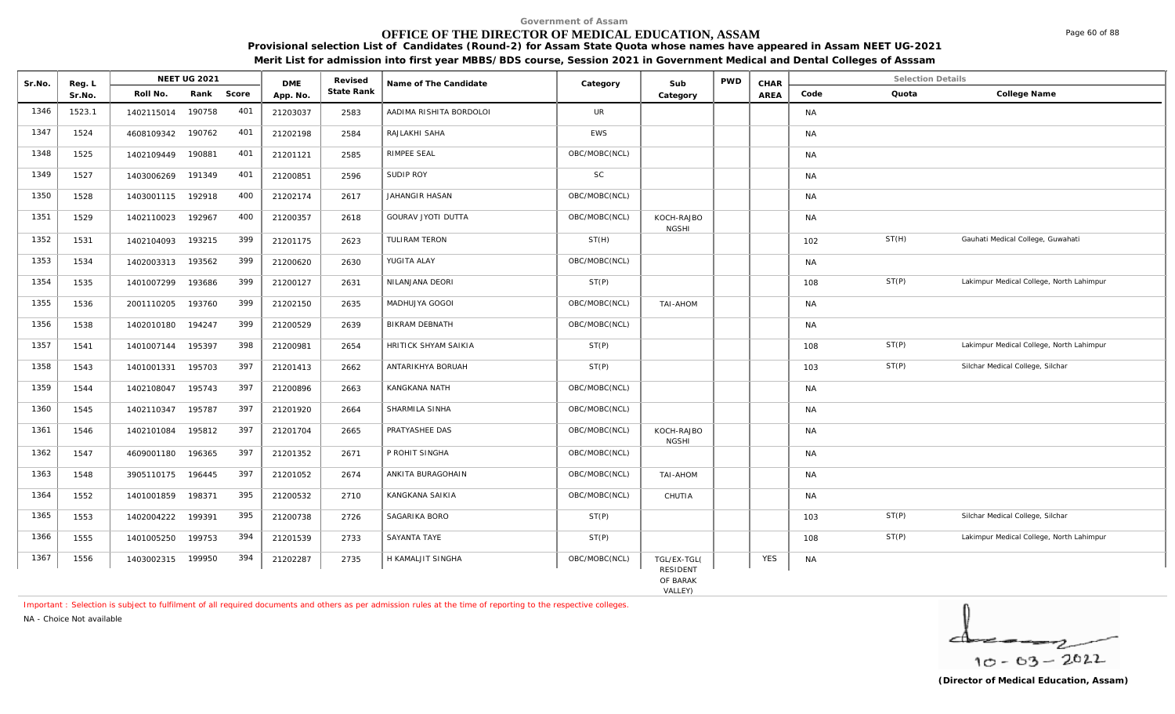# **OFFICE OF THE DIRECTOR OF MEDICAL EDUCATION, ASSAM**

**Provisional selection List of Candidates (Round-2) for Assam State Quota whose names have appeared in Assam NEET UG-2021 Merit List for admission into first year MBBS/BDS course, Session 2021 in Government Medical and Dental Colleges of Asssam**

| Sr.No. |                  |            | <b>NEET UG 2021</b> |       | <b>DME</b> | Revised    | Name of The Candidate   | Category      | Sub                                     | <b>PWD</b> | CHAR       |           | <b>Selection Details</b> |                                          |
|--------|------------------|------------|---------------------|-------|------------|------------|-------------------------|---------------|-----------------------------------------|------------|------------|-----------|--------------------------|------------------------------------------|
|        | Reg. L<br>Sr.No. | Roll No.   | Rank                | Score | App. No.   | State Rank |                         |               | Category                                |            | AREA       | Code      | Quota                    | College Name                             |
| 1346   | 1523.1           | 1402115014 | 190758              | 401   | 21203037   | 2583       | AADIMA RISHITA BORDOLOI | UR            |                                         |            |            | <b>NA</b> |                          |                                          |
| 1347   | 1524             | 4608109342 | 190762              | 401   | 21202198   | 2584       | RAJLAKHI SAHA           | EWS           |                                         |            |            | <b>NA</b> |                          |                                          |
| 1348   | 1525             | 1402109449 | 190881              | 401   | 21201121   | 2585       | RIMPEE SEAL             | OBC/MOBC(NCL) |                                         |            |            | <b>NA</b> |                          |                                          |
| 1349   | 1527             | 1403006269 | 191349              | 401   | 21200851   | 2596       | SUDIP ROY               | <b>SC</b>     |                                         |            |            | <b>NA</b> |                          |                                          |
| 1350   | 1528             | 1403001115 | 192918              | 400   | 21202174   | 2617       | JAHANGIR HASAN          | OBC/MOBC(NCL) |                                         |            |            | <b>NA</b> |                          |                                          |
| 1351   | 1529             | 1402110023 | 192967              | 400   | 21200357   | 2618       | GOURAV JYOTI DUTTA      | OBC/MOBC(NCL) | KOCH-RAJBO<br><b>NGSHI</b>              |            |            | <b>NA</b> |                          |                                          |
| 1352   | 1531             | 1402104093 | 193215              | 399   | 21201175   | 2623       | TULIRAM TERON           | ST(H)         |                                         |            |            | 102       | ST(H)                    | Gauhati Medical College, Guwahati        |
| 1353   | 1534             | 1402003313 | 193562              | 399   | 21200620   | 2630       | YUGITA ALAY             | OBC/MOBC(NCL) |                                         |            |            | <b>NA</b> |                          |                                          |
| 1354   | 1535             | 1401007299 | 193686              | 399   | 21200127   | 2631       | NILANJANA DEORI         | ST(P)         |                                         |            |            | 108       | ST(P)                    | Lakimpur Medical College, North Lahimpur |
| 1355   | 1536             | 2001110205 | 193760              | 399   | 21202150   | 2635       | MADHUJYA GOGOI          | OBC/MOBC(NCL) | TAI-AHOM                                |            |            | <b>NA</b> |                          |                                          |
| 1356   | 1538             | 1402010180 | 194247              | 399   | 21200529   | 2639       | BIKRAM DEBNATH          | OBC/MOBC(NCL) |                                         |            |            | <b>NA</b> |                          |                                          |
| 1357   | 1541             | 1401007144 | 195397              | 398   | 21200981   | 2654       | HRITICK SHYAM SAIKIA    | ST(P)         |                                         |            |            | 108       | ST(P)                    | Lakimpur Medical College, North Lahimpur |
| 1358   | 1543             | 1401001331 | 195703              | 397   | 21201413   | 2662       | ANTARIKHYA BORUAH       | ST(P)         |                                         |            |            | 103       | ST(P)                    | Silchar Medical College, Silchar         |
| 1359   | 1544             | 1402108047 | 195743              | 397   | 21200896   | 2663       | KANGKANA NATH           | OBC/MOBC(NCL) |                                         |            |            | <b>NA</b> |                          |                                          |
| 1360   | 1545             | 1402110347 | 195787              | 397   | 21201920   | 2664       | SHARMILA SINHA          | OBC/MOBC(NCL) |                                         |            |            | <b>NA</b> |                          |                                          |
| 1361   | 1546             | 1402101084 | 195812              | 397   | 21201704   | 2665       | PRATYASHEE DAS          | OBC/MOBC(NCL) | KOCH-RAJBO<br><b>NGSHI</b>              |            |            | <b>NA</b> |                          |                                          |
| 1362   | 1547             | 4609001180 | 196365              | 397   | 21201352   | 2671       | P ROHIT SINGHA          | OBC/MOBC(NCL) |                                         |            |            | <b>NA</b> |                          |                                          |
| 1363   | 1548             | 3905110175 | 196445              | 397   | 21201052   | 2674       | ANKITA BURAGOHAIN       | OBC/MOBC(NCL) | TAI-AHOM                                |            |            | <b>NA</b> |                          |                                          |
| 1364   | 1552             | 1401001859 | 198371              | 395   | 21200532   | 2710       | KANGKANA SAIKIA         | OBC/MOBC(NCL) | CHUTIA                                  |            |            | <b>NA</b> |                          |                                          |
| 1365   | 1553             | 1402004222 | 199391              | 395   | 21200738   | 2726       | SAGARIKA BORO           | ST(P)         |                                         |            |            | 103       | ST(P)                    | Silchar Medical College, Silchar         |
| 1366   | 1555             | 1401005250 | 199753              | 394   | 21201539   | 2733       | SAYANTA TAYE            | ST(P)         |                                         |            |            | 108       | ST(P)                    | Lakimpur Medical College, North Lahimpur |
| 1367   | 1556             | 1403002315 | 199950              | 394   | 21202287   | 2735       | H KAMALJIT SINGHA       | OBC/MOBC(NCL) | TGL/EX-TGL(<br>RESIDENT<br>$OC$ $DADAV$ |            | <b>YES</b> | <b>NA</b> |                          |                                          |

OF BARAK<br>VALLEY)

*Important : Selection is subject to fulfilment of all required documents and others as per admission rules at the time of reporting to the respective colleges.*

*NA - Choice Not available*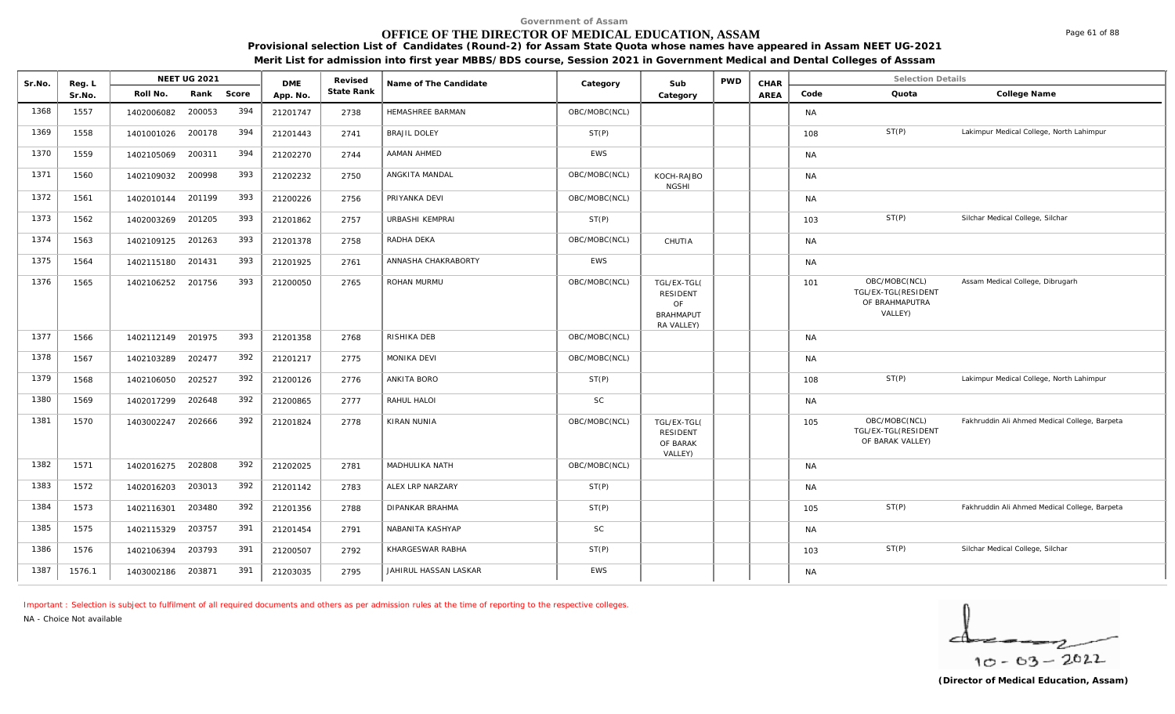# **OFFICE OF THE DIRECTOR OF MEDICAL EDUCATION, ASSAM**

**Provisional selection List of Candidates (Round-2) for Assam State Quota whose names have appeared in Assam NEET UG-2021 Merit List for admission into first year MBBS/BDS course, Session 2021 in Government Medical and Dental Colleges of Asssam**

| Sr.No. | Reg. L |                   | <b>NEET UG 2021</b> |       | <b>DME</b> | Revised    | Name of The Candidate | Category      | Sub                                                             | <b>PWD</b> | CHAR |           | <b>Selection Details</b>                                          |                                               |
|--------|--------|-------------------|---------------------|-------|------------|------------|-----------------------|---------------|-----------------------------------------------------------------|------------|------|-----------|-------------------------------------------------------------------|-----------------------------------------------|
|        | Sr.No. | Roll No.          | Rank                | Score | App. No.   | State Rank |                       |               | Category                                                        |            | AREA | Code      | Quota                                                             | College Name                                  |
| 1368   | 1557   | 1402006082        | 200053              | 394   | 21201747   | 2738       | HEMASHREE BARMAN      | OBC/MOBC(NCL) |                                                                 |            |      | <b>NA</b> |                                                                   |                                               |
| 1369   | 1558   | 1401001026        | 200178              | 394   | 21201443   | 2741       | <b>BRAJIL DOLEY</b>   | ST(P)         |                                                                 |            |      | 108       | ST(P)                                                             | Lakimpur Medical College, North Lahimpur      |
| 1370   | 1559   | 1402105069        | 200311              | 394   | 21202270   | 2744       | AAMAN AHMED           | <b>EWS</b>    |                                                                 |            |      | NA        |                                                                   |                                               |
| 1371   | 1560   | 1402109032        | 200998              | 393   | 21202232   | 2750       | ANGKITA MANDAL        | OBC/MOBC(NCL) | KOCH-RAJBO<br><b>NGSHI</b>                                      |            |      | <b>NA</b> |                                                                   |                                               |
| 1372   | 1561   | 1402010144 201199 |                     | 393   | 21200226   | 2756       | PRIYANKA DEVI         | OBC/MOBC(NCL) |                                                                 |            |      | NA        |                                                                   |                                               |
| 1373   | 1562   | 1402003269        | 201205              | 393   | 21201862   | 2757       | URBASHI KEMPRAI       | ST(P)         |                                                                 |            |      | 103       | ST(P)                                                             | Silchar Medical College, Silchar              |
| 1374   | 1563   | 1402109125        | 201263              | 393   | 21201378   | 2758       | RADHA DEKA            | OBC/MOBC(NCL) | CHUTIA                                                          |            |      | NA        |                                                                   |                                               |
| 1375   | 1564   | 1402115180        | 201431              | 393   | 21201925   | 2761       | ANNASHA CHAKRABORTY   | <b>EWS</b>    |                                                                 |            |      | <b>NA</b> |                                                                   |                                               |
| 1376   | 1565   | 1402106252        | 201756              | 393   | 21200050   | 2765       | ROHAN MURMU           | OBC/MOBC(NCL) | TGL/EX-TGL(<br>RESIDENT<br>OF<br><b>BRAHMAPUT</b><br>RA VALLEY) |            |      | 101       | OBC/MOBC(NCL)<br>TGL/EX-TGL(RESIDENT<br>OF BRAHMAPUTRA<br>VALLEY) | Assam Medical College, Dibrugarh              |
| 1377   | 1566   | 1402112149        | 201975              | 393   | 21201358   | 2768       | RISHIKA DEB           | OBC/MOBC(NCL) |                                                                 |            |      | <b>NA</b> |                                                                   |                                               |
| 1378   | 1567   | 1402103289        | 202477              | 392   | 21201217   | 2775       | MONIKA DEVI           | OBC/MOBC(NCL) |                                                                 |            |      | <b>NA</b> |                                                                   |                                               |
| 1379   | 1568   | 1402106050        | 202527              | 392   | 21200126   | 2776       | ANKITA BORO           | ST(P)         |                                                                 |            |      | 108       | ST(P)                                                             | Lakimpur Medical College, North Lahimpur      |
| 1380   | 1569   | 1402017299        | 202648              | 392   | 21200865   | 2777       | RAHUL HALOI           | <b>SC</b>     |                                                                 |            |      | <b>NA</b> |                                                                   |                                               |
| 1381   | 1570   | 1403002247        | 202666              | 392   | 21201824   | 2778       | <b>KIRAN NUNIA</b>    | OBC/MOBC(NCL) | TGL/EX-TGL(<br><b>RESIDENT</b><br>OF BARAK<br>VALLEY)           |            |      | 105       | OBC/MOBC(NCL)<br>TGL/EX-TGL(RESIDENT<br>OF BARAK VALLEY)          | Fakhruddin Ali Ahmed Medical College, Barpeta |
| 1382   | 1571   | 1402016275 202808 |                     | 392   | 21202025   | 2781       | MADHULIKA NATH        | OBC/MOBC(NCL) |                                                                 |            |      | <b>NA</b> |                                                                   |                                               |
| 1383   | 1572   | 1402016203        | 203013              | 392   | 21201142   | 2783       | ALEX LRP NARZARY      | ST(P)         |                                                                 |            |      | <b>NA</b> |                                                                   |                                               |
| 1384   | 1573   | 1402116301        | 203480              | 392   | 21201356   | 2788       | DIPANKAR BRAHMA       | ST(P)         |                                                                 |            |      | 105       | ST(P)                                                             | Fakhruddin Ali Ahmed Medical College, Barpeta |
| 1385   | 1575   | 1402115329        | 203757              | 391   | 21201454   | 2791       | NABANITA KASHYAP      | <b>SC</b>     |                                                                 |            |      | NA        |                                                                   |                                               |
| 1386   | 1576   | 1402106394        | 203793              | 391   | 21200507   | 2792       | KHARGESWAR RABHA      | ST(P)         |                                                                 |            |      | 103       | ST(P)                                                             | Silchar Medical College, Silchar              |
| 1387   | 1576.1 | 1403002186        | 203871              | 391   | 21203035   | 2795       | JAHIRUL HASSAN LASKAR | <b>EWS</b>    |                                                                 |            |      | <b>NA</b> |                                                                   |                                               |

*Important : Selection is subject to fulfilment of all required documents and others as per admission rules at the time of reporting to the respective colleges.*

*NA - Choice Not available*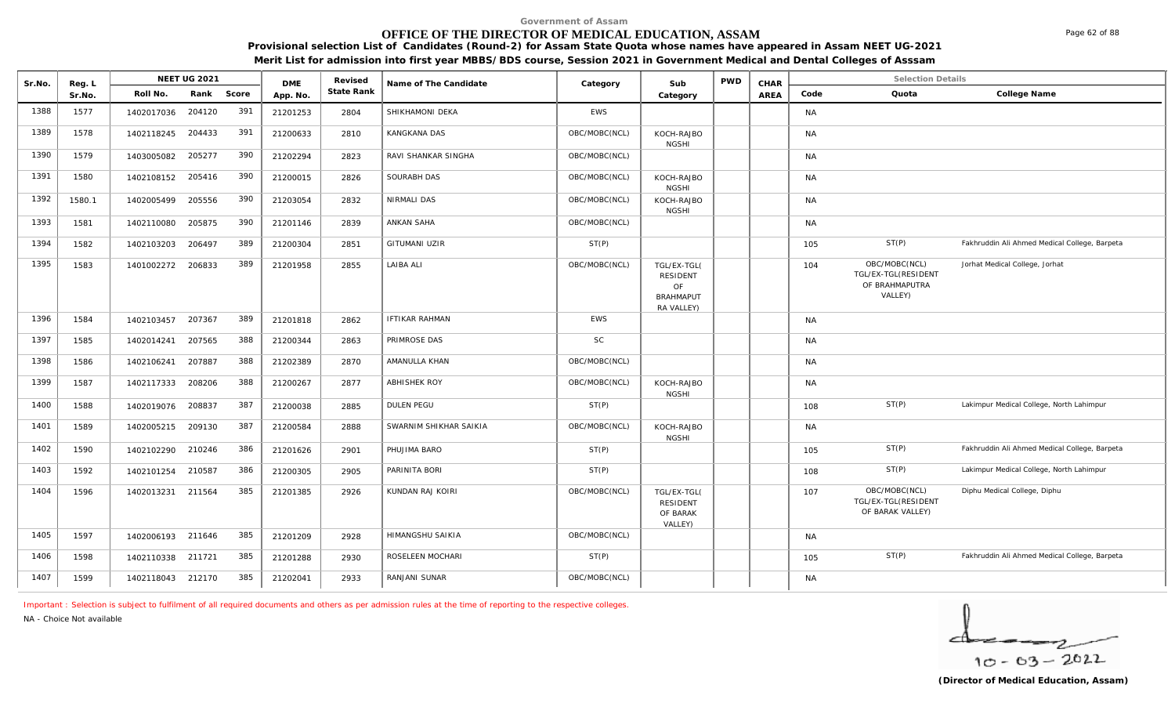# **OFFICE OF THE DIRECTOR OF MEDICAL EDUCATION, ASSAM**

NEET UG 2021 **Media Arel Access Conducts Category Category CHAR CHAR** 

Sr.No. Reg. L Reg.L **NEET UG** 2021 MB Revised Rame of The Candidate (Category Sub PWD CHAR Selection Details Selection Details

**Provisional selection List of Candidates (Round-2) for Assam State Quota whose names have appeared in Assam NEET UG-2021 Merit List for admission into first year MBBS/BDS course, Session 2021 in Government Medical and Dental Colleges of Asssam**

|      | Sr.No. | Roll No.          | Rank   | Score | App. No. | State Rank |                        |               | Category                                                               | AREA | Code      | Quota                                                             | College Name                                  |
|------|--------|-------------------|--------|-------|----------|------------|------------------------|---------------|------------------------------------------------------------------------|------|-----------|-------------------------------------------------------------------|-----------------------------------------------|
| 1388 | 1577   | 1402017036        | 204120 | 391   | 21201253 | 2804       | SHIKHAMONI DEKA        | <b>EWS</b>    |                                                                        |      | <b>NA</b> |                                                                   |                                               |
| 1389 | 1578   | 1402118245        | 204433 | 391   | 21200633 | 2810       | KANGKANA DAS           | OBC/MOBC(NCL) | KOCH-RAJBO<br><b>NGSHI</b>                                             |      | <b>NA</b> |                                                                   |                                               |
| 1390 | 1579   | 1403005082        | 205277 | 390   | 21202294 | 2823       | RAVI SHANKAR SINGHA    | OBC/MOBC(NCL) |                                                                        |      | <b>NA</b> |                                                                   |                                               |
| 1391 | 1580   | 1402108152        | 205416 | 390   | 21200015 | 2826       | SOURABH DAS            | OBC/MOBC(NCL) | KOCH-RAJBO<br><b>NGSHI</b>                                             |      | <b>NA</b> |                                                                   |                                               |
| 1392 | 1580.1 | 1402005499        | 205556 | 390   | 21203054 | 2832       | NIRMALI DAS            | OBC/MOBC(NCL) | KOCH-RAJBO<br><b>NGSHI</b>                                             |      | <b>NA</b> |                                                                   |                                               |
| 1393 | 1581   | 1402110080        | 205875 | 390   | 21201146 | 2839       | ANKAN SAHA             | OBC/MOBC(NCL) |                                                                        |      | <b>NA</b> |                                                                   |                                               |
| 1394 | 1582   | 1402103203        | 206497 | 389   | 21200304 | 2851       | <b>GITUMANI UZIR</b>   | ST(P)         |                                                                        |      | 105       | ST(P)                                                             | Fakhruddin Ali Ahmed Medical College, Barpeta |
| 1395 | 1583   | 1401002272        | 206833 | 389   | 21201958 | 2855       | LAIBA ALI              | OBC/MOBC(NCL) | TGL/EX-TGL(<br><b>RESIDENT</b><br>OF<br><b>BRAHMAPUT</b><br>RA VALLEY) |      | 104       | OBC/MOBC(NCL)<br>TGL/EX-TGL(RESIDENT<br>OF BRAHMAPUTRA<br>VALLEY) | Jorhat Medical College, Jorhat                |
| 1396 | 1584   | 1402103457        | 207367 | 389   | 21201818 | 2862       | <b>IFTIKAR RAHMAN</b>  | EWS           |                                                                        |      | <b>NA</b> |                                                                   |                                               |
| 1397 | 1585   | 1402014241        | 207565 | 388   | 21200344 | 2863       | PRIMROSE DAS           | <b>SC</b>     |                                                                        |      | <b>NA</b> |                                                                   |                                               |
| 1398 | 1586   | 1402106241        | 207887 | 388   | 21202389 | 2870       | AMANULLA KHAN          | OBC/MOBC(NCL) |                                                                        |      | <b>NA</b> |                                                                   |                                               |
| 1399 | 1587   | 1402117333        | 208206 | 388   | 21200267 | 2877       | <b>ABHISHEK ROY</b>    | OBC/MOBC(NCL) | KOCH-RAJBO<br><b>NGSHI</b>                                             |      | <b>NA</b> |                                                                   |                                               |
| 1400 | 1588   | 1402019076        | 208837 | 387   | 21200038 | 2885       | DULEN PEGU             | ST(P)         |                                                                        |      | 108       | ST(P)                                                             | Lakimpur Medical College, North Lahimpur      |
| 1401 | 1589   | 1402005215        | 209130 | 387   | 21200584 | 2888       | SWARNIM SHIKHAR SAIKIA | OBC/MOBC(NCL) | KOCH-RAJBO<br><b>NGSHI</b>                                             |      | <b>NA</b> |                                                                   |                                               |
| 1402 | 1590   | 1402102290        | 210246 | 386   | 21201626 | 2901       | PHUJIMA BARO           | ST(P)         |                                                                        |      | 105       | ST(P)                                                             | Fakhruddin Ali Ahmed Medical College, Barpeta |
| 1403 | 1592   | 1402101254        | 210587 | 386   | 21200305 | 2905       | PARINITA BORI          | ST(P)         |                                                                        |      | 108       | ST(P)                                                             | Lakimpur Medical College, North Lahimpur      |
| 1404 | 1596   | 1402013231        | 211564 | 385   | 21201385 | 2926       | KUNDAN RAJ KOIRI       | OBC/MOBC(NCL) | TGL/EX-TGL(<br><b>RESIDENT</b><br>OF BARAK<br>VALLEY)                  |      | 107       | OBC/MOBC(NCL)<br>TGL/EX-TGL(RESIDENT<br>OF BARAK VALLEY)          | Diphu Medical College, Diphu                  |
| 1405 | 1597   | 1402006193 211646 |        | 385   | 21201209 | 2928       | HIMANGSHU SAIKIA       | OBC/MOBC(NCL) |                                                                        |      | <b>NA</b> |                                                                   |                                               |
| 1406 | 1598   | 1402110338 211721 |        | 385   | 21201288 | 2930       | ROSELEEN MOCHARI       | ST(P)         |                                                                        |      | 105       | ST(P)                                                             | Fakhruddin Ali Ahmed Medical College, Barpeta |
| 1407 | 1599   | 1402118043 212170 |        | 385   | 21202041 | 2933       | RANJANI SUNAR          | OBC/MOBC(NCL) |                                                                        |      | <b>NA</b> |                                                                   |                                               |

*Important : Selection is subject to fulfilment of all required documents and others as per admission rules at the time of reporting to the respective colleges.*

DMF Revised

*NA - Choice Not available*

**Reg. L NEET UG 2021** 

$$
\frac{1}{10-03-2022}
$$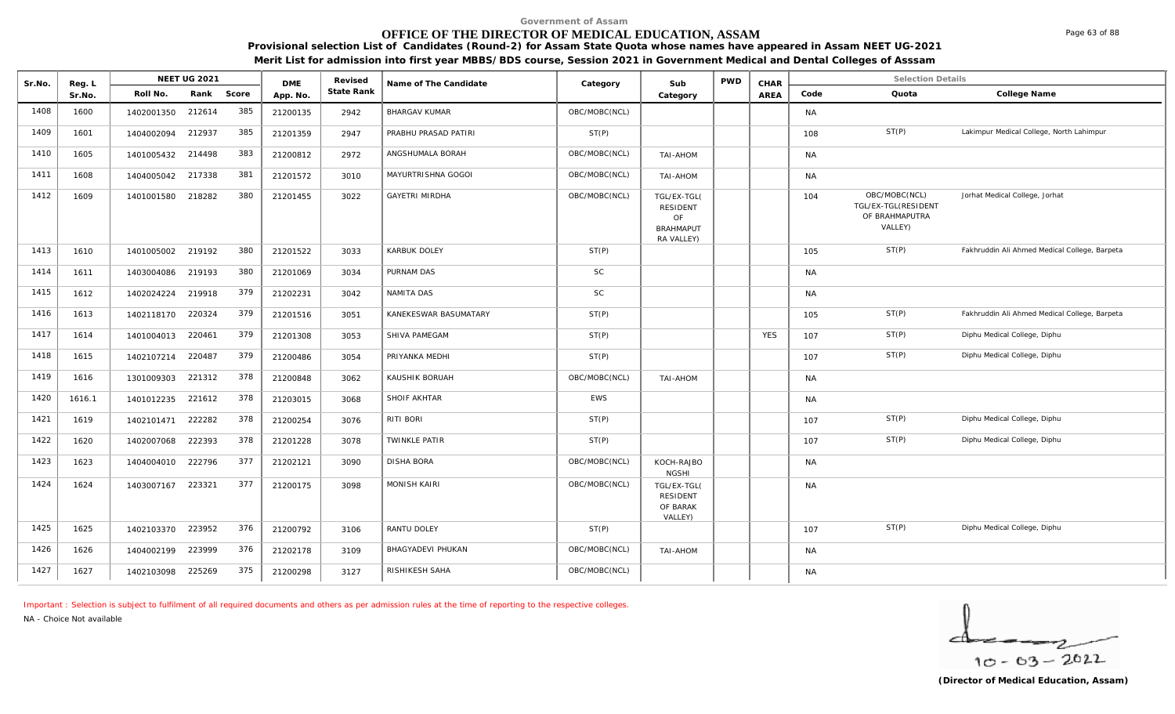# **OFFICE OF THE DIRECTOR OF MEDICAL EDUCATION, ASSAM**

**Provisional selection List of Candidates (Round-2) for Assam State Quota whose names have appeared in Assam NEET UG-2021** 

**Merit List for admission into first year MBBS/BDS course, Session 2021 in Government Medical and Dental Colleges of Asssam**

| Sr.No. | Reg. L |                   | <b>NEET UG 2021</b> |       | <b>DME</b> | Revised    | Name of The Candidate | Category      | Sub                                                                    | <b>PWD</b> | CHAR       |           | <b>Selection Details</b>                                          |                                               |
|--------|--------|-------------------|---------------------|-------|------------|------------|-----------------------|---------------|------------------------------------------------------------------------|------------|------------|-----------|-------------------------------------------------------------------|-----------------------------------------------|
|        | Sr.No. | Roll No.          | Rank                | Score | App. No.   | State Rank |                       |               | Category                                                               |            | AREA       | Code      | Quota                                                             | College Name                                  |
| 1408   | 1600   | 1402001350        | 212614              | 385   | 21200135   | 2942       | <b>BHARGAV KUMAR</b>  | OBC/MOBC(NCL) |                                                                        |            |            | <b>NA</b> |                                                                   |                                               |
| 1409   | 1601   | 1404002094        | 212937              | 385   | 21201359   | 2947       | PRABHU PRASAD PATIRI  | ST(P)         |                                                                        |            |            | 108       | ST(P)                                                             | Lakimpur Medical College, North Lahimpur      |
| 1410   | 1605   | 1401005432        | 214498              | 383   | 21200812   | 2972       | ANGSHUMALA BORAH      | OBC/MOBC(NCL) | TAI-AHOM                                                               |            |            | <b>NA</b> |                                                                   |                                               |
| 1411   | 1608   | 1404005042        | 217338              | 381   | 21201572   | 3010       | MAYURTRISHNA GOGOI    | OBC/MOBC(NCL) | TAI-AHOM                                                               |            |            | <b>NA</b> |                                                                   |                                               |
| 1412   | 1609   | 1401001580        | 218282              | 380   | 21201455   | 3022       | <b>GAYETRI MIRDHA</b> | OBC/MOBC(NCL) | TGL/EX-TGL(<br><b>RESIDENT</b><br>OF<br><b>BRAHMAPUT</b><br>RA VALLEY) |            |            | 104       | OBC/MOBC(NCL)<br>TGL/EX-TGL(RESIDENT<br>OF BRAHMAPUTRA<br>VALLEY) | Jorhat Medical College, Jorhat                |
| 1413   | 1610   | 1401005002        | 219192              | 380   | 21201522   | 3033       | <b>KARBUK DOLEY</b>   | ST(P)         |                                                                        |            |            | 105       | ST(P)                                                             | Fakhruddin Ali Ahmed Medical College, Barpeta |
| 1414   | 1611   | 1403004086        | 219193              | 380   | 21201069   | 3034       | PURNAM DAS            | <b>SC</b>     |                                                                        |            |            | <b>NA</b> |                                                                   |                                               |
| 1415   | 1612   | 1402024224        | 219918              | 379   | 21202231   | 3042       | NAMITA DAS            | <b>SC</b>     |                                                                        |            |            | <b>NA</b> |                                                                   |                                               |
| 1416   | 1613   | 1402118170        | 220324              | 379   | 21201516   | 3051       | KANEKESWAR BASUMATARY | ST(P)         |                                                                        |            |            | 105       | ST(P)                                                             | Fakhruddin Ali Ahmed Medical College, Barpeta |
| 1417   | 1614   | 1401004013        | 220461              | 379   | 21201308   | 3053       | SHIVA PAMEGAM         | ST(P)         |                                                                        |            | <b>YES</b> | 107       | ST(P)                                                             | Diphu Medical College, Diphu                  |
| 1418   | 1615   | 1402107214        | 220487              | 379   | 21200486   | 3054       | PRIYANKA MEDHI        | ST(P)         |                                                                        |            |            | 107       | ST(P)                                                             | Diphu Medical College, Diphu                  |
| 1419   | 1616   | 1301009303        | 221312              | 378   | 21200848   | 3062       | KAUSHIK BORUAH        | OBC/MOBC(NCL) | TAI-AHOM                                                               |            |            | <b>NA</b> |                                                                   |                                               |
| 1420   | 1616.1 | 1401012235        | 221612              | 378   | 21203015   | 3068       | SHOIF AKHTAR          | <b>EWS</b>    |                                                                        |            |            | <b>NA</b> |                                                                   |                                               |
| 1421   | 1619   | 1402101471        | 222282              | 378   | 21200254   | 3076       | RITI BORI             | ST(P)         |                                                                        |            |            | 107       | ST(P)                                                             | Diphu Medical College, Diphu                  |
| 1422   | 1620   | 1402007068        | 222393              | 378   | 21201228   | 3078       | <b>TWINKLE PATIR</b>  | ST(P)         |                                                                        |            |            | 107       | ST(P)                                                             | Diphu Medical College, Diphu                  |
| 1423   | 1623   | 1404004010 222796 |                     | 377   | 21202121   | 3090       | <b>DISHA BORA</b>     | OBC/MOBC(NCL) | KOCH-RAJBO<br><b>NGSHI</b>                                             |            |            | <b>NA</b> |                                                                   |                                               |
| 1424   | 1624   | 1403007167        | 223321              | 377   | 21200175   | 3098       | <b>MONISH KAIRI</b>   | OBC/MOBC(NCL) | TGL/EX-TGL(<br><b>RESIDENT</b><br>OF BARAK<br>VALLEY)                  |            |            | <b>NA</b> |                                                                   |                                               |
| 1425   | 1625   | 1402103370        | 223952              | 376   | 21200792   | 3106       | RANTU DOLEY           | ST(P)         |                                                                        |            |            | 107       | ST(P)                                                             | Diphu Medical College, Diphu                  |
| 1426   | 1626   | 1404002199        | 223999              | 376   | 21202178   | 3109       | BHAGYADEVI PHUKAN     | OBC/MOBC(NCL) | TAI-AHOM                                                               |            |            | NA        |                                                                   |                                               |
| 1427   | 1627   | 1402103098        | 225269              | 375   | 21200298   | 3127       | RISHIKESH SAHA        | OBC/MOBC(NCL) |                                                                        |            |            | <b>NA</b> |                                                                   |                                               |

*Important : Selection is subject to fulfilment of all required documents and others as per admission rules at the time of reporting to the respective colleges.*

*NA - Choice Not available*

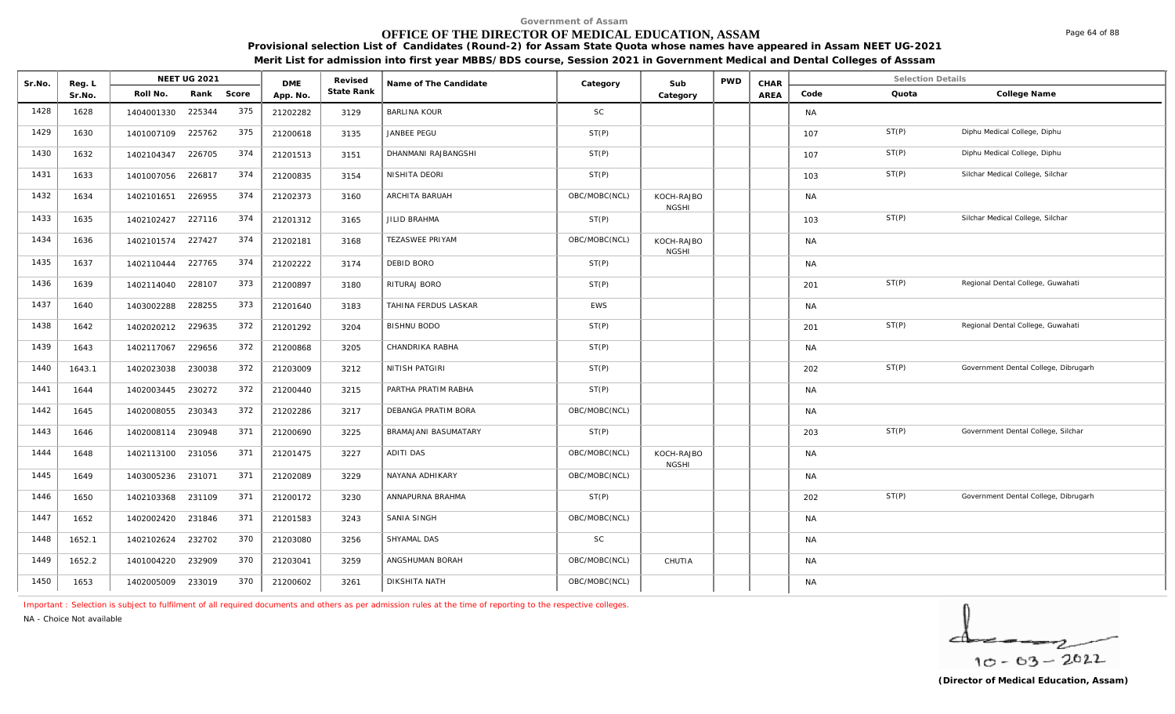# **OFFICE OF THE DIRECTOR OF MEDICAL EDUCATION, ASSAM**

**Provisional selection List of Candidates (Round-2) for Assam State Quota whose names have appeared in Assam NEET UG-2021 Merit List for admission into first year MBBS/BDS course, Session 2021 in Government Medical and Dental Colleges of Asssam**

| Sr.No. | Reg. L | NEET UG 2021      |               | <b>DME</b> | Revised    | Name of The Candidate | Category      | Sub                        | <b>PWD</b> | CHAR |           | <b>Selection Details</b> |                                      |
|--------|--------|-------------------|---------------|------------|------------|-----------------------|---------------|----------------------------|------------|------|-----------|--------------------------|--------------------------------------|
|        | Sr.No. | Roll No.          | Rank<br>Score | App. No.   | State Rank |                       |               | Category                   |            | AREA | Code      | Quota                    | College Name                         |
| 1428   | 1628   | 1404001330        | 375<br>225344 | 21202282   | 3129       | <b>BARLINA KOUR</b>   | <b>SC</b>     |                            |            |      | <b>NA</b> |                          |                                      |
| 1429   | 1630   | 1401007109 225762 | 375           | 21200618   | 3135       | JANBEE PEGU           | ST(P)         |                            |            |      | 107       | ST(P)                    | Diphu Medical College, Diphu         |
| 1430   | 1632   | 1402104347        | 374<br>226705 | 21201513   | 3151       | DHANMANI RAJBANGSHI   | ST(P)         |                            |            |      | 107       | ST(P)                    | Diphu Medical College, Diphu         |
| 1431   | 1633   | 1401007056 226817 | 374           | 21200835   | 3154       | NISHITA DEORI         | ST(P)         |                            |            |      | 103       | ST(P)                    | Silchar Medical College, Silchar     |
| 1432   | 1634   | 1402101651        | 374<br>226955 | 21202373   | 3160       | ARCHITA BARUAH        | OBC/MOBC(NCL) | KOCH-RAJBO<br><b>NGSHI</b> |            |      | NA        |                          |                                      |
| 1433   | 1635   | 1402102427        | 374<br>227116 | 21201312   | 3165       | JILID BRAHMA          | ST(P)         |                            |            |      | 103       | ST(P)                    | Silchar Medical College, Silchar     |
| 1434   | 1636   | 1402101574        | 374<br>227427 | 21202181   | 3168       | TEZASWEE PRIYAM       | OBC/MOBC(NCL) | KOCH-RAJBO<br><b>NGSHI</b> |            |      | <b>NA</b> |                          |                                      |
| 1435   | 1637   | 1402110444        | 374<br>227765 | 21202222   | 3174       | DEBID BORO            | ST(P)         |                            |            |      | <b>NA</b> |                          |                                      |
| 1436   | 1639   | 1402114040        | 373<br>228107 | 21200897   | 3180       | RITURAJ BORO          | ST(P)         |                            |            |      | 201       | ST(P)                    | Regional Dental College, Guwahati    |
| 1437   | 1640   | 1403002288        | 373<br>228255 | 21201640   | 3183       | TAHINA FERDUS LASKAR  | EWS           |                            |            |      | <b>NA</b> |                          |                                      |
| 1438   | 1642   | 1402020212        | 372<br>229635 | 21201292   | 3204       | <b>BISHNU BODO</b>    | ST(P)         |                            |            |      | 201       | ST(P)                    | Regional Dental College, Guwahati    |
| 1439   | 1643   | 1402117067        | 372<br>229656 | 21200868   | 3205       | CHANDRIKA RABHA       | ST(P)         |                            |            |      | <b>NA</b> |                          |                                      |
| 1440   | 1643.1 | 1402023038        | 372<br>230038 | 21203009   | 3212       | NITISH PATGIRI        | ST(P)         |                            |            |      | 202       | ST(P)                    | Government Dental College, Dibrugarh |
| 1441   | 1644   | 1402003445        | 372<br>230272 | 21200440   | 3215       | PARTHA PRATIM RABHA   | ST(P)         |                            |            |      | <b>NA</b> |                          |                                      |
| 1442   | 1645   | 1402008055        | 372<br>230343 | 21202286   | 3217       | DEBANGA PRATIM BORA   | OBC/MOBC(NCL) |                            |            |      | NA        |                          |                                      |
| 1443   | 1646   | 1402008114        | 371<br>230948 | 21200690   | 3225       | BRAMAJANI BASUMATARY  | ST(P)         |                            |            |      | 203       | ST(P)                    | Government Dental College, Silchar   |
| 1444   | 1648   | 1402113100        | 371<br>231056 | 21201475   | 3227       | <b>ADITI DAS</b>      | OBC/MOBC(NCL) | KOCH-RAJBO<br><b>NGSHI</b> |            |      | NA        |                          |                                      |
| 1445   | 1649   | 1403005236        | 371<br>231071 | 21202089   | 3229       | NAYANA ADHIKARY       | OBC/MOBC(NCL) |                            |            |      | NA        |                          |                                      |
| 1446   | 1650   | 1402103368 231109 | 371           | 21200172   | 3230       | ANNAPURNA BRAHMA      | ST(P)         |                            |            |      | 202       | ST(P)                    | Government Dental College, Dibrugarh |
| 1447   | 1652   | 1402002420        | 371<br>231846 | 21201583   | 3243       | SANIA SINGH           | OBC/MOBC(NCL) |                            |            |      | <b>NA</b> |                          |                                      |
| 1448   | 1652.1 | 1402102624        | 370<br>232702 | 21203080   | 3256       | SHYAMAL DAS           | <b>SC</b>     |                            |            |      | <b>NA</b> |                          |                                      |
| 1449   | 1652.2 | 1401004220        | 370<br>232909 | 21203041   | 3259       | ANGSHUMAN BORAH       | OBC/MOBC(NCL) | CHUTIA                     |            |      | NA        |                          |                                      |
| 1450   | 1653   | 1402005009        | 370<br>233019 | 21200602   | 3261       | DIKSHITA NATH         | OBC/MOBC(NCL) |                            |            |      | <b>NA</b> |                          |                                      |

*Important : Selection is subject to fulfilment of all required documents and others as per admission rules at the time of reporting to the respective colleges.*

*NA - Choice Not available*

Page 64 of 88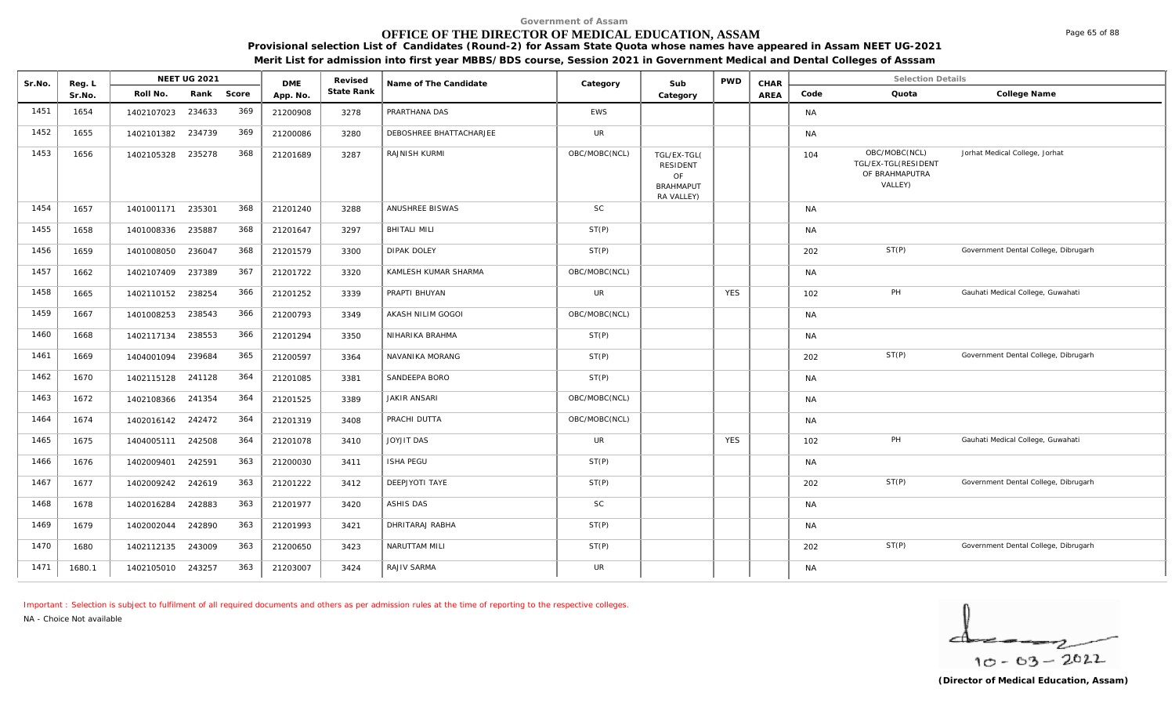# **OFFICE OF THE DIRECTOR OF MEDICAL EDUCATION, ASSAM**

**Provisional selection List of Candidates (Round-2) for Assam State Quota whose names have appeared in Assam NEET UG-2021** 

**Merit List for admission into first year MBBS/BDS course, Session 2021 in Government Medical and Dental Colleges of Asssam**

| Sr.No. | Reg. L |                   | <b>NEET UG 2021</b> |     | <b>DME</b> | Revised    | Name of The Candidate   | Category      | Sub                                                                    | <b>PWD</b> | CHAR |           | <b>Selection Details</b>                                          |                                      |
|--------|--------|-------------------|---------------------|-----|------------|------------|-------------------------|---------------|------------------------------------------------------------------------|------------|------|-----------|-------------------------------------------------------------------|--------------------------------------|
|        | Sr.No. | Roll No.          | Rank Score          |     | App. No.   | State Rank |                         |               | Category                                                               |            | AREA | Code      | Quota                                                             | College Name                         |
| 1451   | 1654   | 1402107023        | 234633              | 369 | 21200908   | 3278       | PRARTHANA DAS           | EWS           |                                                                        |            |      | <b>NA</b> |                                                                   |                                      |
| 1452   | 1655   | 1402101382 234739 |                     | 369 | 21200086   | 3280       | DEBOSHREE BHATTACHARJEE | <b>UR</b>     |                                                                        |            |      | <b>NA</b> |                                                                   |                                      |
| 1453   | 1656   | 1402105328 235278 |                     | 368 | 21201689   | 3287       | RAJNISH KURMI           | OBC/MOBC(NCL) | TGL/EX-TGL(<br><b>RESIDENT</b><br>OF<br><b>BRAHMAPUT</b><br>RA VALLEY) |            |      | 104       | OBC/MOBC(NCL)<br>TGL/EX-TGL(RESIDENT<br>OF BRAHMAPUTRA<br>VALLEY) | Jorhat Medical College, Jorhat       |
| 1454   | 1657   | 1401001171 235301 |                     | 368 | 21201240   | 3288       | ANUSHREE BISWAS         | SC            |                                                                        |            |      | <b>NA</b> |                                                                   |                                      |
| 1455   | 1658   | 1401008336        | 235887              | 368 | 21201647   | 3297       | <b>BHITALI MILI</b>     | ST(P)         |                                                                        |            |      | <b>NA</b> |                                                                   |                                      |
| 1456   | 1659   | 1401008050        | 236047              | 368 | 21201579   | 3300       | <b>DIPAK DOLEY</b>      | ST(P)         |                                                                        |            |      | 202       | ST(P)                                                             | Government Dental College, Dibrugarh |
| 1457   | 1662   | 1402107409        | 237389              | 367 | 21201722   | 3320       | KAMLESH KUMAR SHARMA    | OBC/MOBC(NCL) |                                                                        |            |      | <b>NA</b> |                                                                   |                                      |
| 1458   | 1665   | 1402110152        | 238254              | 366 | 21201252   | 3339       | PRAPTI BHUYAN           | <b>UR</b>     |                                                                        | <b>YES</b> |      | 102       | PH                                                                | Gauhati Medical College, Guwahati    |
| 1459   | 1667   | 1401008253        | 238543              | 366 | 21200793   | 3349       | AKASH NILIM GOGOI       | OBC/MOBC(NCL) |                                                                        |            |      | <b>NA</b> |                                                                   |                                      |
| 1460   | 1668   | 1402117134        | 238553              | 366 | 21201294   | 3350       | NIHARIKA BRAHMA         | ST(P)         |                                                                        |            |      | <b>NA</b> |                                                                   |                                      |
| 1461   | 1669   | 1404001094        | 239684              | 365 | 21200597   | 3364       | NAVANIKA MORANG         | ST(P)         |                                                                        |            |      | 202       | ST(P)                                                             | Government Dental College, Dibrugarh |
| 1462   | 1670   | 1402115128 241128 |                     | 364 | 21201085   | 3381       | SANDEEPA BORO           | ST(P)         |                                                                        |            |      | <b>NA</b> |                                                                   |                                      |
| 1463   | 1672   | 1402108366        | 241354              | 364 | 21201525   | 3389       | <b>JAKIR ANSARI</b>     | OBC/MOBC(NCL) |                                                                        |            |      | <b>NA</b> |                                                                   |                                      |
| 1464   | 1674   | 1402016142 242472 |                     | 364 | 21201319   | 3408       | PRACHI DUTTA            | OBC/MOBC(NCL) |                                                                        |            |      | <b>NA</b> |                                                                   |                                      |
| 1465   | 1675   | 1404005111 242508 |                     | 364 | 21201078   | 3410       | <b>JOYJIT DAS</b>       | <b>UR</b>     |                                                                        | <b>YES</b> |      | 102       | PH                                                                | Gauhati Medical College, Guwahati    |
| 1466   | 1676   | 1402009401        | 242591              | 363 | 21200030   | 3411       | <b>ISHA PEGU</b>        | ST(P)         |                                                                        |            |      | <b>NA</b> |                                                                   |                                      |
| 1467   | 1677   | 1402009242        | 242619              | 363 | 21201222   | 3412       | DEEPJYOTI TAYE          | ST(P)         |                                                                        |            |      | 202       | ST(P)                                                             | Government Dental College, Dibrugarh |
| 1468   | 1678   | 1402016284        | 242883              | 363 | 21201977   | 3420       | <b>ASHIS DAS</b>        | <b>SC</b>     |                                                                        |            |      | <b>NA</b> |                                                                   |                                      |
| 1469   | 1679   | 1402002044        | 242890              | 363 | 21201993   | 3421       | DHRITARAJ RABHA         | ST(P)         |                                                                        |            |      | <b>NA</b> |                                                                   |                                      |
| 1470   | 1680   | 1402112135        | 243009              | 363 | 21200650   | 3423       | NARUTTAM MILI           | ST(P)         |                                                                        |            |      | 202       | ST(P)                                                             | Government Dental College, Dibrugarh |
| 1471   | 1680.1 | 1402105010 243257 |                     | 363 | 21203007   | 3424       | RAJIV SARMA             | <b>UR</b>     |                                                                        |            |      | <b>NA</b> |                                                                   |                                      |

*Important : Selection is subject to fulfilment of all required documents and others as per admission rules at the time of reporting to the respective colleges.*

*NA - Choice Not available*

╭  $10 - 63 - 2022$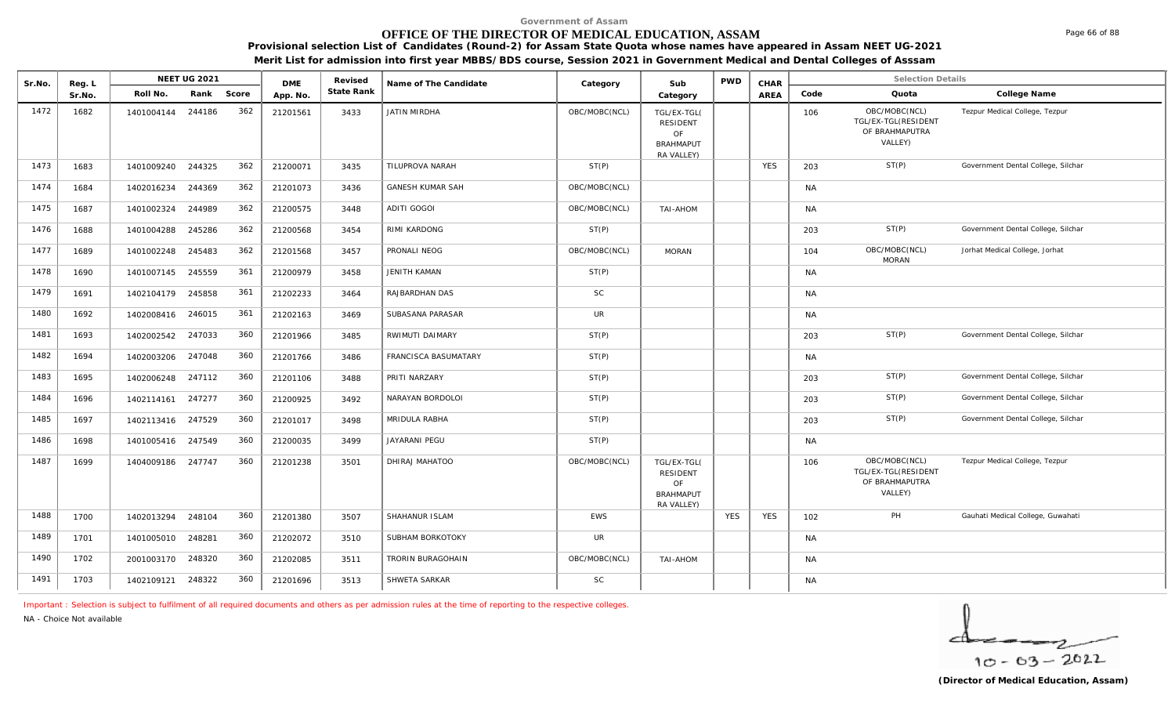# **OFFICE OF THE DIRECTOR OF MEDICAL EDUCATION, ASSAM**

**Provisional selection List of Candidates (Round-2) for Assam State Quota whose names have appeared in Assam NEET UG-2021** 

**Merit List for admission into first year MBBS/BDS course, Session 2021 in Government Medical and Dental Colleges of Asssam**

| Sr.No. | Reg. L |                   | <b>NEET UG 2021</b> |       | <b>DME</b> | Revised    | Name of The Candidate   | Category      | Sub                                                                    | <b>PWD</b> | CHAR        |           | <b>Selection Details</b>                                          |                                    |
|--------|--------|-------------------|---------------------|-------|------------|------------|-------------------------|---------------|------------------------------------------------------------------------|------------|-------------|-----------|-------------------------------------------------------------------|------------------------------------|
|        | Sr.No. | Roll No.          | Rank                | Score | App. No.   | State Rank |                         |               | Category                                                               |            | <b>AREA</b> | Code      | Quota                                                             | College Name                       |
| 1472   | 1682   | 1401004144        | 244186              | 362   | 21201561   | 3433       | JATIN MIRDHA            | OBC/MOBC(NCL) | TGL/EX-TGL(<br>RESIDENT<br>OF<br><b>BRAHMAPUT</b><br>RA VALLEY)        |            |             | 106       | OBC/MOBC(NCL)<br>TGL/EX-TGL(RESIDENT<br>OF BRAHMAPUTRA<br>VALLEY) | Tezpur Medical College, Tezpur     |
| 1473   | 1683   | 1401009240 244325 |                     | 362   | 21200071   | 3435       | TILUPROVA NARAH         | ST(P)         |                                                                        |            | <b>YES</b>  | 203       | ST(P)                                                             | Government Dental College, Silchar |
| 1474   | 1684   | 1402016234        | 244369              | 362   | 21201073   | 3436       | <b>GANESH KUMAR SAH</b> | OBC/MOBC(NCL) |                                                                        |            |             | <b>NA</b> |                                                                   |                                    |
| 1475   | 1687   | 1401002324        | 244989              | 362   | 21200575   | 3448       | ADITI GOGOI             | OBC/MOBC(NCL) | TAI-AHOM                                                               |            |             | <b>NA</b> |                                                                   |                                    |
| 1476   | 1688   | 1401004288        | 245286              | 362   | 21200568   | 3454       | RIMI KARDONG            | ST(P)         |                                                                        |            |             | 203       | ST(P)                                                             | Government Dental College, Silchar |
| 1477   | 1689   | 1401002248        | 245483              | 362   | 21201568   | 3457       | PRONALI NEOG            | OBC/MOBC(NCL) | <b>MORAN</b>                                                           |            |             | 104       | OBC/MOBC(NCL)<br><b>MORAN</b>                                     | Jorhat Medical College, Jorhat     |
| 1478   | 1690   | 1401007145        | 245559              | 361   | 21200979   | 3458       | <b>JENITH KAMAN</b>     | ST(P)         |                                                                        |            |             | <b>NA</b> |                                                                   |                                    |
| 1479   | 1691   | 1402104179        | 245858              | 361   | 21202233   | 3464       | RAJBARDHAN DAS          | SC            |                                                                        |            |             | <b>NA</b> |                                                                   |                                    |
| 1480   | 1692   | 1402008416 246015 |                     | 361   | 21202163   | 3469       | SUBASANA PARASAR        | <b>UR</b>     |                                                                        |            |             | <b>NA</b> |                                                                   |                                    |
| 1481   | 1693   | 1402002542        | 247033              | 360   | 21201966   | 3485       | RWIMUTI DAIMARY         | ST(P)         |                                                                        |            |             | 203       | ST(P)                                                             | Government Dental College, Silchar |
| 1482   | 1694   | 1402003206 247048 |                     | 360   | 21201766   | 3486       | FRANCISCA BASUMATARY    | ST(P)         |                                                                        |            |             | <b>NA</b> |                                                                   |                                    |
| 1483   | 1695   | 1402006248        | 247112              | 360   | 21201106   | 3488       | PRITI NARZARY           | ST(P)         |                                                                        |            |             | 203       | ST(P)                                                             | Government Dental College, Silchar |
| 1484   | 1696   | 1402114161 247277 |                     | 360   | 21200925   | 3492       | NARAYAN BORDOLOI        | ST(P)         |                                                                        |            |             | 203       | ST(P)                                                             | Government Dental College, Silchar |
| 1485   | 1697   | 1402113416 247529 |                     | 360   | 21201017   | 3498       | MRIDULA RABHA           | ST(P)         |                                                                        |            |             | 203       | ST(P)                                                             | Government Dental College, Silchar |
| 1486   | 1698   | 1401005416 247549 |                     | 360   | 21200035   | 3499       | <b>JAYARANI PEGU</b>    | ST(P)         |                                                                        |            |             | <b>NA</b> |                                                                   |                                    |
| 1487   | 1699   | 1404009186 247747 |                     | 360   | 21201238   | 3501       | DHIRAJ MAHATOO          | OBC/MOBC(NCL) | TGL/EX-TGL(<br><b>RESIDENT</b><br>OF<br><b>BRAHMAPUT</b><br>RA VALLEY) |            |             | 106       | OBC/MOBC(NCL)<br>TGL/EX-TGL(RESIDENT<br>OF BRAHMAPUTRA<br>VALLEY) | Tezpur Medical College, Tezpur     |
| 1488   | 1700   | 1402013294        | 248104              | 360   | 21201380   | 3507       | SHAHANUR ISLAM          | <b>EWS</b>    |                                                                        | <b>YES</b> | <b>YES</b>  | 102       | PH                                                                | Gauhati Medical College, Guwahati  |
| 1489   | 1701   | 1401005010 248281 |                     | 360   | 21202072   | 3510       | SUBHAM BORKOTOKY        | <b>UR</b>     |                                                                        |            |             | <b>NA</b> |                                                                   |                                    |
| 1490   | 1702   | 2001003170        | 248320              | 360   | 21202085   | 3511       | TRORIN BURAGOHAIN       | OBC/MOBC(NCL) | TAI-AHOM                                                               |            |             | <b>NA</b> |                                                                   |                                    |
| 1491   | 1703   | 1402109121 248322 |                     | 360   | 21201696   | 3513       | SHWETA SARKAR           | SC            |                                                                        |            |             | <b>NA</b> |                                                                   |                                    |

*Important : Selection is subject to fulfilment of all required documents and others as per admission rules at the time of reporting to the respective colleges.*

*NA - Choice Not available*

$$
\frac{1}{10-03-2022}
$$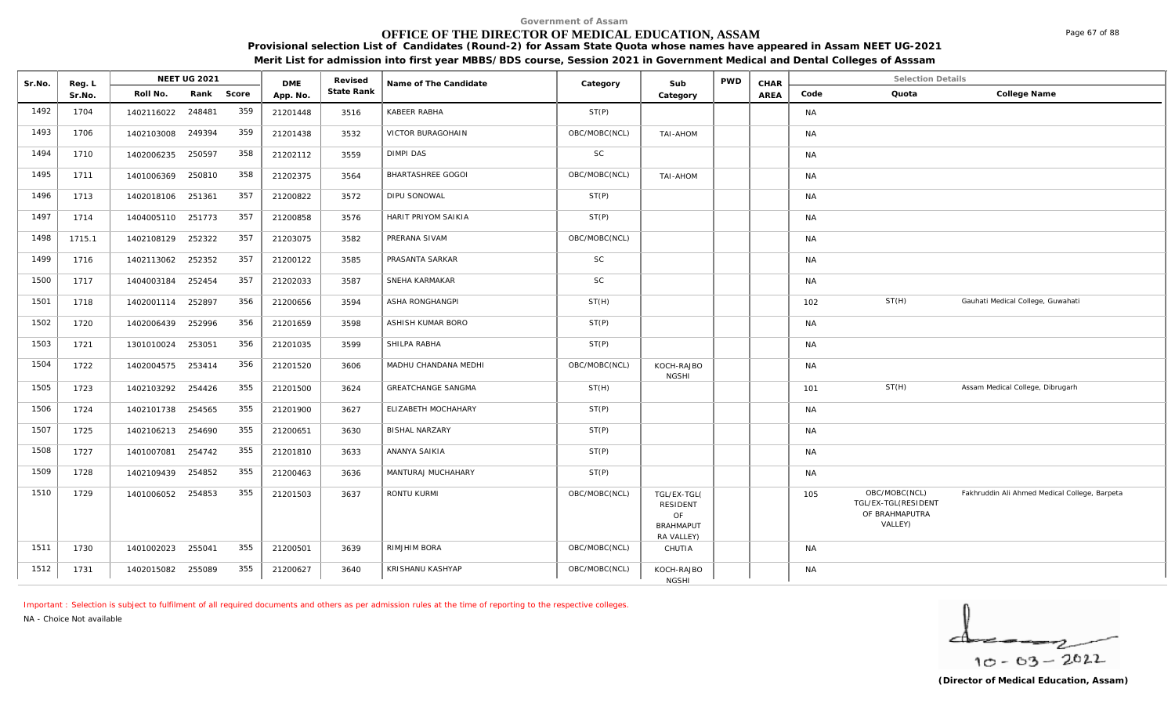# **OFFICE OF THE DIRECTOR OF MEDICAL EDUCATION, ASSAM**

**Provisional selection List of Candidates (Round-2) for Assam State Quota whose names have appeared in Assam NEET UG-2021 Merit List for admission into first year MBBS/BDS course, Session 2021 in Government Medical and Dental Colleges of Asssam**

| Sr.No. | Reg. L |            | NEET UG 2021 |       | <b>DME</b> | Revised    | Name of The Candidate     | Category      | Sub                                                             | <b>PWD</b> | CHAR |           | <b>Selection Details</b>                                          |                                               |
|--------|--------|------------|--------------|-------|------------|------------|---------------------------|---------------|-----------------------------------------------------------------|------------|------|-----------|-------------------------------------------------------------------|-----------------------------------------------|
|        | Sr.No. | Roll No.   | Rank         | Score | App. No.   | State Rank |                           |               | Category                                                        |            | AREA | Code      | Quota                                                             | College Name                                  |
| 1492   | 1704   | 1402116022 | 248481       | 359   | 21201448   | 3516       | KABEER RABHA              | ST(P)         |                                                                 |            |      | <b>NA</b> |                                                                   |                                               |
| 1493   | 1706   | 1402103008 | 249394       | 359   | 21201438   | 3532       | VICTOR BURAGOHAIN         | OBC/MOBC(NCL) | <b>NOHA-IAT</b>                                                 |            |      | <b>NA</b> |                                                                   |                                               |
| 1494   | 1710   | 1402006235 | 250597       | 358   | 21202112   | 3559       | <b>DIMPI DAS</b>          | <b>SC</b>     |                                                                 |            |      | <b>NA</b> |                                                                   |                                               |
| 1495   | 1711   | 1401006369 | 250810       | 358   | 21202375   | 3564       | BHARTASHREE GOGOI         | OBC/MOBC(NCL) | TAI-AHOM                                                        |            |      | <b>NA</b> |                                                                   |                                               |
| 1496   | 1713   | 1402018106 | 251361       | 357   | 21200822   | 3572       | DIPU SONOWAL              | ST(P)         |                                                                 |            |      | <b>NA</b> |                                                                   |                                               |
| 1497   | 1714   | 1404005110 | 251773       | 357   | 21200858   | 3576       | HARIT PRIYOM SAIKIA       | ST(P)         |                                                                 |            |      | <b>NA</b> |                                                                   |                                               |
| 1498   | 1715.1 | 1402108129 | 252322       | 357   | 21203075   | 3582       | PRERANA SIVAM             | OBC/MOBC(NCL) |                                                                 |            |      | <b>NA</b> |                                                                   |                                               |
| 1499   | 1716   | 1402113062 | 252352       | 357   | 21200122   | 3585       | PRASANTA SARKAR           | <b>SC</b>     |                                                                 |            |      | <b>NA</b> |                                                                   |                                               |
| 1500   | 1717   | 1404003184 | 252454       | 357   | 21202033   | 3587       | SNEHA KARMAKAR            | <b>SC</b>     |                                                                 |            |      | <b>NA</b> |                                                                   |                                               |
| 1501   | 1718   | 1402001114 | 252897       | 356   | 21200656   | 3594       | ASHA RONGHANGPI           | ST(H)         |                                                                 |            |      | 102       | ST(H)                                                             | Gauhati Medical College, Guwahati             |
| 1502   | 1720   | 1402006439 | 252996       | 356   | 21201659   | 3598       | ASHISH KUMAR BORO         | ST(P)         |                                                                 |            |      | <b>NA</b> |                                                                   |                                               |
| 1503   | 1721   | 1301010024 | 253051       | 356   | 21201035   | 3599       | SHILPA RABHA              | ST(P)         |                                                                 |            |      | <b>NA</b> |                                                                   |                                               |
| 1504   | 1722   | 1402004575 | 253414       | 356   | 21201520   | 3606       | MADHU CHANDANA MEDHI      | OBC/MOBC(NCL) | KOCH-RAJBO<br><b>NGSHI</b>                                      |            |      | <b>NA</b> |                                                                   |                                               |
| 1505   | 1723   | 1402103292 | 254426       | 355   | 21201500   | 3624       | <b>GREATCHANGE SANGMA</b> | ST(H)         |                                                                 |            |      | 101       | ST(H)                                                             | Assam Medical College, Dibrugarh              |
| 1506   | 1724   | 1402101738 | 254565       | 355   | 21201900   | 3627       | ELIZABETH MOCHAHARY       | ST(P)         |                                                                 |            |      | <b>NA</b> |                                                                   |                                               |
| 1507   | 1725   | 1402106213 | 254690       | 355   | 21200651   | 3630       | <b>BISHAL NARZARY</b>     | ST(P)         |                                                                 |            |      | <b>NA</b> |                                                                   |                                               |
| 1508   | 1727   | 1401007081 | 254742       | 355   | 21201810   | 3633       | ANANYA SAIKIA             | ST(P)         |                                                                 |            |      | <b>NA</b> |                                                                   |                                               |
| 1509   | 1728   | 1402109439 | 254852       | 355   | 21200463   | 3636       | MANTURAJ MUCHAHARY        | ST(P)         |                                                                 |            |      | <b>NA</b> |                                                                   |                                               |
| 1510   | 1729   | 1401006052 | 254853       | 355   | 21201503   | 3637       | RONTU KURMI               | OBC/MOBC(NCL) | TGL/EX-TGL(<br>RESIDENT<br>OF<br><b>BRAHMAPUT</b><br>RA VALLEY) |            |      | 105       | OBC/MOBC(NCL)<br>TGL/EX-TGL(RESIDENT<br>OF BRAHMAPUTRA<br>VALLEY) | Fakhruddin Ali Ahmed Medical College, Barpeta |
| 1511   | 1730   | 1401002023 | 255041       | 355   | 21200501   | 3639       | RIMJHIM BORA              | OBC/MOBC(NCL) | CHUTIA                                                          |            |      | <b>NA</b> |                                                                   |                                               |
| 1512   | 1731   | 1402015082 | 255089       | 355   | 21200627   | 3640       | KRISHANU KASHYAP          | OBC/MOBC(NCL) | KOCH-RAJBO<br><b>NGSHI</b>                                      |            |      | <b>NA</b> |                                                                   |                                               |

*Important : Selection is subject to fulfilment of all required documents and others as per admission rules at the time of reporting to the respective colleges.*

*NA - Choice Not available*

 $10 - 63 - 2022$ 

Page 67 of 88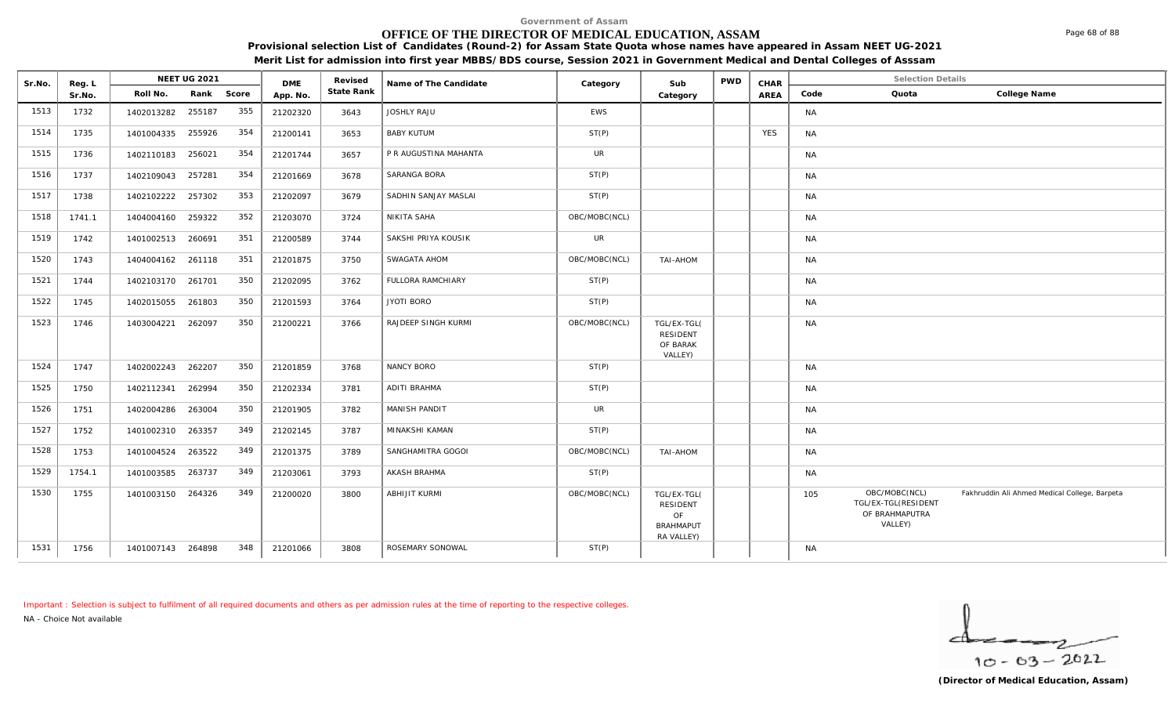# **OFFICE OF THE DIRECTOR OF MEDICAL EDUCATION, ASSAM**

**Provisional selection List of Candidates (Round-2) for Assam State Quota whose names have appeared in Assam NEET UG-2021 Merit List for admission into first year MBBS/BDS course, Session 2021 in Government Medical and Dental Colleges of Asssam**

| Sr.No. | Reg. L |                   | <b>NEET UG 2021</b> |     | <b>DME</b> | Revised    | Name of The Candidate    | Category      | Sub                                                             | <b>PWD</b> | CHAR       | <b>Selection Details</b>                                                                                                  |  |
|--------|--------|-------------------|---------------------|-----|------------|------------|--------------------------|---------------|-----------------------------------------------------------------|------------|------------|---------------------------------------------------------------------------------------------------------------------------|--|
|        | Sr.No. | Roll No.          | Rank Score          |     | App. No.   | State Rank |                          |               | Category                                                        |            | AREA       | Quota<br>College Name<br>Code                                                                                             |  |
| 1513   | 1732   | 1402013282        | 255187              | 355 | 21202320   | 3643       | <b>JOSHLY RAJU</b>       | EWS           |                                                                 |            |            | <b>NA</b>                                                                                                                 |  |
| 1514   | 1735   | 1401004335        | 255926              | 354 | 21200141   | 3653       | <b>BABY KUTUM</b>        | ST(P)         |                                                                 |            | <b>YES</b> | <b>NA</b>                                                                                                                 |  |
| 1515   | 1736   | 1402110183 256021 |                     | 354 | 21201744   | 3657       | P R AUGUSTINA MAHANTA    | <b>UR</b>     |                                                                 |            |            | <b>NA</b>                                                                                                                 |  |
| 1516   | 1737   | 1402109043        | 257281              | 354 | 21201669   | 3678       | SARANGA BORA             | ST(P)         |                                                                 |            |            | <b>NA</b>                                                                                                                 |  |
| 1517   | 1738   | 1402102222        | 257302              | 353 | 21202097   | 3679       | SADHIN SANJAY MASLAI     | ST(P)         |                                                                 |            |            | <b>NA</b>                                                                                                                 |  |
| 1518   | 1741.1 | 1404004160        | 259322              | 352 | 21203070   | 3724       | NIKITA SAHA              | OBC/MOBC(NCL) |                                                                 |            |            | <b>NA</b>                                                                                                                 |  |
| 1519   | 1742   | 1401002513        | 260691              | 351 | 21200589   | 3744       | SAKSHI PRIYA KOUSIK      | <b>UR</b>     |                                                                 |            |            | <b>NA</b>                                                                                                                 |  |
| 1520   | 1743   | 1404004162 261118 |                     | 351 | 21201875   | 3750       | SWAGATA AHOM             | OBC/MOBC(NCL) | TAI-AHOM                                                        |            |            | <b>NA</b>                                                                                                                 |  |
| 1521   | 1744   | 1402103170        | 261701              | 350 | 21202095   | 3762       | <b>FULLORA RAMCHIARY</b> | ST(P)         |                                                                 |            |            | <b>NA</b>                                                                                                                 |  |
| 1522   | 1745   | 1402015055        | 261803              | 350 | 21201593   | 3764       | <b>JYOTI BORO</b>        | ST(P)         |                                                                 |            |            | <b>NA</b>                                                                                                                 |  |
| 1523   | 1746   | 1403004221        | 262097              | 350 | 21200221   | 3766       | RAJDEEP SINGH KURMI      | OBC/MOBC(NCL) | TGL/EX-TGL(<br><b>RESIDENT</b><br>OF BARAK<br>VALLEY)           |            |            | <b>NA</b>                                                                                                                 |  |
| 1524   | 1747   | 1402002243        | 262207              | 350 | 21201859   | 3768       | NANCY BORO               | ST(P)         |                                                                 |            |            | <b>NA</b>                                                                                                                 |  |
| 1525   | 1750   | 1402112341        | 262994              | 350 | 21202334   | 3781       | ADITI BRAHMA             | ST(P)         |                                                                 |            |            | <b>NA</b>                                                                                                                 |  |
| 1526   | 1751   | 1402004286        | 263004              | 350 | 21201905   | 3782       | MANISH PANDIT            | <b>UR</b>     |                                                                 |            |            | <b>NA</b>                                                                                                                 |  |
| 1527   | 1752   | 1401002310        | 263357              | 349 | 21202145   | 3787       | MINAKSHI KAMAN           | ST(P)         |                                                                 |            |            | <b>NA</b>                                                                                                                 |  |
| 1528   | 1753   | 1401004524        | 263522              | 349 | 21201375   | 3789       | SANGHAMITRA GOGOI        | OBC/MOBC(NCL) | TAI-AHOM                                                        |            |            | <b>NA</b>                                                                                                                 |  |
| 1529   | 1754.1 | 1401003585        | 263737              | 349 | 21203061   | 3793       | AKASH BRAHMA             | ST(P)         |                                                                 |            |            | <b>NA</b>                                                                                                                 |  |
| 1530   | 1755   | 1401003150        | 264326              | 349 | 21200020   | 3800       | <b>ABHIJIT KURMI</b>     | OBC/MOBC(NCL) | TGL/EX-TGL(<br>RESIDENT<br>OF<br><b>BRAHMAPUT</b><br>RA VALLEY) |            |            | OBC/MOBC(NCL)<br>Fakhruddin Ali Ahmed Medical College, Barpeta<br>105<br>TGL/EX-TGL(RESIDENT<br>OF BRAHMAPUTRA<br>VALLEY) |  |
| 1531   | 1756   | 1401007143 264898 |                     | 348 | 21201066   | 3808       | ROSEMARY SONOWAL         | ST(P)         |                                                                 |            |            | <b>NA</b>                                                                                                                 |  |

*Important : Selection is subject to fulfilment of all required documents and others as per admission rules at the time of reporting to the respective colleges.*

*NA - Choice Not available*

 $10 - 63 - 2022$ 

**(Director of Medical Education, Assam)**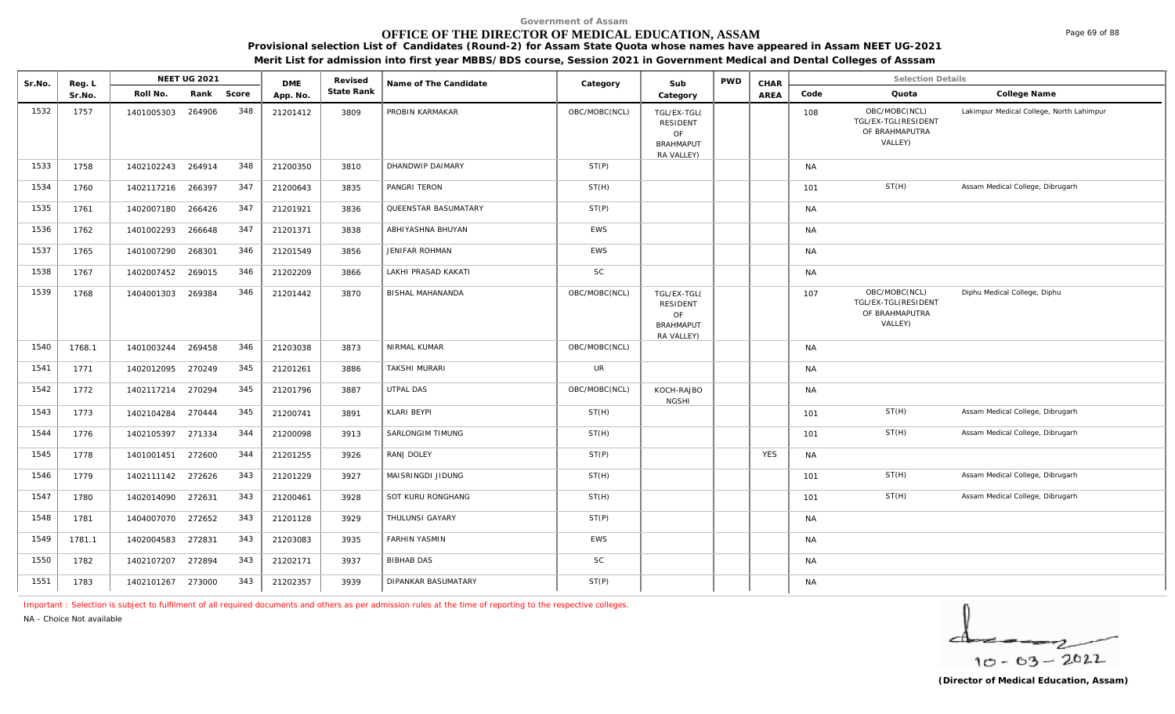# **OFFICE OF THE DIRECTOR OF MEDICAL EDUCATION, ASSAM**

**Provisional selection List of Candidates (Round-2) for Assam State Quota whose names have appeared in Assam NEET UG-2021** 

**Merit List for admission into first year MBBS/BDS course, Session 2021 in Government Medical and Dental Colleges of Asssam**

| Sr.No. | Reg. L |                   | <b>NEET UG 2021</b> |       | <b>DME</b> | Revised    | Name of The Candidate   | Category      | Sub                                                                    | <b>PWD</b> | CHAR        |           | <b>Selection Details</b>                                          |                                          |
|--------|--------|-------------------|---------------------|-------|------------|------------|-------------------------|---------------|------------------------------------------------------------------------|------------|-------------|-----------|-------------------------------------------------------------------|------------------------------------------|
|        | Sr.No. | Roll No.          | Rank                | Score | App. No.   | State Rank |                         |               | Category                                                               |            | <b>AREA</b> | Code      | Quota                                                             | College Name                             |
| 1532   | 1757   | 1401005303        | 264906              | 348   | 21201412   | 3809       | PROBIN KARMAKAR         | OBC/MOBC(NCL) | TGL/EX-TGL(<br><b>RESIDENT</b><br>OF<br><b>BRAHMAPUT</b><br>RA VALLEY) |            |             | 108       | OBC/MOBC(NCL)<br>TGL/EX-TGL(RESIDENT<br>OF BRAHMAPUTRA<br>VALLEY) | Lakimpur Medical College, North Lahimpur |
| 1533   | 1758   | 1402102243 264914 |                     | 348   | 21200350   | 3810       | DHANDWIP DAIMARY        | ST(P)         |                                                                        |            |             | <b>NA</b> |                                                                   |                                          |
| 1534   | 1760   | 1402117216 266397 |                     | 347   | 21200643   | 3835       | PANGRI TERON            | ST(H)         |                                                                        |            |             | 101       | ST(H)                                                             | Assam Medical College, Dibrugarh         |
| 1535   | 1761   | 1402007180        | 266426              | 347   | 21201921   | 3836       | QUEENSTAR BASUMATARY    | ST(P)         |                                                                        |            |             | <b>NA</b> |                                                                   |                                          |
| 1536   | 1762   | 1401002293        | 266648              | 347   | 21201371   | 3838       | ABHIYASHNA BHUYAN       | <b>EWS</b>    |                                                                        |            |             | <b>NA</b> |                                                                   |                                          |
| 1537   | 1765   | 1401007290        | 268301              | 346   | 21201549   | 3856       | <b>JENIFAR ROHMAN</b>   | <b>EWS</b>    |                                                                        |            |             | <b>NA</b> |                                                                   |                                          |
| 1538   | 1767   | 1402007452        | 269015              | 346   | 21202209   | 3866       | LAKHI PRASAD KAKATI     | SC            |                                                                        |            |             | <b>NA</b> |                                                                   |                                          |
| 1539   | 1768   | 1404001303        | 269384              | 346   | 21201442   | 3870       | <b>BISHAL MAHANANDA</b> | OBC/MOBC(NCL) | TGL/EX-TGL(<br>RESIDENT<br>OF<br><b>BRAHMAPUT</b><br>RA VALLEY)        |            |             | 107       | OBC/MOBC(NCL)<br>TGL/EX-TGL(RESIDENT<br>OF BRAHMAPUTRA<br>VALLEY) | Diphu Medical College, Diphu             |
| 1540   | 1768.1 | 1401003244        | 269458              | 346   | 21203038   | 3873       | NIRMAL KUMAR            | OBC/MOBC(NCL) |                                                                        |            |             | <b>NA</b> |                                                                   |                                          |
| 1541   | 1771   | 1402012095 270249 |                     | 345   | 21201261   | 3886       | <b>TAKSHI MURARI</b>    | UR            |                                                                        |            |             | <b>NA</b> |                                                                   |                                          |
| 1542   | 1772   | 1402117214        | 270294              | 345   | 21201796   | 3887       | UTPAL DAS               | OBC/MOBC(NCL) | KOCH-RAJBO<br><b>NGSHI</b>                                             |            |             | <b>NA</b> |                                                                   |                                          |
| 1543   | 1773   | 1402104284        | 270444              | 345   | 21200741   | 3891       | KLARI BEYPI             | ST(H)         |                                                                        |            |             | 101       | ST(H)                                                             | Assam Medical College, Dibrugarh         |
| 1544   | 1776   | 1402105397        | 271334              | 344   | 21200098   | 3913       | SARLONGIM TIMUNG        | ST(H)         |                                                                        |            |             | 101       | ST(H)                                                             | Assam Medical College, Dibrugarh         |
| 1545   | 1778   | 1401001451 272600 |                     | 344   | 21201255   | 3926       | RANJ DOLEY              | ST(P)         |                                                                        |            | <b>YES</b>  | <b>NA</b> |                                                                   |                                          |
| 1546   | 1779   | 1402111142 272626 |                     | 343   | 21201229   | 3927       | MAISRINGDI JIDUNG       | ST(H)         |                                                                        |            |             | 101       | ST(H)                                                             | Assam Medical College, Dibrugarh         |
| 1547   | 1780   | 1402014090 272631 |                     | 343   | 21200461   | 3928       | SOT KURU RONGHANG       | ST(H)         |                                                                        |            |             | 101       | ST(H)                                                             | Assam Medical College, Dibrugarh         |
| 1548   | 1781   | 1404007070        | 272652              | 343   | 21201128   | 3929       | THULUNSI GAYARY         | ST(P)         |                                                                        |            |             | <b>NA</b> |                                                                   |                                          |
| 1549   | 1781.1 | 1402004583 272831 |                     | 343   | 21203083   | 3935       | <b>FARHIN YASMIN</b>    | <b>EWS</b>    |                                                                        |            |             | <b>NA</b> |                                                                   |                                          |
| 1550   | 1782   | 1402107207        | 272894              | 343   | 21202171   | 3937       | <b>BIBHAB DAS</b>       | $\mathsf{SC}$ |                                                                        |            |             | <b>NA</b> |                                                                   |                                          |
| 1551   | 1783   | 1402101267 273000 |                     | 343   | 21202357   | 3939       | DIPANKAR BASUMATARY     | ST(P)         |                                                                        |            |             | <b>NA</b> |                                                                   |                                          |

*Important : Selection is subject to fulfilment of all required documents and others as per admission rules at the time of reporting to the respective colleges.*

*NA - Choice Not available*

$$
\frac{1}{10-03-2022}
$$

Page 69 of 88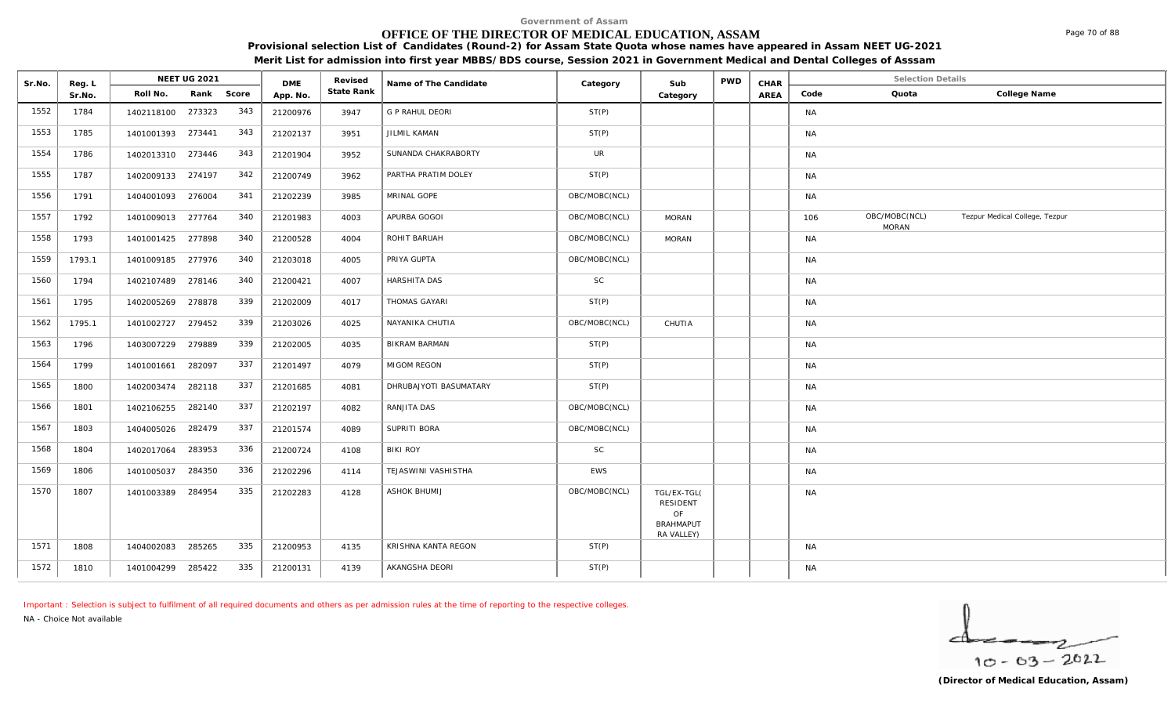# **OFFICE OF THE DIRECTOR OF MEDICAL EDUCATION, ASSAM**

**Provisional selection List of Candidates (Round-2) for Assam State Quota whose names have appeared in Assam NEET UG-2021 Merit List for admission into first year MBBS/BDS course, Session 2021 in Government Medical and Dental Colleges of Asssam**

| Sr.No. | Reg. L |                   | <b>NEET UG 2021</b> |       | <b>DME</b> | Revised    | Name of The Candidate  | Category      | Sub                                                             | <b>PWD</b> | CHAR |           | <b>Selection Details</b>      |                                |
|--------|--------|-------------------|---------------------|-------|------------|------------|------------------------|---------------|-----------------------------------------------------------------|------------|------|-----------|-------------------------------|--------------------------------|
|        | Sr.No. | Roll No.          | Rank                | Score | App. No.   | State Rank |                        |               | Category                                                        |            | AREA | Code      | Quota                         | College Name                   |
| 1552   | 1784   | 1402118100 273323 |                     | 343   | 21200976   | 3947       | G P RAHUL DEORI        | ST(P)         |                                                                 |            |      | <b>NA</b> |                               |                                |
| 1553   | 1785   | 1401001393 273441 |                     | 343   | 21202137   | 3951       | JILMIL KAMAN           | ST(P)         |                                                                 |            |      | <b>NA</b> |                               |                                |
| 1554   | 1786   | 1402013310 273446 |                     | 343   | 21201904   | 3952       | SUNANDA CHAKRABORTY    | UR            |                                                                 |            |      | <b>NA</b> |                               |                                |
| 1555   | 1787   | 1402009133 274197 |                     | 342   | 21200749   | 3962       | PARTHA PRATIM DOLEY    | ST(P)         |                                                                 |            |      | <b>NA</b> |                               |                                |
| 1556   | 1791   | 1404001093 276004 |                     | 341   | 21202239   | 3985       | MRINAL GOPE            | OBC/MOBC(NCL) |                                                                 |            |      | <b>NA</b> |                               |                                |
| 1557   | 1792   | 1401009013 277764 |                     | 340   | 21201983   | 4003       | APURBA GOGOI           | OBC/MOBC(NCL) | <b>MORAN</b>                                                    |            |      | 106       | OBC/MOBC(NCL)<br><b>MORAN</b> | Tezpur Medical College, Tezpur |
| 1558   | 1793   | 1401001425 277898 |                     | 340   | 21200528   | 4004       | ROHIT BARUAH           | OBC/MOBC(NCL) | <b>MORAN</b>                                                    |            |      | <b>NA</b> |                               |                                |
| 1559   | 1793.1 | 1401009185 277976 |                     | 340   | 21203018   | 4005       | PRIYA GUPTA            | OBC/MOBC(NCL) |                                                                 |            |      | <b>NA</b> |                               |                                |
| 1560   | 1794   | 1402107489 278146 |                     | 340   | 21200421   | 4007       | HARSHITA DAS           | <b>SC</b>     |                                                                 |            |      | <b>NA</b> |                               |                                |
| 1561   | 1795   | 1402005269 278878 |                     | 339   | 21202009   | 4017       | THOMAS GAYARI          | ST(P)         |                                                                 |            |      | <b>NA</b> |                               |                                |
| 1562   | 1795.1 | 1401002727        | 279452              | 339   | 21203026   | 4025       | NAYANIKA CHUTIA        | OBC/MOBC(NCL) | CHUTIA                                                          |            |      | <b>NA</b> |                               |                                |
| 1563   | 1796   | 1403007229 279889 |                     | 339   | 21202005   | 4035       | <b>BIKRAM BARMAN</b>   | ST(P)         |                                                                 |            |      | <b>NA</b> |                               |                                |
| 1564   | 1799   | 1401001661        | 282097              | 337   | 21201497   | 4079       | MIGOM REGON            | ST(P)         |                                                                 |            |      | <b>NA</b> |                               |                                |
| 1565   | 1800   | 1402003474        | 282118              | 337   | 21201685   | 4081       | DHRUBAJYOTI BASUMATARY | ST(P)         |                                                                 |            |      | <b>NA</b> |                               |                                |
| 1566   | 1801   | 1402106255        | 282140              | 337   | 21202197   | 4082       | RANJITA DAS            | OBC/MOBC(NCL) |                                                                 |            |      | <b>NA</b> |                               |                                |
| 1567   | 1803   | 1404005026        | 282479              | 337   | 21201574   | 4089       | SUPRITI BORA           | OBC/MOBC(NCL) |                                                                 |            |      | <b>NA</b> |                               |                                |
| 1568   | 1804   | 1402017064        | 283953              | 336   | 21200724   | 4108       | <b>BIKI ROY</b>        | <b>SC</b>     |                                                                 |            |      | <b>NA</b> |                               |                                |
| 1569   | 1806   | 1401005037        | 284350              | 336   | 21202296   | 4114       | TEJASWINI VASHISTHA    | <b>EWS</b>    |                                                                 |            |      | <b>NA</b> |                               |                                |
| 1570   | 1807   | 1401003389        | 284954              | 335   | 21202283   | 4128       | <b>ASHOK BHUMIJ</b>    | OBC/MOBC(NCL) | TGL/EX-TGL(<br>RESIDENT<br>OF<br><b>BRAHMAPUT</b><br>RA VALLEY) |            |      | <b>NA</b> |                               |                                |
| 1571   | 1808   | 1404002083        | 285265              | 335   | 21200953   | 4135       | KRISHNA KANTA REGON    | ST(P)         |                                                                 |            |      | <b>NA</b> |                               |                                |
| 1572   | 1810   | 1401004299 285422 |                     | 335   | 21200131   | 4139       | AKANGSHA DEORI         | ST(P)         |                                                                 |            |      | <b>NA</b> |                               |                                |

*Important : Selection is subject to fulfilment of all required documents and others as per admission rules at the time of reporting to the respective colleges.*

*NA - Choice Not available*

 $10 - 63 - 2022$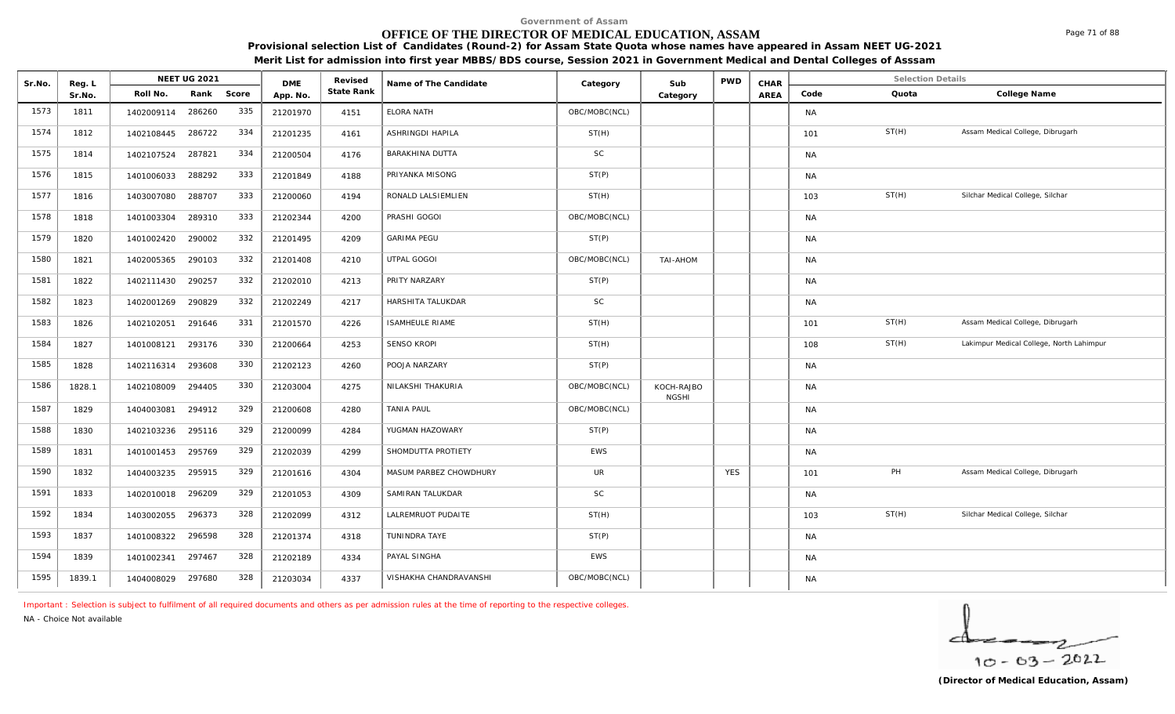#### **OFFICE OF THE DIRECTOR OF MEDICAL EDUCATION, ASSAM**

**Provisional selection List of Candidates (Round-2) for Assam State Quota whose names have appeared in Assam NEET UG-2021** 

|  | Merit List for admission into first year MBBS/BDS course, Session 2021 in Government Medical and Dental Colleges of Asssam |
|--|----------------------------------------------------------------------------------------------------------------------------|
|  |                                                                                                                            |

| Sr.No. | Reg. L |                   | <b>NEET UG 2021</b> |       | <b>DME</b> | Revised    | Name of The Candidate  | Category      | Sub                        | <b>PWD</b> | CHAR        |           | <b>Selection Details</b> |                                          |
|--------|--------|-------------------|---------------------|-------|------------|------------|------------------------|---------------|----------------------------|------------|-------------|-----------|--------------------------|------------------------------------------|
|        | Sr.No. | Roll No.          | Rank                | Score | App. No.   | State Rank |                        |               | Category                   |            | <b>AREA</b> | Code      | Quota                    | College Name                             |
| 1573   | 1811   | 1402009114        | 286260              | 335   | 21201970   | 4151       | ELORA NATH             | OBC/MOBC(NCL) |                            |            |             | <b>NA</b> |                          |                                          |
| 1574   | 1812   | 1402108445        | 286722              | 334   | 21201235   | 4161       | ASHRINGDI HAPILA       | ST(H)         |                            |            |             | 101       | ST(H)                    | Assam Medical College, Dibrugarh         |
| 1575   | 1814   | 1402107524        | 287821              | 334   | 21200504   | 4176       | BARAKHINA DUTTA        | SC            |                            |            |             | <b>NA</b> |                          |                                          |
| 1576   | 1815   | 1401006033        | 288292              | 333   | 21201849   | 4188       | PRIYANKA MISONG        | ST(P)         |                            |            |             | <b>NA</b> |                          |                                          |
| 1577   | 1816   | 1403007080        | 288707              | 333   | 21200060   | 4194       | RONALD LALSIEMLIEN     | ST(H)         |                            |            |             | 103       | ST(H)                    | Silchar Medical College, Silchar         |
| 1578   | 1818   | 1401003304        | 289310              | 333   | 21202344   | 4200       | PRASHI GOGOI           | OBC/MOBC(NCL) |                            |            |             | <b>NA</b> |                          |                                          |
| 1579   | 1820   | 1401002420        | 290002              | 332   | 21201495   | 4209       | <b>GARIMA PEGU</b>     | ST(P)         |                            |            |             | <b>NA</b> |                          |                                          |
| 1580   | 1821   | 1402005365        | 290103              | 332   | 21201408   | 4210       | UTPAL GOGOI            | OBC/MOBC(NCL) | TAI-AHOM                   |            |             | <b>NA</b> |                          |                                          |
| 1581   | 1822   | 1402111430        | 290257              | 332   | 21202010   | 4213       | PRITY NARZARY          | ST(P)         |                            |            |             | <b>NA</b> |                          |                                          |
| 1582   | 1823   | 1402001269        | 290829              | 332   | 21202249   | 4217       | HARSHITA TALUKDAR      | $\mathsf{SC}$ |                            |            |             | <b>NA</b> |                          |                                          |
| 1583   | 1826   | 1402102051        | 291646              | 331   | 21201570   | 4226       | <b>ISAMHEULE RIAME</b> | ST(H)         |                            |            |             | 101       | ST(H)                    | Assam Medical College, Dibrugarh         |
| 1584   | 1827   | 1401008121        | 293176              | 330   | 21200664   | 4253       | <b>SENSO KROPI</b>     | ST(H)         |                            |            |             | 108       | ST(H)                    | Lakimpur Medical College, North Lahimpur |
| 1585   | 1828   | 1402116314        | 293608              | 330   | 21202123   | 4260       | POOJA NARZARY          | ST(P)         |                            |            |             | <b>NA</b> |                          |                                          |
| 1586   | 1828.1 | 1402108009        | 294405              | 330   | 21203004   | 4275       | NILAKSHI THAKURIA      | OBC/MOBC(NCL) | KOCH-RAJBO<br><b>NGSHI</b> |            |             | <b>NA</b> |                          |                                          |
| 1587   | 1829   | 1404003081        | 294912              | 329   | 21200608   | 4280       | <b>TANIA PAUL</b>      | OBC/MOBC(NCL) |                            |            |             | <b>NA</b> |                          |                                          |
| 1588   | 1830   | 1402103236        | 295116              | 329   | 21200099   | 4284       | YUGMAN HAZOWARY        | ST(P)         |                            |            |             | <b>NA</b> |                          |                                          |
| 1589   | 1831   | 1401001453 295769 |                     | 329   | 21202039   | 4299       | SHOMDUTTA PROTIETY     | EWS           |                            |            |             | <b>NA</b> |                          |                                          |
| 1590   | 1832   | 1404003235        | 295915              | 329   | 21201616   | 4304       | MASUM PARBEZ CHOWDHURY | UR            |                            | <b>YES</b> |             | 101       | PH                       | Assam Medical College, Dibrugarh         |
| 1591   | 1833   | 1402010018 296209 |                     | 329   | 21201053   | 4309       | SAMIRAN TALUKDAR       | $\mathsf{SC}$ |                            |            |             | <b>NA</b> |                          |                                          |
| 1592   | 1834   | 1403002055        | 296373              | 328   | 21202099   | 4312       | LALREMRUOT PUDAITE     | ST(H)         |                            |            |             | 103       | ST(H)                    | Silchar Medical College, Silchar         |
| 1593   | 1837   | 1401008322 296598 |                     | 328   | 21201374   | 4318       | TUNINDRA TAYE          | ST(P)         |                            |            |             | <b>NA</b> |                          |                                          |
| 1594   | 1839   | 1401002341        | 297467              | 328   | 21202189   | 4334       | PAYAL SINGHA           | EWS           |                            |            |             | <b>NA</b> |                          |                                          |
| 1595   | 1839.1 | 1404008029 297680 |                     | 328   | 21203034   | 4337       | VISHAKHA CHANDRAVANSHI | OBC/MOBC(NCL) |                            |            |             | <b>NA</b> |                          |                                          |

*Important : Selection is subject to fulfilment of all required documents and others as per admission rules at the time of reporting to the respective colleges.*

*NA - Choice Not available*

$$
\frac{1}{10-63-2022}
$$

Page 71 of 88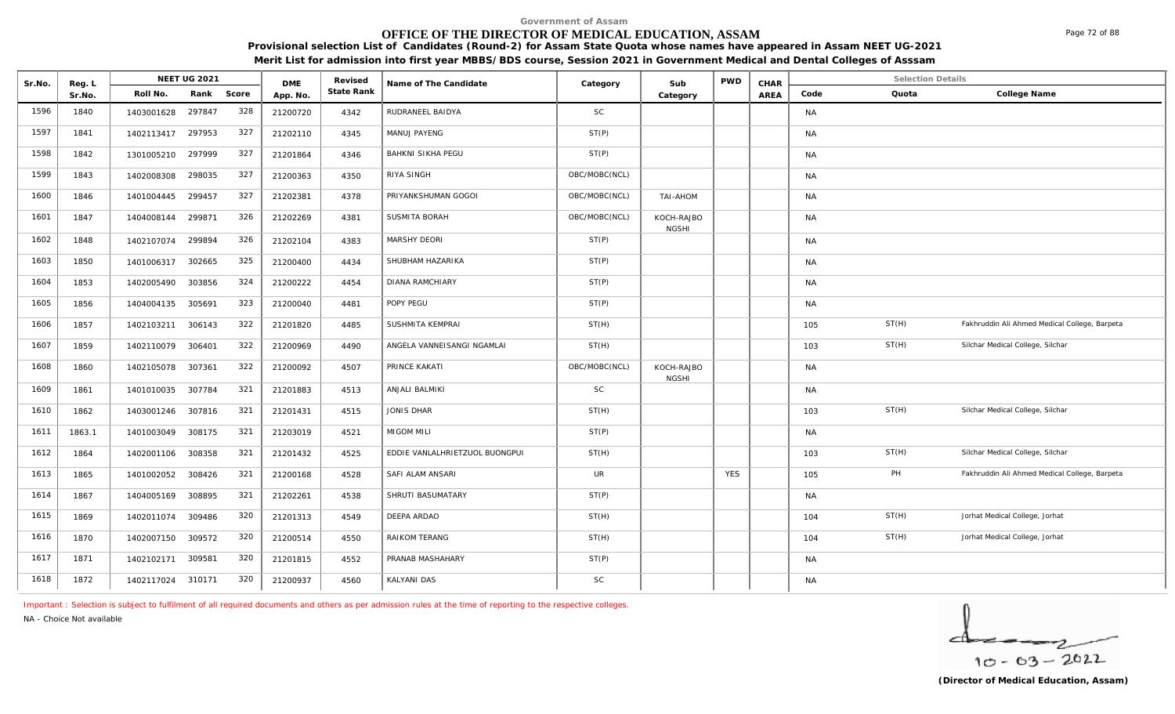# **OFFICE OF THE DIRECTOR OF MEDICAL EDUCATION, ASSAM**

**Provisional selection List of Candidates (Round-2) for Assam State Quota whose names have appeared in Assam NEET UG-2021 Merit List for admission into first year MBBS/BDS course, Session 2021 in Government Medical and Dental Colleges of Asssam**

| Sr.No. | Reg. L<br>Sr.No. |                   | <b>NEET UG 2021</b> |       | <b>DME</b> | Revised<br>State Rank | Name of The Candidate          | Category      | Sub<br>Category            | <b>PWD</b> | CHAR | <b>Selection Details</b> |       |                                               |
|--------|------------------|-------------------|---------------------|-------|------------|-----------------------|--------------------------------|---------------|----------------------------|------------|------|--------------------------|-------|-----------------------------------------------|
|        |                  | Roll No.          | Rank                | Score | App. No.   |                       |                                |               |                            |            | AREA | Code                     | Quota | College Name                                  |
| 1596   | 1840             | 1403001628        | 297847              | 328   | 21200720   | 4342                  | RUDRANEEL BAIDYA               | <b>SC</b>     |                            |            |      | <b>NA</b>                |       |                                               |
| 1597   | 1841             | 1402113417 297953 |                     | 327   | 21202110   | 4345                  | MANUJ PAYENG                   | ST(P)         |                            |            |      | <b>NA</b>                |       |                                               |
| 1598   | 1842             | 1301005210        | 297999              | 327   | 21201864   | 4346                  | <b>BAHKNI SIKHA PEGU</b>       | ST(P)         |                            |            |      | <b>NA</b>                |       |                                               |
| 1599   | 1843             | 1402008308        | 298035              | 327   | 21200363   | 4350                  | RIYA SINGH                     | OBC/MOBC(NCL) |                            |            |      | <b>NA</b>                |       |                                               |
| 1600   | 1846             | 1401004445        | 299457              | 327   | 21202381   | 4378                  | PRIYANKSHUMAN GOGOI            | OBC/MOBC(NCL) | TAI-AHOM                   |            |      | <b>NA</b>                |       |                                               |
| 1601   | 1847             | 1404008144 299871 |                     | 326   | 21202269   | 4381                  | SUSMITA BORAH                  | OBC/MOBC(NCL) | KOCH-RAJBO<br><b>NGSHI</b> |            |      | <b>NA</b>                |       |                                               |
| 1602   | 1848             | 1402107074        | 299894              | 326   | 21202104   | 4383                  | MARSHY DEORI                   | ST(P)         |                            |            |      | <b>NA</b>                |       |                                               |
| 1603   | 1850             | 1401006317        | 302665              | 325   | 21200400   | 4434                  | SHUBHAM HAZARIKA               | ST(P)         |                            |            |      | <b>NA</b>                |       |                                               |
| 1604   | 1853             | 1402005490        | 303856              | 324   | 21200222   | 4454                  | <b>DIANA RAMCHIARY</b>         | ST(P)         |                            |            |      | <b>NA</b>                |       |                                               |
| 1605   | 1856             | 1404004135        | 305691              | 323   | 21200040   | 4481                  | POPY PEGU                      | ST(P)         |                            |            |      | <b>NA</b>                |       |                                               |
| 1606   | 1857             | 1402103211        | 306143              | 322   | 21201820   | 4485                  | SUSHMITA KEMPRAI               | ST(H)         |                            |            |      | 105                      | ST(H) | Fakhruddin Ali Ahmed Medical College, Barpeta |
| 1607   | 1859             | 1402110079        | 306401              | 322   | 21200969   | 4490                  | ANGELA VANNEISANGI NGAMLAI     | ST(H)         |                            |            |      | 103                      | ST(H) | Silchar Medical College, Silchar              |
| 1608   | 1860             | 1402105078        | 307361              | 322   | 21200092   | 4507                  | PRINCE KAKATI                  | OBC/MOBC(NCL) | KOCH-RAJBO<br><b>NGSHI</b> |            |      | <b>NA</b>                |       |                                               |
| 1609   | 1861             | 1401010035        | 307784              | 321   | 21201883   | 4513                  | ANJALI BALMIKI                 | <b>SC</b>     |                            |            |      | <b>NA</b>                |       |                                               |
| 1610   | 1862             | 1403001246 307816 |                     | 321   | 21201431   | 4515                  | <b>JONIS DHAR</b>              | ST(H)         |                            |            |      | 103                      | ST(H) | Silchar Medical College, Silchar              |
| 1611   | 1863.1           | 1401003049        | 308175              | 321   | 21203019   | 4521                  | MIGOM MILI                     | ST(P)         |                            |            |      | <b>NA</b>                |       |                                               |
| 1612   | 1864             | 1402001106        | 308358              | 321   | 21201432   | 4525                  | EDDIE VANLALHRIETZUOL BUONGPUI | ST(H)         |                            |            |      | 103                      | ST(H) | Silchar Medical College, Silchar              |
| 1613   | 1865             | 1401002052        | 308426              | 321   | 21200168   | 4528                  | SAFI ALAM ANSARI               | <b>UR</b>     |                            | <b>YES</b> |      | 105                      | PH    | Fakhruddin Ali Ahmed Medical College, Barpeta |
| 1614   | 1867             | 1404005169        | 308895              | 321   | 21202261   | 4538                  | SHRUTI BASUMATARY              | ST(P)         |                            |            |      | <b>NA</b>                |       |                                               |
| 1615   | 1869             | 1402011074 309486 |                     | 320   | 21201313   | 4549                  | DEEPA ARDAO                    | ST(H)         |                            |            |      | 104                      | ST(H) | Jorhat Medical College, Jorhat                |
| 1616   | 1870             | 1402007150 309572 |                     | 320   | 21200514   | 4550                  | RAIKOM TERANG                  | ST(H)         |                            |            |      | 104                      | ST(H) | Jorhat Medical College, Jorhat                |
| 1617   | 1871             | 1402102171        | 309581              | 320   | 21201815   | 4552                  | PRANAB MASHAHARY               | ST(P)         |                            |            |      | <b>NA</b>                |       |                                               |
| 1618   | 1872             | 1402117024 310171 |                     | 320   | 21200937   | 4560                  | KALYANI DAS                    | SC            |                            |            |      | <b>NA</b>                |       |                                               |

*Important : Selection is subject to fulfilment of all required documents and others as per admission rules at the time of reporting to the respective colleges.*

*NA - Choice Not available*

$$
\frac{1}{10-03-2022}
$$

Page 72 of 88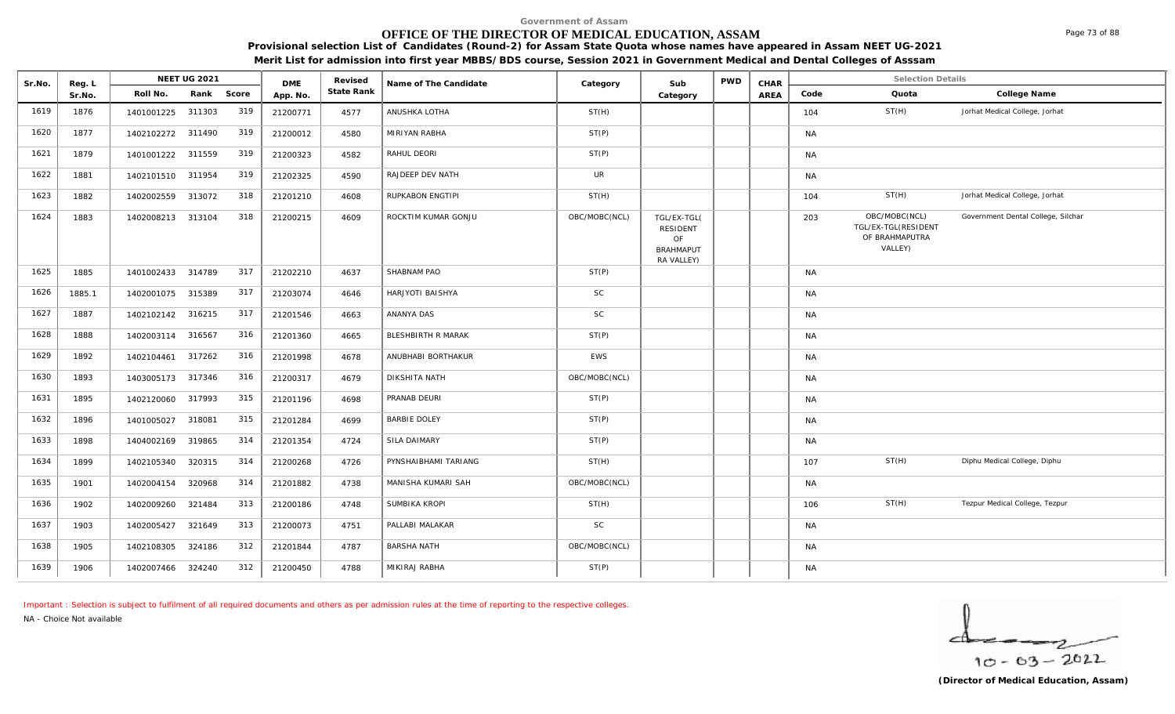#### **OFFICE OF THE DIRECTOR OF MEDICAL EDUCATION, ASSAM**

**Provisional selection List of Candidates (Round-2) for Assam State Quota whose names have appeared in Assam NEET UG-2021** 

| Meri | or admission into first vear MBBS/BDS course. Session 2021 in Government Medical and Dental Colleges of Asssam. |  |  |  |
|------|-----------------------------------------------------------------------------------------------------------------|--|--|--|
|      |                                                                                                                 |  |  |  |

| Sr.No. | Reg. L |                   | <b>NEET UG 2021</b> |       | <b>DME</b> | Revised    | Name of The Candidate | Category      | Sub                                                             | <b>PWD</b> | CHAR        |           | <b>Selection Details</b>                                          |                                    |
|--------|--------|-------------------|---------------------|-------|------------|------------|-----------------------|---------------|-----------------------------------------------------------------|------------|-------------|-----------|-------------------------------------------------------------------|------------------------------------|
|        | Sr.No. | Roll No.          | Rank                | Score | App. No.   | State Rank |                       |               | Category                                                        |            | <b>AREA</b> | Code      | Quota                                                             | College Name                       |
| 1619   | 1876   | 1401001225        | 311303              | 319   | 21200771   | 4577       | ANUSHKA LOTHA         | ST(H)         |                                                                 |            |             | 104       | ST(H)                                                             | Jorhat Medical College, Jorhat     |
| 1620   | 1877   | 1402102272 311490 |                     | 319   | 21200012   | 4580       | MIRIYAN RABHA         | ST(P)         |                                                                 |            |             | <b>NA</b> |                                                                   |                                    |
| 1621   | 1879   | 1401001222 311559 |                     | 319   | 21200323   | 4582       | RAHUL DEORI           | ST(P)         |                                                                 |            |             | <b>NA</b> |                                                                   |                                    |
| 1622   | 1881   | 1402101510 311954 |                     | 319   | 21202325   | 4590       | RAJDEEP DEV NATH      | <b>UR</b>     |                                                                 |            |             | <b>NA</b> |                                                                   |                                    |
| 1623   | 1882   | 1402002559        | 313072              | 318   | 21201210   | 4608       | RUPKABON ENGTIPI      | ST(H)         |                                                                 |            |             | 104       | ST(H)                                                             | Jorhat Medical College, Jorhat     |
| 1624   | 1883   | 1402008213 313104 |                     | 318   | 21200215   | 4609       | ROCKTIM KUMAR GONJU   | OBC/MOBC(NCL) | TGL/EX-TGL(<br>RESIDENT<br>OF<br><b>BRAHMAPUT</b><br>RA VALLEY) |            |             | 203       | OBC/MOBC(NCL)<br>TGL/EX-TGL(RESIDENT<br>OF BRAHMAPUTRA<br>VALLEY) | Government Dental College, Silchar |
| 1625   | 1885   | 1401002433 314789 |                     | 317   | 21202210   | 4637       | SHABNAM PAO           | ST(P)         |                                                                 |            |             | <b>NA</b> |                                                                   |                                    |
| 1626   | 1885.1 | 1402001075        | 315389              | 317   | 21203074   | 4646       | HARJYOTI BAISHYA      | <b>SC</b>     |                                                                 |            |             | <b>NA</b> |                                                                   |                                    |
| 1627   | 1887   | 1402102142 316215 |                     | 317   | 21201546   | 4663       | ANANYA DAS            | <b>SC</b>     |                                                                 |            |             | <b>NA</b> |                                                                   |                                    |
| 1628   | 1888   | 1402003114 316567 |                     | 316   | 21201360   | 4665       | BLESHBIRTH R MARAK    | ST(P)         |                                                                 |            |             | <b>NA</b> |                                                                   |                                    |
| 1629   | 1892   | 1402104461        | 317262              | 316   | 21201998   | 4678       | ANUBHABI BORTHAKUR    | <b>EWS</b>    |                                                                 |            |             | <b>NA</b> |                                                                   |                                    |
| 1630   | 1893   | 1403005173 317346 |                     | 316   | 21200317   | 4679       | DIKSHITA NATH         | OBC/MOBC(NCL) |                                                                 |            |             | <b>NA</b> |                                                                   |                                    |
| 1631   | 1895   | 1402120060        | 317993              | 315   | 21201196   | 4698       | PRANAB DEURI          | ST(P)         |                                                                 |            |             | <b>NA</b> |                                                                   |                                    |
| 1632   | 1896   | 1401005027 318081 |                     | 315   | 21201284   | 4699       | <b>BARBIE DOLEY</b>   | ST(P)         |                                                                 |            |             | <b>NA</b> |                                                                   |                                    |
| 1633   | 1898   | 1404002169        | 319865              | 314   | 21201354   | 4724       | SILA DAIMARY          | ST(P)         |                                                                 |            |             | <b>NA</b> |                                                                   |                                    |
| 1634   | 1899   | 1402105340        | 320315              | 314   | 21200268   | 4726       | PYNSHAIBHAMI TARIANG  | ST(H)         |                                                                 |            |             | 107       | ST(H)                                                             | Diphu Medical College, Diphu       |
| 1635   | 1901   | 1402004154        | 320968              | 314   | 21201882   | 4738       | MANISHA KUMARI SAH    | OBC/MOBC(NCL) |                                                                 |            |             | <b>NA</b> |                                                                   |                                    |
| 1636   | 1902   | 1402009260        | 321484              | 313   | 21200186   | 4748       | SUMBIKA KROPI         | ST(H)         |                                                                 |            |             | 106       | ST(H)                                                             | Tezpur Medical College, Tezpur     |
| 1637   | 1903   | 1402005427        | 321649              | 313   | 21200073   | 4751       | PALLABI MALAKAR       | <b>SC</b>     |                                                                 |            |             | <b>NA</b> |                                                                   |                                    |
| 1638   | 1905   | 1402108305        | 324186              | 312   | 21201844   | 4787       | <b>BARSHA NATH</b>    | OBC/MOBC(NCL) |                                                                 |            |             | <b>NA</b> |                                                                   |                                    |
| 1639   | 1906   | 1402007466        | 324240              | 312   | 21200450   | 4788       | MIKIRAJ RABHA         | ST(P)         |                                                                 |            |             | <b>NA</b> |                                                                   |                                    |

*Important : Selection is subject to fulfilment of all required documents and others as per admission rules at the time of reporting to the respective colleges.*

*NA - Choice Not available*

▱  $10 - 63 - 2022$ 

Page 73 of 88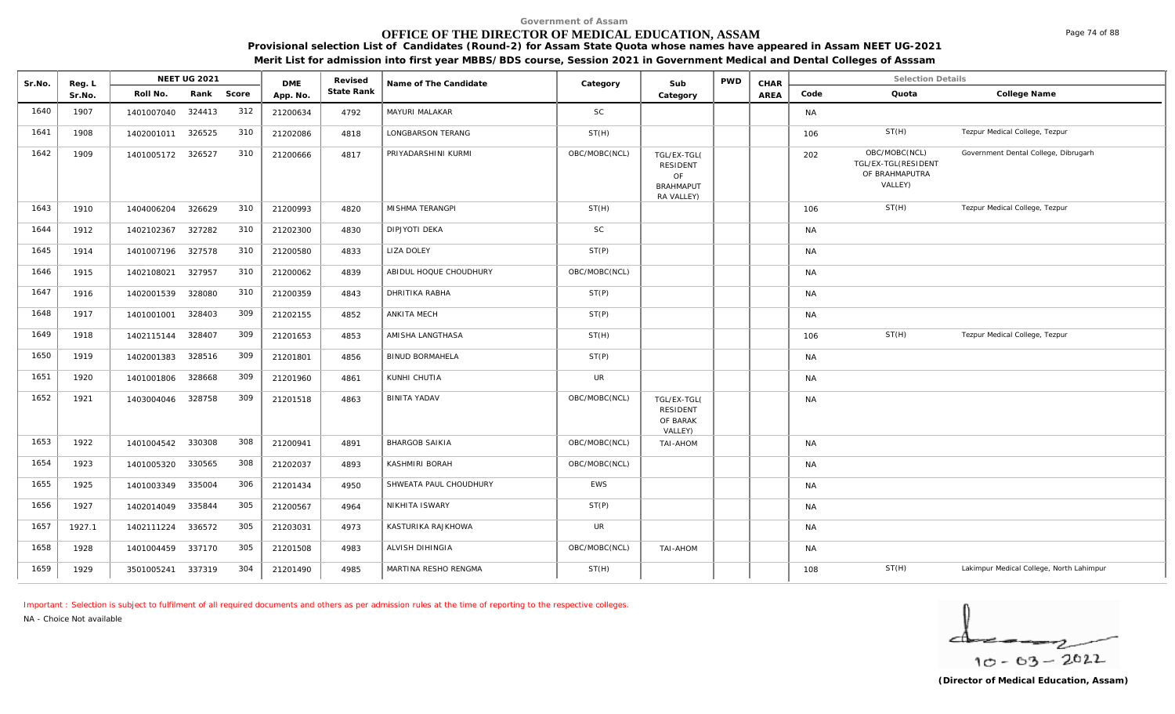# **OFFICE OF THE DIRECTOR OF MEDICAL EDUCATION, ASSAM**

**Provisional selection List of Candidates (Round-2) for Assam State Quota whose names have appeared in Assam NEET UG-2021 Merit List for admission into first year MBBS/BDS course, Session 2021 in Government Medical and Dental Colleges of Asssam**

| Sr.No. | Reg. L |                   | <b>NEET UG 2021</b> |       | <b>DME</b> | Revised    | Name of The Candidate  | Category      | Sub                                                                    | <b>PWD</b> | CHAR |           | <b>Selection Details</b>                                          |                                          |
|--------|--------|-------------------|---------------------|-------|------------|------------|------------------------|---------------|------------------------------------------------------------------------|------------|------|-----------|-------------------------------------------------------------------|------------------------------------------|
|        | Sr.No. | Roll No.          | Rank                | Score | App. No.   | State Rank |                        |               | Category                                                               |            | AREA | Code      | Quota                                                             | College Name                             |
| 1640   | 1907   | 1401007040        | 324413              | 312   | 21200634   | 4792       | MAYURI MALAKAR         | <b>SC</b>     |                                                                        |            |      | <b>NA</b> |                                                                   |                                          |
| 1641   | 1908   | 1402001011 326525 |                     | 310   | 21202086   | 4818       | LONGBARSON TERANG      | ST(H)         |                                                                        |            |      | 106       | ST(H)                                                             | Tezpur Medical College, Tezpur           |
| 1642   | 1909   | 1401005172 326527 |                     | 310   | 21200666   | 4817       | PRIYADARSHINI KURMI    | OBC/MOBC(NCL) | TGL/EX-TGL(<br><b>RESIDENT</b><br>OF<br><b>BRAHMAPUT</b><br>RA VALLEY) |            |      | 202       | OBC/MOBC(NCL)<br>TGL/EX-TGL(RESIDENT<br>OF BRAHMAPUTRA<br>VALLEY) | Government Dental College, Dibrugarh     |
| 1643   | 1910   | 1404006204        | 326629              | 310   | 21200993   | 4820       | MISHMA TERANGPI        | ST(H)         |                                                                        |            |      | 106       | ST(H)                                                             | Tezpur Medical College, Tezpur           |
| 1644   | 1912   | 1402102367        | 327282              | 310   | 21202300   | 4830       | <b>DIPJYOTI DEKA</b>   | <b>SC</b>     |                                                                        |            |      | <b>NA</b> |                                                                   |                                          |
| 1645   | 1914   | 1401007196        | 327578              | 310   | 21200580   | 4833       | LIZA DOLEY             | ST(P)         |                                                                        |            |      | NA        |                                                                   |                                          |
| 1646   | 1915   | 1402108021 327957 |                     | 310   | 21200062   | 4839       | ABIDUL HOQUE CHOUDHURY | OBC/MOBC(NCL) |                                                                        |            |      | NA        |                                                                   |                                          |
| 1647   | 1916   | 1402001539        | 328080              | 310   | 21200359   | 4843       | DHRITIKA RABHA         | ST(P)         |                                                                        |            |      | NA        |                                                                   |                                          |
| 1648   | 1917   | 1401001001        | 328403              | 309   | 21202155   | 4852       | ANKITA MECH            | ST(P)         |                                                                        |            |      | <b>NA</b> |                                                                   |                                          |
| 1649   | 1918   | 1402115144        | 328407              | 309   | 21201653   | 4853       | AMISHA LANGTHASA       | ST(H)         |                                                                        |            |      | 106       | ST(H)                                                             | Tezpur Medical College, Tezpur           |
| 1650   | 1919   | 1402001383        | 328516              | 309   | 21201801   | 4856       | <b>BINUD BORMAHELA</b> | ST(P)         |                                                                        |            |      | <b>NA</b> |                                                                   |                                          |
| 1651   | 1920   | 1401001806        | 328668              | 309   | 21201960   | 4861       | KUNHI CHUTIA           | <b>UR</b>     |                                                                        |            |      | <b>NA</b> |                                                                   |                                          |
| 1652   | 1921   | 1403004046 328758 |                     | 309   | 21201518   | 4863       | <b>BINITA YADAV</b>    | OBC/MOBC(NCL) | TGL/EX-TGL(<br><b>RESIDENT</b><br>OF BARAK<br>VALLEY)                  |            |      | <b>NA</b> |                                                                   |                                          |
| 1653   | 1922   | 1401004542        | 330308              | 308   | 21200941   | 4891       | <b>BHARGOB SAIKIA</b>  | OBC/MOBC(NCL) | TAI-AHOM                                                               |            |      | <b>NA</b> |                                                                   |                                          |
| 1654   | 1923   | 1401005320        | 330565              | 308   | 21202037   | 4893       | KASHMIRI BORAH         | OBC/MOBC(NCL) |                                                                        |            |      | <b>NA</b> |                                                                   |                                          |
| 1655   | 1925   | 1401003349        | 335004              | 306   | 21201434   | 4950       | SHWEATA PAUL CHOUDHURY | <b>EWS</b>    |                                                                        |            |      | <b>NA</b> |                                                                   |                                          |
| 1656   | 1927   | 1402014049        | 335844              | 305   | 21200567   | 4964       | NIKHITA ISWARY         | ST(P)         |                                                                        |            |      | <b>NA</b> |                                                                   |                                          |
| 1657   | 1927.1 | 1402111224        | 336572              | 305   | 21203031   | 4973       | KASTURIKA RAJKHOWA     | <b>UR</b>     |                                                                        |            |      | NA        |                                                                   |                                          |
| 1658   | 1928   | 1401004459        | 337170              | 305   | 21201508   | 4983       | ALVISH DIHINGIA        | OBC/MOBC(NCL) | <b>TAI-AHOM</b>                                                        |            |      | <b>NA</b> |                                                                   |                                          |
| 1659   | 1929   | 3501005241 337319 |                     | 304   | 21201490   | 4985       | MARTINA RESHO RENGMA   | ST(H)         |                                                                        |            |      | 108       | ST(H)                                                             | Lakimpur Medical College, North Lahimpur |

*Important : Selection is subject to fulfilment of all required documents and others as per admission rules at the time of reporting to the respective colleges.*

*NA - Choice Not available*

 $10 - 63 - 2022$ 

Page 74 of 88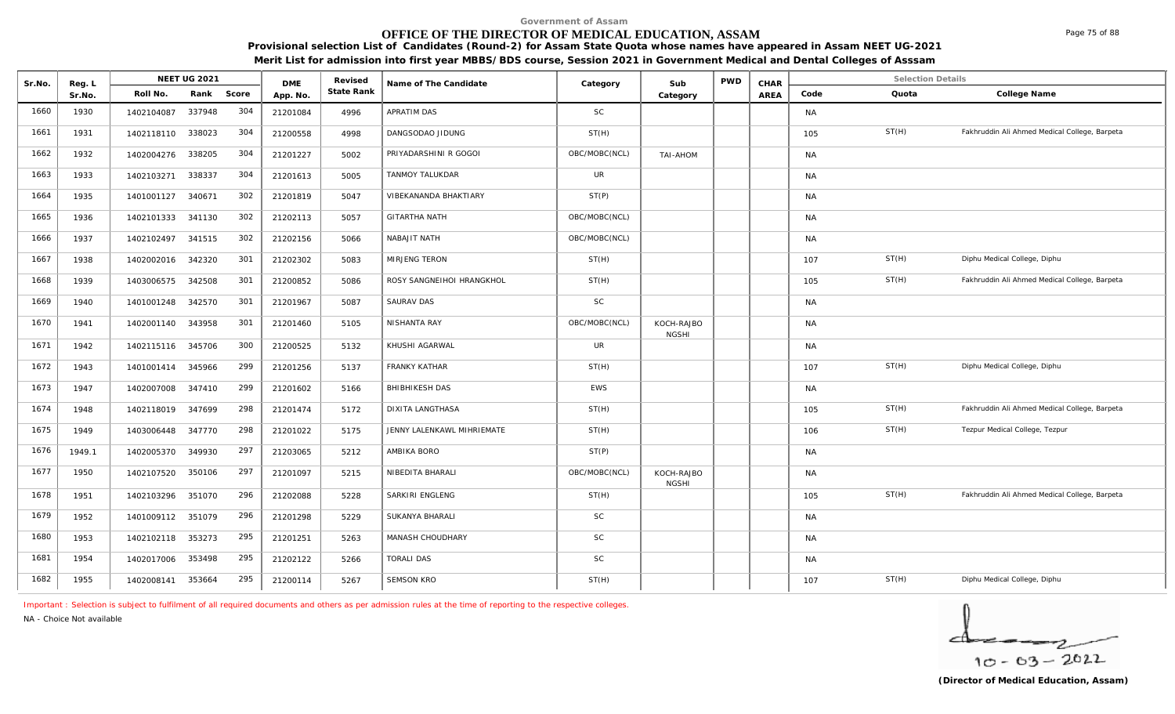# **OFFICE OF THE DIRECTOR OF MEDICAL EDUCATION, ASSAM**

**Provisional selection List of Candidates (Round-2) for Assam State Quota whose names have appeared in Assam NEET UG-2021 Merit List for admission into first year MBBS/BDS course, Session 2021 in Government Medical and Dental Colleges of Asssam**

| Sr.No. | Reg. L | <b>NEET UG 2021</b>         | <b>DMF</b> | Revised    | Name of The Candidate      | Category      | Sub                        | <b>PWD</b> | CHAR        |           | <b>Selection Details</b> |                                               |
|--------|--------|-----------------------------|------------|------------|----------------------------|---------------|----------------------------|------------|-------------|-----------|--------------------------|-----------------------------------------------|
|        | Sr.No. | Score<br>Roll No.<br>Rank   | App. No.   | State Rank |                            |               | Category                   |            | <b>AREA</b> | Code      | Quota                    | College Name                                  |
| 1660   | 1930   | 304<br>337948<br>1402104087 | 21201084   | 4996       | APRATIM DAS                | <b>SC</b>     |                            |            |             | <b>NA</b> |                          |                                               |
| 1661   | 1931   | 304<br>338023<br>1402118110 | 21200558   | 4998       | DANGSODAO JIDUNG           | ST(H)         |                            |            |             | 105       | ST(H)                    | Fakhruddin Ali Ahmed Medical College, Barpeta |
| 1662   | 1932   | 304<br>1402004276<br>338205 | 21201227   | 5002       | PRIYADARSHINI R GOGOI      | OBC/MOBC(NCL) | <b>MOHA-IAT</b>            |            |             | <b>NA</b> |                          |                                               |
| 1663   | 1933   | 304<br>338337<br>1402103271 | 21201613   | 5005       | TANMOY TALUKDAR            | <b>UR</b>     |                            |            |             | <b>NA</b> |                          |                                               |
| 1664   | 1935   | 302<br>340671<br>1401001127 | 21201819   | 5047       | VIBEKANANDA BHAKTIARY      | ST(P)         |                            |            |             | <b>NA</b> |                          |                                               |
| 1665   | 1936   | 302<br>341130<br>1402101333 | 21202113   | 5057       | <b>GITARTHA NATH</b>       | OBC/MOBC(NCL) |                            |            |             | <b>NA</b> |                          |                                               |
| 1666   | 1937   | 302<br>341515<br>1402102497 | 21202156   | 5066       | NABAJIT NATH               | OBC/MOBC(NCL) |                            |            |             | <b>NA</b> |                          |                                               |
| 1667   | 1938   | 301<br>342320<br>1402002016 | 21202302   | 5083       | <b>MIRJENG TERON</b>       | ST(H)         |                            |            |             | 107       | ST(H)                    | Diphu Medical College, Diphu                  |
| 1668   | 1939   | 301<br>1403006575<br>342508 | 21200852   | 5086       | ROSY SANGNEIHOI HRANGKHOL  | ST(H)         |                            |            |             | 105       | ST(H)                    | Fakhruddin Ali Ahmed Medical College, Barpeta |
| 1669   | 1940   | 301<br>342570<br>1401001248 | 21201967   | 5087       | SAURAV DAS                 | <b>SC</b>     |                            |            |             | <b>NA</b> |                          |                                               |
| 1670   | 1941   | 301<br>343958<br>1402001140 | 21201460   | 5105       | NISHANTA RAY               | OBC/MOBC(NCL) | KOCH-RAJBO<br><b>NGSHI</b> |            |             | <b>NA</b> |                          |                                               |
| 1671   | 1942   | 300<br>1402115116<br>345706 | 21200525   | 5132       | KHUSHI AGARWAL             | <b>UR</b>     |                            |            |             | <b>NA</b> |                          |                                               |
| 1672   | 1943   | 299<br>345966<br>1401001414 | 21201256   | 5137       | <b>FRANKY KATHAR</b>       | ST(H)         |                            |            |             | 107       | ST(H)                    | Diphu Medical College, Diphu                  |
| 1673   | 1947   | 299<br>347410<br>1402007008 | 21201602   | 5166       | BHIBHIKESH DAS             | EWS           |                            |            |             | <b>NA</b> |                          |                                               |
| 1674   | 1948   | 298<br>347699<br>1402118019 | 21201474   | 5172       | <b>DIXITA LANGTHASA</b>    | ST(H)         |                            |            |             | 105       | ST(H)                    | Fakhruddin Ali Ahmed Medical College, Barpeta |
| 1675   | 1949   | 298<br>347770<br>1403006448 | 21201022   | 5175       | JENNY LALENKAWL MIHRIEMATE | ST(H)         |                            |            |             | 106       | ST(H)                    | Tezpur Medical College, Tezpur                |
| 1676   | 1949.1 | 297<br>349930<br>1402005370 | 21203065   | 5212       | AMBIKA BORO                | ST(P)         |                            |            |             | <b>NA</b> |                          |                                               |
| 1677   | 1950   | 297<br>350106<br>1402107520 | 21201097   | 5215       | NIBEDITA BHARALI           | OBC/MOBC(NCL) | KOCH-RAJBO<br><b>NGSHI</b> |            |             | <b>NA</b> |                          |                                               |
| 1678   | 1951   | 296<br>351070<br>1402103296 | 21202088   | 5228       | SARKIRI ENGLENG            | ST(H)         |                            |            |             | 105       | ST(H)                    | Fakhruddin Ali Ahmed Medical College, Barpeta |
| 1679   | 1952   | 296<br>1401009112 351079    | 21201298   | 5229       | SUKANYA BHARALI            | <b>SC</b>     |                            |            |             | <b>NA</b> |                          |                                               |
| 1680   | 1953   | 295<br>1402102118 353273    | 21201251   | 5263       | MANASH CHOUDHARY           | <b>SC</b>     |                            |            |             | <b>NA</b> |                          |                                               |
| 1681   | 1954   | 295<br>353498<br>1402017006 | 21202122   | 5266       | <b>TORALI DAS</b>          | <b>SC</b>     |                            |            |             | <b>NA</b> |                          |                                               |
| 1682   | 1955   | 295<br>353664<br>1402008141 | 21200114   | 5267       | <b>SEMSON KRO</b>          | ST(H)         |                            |            |             | 107       | ST(H)                    | Diphu Medical College, Diphu                  |

*Important : Selection is subject to fulfilment of all required documents and others as per admission rules at the time of reporting to the respective colleges.*

*NA - Choice Not available*

$$
\frac{1}{10-03-2022}
$$

Page 75 of 88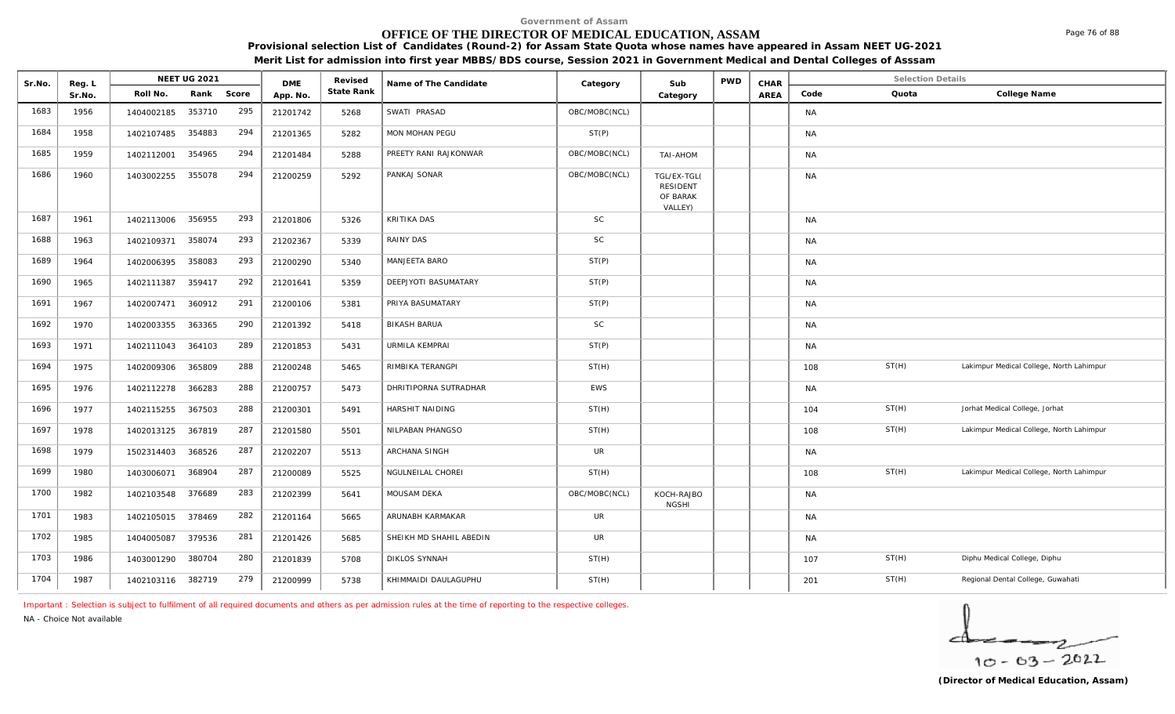# **OFFICE OF THE DIRECTOR OF MEDICAL EDUCATION, ASSAM**

**Provisional selection List of Candidates (Round-2) for Assam State Quota whose names have appeared in Assam NEET UG-2021** 

**Merit List for admission into first year MBBS/BDS course, Session 2021 in Government Medical and Dental Colleges of Asssam**

| Sr.No. | Reg. L |                   | <b>NEET UG 2021</b> |       | <b>DME</b> | Revised    | Name of The Candidate   | Category      | Sub                                                   | <b>PWD</b> | CHAR        |           | <b>Selection Details</b> |                                          |
|--------|--------|-------------------|---------------------|-------|------------|------------|-------------------------|---------------|-------------------------------------------------------|------------|-------------|-----------|--------------------------|------------------------------------------|
|        | Sr.No. | Roll No.          | Rank                | Score | App. No.   | State Rank |                         |               | Category                                              |            | <b>AREA</b> | Code      | Quota                    | College Name                             |
| 1683   | 1956   | 1404002185        | 353710              | 295   | 21201742   | 5268       | SWATI PRASAD            | OBC/MOBC(NCL) |                                                       |            |             | <b>NA</b> |                          |                                          |
| 1684   | 1958   | 1402107485        | 354883              | 294   | 21201365   | 5282       | MON MOHAN PEGU          | ST(P)         |                                                       |            |             | <b>NA</b> |                          |                                          |
| 1685   | 1959   | 1402112001        | 354965              | 294   | 21201484   | 5288       | PREETY RANI RAJKONWAR   | OBC/MOBC(NCL) | <b>TAI-AHOM</b>                                       |            |             | <b>NA</b> |                          |                                          |
| 1686   | 1960   | 1403002255        | 355078              | 294   | 21200259   | 5292       | PANKAJ SONAR            | OBC/MOBC(NCL) | TGL/EX-TGL(<br><b>RESIDENT</b><br>OF BARAK<br>VALLEY) |            |             | <b>NA</b> |                          |                                          |
| 1687   | 1961   | 1402113006        | 356955              | 293   | 21201806   | 5326       | KRITIKA DAS             | SC            |                                                       |            |             | <b>NA</b> |                          |                                          |
| 1688   | 1963   | 1402109371        | 358074              | 293   | 21202367   | 5339       | RAINY DAS               | $\mathsf{SC}$ |                                                       |            |             | <b>NA</b> |                          |                                          |
| 1689   | 1964   | 1402006395        | 358083              | 293   | 21200290   | 5340       | MANJEETA BARO           | ST(P)         |                                                       |            |             | <b>NA</b> |                          |                                          |
| 1690   | 1965   | 1402111387        | 359417              | 292   | 21201641   | 5359       | DEEPJYOTI BASUMATARY    | ST(P)         |                                                       |            |             | <b>NA</b> |                          |                                          |
| 1691   | 1967   | 1402007471        | 360912              | 291   | 21200106   | 5381       | PRIYA BASUMATARY        | ST(P)         |                                                       |            |             | <b>NA</b> |                          |                                          |
| 1692   | 1970   | 1402003355        | 363365              | 290   | 21201392   | 5418       | <b>BIKASH BARUA</b>     | SC            |                                                       |            |             | <b>NA</b> |                          |                                          |
| 1693   | 1971   | 1402111043        | 364103              | 289   | 21201853   | 5431       | URMILA KEMPRAI          | ST(P)         |                                                       |            |             | <b>NA</b> |                          |                                          |
| 1694   | 1975   | 1402009306        | 365809              | 288   | 21200248   | 5465       | RIMBIKA TERANGPI        | ST(H)         |                                                       |            |             | 108       | ST(H)                    | Lakimpur Medical College, North Lahimpur |
| 1695   | 1976   | 1402112278        | 366283              | 288   | 21200757   | 5473       | DHRITIPORNA SUTRADHAR   | EWS           |                                                       |            |             | <b>NA</b> |                          |                                          |
| 1696   | 1977   | 1402115255        | 367503              | 288   | 21200301   | 5491       | HARSHIT NAIDING         | ST(H)         |                                                       |            |             | 104       | ST(H)                    | Jorhat Medical College, Jorhat           |
| 1697   | 1978   | 1402013125        | 367819              | 287   | 21201580   | 5501       | NILPABAN PHANGSO        | ST(H)         |                                                       |            |             | 108       | ST(H)                    | Lakimpur Medical College, North Lahimpur |
| 1698   | 1979   | 1502314403        | 368526              | 287   | 21202207   | 5513       | ARCHANA SINGH           | UR            |                                                       |            |             | <b>NA</b> |                          |                                          |
| 1699   | 1980   | 1403006071        | 368904              | 287   | 21200089   | 5525       | NGULNEILAL CHOREI       | ST(H)         |                                                       |            |             | 108       | ST(H)                    | Lakimpur Medical College, North Lahimpur |
| 1700   | 1982   | 1402103548        | 376689              | 283   | 21202399   | 5641       | MOUSAM DEKA             | OBC/MOBC(NCL) | KOCH-RAJBO<br><b>NGSHI</b>                            |            |             | <b>NA</b> |                          |                                          |
| 1701   | 1983   | 1402105015        | 378469              | 282   | 21201164   | 5665       | ARUNABH KARMAKAR        | UR            |                                                       |            |             | <b>NA</b> |                          |                                          |
| 1702   | 1985   | 1404005087        | 379536              | 281   | 21201426   | 5685       | SHEIKH MD SHAHIL ABEDIN | <b>UR</b>     |                                                       |            |             | <b>NA</b> |                          |                                          |
| 1703   | 1986   | 1403001290        | 380704              | 280   | 21201839   | 5708       | <b>DIKLOS SYNNAH</b>    | ST(H)         |                                                       |            |             | 107       | ST(H)                    | Diphu Medical College, Diphu             |
| 1704   | 1987   | 1402103116 382719 |                     | 279   | 21200999   | 5738       | KHIMMAIDI DAULAGUPHU    | ST(H)         |                                                       |            |             | 201       | ST(H)                    | Regional Dental College, Guwahati        |

*Important : Selection is subject to fulfilment of all required documents and others as per admission rules at the time of reporting to the respective colleges.*

*NA - Choice Not available*

$$
\frac{1}{10-03-2022}
$$

Page 76 of 88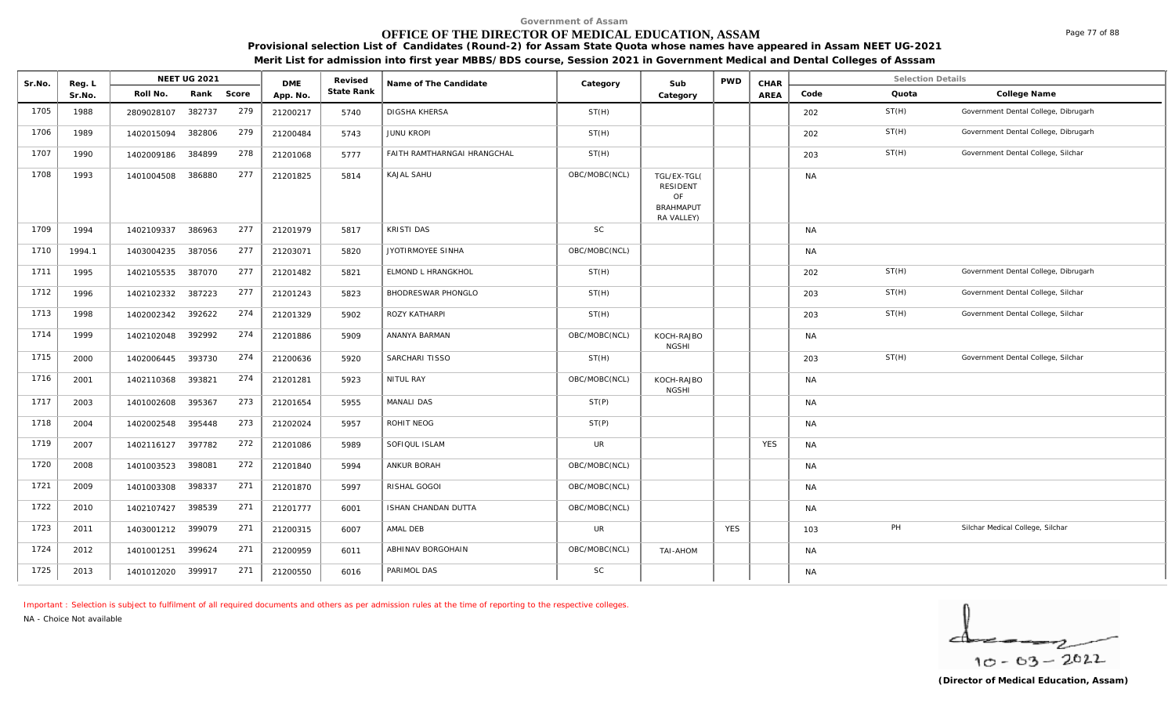# **OFFICE OF THE DIRECTOR OF MEDICAL EDUCATION, ASSAM**

**Provisional selection List of Candidates (Round-2) for Assam State Quota whose names have appeared in Assam NEET UG-2021 Merit List for admission into first year MBBS/BDS course, Session 2021 in Government Medical and Dental Colleges of Asssam**

| Sr.No. | Reg. L |                   | NEET UG 2021 |       | <b>DME</b> | Revised    | Name of The Candidate       | Category      | Sub                                                                    | <b>PWD</b> | CHAR       |           | <b>Selection Details</b> |                                      |
|--------|--------|-------------------|--------------|-------|------------|------------|-----------------------------|---------------|------------------------------------------------------------------------|------------|------------|-----------|--------------------------|--------------------------------------|
|        | Sr.No. | Roll No.          | Rank         | Score | App. No.   | State Rank |                             |               | Category                                                               |            | AREA       | Code      | Quota                    | College Name                         |
| 1705   | 1988   | 2809028107        | 382737       | 279   | 21200217   | 5740       | <b>DIGSHA KHERSA</b>        | ST(H)         |                                                                        |            |            | 202       | ST(H)                    | Government Dental College, Dibrugarh |
| 1706   | 1989   | 1402015094        | 382806       | 279   | 21200484   | 5743       | <b>JUNU KROPI</b>           | ST(H)         |                                                                        |            |            | 202       | ST(H)                    | Government Dental College, Dibrugarh |
| 1707   | 1990   | 1402009186        | 384899       | 278   | 21201068   | 5777       | FAITH RAMTHARNGAI HRANGCHAL | ST(H)         |                                                                        |            |            | 203       | ST(H)                    | Government Dental College, Silchar   |
| 1708   | 1993   | 1401004508        | 386880       | 277   | 21201825   | 5814       | <b>KAJAL SAHU</b>           | OBC/MOBC(NCL) | TGL/EX-TGL(<br><b>RESIDENT</b><br>OF<br><b>BRAHMAPUT</b><br>RA VALLEY) |            |            | <b>NA</b> |                          |                                      |
| 1709   | 1994   | 1402109337        | 386963       | 277   | 21201979   | 5817       | KRISTI DAS                  | SC            |                                                                        |            |            | <b>NA</b> |                          |                                      |
| 1710   | 1994.1 | 1403004235        | 387056       | 277   | 21203071   | 5820       | JYOTIRMOYEE SINHA           | OBC/MOBC(NCL) |                                                                        |            |            | <b>NA</b> |                          |                                      |
| 1711   | 1995   | 1402105535        | 387070       | 277   | 21201482   | 5821       | <b>ELMOND L HRANGKHOL</b>   | ST(H)         |                                                                        |            |            | 202       | ST(H)                    | Government Dental College, Dibrugarh |
| 1712   | 1996   | 1402102332        | 387223       | 277   | 21201243   | 5823       | <b>BHODRESWAR PHONGLO</b>   | ST(H)         |                                                                        |            |            | 203       | ST(H)                    | Government Dental College, Silchar   |
| 1713   | 1998   | 1402002342        | 392622       | 274   | 21201329   | 5902       | ROZY KATHARPI               | ST(H)         |                                                                        |            |            | 203       | ST(H)                    | Government Dental College, Silchar   |
| 1714   | 1999   | 1402102048        | 392992       | 274   | 21201886   | 5909       | ANANYA BARMAN               | OBC/MOBC(NCL) | KOCH-RAJBO<br><b>NGSHI</b>                                             |            |            | <b>NA</b> |                          |                                      |
| 1715   | 2000   | 1402006445        | 393730       | 274   | 21200636   | 5920       | SARCHARI TISSO              | ST(H)         |                                                                        |            |            | 203       | ST(H)                    | Government Dental College, Silchar   |
| 1716   | 2001   | 1402110368        | 393821       | 274   | 21201281   | 5923       | NITUL RAY                   | OBC/MOBC(NCL) | KOCH-RAJBO<br><b>NGSHI</b>                                             |            |            | <b>NA</b> |                          |                                      |
| 1717   | 2003   | 1401002608        | 395367       | 273   | 21201654   | 5955       | MANALI DAS                  | ST(P)         |                                                                        |            |            | <b>NA</b> |                          |                                      |
| 1718   | 2004   | 1402002548        | 395448       | 273   | 21202024   | 5957       | ROHIT NEOG                  | ST(P)         |                                                                        |            |            | <b>NA</b> |                          |                                      |
| 1719   | 2007   | 1402116127        | 397782       | 272   | 21201086   | 5989       | SOFIQUL ISLAM               | UR            |                                                                        |            | <b>YES</b> | <b>NA</b> |                          |                                      |
| 1720   | 2008   | 1401003523        | 398081       | 272   | 21201840   | 5994       | ANKUR BORAH                 | OBC/MOBC(NCL) |                                                                        |            |            | <b>NA</b> |                          |                                      |
| 1721   | 2009   | 1401003308        | 398337       | 271   | 21201870   | 5997       | RISHAL GOGOI                | OBC/MOBC(NCL) |                                                                        |            |            | <b>NA</b> |                          |                                      |
| 1722   | 2010   | 1402107427        | 398539       | 271   | 21201777   | 6001       | ISHAN CHANDAN DUTTA         | OBC/MOBC(NCL) |                                                                        |            |            | <b>NA</b> |                          |                                      |
| 1723   | 2011   | 1403001212 399079 |              | 271   | 21200315   | 6007       | AMAL DEB                    | <b>UR</b>     |                                                                        | <b>YES</b> |            | 103       | PH                       | Silchar Medical College, Silchar     |
| 1724   | 2012   | 1401001251        | 399624       | 271   | 21200959   | 6011       | ABHINAV BORGOHAIN           | OBC/MOBC(NCL) | TAI-AHOM                                                               |            |            | <b>NA</b> |                          |                                      |
| 1725   | 2013   | 1401012020 399917 |              | 271   | 21200550   | 6016       | PARIMOL DAS                 | $\mathsf{SC}$ |                                                                        |            |            | <b>NA</b> |                          |                                      |

*Important : Selection is subject to fulfilment of all required documents and others as per admission rules at the time of reporting to the respective colleges.*

*NA - Choice Not available*

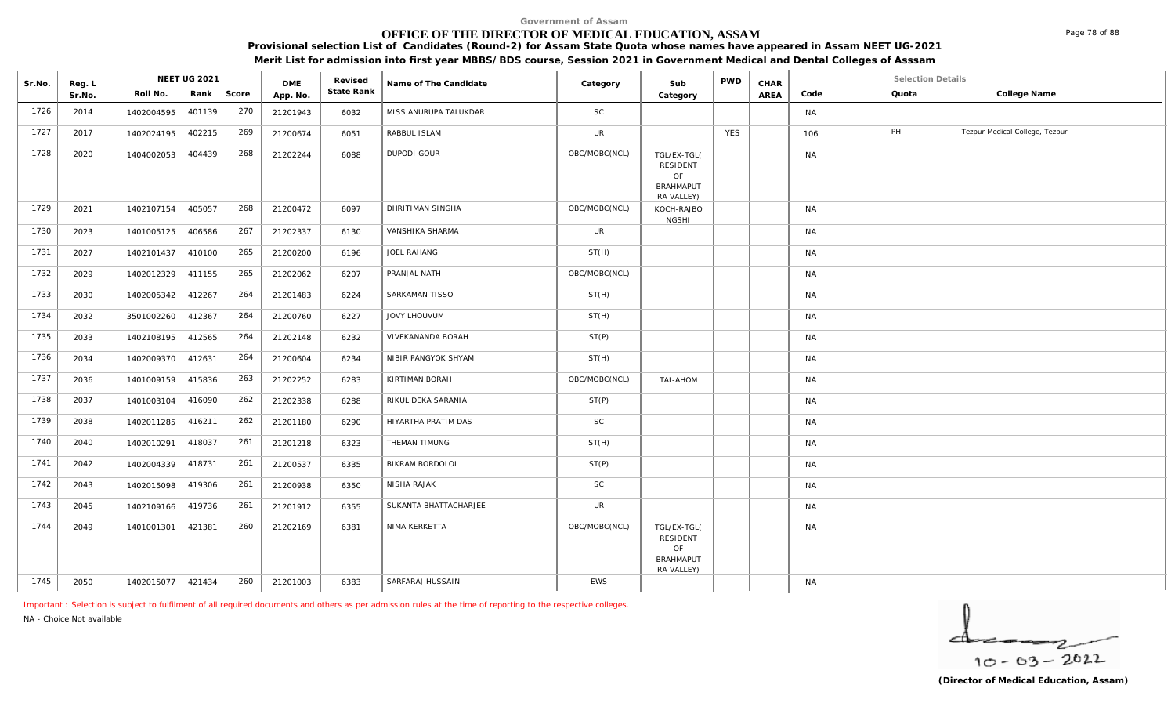# **OFFICE OF THE DIRECTOR OF MEDICAL EDUCATION, ASSAM**

**Provisional selection List of Candidates (Round-2) for Assam State Quota whose names have appeared in Assam NEET UG-2021** 

**Merit List for admission into first year MBBS/BDS course, Session 2021 in Government Medical and Dental Colleges of Asssam**

| Sr.No. | Reg. L |                   | <b>NEET UG 2021</b> |     | <b>DME</b> | Revised    | Name of The Candidate | Category      | Sub                                                             | <b>PWD</b> | CHAR |           | Selection Details |                                |
|--------|--------|-------------------|---------------------|-----|------------|------------|-----------------------|---------------|-----------------------------------------------------------------|------------|------|-----------|-------------------|--------------------------------|
|        | Sr.No. | Roll No.          | Rank Score          |     | App. No.   | State Rank |                       |               | Category                                                        |            | AREA | Code      | Quota             | College Name                   |
| 1726   | 2014   | 1402004595        | 401139              | 270 | 21201943   | 6032       | MISS ANURUPA TALUKDAR | SC            |                                                                 |            |      | NA        |                   |                                |
| 1727   | 2017   | 1402024195 402215 |                     | 269 | 21200674   | 6051       | RABBUL ISLAM          | UR            |                                                                 | <b>YES</b> |      | 106       | PH                | Tezpur Medical College, Tezpur |
| 1728   | 2020   | 1404002053 404439 |                     | 268 | 21202244   | 6088       | <b>DUPODI GOUR</b>    | OBC/MOBC(NCL) | TGL/EX-TGL(<br>RESIDENT<br>OF<br><b>BRAHMAPUT</b><br>RA VALLEY) |            |      | NA        |                   |                                |
| 1729   | 2021   | 1402107154 405057 |                     | 268 | 21200472   | 6097       | DHRITIMAN SINGHA      | OBC/MOBC(NCL) | KOCH-RAJBO<br><b>NGSHI</b>                                      |            |      | <b>NA</b> |                   |                                |
| 1730   | 2023   | 1401005125 406586 |                     | 267 | 21202337   | 6130       | VANSHIKA SHARMA       | <b>UR</b>     |                                                                 |            |      | NA        |                   |                                |
| 1731   | 2027   | 1402101437 410100 |                     | 265 | 21200200   | 6196       | JOEL RAHANG           | ST(H)         |                                                                 |            |      | <b>NA</b> |                   |                                |
| 1732   | 2029   | 1402012329 411155 |                     | 265 | 21202062   | 6207       | PRANJAL NATH          | OBC/MOBC(NCL) |                                                                 |            |      | NA        |                   |                                |
| 1733   | 2030   | 1402005342 412267 |                     | 264 | 21201483   | 6224       | SARKAMAN TISSO        | ST(H)         |                                                                 |            |      | <b>NA</b> |                   |                                |
| 1734   | 2032   | 3501002260 412367 |                     | 264 | 21200760   | 6227       | JOVY LHOUVUM          | ST(H)         |                                                                 |            |      | <b>NA</b> |                   |                                |
| 1735   | 2033   | 1402108195 412565 |                     | 264 | 21202148   | 6232       | VIVEKANANDA BORAH     | ST(P)         |                                                                 |            |      | <b>NA</b> |                   |                                |
| 1736   | 2034   | 1402009370 412631 |                     | 264 | 21200604   | 6234       | NIBIR PANGYOK SHYAM   | ST(H)         |                                                                 |            |      | <b>NA</b> |                   |                                |
| 1737   | 2036   | 1401009159 415836 |                     | 263 | 21202252   | 6283       | KIRTIMAN BORAH        | OBC/MOBC(NCL) | TAI-AHOM                                                        |            |      | NA        |                   |                                |
| 1738   | 2037   | 1401003104 416090 |                     | 262 | 21202338   | 6288       | RIKUL DEKA SARANIA    | ST(P)         |                                                                 |            |      | <b>NA</b> |                   |                                |
| 1739   | 2038   | 1402011285        | 416211              | 262 | 21201180   | 6290       | HIYARTHA PRATIM DAS   | $\mathsf{SC}$ |                                                                 |            |      | <b>NA</b> |                   |                                |
| 1740   | 2040   | 1402010291 418037 |                     | 261 | 21201218   | 6323       | THEMAN TIMUNG         | ST(H)         |                                                                 |            |      | <b>NA</b> |                   |                                |
| 1741   | 2042   | 1402004339        | 418731              | 261 | 21200537   | 6335       | BIKRAM BORDOLOI       | ST(P)         |                                                                 |            |      | <b>NA</b> |                   |                                |
| 1742   | 2043   | 1402015098 419306 |                     | 261 | 21200938   | 6350       | NISHA RAJAK           | $\mathsf{SC}$ |                                                                 |            |      | <b>NA</b> |                   |                                |
| 1743   | 2045   | 1402109166 419736 |                     | 261 | 21201912   | 6355       | SUKANTA BHATTACHARJEE | UR            |                                                                 |            |      | <b>NA</b> |                   |                                |
| 1744   | 2049   | 1401001301 421381 |                     | 260 | 21202169   | 6381       | NIMA KERKETTA         | OBC/MOBC(NCL) | TGL/EX-TGL(<br>RESIDENT<br>OF<br><b>BRAHMAPUT</b><br>RA VALLEY) |            |      | <b>NA</b> |                   |                                |
| 1745   | 2050   | 1402015077 421434 |                     | 260 | 21201003   | 6383       | SARFARAJ HUSSAIN      | EWS           |                                                                 |            |      | <b>NA</b> |                   |                                |

*Important : Selection is subject to fulfilment of all required documents and others as per admission rules at the time of reporting to the respective colleges.*

*NA - Choice Not available*

╭  $10 - 63 - 2022$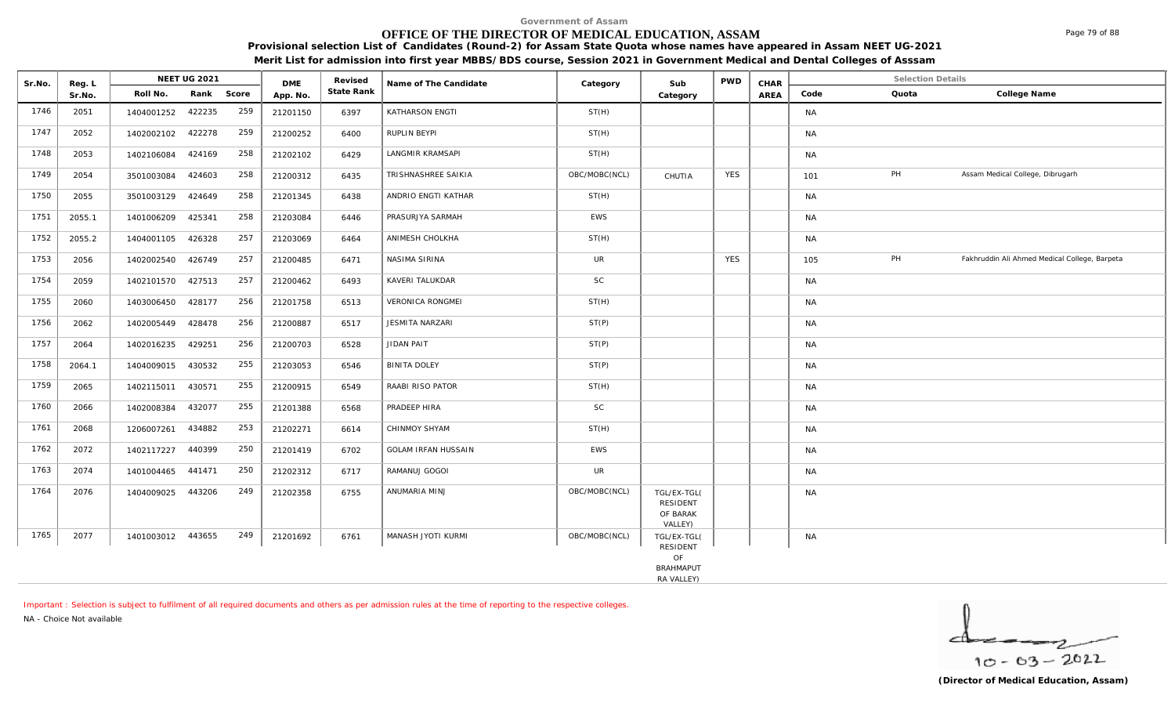# **OFFICE OF THE DIRECTOR OF MEDICAL EDUCATION, ASSAM**

**Provisional selection List of Candidates (Round-2) for Assam State Quota whose names have appeared in Assam NEET UG-2021 Merit List for admission into first year MBBS/BDS course, Session 2021 in Government Medical and Dental Colleges of Asssam**

| State Rank<br>Roll No.<br>Rank<br>Score<br>Code<br>Quota<br>College Name<br>AREA<br>Sr.No.<br>App. No.<br>Category<br>259<br>422235<br>KATHARSON ENGTI<br>ST(H)<br>2051<br>1404001252<br>21201150<br>6397<br><b>NA</b><br>259<br>422278<br>RUPLIN BEYPI<br>ST(H)<br>2052<br>1402002102<br>21200252<br>6400<br><b>NA</b><br>258<br>LANGMIR KRAMSAPI<br>ST(H)<br>2053<br>424169<br>21202102<br>6429<br><b>NA</b><br>1402106084<br>PH<br>258<br><b>YES</b><br>Assam Medical College, Dibrugarh<br>OBC/MOBC(NCL)<br>2054<br>3501003084<br>424603<br>21200312<br>6435<br>TRISHNASHREE SAIKIA<br>CHUTIA<br>101<br>258<br>424649<br>2055<br>21201345<br>6438<br>ANDRIO ENGTI KATHAR<br>ST(H)<br><b>NA</b><br>3501003129<br>258<br>PRASURJYA SARMAH<br><b>EWS</b><br><b>NA</b><br>2055.1<br>1401006209<br>425341<br>21203084<br>6446<br>257<br>426328<br>ANIMESH CHOLKHA<br>ST(H)<br>2055.2<br>1404001105<br>21203069<br>6464<br><b>NA</b><br>PH<br><b>YES</b><br>257<br><b>UR</b><br>Fakhruddin Ali Ahmed Medical College, Barpeta<br>2056<br>1402002540<br>426749<br>NASIMA SIRINA<br>21200485<br>6471<br>105<br>257<br>SC<br>2059<br>1402101570 427513<br>KAVERI TALUKDAR<br>6493<br><b>NA</b><br>21200462<br>256<br><b>VERONICA RONGMEI</b><br>ST(H)<br>1403006450<br>428177<br>21201758<br>6513<br>2060<br><b>NA</b><br>256<br>2062<br>428478<br><b>JESMITA NARZARI</b><br>ST(P)<br>1402005449<br>21200887<br>6517<br><b>NA</b><br>256<br>ST(P)<br>429251<br>JIDAN PAIT<br>2064<br>6528<br><b>NA</b><br>1402016235<br>21200703<br>255<br>430532<br>ST(P)<br>2064.1<br>1404009015<br>21203053<br><b>BINITA DOLEY</b><br><b>NA</b><br>6546<br>255<br>RAABI RISO PATOR<br>430571<br>ST(H)<br>2065<br>1402115011<br>21200915<br>6549<br><b>NA</b><br>255<br><b>SC</b><br>2066<br>432077<br>PRADEEP HIRA<br>1402008384<br>21201388<br>6568<br><b>NA</b><br>434882<br>253<br>2068<br>CHINMOY SHYAM<br>ST(H)<br>1206007261<br>21202271<br>6614<br><b>NA</b><br>250<br><b>EWS</b><br>2072<br>440399<br><b>GOLAM IRFAN HUSSAIN</b><br><b>NA</b><br>1402117227<br>21201419<br>6702<br>250<br>UR<br>1401004465<br>441471<br>21202312<br>6717<br>RAMANUJ GOGOI<br><b>NA</b><br>2074<br>249<br>443206<br>ANUMARIA MINJ<br>2076<br>21202358<br>6755<br>OBC/MOBC(NCL)<br><b>NA</b><br>1404009025<br>TGL/EX-TGL(<br><b>RESIDENT</b><br>OF BARAK<br>VALLEY)<br>249<br>OBC/MOBC(NCL)<br>MANASH JYOTI KURMI<br>2077<br>1401003012 443655<br>21201692<br>6761<br>TGL/EX-TGL(<br><b>NA</b> | Sr.No. | Reg. L | <b>NEET UG 2021</b> | <b>DME</b> | Revised | Name of The Candidate | Category | Sub             | PWD | CHAR | <b>Selection Details</b> |  |
|--------------------------------------------------------------------------------------------------------------------------------------------------------------------------------------------------------------------------------------------------------------------------------------------------------------------------------------------------------------------------------------------------------------------------------------------------------------------------------------------------------------------------------------------------------------------------------------------------------------------------------------------------------------------------------------------------------------------------------------------------------------------------------------------------------------------------------------------------------------------------------------------------------------------------------------------------------------------------------------------------------------------------------------------------------------------------------------------------------------------------------------------------------------------------------------------------------------------------------------------------------------------------------------------------------------------------------------------------------------------------------------------------------------------------------------------------------------------------------------------------------------------------------------------------------------------------------------------------------------------------------------------------------------------------------------------------------------------------------------------------------------------------------------------------------------------------------------------------------------------------------------------------------------------------------------------------------------------------------------------------------------------------------------------------------------------------------------------------------------------------------------------------------------------------------------------------------------------------------------------------------------------------------------------------------------------------------------------------------------------------------------------------------------------------------------------------------------------|--------|--------|---------------------|------------|---------|-----------------------|----------|-----------------|-----|------|--------------------------|--|
|                                                                                                                                                                                                                                                                                                                                                                                                                                                                                                                                                                                                                                                                                                                                                                                                                                                                                                                                                                                                                                                                                                                                                                                                                                                                                                                                                                                                                                                                                                                                                                                                                                                                                                                                                                                                                                                                                                                                                                                                                                                                                                                                                                                                                                                                                                                                                                                                                                                                    |        |        |                     |            |         |                       |          |                 |     |      |                          |  |
|                                                                                                                                                                                                                                                                                                                                                                                                                                                                                                                                                                                                                                                                                                                                                                                                                                                                                                                                                                                                                                                                                                                                                                                                                                                                                                                                                                                                                                                                                                                                                                                                                                                                                                                                                                                                                                                                                                                                                                                                                                                                                                                                                                                                                                                                                                                                                                                                                                                                    | 1746   |        |                     |            |         |                       |          |                 |     |      |                          |  |
|                                                                                                                                                                                                                                                                                                                                                                                                                                                                                                                                                                                                                                                                                                                                                                                                                                                                                                                                                                                                                                                                                                                                                                                                                                                                                                                                                                                                                                                                                                                                                                                                                                                                                                                                                                                                                                                                                                                                                                                                                                                                                                                                                                                                                                                                                                                                                                                                                                                                    | 1747   |        |                     |            |         |                       |          |                 |     |      |                          |  |
|                                                                                                                                                                                                                                                                                                                                                                                                                                                                                                                                                                                                                                                                                                                                                                                                                                                                                                                                                                                                                                                                                                                                                                                                                                                                                                                                                                                                                                                                                                                                                                                                                                                                                                                                                                                                                                                                                                                                                                                                                                                                                                                                                                                                                                                                                                                                                                                                                                                                    | 1748   |        |                     |            |         |                       |          |                 |     |      |                          |  |
|                                                                                                                                                                                                                                                                                                                                                                                                                                                                                                                                                                                                                                                                                                                                                                                                                                                                                                                                                                                                                                                                                                                                                                                                                                                                                                                                                                                                                                                                                                                                                                                                                                                                                                                                                                                                                                                                                                                                                                                                                                                                                                                                                                                                                                                                                                                                                                                                                                                                    | 1749   |        |                     |            |         |                       |          |                 |     |      |                          |  |
|                                                                                                                                                                                                                                                                                                                                                                                                                                                                                                                                                                                                                                                                                                                                                                                                                                                                                                                                                                                                                                                                                                                                                                                                                                                                                                                                                                                                                                                                                                                                                                                                                                                                                                                                                                                                                                                                                                                                                                                                                                                                                                                                                                                                                                                                                                                                                                                                                                                                    | 1750   |        |                     |            |         |                       |          |                 |     |      |                          |  |
|                                                                                                                                                                                                                                                                                                                                                                                                                                                                                                                                                                                                                                                                                                                                                                                                                                                                                                                                                                                                                                                                                                                                                                                                                                                                                                                                                                                                                                                                                                                                                                                                                                                                                                                                                                                                                                                                                                                                                                                                                                                                                                                                                                                                                                                                                                                                                                                                                                                                    | 1751   |        |                     |            |         |                       |          |                 |     |      |                          |  |
|                                                                                                                                                                                                                                                                                                                                                                                                                                                                                                                                                                                                                                                                                                                                                                                                                                                                                                                                                                                                                                                                                                                                                                                                                                                                                                                                                                                                                                                                                                                                                                                                                                                                                                                                                                                                                                                                                                                                                                                                                                                                                                                                                                                                                                                                                                                                                                                                                                                                    | 1752   |        |                     |            |         |                       |          |                 |     |      |                          |  |
|                                                                                                                                                                                                                                                                                                                                                                                                                                                                                                                                                                                                                                                                                                                                                                                                                                                                                                                                                                                                                                                                                                                                                                                                                                                                                                                                                                                                                                                                                                                                                                                                                                                                                                                                                                                                                                                                                                                                                                                                                                                                                                                                                                                                                                                                                                                                                                                                                                                                    | 1753   |        |                     |            |         |                       |          |                 |     |      |                          |  |
|                                                                                                                                                                                                                                                                                                                                                                                                                                                                                                                                                                                                                                                                                                                                                                                                                                                                                                                                                                                                                                                                                                                                                                                                                                                                                                                                                                                                                                                                                                                                                                                                                                                                                                                                                                                                                                                                                                                                                                                                                                                                                                                                                                                                                                                                                                                                                                                                                                                                    | 1754   |        |                     |            |         |                       |          |                 |     |      |                          |  |
|                                                                                                                                                                                                                                                                                                                                                                                                                                                                                                                                                                                                                                                                                                                                                                                                                                                                                                                                                                                                                                                                                                                                                                                                                                                                                                                                                                                                                                                                                                                                                                                                                                                                                                                                                                                                                                                                                                                                                                                                                                                                                                                                                                                                                                                                                                                                                                                                                                                                    | 1755   |        |                     |            |         |                       |          |                 |     |      |                          |  |
|                                                                                                                                                                                                                                                                                                                                                                                                                                                                                                                                                                                                                                                                                                                                                                                                                                                                                                                                                                                                                                                                                                                                                                                                                                                                                                                                                                                                                                                                                                                                                                                                                                                                                                                                                                                                                                                                                                                                                                                                                                                                                                                                                                                                                                                                                                                                                                                                                                                                    | 1756   |        |                     |            |         |                       |          |                 |     |      |                          |  |
|                                                                                                                                                                                                                                                                                                                                                                                                                                                                                                                                                                                                                                                                                                                                                                                                                                                                                                                                                                                                                                                                                                                                                                                                                                                                                                                                                                                                                                                                                                                                                                                                                                                                                                                                                                                                                                                                                                                                                                                                                                                                                                                                                                                                                                                                                                                                                                                                                                                                    | 1757   |        |                     |            |         |                       |          |                 |     |      |                          |  |
|                                                                                                                                                                                                                                                                                                                                                                                                                                                                                                                                                                                                                                                                                                                                                                                                                                                                                                                                                                                                                                                                                                                                                                                                                                                                                                                                                                                                                                                                                                                                                                                                                                                                                                                                                                                                                                                                                                                                                                                                                                                                                                                                                                                                                                                                                                                                                                                                                                                                    | 1758   |        |                     |            |         |                       |          |                 |     |      |                          |  |
|                                                                                                                                                                                                                                                                                                                                                                                                                                                                                                                                                                                                                                                                                                                                                                                                                                                                                                                                                                                                                                                                                                                                                                                                                                                                                                                                                                                                                                                                                                                                                                                                                                                                                                                                                                                                                                                                                                                                                                                                                                                                                                                                                                                                                                                                                                                                                                                                                                                                    | 1759   |        |                     |            |         |                       |          |                 |     |      |                          |  |
|                                                                                                                                                                                                                                                                                                                                                                                                                                                                                                                                                                                                                                                                                                                                                                                                                                                                                                                                                                                                                                                                                                                                                                                                                                                                                                                                                                                                                                                                                                                                                                                                                                                                                                                                                                                                                                                                                                                                                                                                                                                                                                                                                                                                                                                                                                                                                                                                                                                                    | 1760   |        |                     |            |         |                       |          |                 |     |      |                          |  |
|                                                                                                                                                                                                                                                                                                                                                                                                                                                                                                                                                                                                                                                                                                                                                                                                                                                                                                                                                                                                                                                                                                                                                                                                                                                                                                                                                                                                                                                                                                                                                                                                                                                                                                                                                                                                                                                                                                                                                                                                                                                                                                                                                                                                                                                                                                                                                                                                                                                                    | 1761   |        |                     |            |         |                       |          |                 |     |      |                          |  |
|                                                                                                                                                                                                                                                                                                                                                                                                                                                                                                                                                                                                                                                                                                                                                                                                                                                                                                                                                                                                                                                                                                                                                                                                                                                                                                                                                                                                                                                                                                                                                                                                                                                                                                                                                                                                                                                                                                                                                                                                                                                                                                                                                                                                                                                                                                                                                                                                                                                                    | 1762   |        |                     |            |         |                       |          |                 |     |      |                          |  |
|                                                                                                                                                                                                                                                                                                                                                                                                                                                                                                                                                                                                                                                                                                                                                                                                                                                                                                                                                                                                                                                                                                                                                                                                                                                                                                                                                                                                                                                                                                                                                                                                                                                                                                                                                                                                                                                                                                                                                                                                                                                                                                                                                                                                                                                                                                                                                                                                                                                                    | 1763   |        |                     |            |         |                       |          |                 |     |      |                          |  |
|                                                                                                                                                                                                                                                                                                                                                                                                                                                                                                                                                                                                                                                                                                                                                                                                                                                                                                                                                                                                                                                                                                                                                                                                                                                                                                                                                                                                                                                                                                                                                                                                                                                                                                                                                                                                                                                                                                                                                                                                                                                                                                                                                                                                                                                                                                                                                                                                                                                                    | 1764   |        |                     |            |         |                       |          |                 |     |      |                          |  |
|                                                                                                                                                                                                                                                                                                                                                                                                                                                                                                                                                                                                                                                                                                                                                                                                                                                                                                                                                                                                                                                                                                                                                                                                                                                                                                                                                                                                                                                                                                                                                                                                                                                                                                                                                                                                                                                                                                                                                                                                                                                                                                                                                                                                                                                                                                                                                                                                                                                                    | 1765   |        |                     |            |         |                       |          | <b>RESIDENT</b> |     |      |                          |  |
| OF<br><b>BRAHMAPUT</b>                                                                                                                                                                                                                                                                                                                                                                                                                                                                                                                                                                                                                                                                                                                                                                                                                                                                                                                                                                                                                                                                                                                                                                                                                                                                                                                                                                                                                                                                                                                                                                                                                                                                                                                                                                                                                                                                                                                                                                                                                                                                                                                                                                                                                                                                                                                                                                                                                                             |        |        |                     |            |         |                       |          |                 |     |      |                          |  |

RA VALLEY)

*Important : Selection is subject to fulfilment of all required documents and others as per admission rules at the time of reporting to the respective colleges.*

*NA - Choice Not available*

╭  $10 - 63 - 2022$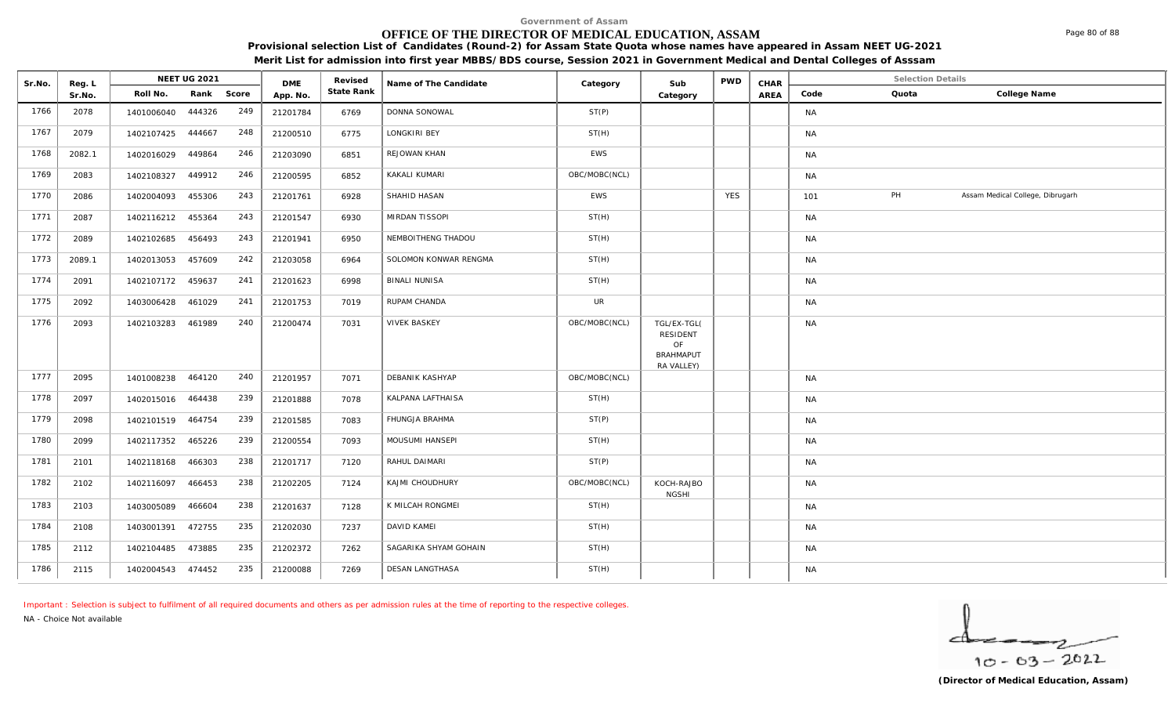# **OFFICE OF THE DIRECTOR OF MEDICAL EDUCATION, ASSAM**

**Provisional selection List of Candidates (Round-2) for Assam State Quota whose names have appeared in Assam NEET UG-2021** 

**Merit List for admission into first year MBBS/BDS course, Session 2021 in Government Medical and Dental Colleges of Asssam**

| Sr.No. | Reg. L |                   | NEET UG 2021 |            | <b>DME</b> | Revised    | Name of The Candidate  | Category      | Sub                                                      | <b>PWD</b> | CHAR |           | <b>Selection Details</b> |                                  |
|--------|--------|-------------------|--------------|------------|------------|------------|------------------------|---------------|----------------------------------------------------------|------------|------|-----------|--------------------------|----------------------------------|
|        | Sr.No. | Roll No.          |              | Rank Score | App. No.   | State Rank |                        |               | Category                                                 |            | AREA | Code      | Quota                    | College Name                     |
| 1766   | 2078   | 1401006040        | 444326       | 249        | 21201784   | 6769       | DONNA SONOWAL          | ST(P)         |                                                          |            |      | <b>NA</b> |                          |                                  |
| 1767   | 2079   | 1402107425 444667 |              | 248        | 21200510   | 6775       | LONGKIRI BEY           | ST(H)         |                                                          |            |      | NA        |                          |                                  |
| 1768   | 2082.1 | 1402016029        | 449864       | 246        | 21203090   | 6851       | REJOWAN KHAN           | EWS           |                                                          |            |      | <b>NA</b> |                          |                                  |
| 1769   | 2083   | 1402108327        | 449912       | 246        | 21200595   | 6852       | KAKALI KUMARI          | OBC/MOBC(NCL) |                                                          |            |      | <b>NA</b> |                          |                                  |
| 1770   | 2086   | 1402004093        | 455306       | 243        | 21201761   | 6928       | SHAHID HASAN           | EWS           |                                                          | <b>YES</b> |      | 101       | PH                       | Assam Medical College, Dibrugarh |
| 1771   | 2087   | 1402116212        | 455364       | 243        | 21201547   | 6930       | MIRDAN TISSOPI         | ST(H)         |                                                          |            |      | <b>NA</b> |                          |                                  |
| 1772   | 2089   | 1402102685        | 456493       | 243        | 21201941   | 6950       | NEMBOITHENG THADOU     | ST(H)         |                                                          |            |      | <b>NA</b> |                          |                                  |
| 1773   | 2089.1 | 1402013053        | 457609       | 242        | 21203058   | 6964       | SOLOMON KONWAR RENGMA  | ST(H)         |                                                          |            |      | <b>NA</b> |                          |                                  |
| 1774   | 2091   | 1402107172 459637 |              | 241        | 21201623   | 6998       | <b>BINALI NUNISA</b>   | ST(H)         |                                                          |            |      | <b>NA</b> |                          |                                  |
| 1775   | 2092   | 1403006428        | 461029       | 241        | 21201753   | 7019       | RUPAM CHANDA           | <b>UR</b>     |                                                          |            |      | <b>NA</b> |                          |                                  |
| 1776   | 2093   | 1402103283        | 461989       | 240        | 21200474   | 7031       | <b>VIVEK BASKEY</b>    | OBC/MOBC(NCL) | TGL/EX-TGL(<br>RESIDENT<br>OF<br>BRAHMAPUT<br>RA VALLEY) |            |      | <b>NA</b> |                          |                                  |
| 1777   | 2095   | 1401008238 464120 |              | 240        | 21201957   | 7071       | DEBANIK KASHYAP        | OBC/MOBC(NCL) |                                                          |            |      | <b>NA</b> |                          |                                  |
| 1778   | 2097   | 1402015016 464438 |              | 239        | 21201888   | 7078       | KALPANA LAFTHAISA      | ST(H)         |                                                          |            |      | <b>NA</b> |                          |                                  |
| 1779   | 2098   | 1402101519 464754 |              | 239        | 21201585   | 7083       | FHUNGJA BRAHMA         | ST(P)         |                                                          |            |      | <b>NA</b> |                          |                                  |
| 1780   | 2099   | 1402117352        | 465226       | 239        | 21200554   | 7093       | MOUSUMI HANSEPI        | ST(H)         |                                                          |            |      | <b>NA</b> |                          |                                  |
| 1781   | 2101   | 1402118168        | 466303       | 238        | 21201717   | 7120       | RAHUL DAIMARI          | ST(P)         |                                                          |            |      | <b>NA</b> |                          |                                  |
| 1782   | 2102   | 1402116097        | 466453       | 238        | 21202205   | 7124       | KAJMI CHOUDHURY        | OBC/MOBC(NCL) | KOCH-RAJBO<br><b>NGSHI</b>                               |            |      | <b>NA</b> |                          |                                  |
| 1783   | 2103   | 1403005089        | 466604       | 238        | 21201637   | 7128       | K MILCAH RONGMEI       | ST(H)         |                                                          |            |      | <b>NA</b> |                          |                                  |
| 1784   | 2108   | 1403001391        | 472755       | 235        | 21202030   | 7237       | DAVID KAMEI            | ST(H)         |                                                          |            |      | <b>NA</b> |                          |                                  |
| 1785   | 2112   | 1402104485        | 473885       | 235        | 21202372   | 7262       | SAGARIKA SHYAM GOHAIN  | ST(H)         |                                                          |            |      | NA        |                          |                                  |
| 1786   | 2115   | 1402004543 474452 |              | 235        | 21200088   | 7269       | <b>DESAN LANGTHASA</b> | ST(H)         |                                                          |            |      | <b>NA</b> |                          |                                  |

*Important : Selection is subject to fulfilment of all required documents and others as per admission rules at the time of reporting to the respective colleges.*

*NA - Choice Not available*

 $10 - 63 - 2022$ 

Page 80 of 88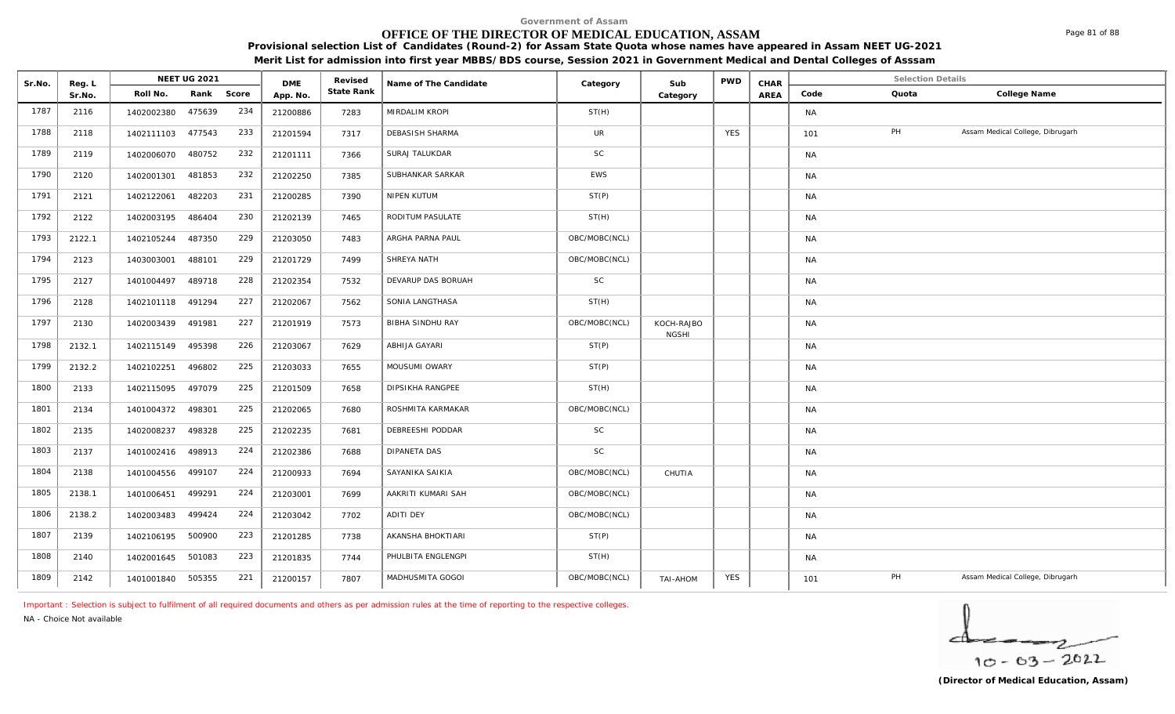# **OFFICE OF THE DIRECTOR OF MEDICAL EDUCATION, ASSAM**

**Provisional selection List of Candidates (Round-2) for Assam State Quota whose names have appeared in Assam NEET UG-2021 Merit List for admission into first year MBBS/BDS course, Session 2021 in Government Medical and Dental Colleges of Asssam**

| Sr.No. | Reg. L |                   | <b>NEET UG 2021</b> |     | <b>DME</b> | Revised    | Name of The Candidate   | Category      | Sub                        | <b>PWD</b> | CHAR |           | <b>Selection Details</b> |                                  |
|--------|--------|-------------------|---------------------|-----|------------|------------|-------------------------|---------------|----------------------------|------------|------|-----------|--------------------------|----------------------------------|
|        | Sr.No. | Roll No.          | Rank Score          |     | App. No.   | State Rank |                         |               | Category                   |            | AREA | Code      | Quota                    | College Name                     |
| 1787   | 2116   | 1402002380        | 475639              | 234 | 21200886   | 7283       | MIRDALIM KROPI          | ST(H)         |                            |            |      | <b>NA</b> |                          |                                  |
| 1788   | 2118   | 1402111103 477543 |                     | 233 | 21201594   | 7317       | DEBASISH SHARMA         | UR            |                            | <b>YES</b> |      | 101       | PH                       | Assam Medical College, Dibrugarh |
| 1789   | 2119   | 1402006070        | 480752              | 232 | 21201111   | 7366       | SURAJ TALUKDAR          | $\mathsf{SC}$ |                            |            |      | <b>NA</b> |                          |                                  |
| 1790   | 2120   | 1402001301        | 481853              | 232 | 21202250   | 7385       | SUBHANKAR SARKAR        | EWS           |                            |            |      | <b>NA</b> |                          |                                  |
| 1791   | 2121   | 1402122061        | 482203              | 231 | 21200285   | 7390       | NIPEN KUTUM             | ST(P)         |                            |            |      | <b>NA</b> |                          |                                  |
| 1792   | 2122   | 1402003195        | 486404              | 230 | 21202139   | 7465       | RODITUM PASULATE        | ST(H)         |                            |            |      | <b>NA</b> |                          |                                  |
| 1793   | 2122.1 | 1402105244        | 487350              | 229 | 21203050   | 7483       | ARGHA PARNA PAUL        | OBC/MOBC(NCL) |                            |            |      | <b>NA</b> |                          |                                  |
| 1794   | 2123   | 1403003001        | 488101              | 229 | 21201729   | 7499       | SHREYA NATH             | OBC/MOBC(NCL) |                            |            |      | <b>NA</b> |                          |                                  |
| 1795   | 2127   | 1401004497        | 489718              | 228 | 21202354   | 7532       | DEVARUP DAS BORUAH      | SC            |                            |            |      | <b>NA</b> |                          |                                  |
| 1796   | 2128   | 1402101118 491294 |                     | 227 | 21202067   | 7562       | SONIA LANGTHASA         | ST(H)         |                            |            |      | <b>NA</b> |                          |                                  |
| 1797   | 2130   | 1402003439        | 491981              | 227 | 21201919   | 7573       | <b>BIBHA SINDHU RAY</b> | OBC/MOBC(NCL) | KOCH-RAJBO<br><b>NGSHI</b> |            |      | <b>NA</b> |                          |                                  |
| 1798   | 2132.1 | 1402115149        | 495398              | 226 | 21203067   | 7629       | ABHIJA GAYARI           | ST(P)         |                            |            |      | <b>NA</b> |                          |                                  |
| 1799   | 2132.2 | 1402102251        | 496802              | 225 | 21203033   | 7655       | MOUSUMI OWARY           | ST(P)         |                            |            |      | <b>NA</b> |                          |                                  |
| 1800   | 2133   | 1402115095        | 497079              | 225 | 21201509   | 7658       | DIPSIKHA RANGPEE        | ST(H)         |                            |            |      | <b>NA</b> |                          |                                  |
| 1801   | 2134   | 1401004372 498301 |                     | 225 | 21202065   | 7680       | ROSHMITA KARMAKAR       | OBC/MOBC(NCL) |                            |            |      | <b>NA</b> |                          |                                  |
| 1802   | 2135   | 1402008237        | 498328              | 225 | 21202235   | 7681       | DEBREESHI PODDAR        | SC            |                            |            |      | <b>NA</b> |                          |                                  |
| 1803   | 2137   | 1401002416 498913 |                     | 224 | 21202386   | 7688       | DIPANETA DAS            | SC            |                            |            |      | <b>NA</b> |                          |                                  |
| 1804   | 2138   | 1401004556        | 499107              | 224 | 21200933   | 7694       | SAYANIKA SAIKIA         | OBC/MOBC(NCL) | CHUTIA                     |            |      | <b>NA</b> |                          |                                  |
| 1805   | 2138.1 | 1401006451        | 499291              | 224 | 21203001   | 7699       | AAKRITI KUMARI SAH      | OBC/MOBC(NCL) |                            |            |      | <b>NA</b> |                          |                                  |
| 1806   | 2138.2 | 1402003483        | 499424              | 224 | 21203042   | 7702       | <b>ADITI DEY</b>        | OBC/MOBC(NCL) |                            |            |      | <b>NA</b> |                          |                                  |
| 1807   | 2139   | 1402106195 500900 |                     | 223 | 21201285   | 7738       | AKANSHA BHOKTIARI       | ST(P)         |                            |            |      | <b>NA</b> |                          |                                  |
| 1808   | 2140   | 1402001645        | 501083              | 223 | 21201835   | 7744       | PHULBITA ENGLENGPI      | ST(H)         |                            |            |      | <b>NA</b> |                          |                                  |
| 1809   | 2142   | 1401001840 505355 |                     | 221 | 21200157   | 7807       | MADHUSMITA GOGOI        | OBC/MOBC(NCL) | TAI-AHOM                   | <b>YES</b> |      | 101       | PH                       | Assam Medical College, Dibrugarh |

*Important : Selection is subject to fulfilment of all required documents and others as per admission rules at the time of reporting to the respective colleges.*

*NA - Choice Not available*

$$
\frac{1}{10-03-2022}
$$

Page 81 of 88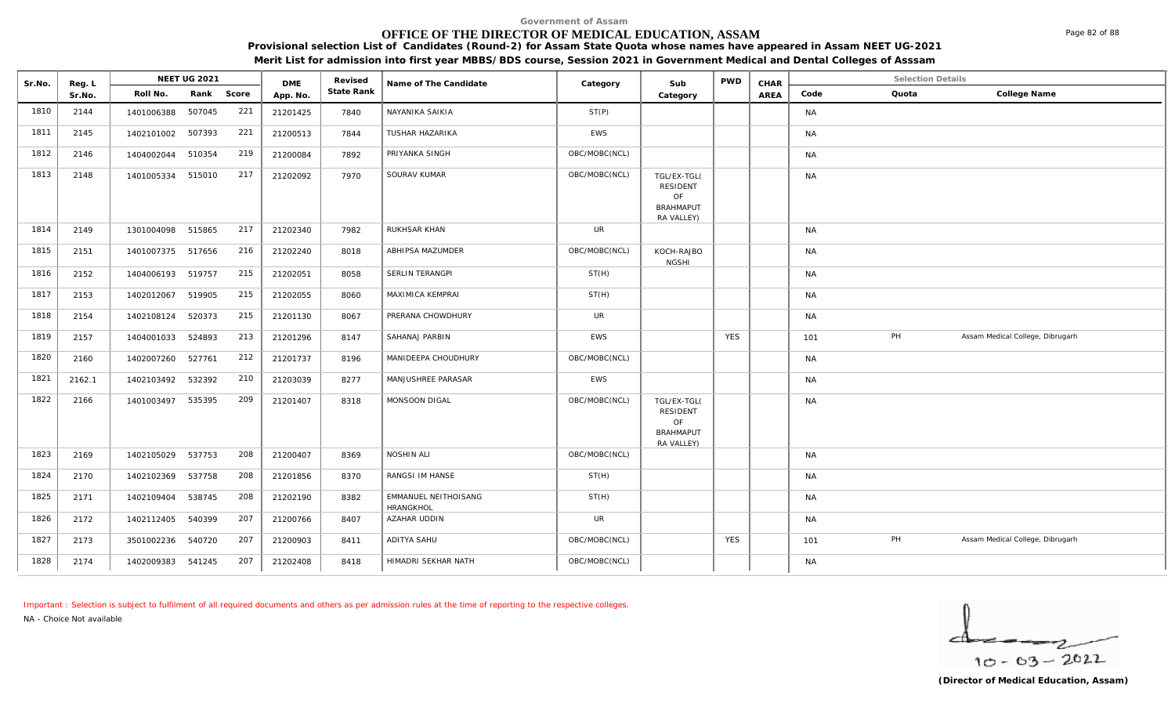# **OFFICE OF THE DIRECTOR OF MEDICAL EDUCATION, ASSAM**

**Provisional selection List of Candidates (Round-2) for Assam State Quota whose names have appeared in Assam NEET UG-2021 Merit List for admission into first year MBBS/BDS course, Session 2021 in Government Medical and Dental Colleges of Asssam**

| Sr.No. | Reg. L |                   | <b>NEET UG 2021</b> |       | <b>DME</b> | Revised    | Name of The Candidate                    | Category      | Sub                                                             | <b>PWD</b> | CHAR |           | <b>Selection Details</b> |                                  |
|--------|--------|-------------------|---------------------|-------|------------|------------|------------------------------------------|---------------|-----------------------------------------------------------------|------------|------|-----------|--------------------------|----------------------------------|
|        | Sr.No. | Roll No.          | Rank                | Score | App. No.   | State Rank |                                          |               | Category                                                        |            | AREA | Code      | Quota                    | College Name                     |
| 1810   | 2144   | 1401006388        | 507045              | 221   | 21201425   | 7840       | NAYANIKA SAIKIA                          | ST(P)         |                                                                 |            |      | <b>NA</b> |                          |                                  |
| 1811   | 2145   | 1402101002        | 507393              | 221   | 21200513   | 7844       | <b>TUSHAR HAZARIKA</b>                   | EWS           |                                                                 |            |      | <b>NA</b> |                          |                                  |
| 1812   | 2146   | 1404002044        | 510354              | 219   | 21200084   | 7892       | PRIYANKA SINGH                           | OBC/MOBC(NCL) |                                                                 |            |      | <b>NA</b> |                          |                                  |
| 1813   | 2148   | 1401005334 515010 |                     | 217   | 21202092   | 7970       | SOURAV KUMAR                             | OBC/MOBC(NCL) | TGL/EX-TGL(<br>RESIDENT<br>OF<br><b>BRAHMAPUT</b><br>RA VALLEY) |            |      | <b>NA</b> |                          |                                  |
| 1814   | 2149   | 1301004098 515865 |                     | 217   | 21202340   | 7982       | RUKHSAR KHAN                             | <b>UR</b>     |                                                                 |            |      | <b>NA</b> |                          |                                  |
| 1815   | 2151   | 1401007375 517656 |                     | 216   | 21202240   | 8018       | ABHIPSA MAZUMDER                         | OBC/MOBC(NCL) | KOCH-RAJBO<br><b>NGSHI</b>                                      |            |      | <b>NA</b> |                          |                                  |
| 1816   | 2152   | 1404006193 519757 |                     | 215   | 21202051   | 8058       | SERLIN TERANGPI                          | ST(H)         |                                                                 |            |      | <b>NA</b> |                          |                                  |
| 1817   | 2153   | 1402012067        | 519905              | 215   | 21202055   | 8060       | MAXIMICA KEMPRAI                         | ST(H)         |                                                                 |            |      | <b>NA</b> |                          |                                  |
| 1818   | 2154   | 1402108124        | 520373              | 215   | 21201130   | 8067       | PRERANA CHOWDHURY                        | <b>UR</b>     |                                                                 |            |      | <b>NA</b> |                          |                                  |
| 1819   | 2157   | 1404001033        | 524893              | 213   | 21201296   | 8147       | SAHANAJ PARBIN                           | <b>EWS</b>    |                                                                 | <b>YES</b> |      | 101       | PH                       | Assam Medical College, Dibrugarh |
| 1820   | 2160   | 1402007260        | 527761              | 212   | 21201737   | 8196       | MANIDEEPA CHOUDHURY                      | OBC/MOBC(NCL) |                                                                 |            |      | <b>NA</b> |                          |                                  |
| 1821   | 2162.1 | 1402103492        | 532392              | 210   | 21203039   | 8277       | MANJUSHREE PARASAR                       | EWS           |                                                                 |            |      | <b>NA</b> |                          |                                  |
| 1822   | 2166   | 1401003497        | 535395              | 209   | 21201407   | 8318       | MONSOON DIGAL                            | OBC/MOBC(NCL) | TGL/EX-TGL(<br>RESIDENT<br>OF<br><b>BRAHMAPUT</b><br>RA VALLEY) |            |      | <b>NA</b> |                          |                                  |
| 1823   | 2169   | 1402105029        | 537753              | 208   | 21200407   | 8369       | NOSHIN ALI                               | OBC/MOBC(NCL) |                                                                 |            |      | <b>NA</b> |                          |                                  |
| 1824   | 2170   | 1402102369 537758 |                     | 208   | 21201856   | 8370       | RANGSI IM HANSE                          | ST(H)         |                                                                 |            |      | <b>NA</b> |                          |                                  |
| 1825   | 2171   | 1402109404        | 538745              | 208   | 21202190   | 8382       | EMMANUEL NEITHOISANG<br><b>HRANGKHOL</b> | ST(H)         |                                                                 |            |      | <b>NA</b> |                          |                                  |
| 1826   | 2172   | 1402112405        | 540399              | 207   | 21200766   | 8407       | AZAHAR UDDIN                             | <b>UR</b>     |                                                                 |            |      | <b>NA</b> |                          |                                  |
| 1827   | 2173   | 3501002236        | 540720              | 207   | 21200903   | 8411       | ADITYA SAHU                              | OBC/MOBC(NCL) |                                                                 | <b>YES</b> |      | 101       | PH                       | Assam Medical College, Dibrugarh |
| 1828   | 2174   | 1402009383        | 541245              | 207   | 21202408   | 8418       | HIMADRI SEKHAR NATH                      | OBC/MOBC(NCL) |                                                                 |            |      | <b>NA</b> |                          |                                  |

*Important : Selection is subject to fulfilment of all required documents and others as per admission rules at the time of reporting to the respective colleges. NA - Choice Not available*

DMF Revised

**Reg. | NEET UG 2021** 

 $10 - 63 - 2022$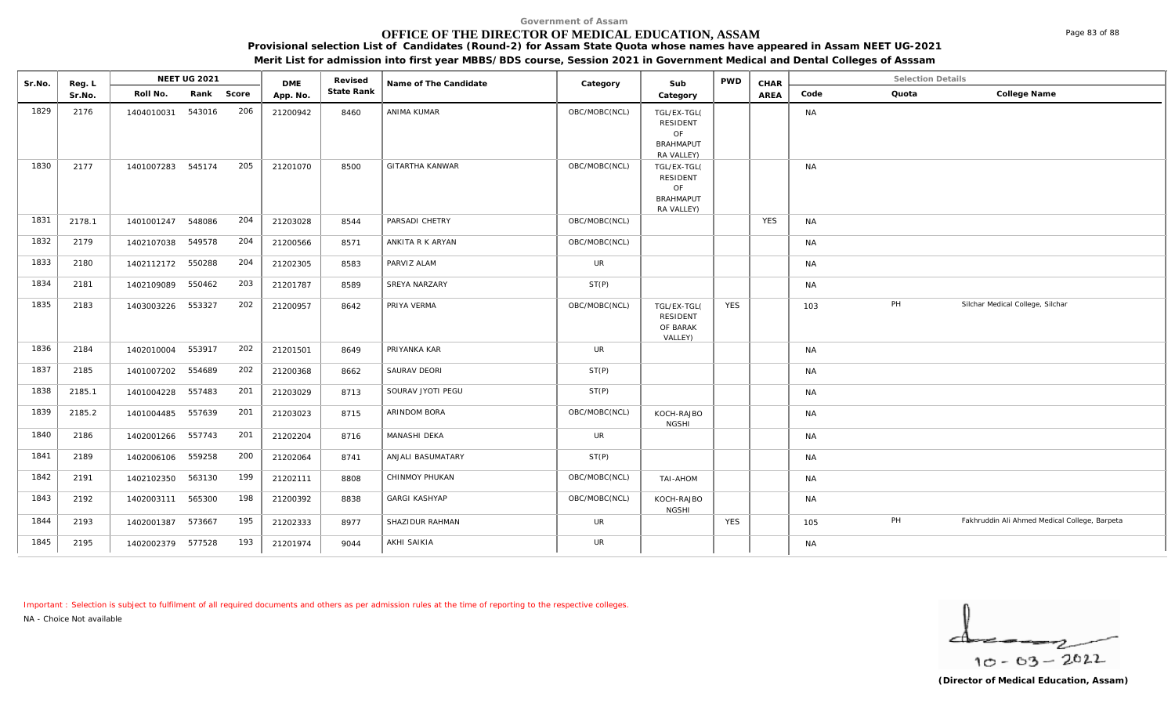# **OFFICE OF THE DIRECTOR OF MEDICAL EDUCATION, ASSAM**

**Provisional selection List of Candidates (Round-2) for Assam State Quota whose names have appeared in Assam NEET UG-2021** 

**Merit List for admission into first year MBBS/BDS course, Session 2021 in Government Medical and Dental Colleges of Asssam**

| Sr.No. | Reg. L |                   | NEET UG 2021 |       | <b>DME</b> | Revised    | Name of The Candidate  | Category      | Sub                                                                    | <b>PWD</b> | CHAR       |           | <b>Selection Details</b> |                                               |
|--------|--------|-------------------|--------------|-------|------------|------------|------------------------|---------------|------------------------------------------------------------------------|------------|------------|-----------|--------------------------|-----------------------------------------------|
|        | Sr.No. | Roll No.          | Rank         | Score | App. No.   | State Rank |                        |               | Category                                                               |            | AREA       | Code      | Quota                    | College Name                                  |
| 1829   | 2176   | 1404010031        | 543016       | 206   | 21200942   | 8460       | ANIMA KUMAR            | OBC/MOBC(NCL) | TGL/EX-TGL(<br>RESIDENT<br>OF<br><b>BRAHMAPUT</b><br>RA VALLEY)        |            |            | <b>NA</b> |                          |                                               |
| 1830   | 2177   | 1401007283 545174 |              | 205   | 21201070   | 8500       | <b>GITARTHA KANWAR</b> | OBC/MOBC(NCL) | TGL/EX-TGL(<br><b>RESIDENT</b><br>OF<br><b>BRAHMAPUT</b><br>RA VALLEY) |            |            | <b>NA</b> |                          |                                               |
| 1831   | 2178.1 | 1401001247        | 548086       | 204   | 21203028   | 8544       | PARSADI CHETRY         | OBC/MOBC(NCL) |                                                                        |            | <b>YES</b> | <b>NA</b> |                          |                                               |
| 1832   | 2179   | 1402107038        | 549578       | 204   | 21200566   | 8571       | ANKITA R K ARYAN       | OBC/MOBC(NCL) |                                                                        |            |            | <b>NA</b> |                          |                                               |
| 1833   | 2180   | 1402112172        | 550288       | 204   | 21202305   | 8583       | PARVIZ ALAM            | <b>UR</b>     |                                                                        |            |            | <b>NA</b> |                          |                                               |
| 1834   | 2181   | 1402109089        | 550462       | 203   | 21201787   | 8589       | SREYA NARZARY          | ST(P)         |                                                                        |            |            | <b>NA</b> |                          |                                               |
| 1835   | 2183   | 1403003226        | 553327       | 202   | 21200957   | 8642       | PRIYA VERMA            | OBC/MOBC(NCL) | TGL/EX-TGL(<br><b>RESIDENT</b><br>OF BARAK<br>VALLEY)                  | <b>YES</b> |            | 103       | PH                       | Silchar Medical College, Silchar              |
| 1836   | 2184   | 1402010004        | 553917       | 202   | 21201501   | 8649       | PRIYANKA KAR           | <b>UR</b>     |                                                                        |            |            | <b>NA</b> |                          |                                               |
| 1837   | 2185   | 1401007202        | 554689       | 202   | 21200368   | 8662       | SAURAV DEORI           | ST(P)         |                                                                        |            |            | <b>NA</b> |                          |                                               |
| 1838   | 2185.1 | 1401004228        | 557483       | 201   | 21203029   | 8713       | SOURAV JYOTI PEGU      | ST(P)         |                                                                        |            |            | <b>NA</b> |                          |                                               |
| 1839   | 2185.2 | 1401004485 557639 |              | 201   | 21203023   | 8715       | ARINDOM BORA           | OBC/MOBC(NCL) | KOCH-RAJBO<br><b>NGSHI</b>                                             |            |            | <b>NA</b> |                          |                                               |
| 1840   | 2186   | 1402001266 557743 |              | 201   | 21202204   | 8716       | <b>MANASHI DEKA</b>    | <b>UR</b>     |                                                                        |            |            | <b>NA</b> |                          |                                               |
| 1841   | 2189   | 1402006106        | 559258       | 200   | 21202064   | 8741       | ANJALI BASUMATARY      | ST(P)         |                                                                        |            |            | <b>NA</b> |                          |                                               |
| 1842   | 2191   | 1402102350        | 563130       | 199   | 21202111   | 8808       | CHINMOY PHUKAN         | OBC/MOBC(NCL) | TAI-AHOM                                                               |            |            | <b>NA</b> |                          |                                               |
| 1843   | 2192   | 1402003111        | 565300       | 198   | 21200392   | 8838       | <b>GARGI KASHYAP</b>   | OBC/MOBC(NCL) | KOCH-RAJBO<br><b>NGSHI</b>                                             |            |            | <b>NA</b> |                          |                                               |
| 1844   | 2193   | 1402001387        | 573667       | 195   | 21202333   | 8977       | SHAZIDUR RAHMAN        | <b>UR</b>     |                                                                        | <b>YES</b> |            | 105       | PH                       | Fakhruddin Ali Ahmed Medical College, Barpeta |
| 1845   | 2195   | 1402002379 577528 |              | 193   | 21201974   | 9044       | <b>AKHI SAIKIA</b>     | <b>UR</b>     |                                                                        |            |            | <b>NA</b> |                          |                                               |

*Important : Selection is subject to fulfilment of all required documents and others as per admission rules at the time of reporting to the respective colleges.*

*NA - Choice Not available*

 $10 - 63 - 2022$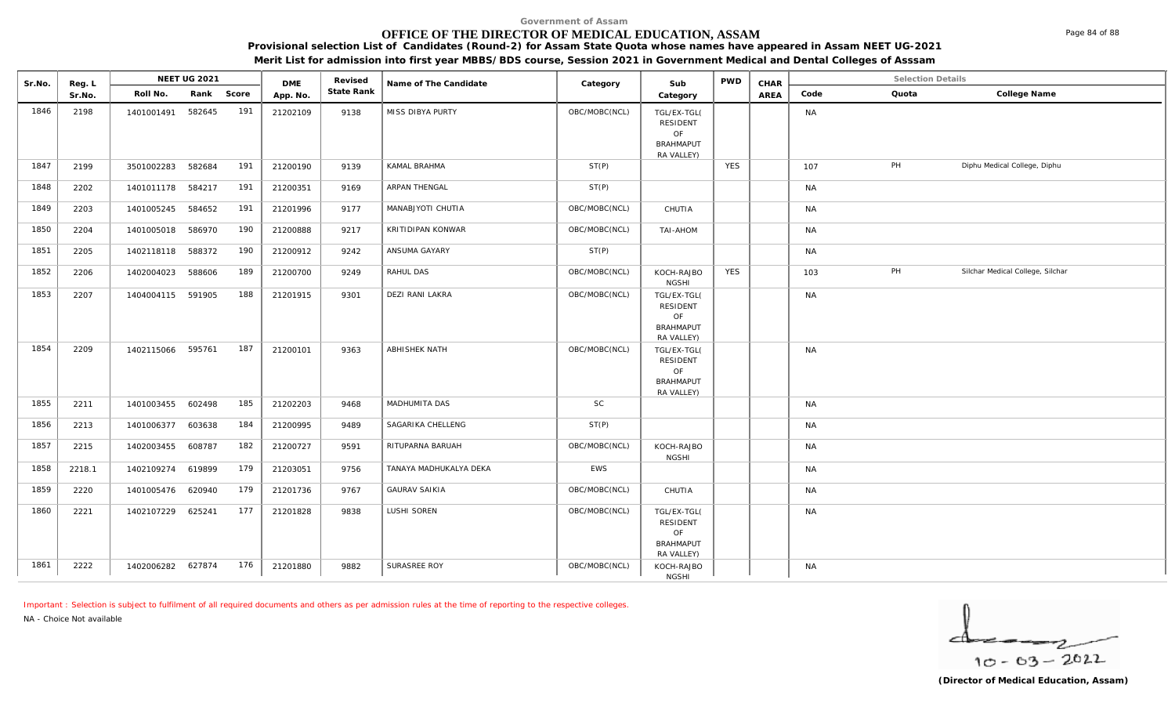# **OFFICE OF THE DIRECTOR OF MEDICAL EDUCATION, ASSAM**

**Provisional selection List of Candidates (Round-2) for Assam State Quota whose names have appeared in Assam NEET UG-2021** 

**Merit List for admission into first year MBBS/BDS course, Session 2021 in Government Medical and Dental Colleges of Asssam**

| Sr.No. | Reg. L | NEET UG 2021      |        | <b>DME</b> |          |            | Revised<br>Name of The Candidate | Category      | Sub                                                             | <b>PWD</b> | CHAR | <b>Selection Details</b> |       |                                  |
|--------|--------|-------------------|--------|------------|----------|------------|----------------------------------|---------------|-----------------------------------------------------------------|------------|------|--------------------------|-------|----------------------------------|
|        | Sr.No. | Roll No.          |        | Rank Score | App. No. | State Rank |                                  |               | Category                                                        |            | AREA | Code                     | Quota | College Name                     |
| 1846   | 2198   | 1401001491        | 582645 | 191        | 21202109 | 9138       | MISS DIBYA PURTY                 | OBC/MOBC(NCL) | TGL/EX-TGL(<br>RESIDENT<br>OF                                   |            |      | <b>NA</b>                |       |                                  |
|        |        |                   |        |            |          |            |                                  |               | <b>BRAHMAPUT</b><br>RA VALLEY)                                  |            |      |                          |       |                                  |
| 1847   | 2199   | 3501002283        | 582684 | 191        | 21200190 | 9139       | KAMAL BRAHMA                     | ST(P)         |                                                                 | <b>YES</b> |      | 107                      | PH    | Diphu Medical College, Diphu     |
| 1848   | 2202   | 1401011178 584217 |        | 191        | 21200351 | 9169       | ARPAN THENGAL                    | ST(P)         |                                                                 |            |      | <b>NA</b>                |       |                                  |
| 1849   | 2203   | 1401005245        | 584652 | 191        | 21201996 | 9177       | MANABJYOTI CHUTIA                | OBC/MOBC(NCL) | CHUTIA                                                          |            |      | <b>NA</b>                |       |                                  |
| 1850   | 2204   | 1401005018        | 586970 | 190        | 21200888 | 9217       | KRITIDIPAN KONWAR                | OBC/MOBC(NCL) | MOHA-IAT                                                        |            |      | <b>NA</b>                |       |                                  |
| 1851   | 2205   | 1402118118        | 588372 | 190        | 21200912 | 9242       | ANSUMA GAYARY                    | ST(P)         |                                                                 |            |      | <b>NA</b>                |       |                                  |
| 1852   | 2206   | 1402004023        | 588606 | 189        | 21200700 | 9249       | RAHUL DAS                        | OBC/MOBC(NCL) | KOCH-RAJBO<br><b>NGSHI</b>                                      | <b>YES</b> |      | 103                      | PH    | Silchar Medical College, Silchar |
| 1853   | 2207   | 1404004115        | 591905 | 188        | 21201915 | 9301       | <b>DEZI RANI LAKRA</b>           | OBC/MOBC(NCL) | TGL/EX-TGL(<br>RESIDENT<br>OF<br><b>BRAHMAPUT</b><br>RA VALLEY) |            |      | <b>NA</b>                |       |                                  |
| 1854   | 2209   | 1402115066 595761 |        | 187        | 21200101 | 9363       | <b>ABHISHEK NATH</b>             | OBC/MOBC(NCL) | TGL/EX-TGL(<br>RESIDENT<br>OF<br><b>BRAHMAPUT</b><br>RA VALLEY) |            |      | <b>NA</b>                |       |                                  |
| 1855   | 2211   | 1401003455        | 602498 | 185        | 21202203 | 9468       | MADHUMITA DAS                    | <b>SC</b>     |                                                                 |            |      | <b>NA</b>                |       |                                  |
| 1856   | 2213   | 1401006377        | 603638 | 184        | 21200995 | 9489       | SAGARIKA CHELLENG                | ST(P)         |                                                                 |            |      | <b>NA</b>                |       |                                  |
| 1857   | 2215   | 1402003455        | 608787 | 182        | 21200727 | 9591       | RITUPARNA BARUAH                 | OBC/MOBC(NCL) | KOCH-RAJBO<br><b>NGSHI</b>                                      |            |      | <b>NA</b>                |       |                                  |
| 1858   | 2218.1 | 1402109274 619899 |        | 179        | 21203051 | 9756       | TANAYA MADHUKALYA DEKA           | EWS           |                                                                 |            |      | <b>NA</b>                |       |                                  |
| 1859   | 2220   | 1401005476        | 620940 | 179        | 21201736 | 9767       | <b>GAURAV SAIKIA</b>             | OBC/MOBC(NCL) | CHUTIA                                                          |            |      | <b>NA</b>                |       |                                  |
| 1860   | 2221   | 1402107229 625241 |        | 177        | 21201828 | 9838       | LUSHI SOREN                      | OBC/MOBC(NCL) | TGL/EX-TGL(<br>RESIDENT<br>OF<br><b>BRAHMAPUT</b><br>RA VALLEY) |            |      | <b>NA</b>                |       |                                  |
| 1861   | 2222   | 1402006282 627874 |        | 176        | 21201880 | 9882       | SURASREE ROY                     | OBC/MOBC(NCL) | KOCH-RAJBO<br><b>NGSHI</b>                                      |            |      | <b>NA</b>                |       |                                  |

*Important : Selection is subject to fulfilment of all required documents and others as per admission rules at the time of reporting to the respective colleges.*

*NA - Choice Not available*

╭  $10 - 63 - 2022$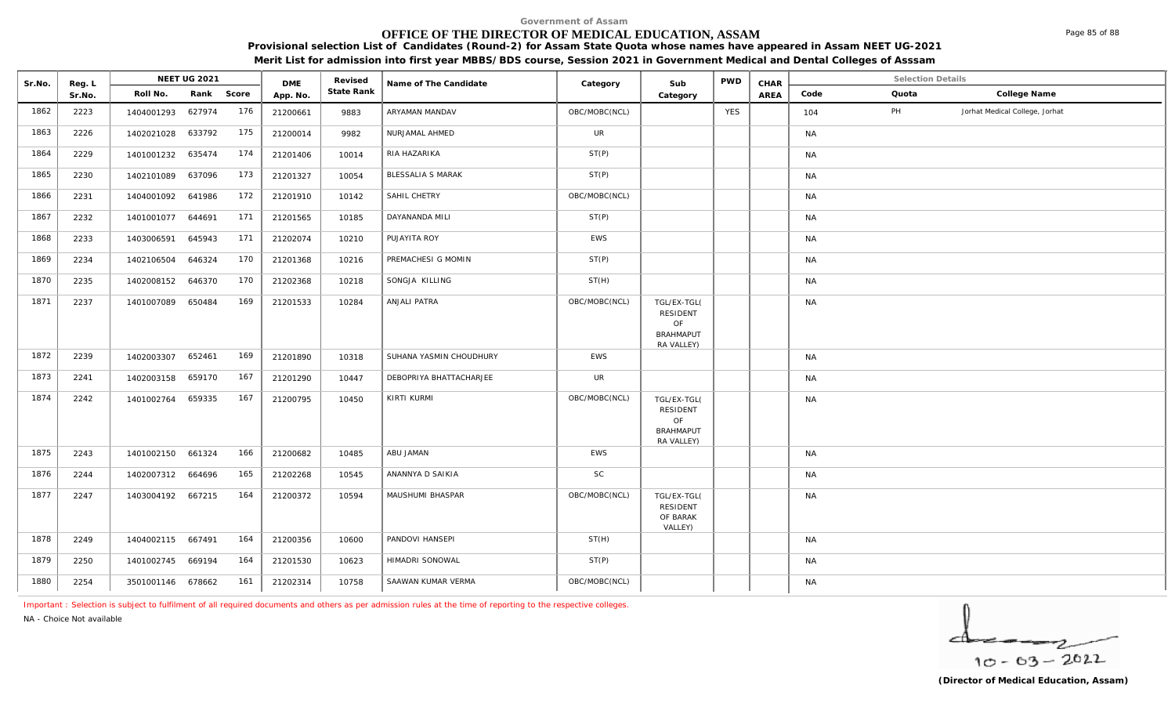# **OFFICE OF THE DIRECTOR OF MEDICAL EDUCATION, ASSAM**

**Provisional selection List of Candidates (Round-2) for Assam State Quota whose names have appeared in Assam NEET UG-2021** 

**Merit List for admission into first year MBBS/BDS course, Session 2021 in Government Medical and Dental Colleges of Asssam**

| Sr.No. | Reg. L | <b>NEET UG 2021</b> |            | <b>DME</b> |          |            | Name of The Candidate    | Category      | Sub                                                                    | <b>PWD</b> | CHAR | <b>Selection Details</b> |       |                                |
|--------|--------|---------------------|------------|------------|----------|------------|--------------------------|---------------|------------------------------------------------------------------------|------------|------|--------------------------|-------|--------------------------------|
|        | Sr.No. | Roll No.            | Rank Score |            | App. No. | State Rank |                          |               | Category                                                               |            | AREA | Code                     | Quota | College Name                   |
| 1862   | 2223   | 1404001293          | 627974     | 176        | 21200661 | 9883       | ARYAMAN MANDAV           | OBC/MOBC(NCL) |                                                                        | <b>YES</b> |      | 104                      | PH    | Jorhat Medical College, Jorhat |
| 1863   | 2226   | 1402021028 633792   |            | 175        | 21200014 | 9982       | NURJAMAL AHMED           | UR            |                                                                        |            |      | <b>NA</b>                |       |                                |
| 1864   | 2229   | 1401001232          | 635474     | 174        | 21201406 | 10014      | RIA HAZARIKA             | ST(P)         |                                                                        |            |      | <b>NA</b>                |       |                                |
| 1865   | 2230   | 1402101089          | 637096     | 173        | 21201327 | 10054      | <b>BLESSALIA S MARAK</b> | ST(P)         |                                                                        |            |      | NA                       |       |                                |
| 1866   | 2231   | 1404001092          | 641986     | 172        | 21201910 | 10142      | SAHIL CHETRY             | OBC/MOBC(NCL) |                                                                        |            |      | <b>NA</b>                |       |                                |
| 1867   | 2232   | 1401001077 644691   |            | 171        | 21201565 | 10185      | DAYANANDA MILI           | ST(P)         |                                                                        |            |      | NA                       |       |                                |
| 1868   | 2233   | 1403006591          | 645943     | 171        | 21202074 | 10210      | PUJAYITA ROY             | EWS           |                                                                        |            |      | NA                       |       |                                |
| 1869   | 2234   | 1402106504          | 646324     | 170        | 21201368 | 10216      | PREMACHESI G MOMIN       | ST(P)         |                                                                        |            |      | <b>NA</b>                |       |                                |
| 1870   | 2235   | 1402008152          | 646370     | 170        | 21202368 | 10218      | SONGJA KILLING           | ST(H)         |                                                                        |            |      | NA                       |       |                                |
| 1871   | 2237   | 1401007089          | 650484     | 169        | 21201533 | 10284      | ANJALI PATRA             | OBC/MOBC(NCL) | TGL/EX-TGL(<br><b>RESIDENT</b><br>OF<br><b>BRAHMAPUT</b><br>RA VALLEY) |            |      | <b>NA</b>                |       |                                |
| 1872   | 2239   | 1402003307          | 652461     | 169        | 21201890 | 10318      | SUHANA YASMIN CHOUDHURY  | EWS           |                                                                        |            |      | NA                       |       |                                |
| 1873   | 2241   | 1402003158          | 659170     | 167        | 21201290 | 10447      | DEBOPRIYA BHATTACHARJEE  | UR            |                                                                        |            |      | NA                       |       |                                |
| 1874   | 2242   | 1401002764 659335   |            | 167        | 21200795 | 10450      | KIRTI KURMI              | OBC/MOBC(NCL) | TGL/EX-TGL(<br>RESIDENT<br>OF<br><b>BRAHMAPUT</b><br>RA VALLEY)        |            |      | <b>NA</b>                |       |                                |
| 1875   | 2243   | 1401002150 661324   |            | 166        | 21200682 | 10485      | ABU JAMAN                | EWS           |                                                                        |            |      | NA                       |       |                                |
| 1876   | 2244   | 1402007312          | 664696     | 165        | 21202268 | 10545      | ANANNYA D SAIKIA         | <b>SC</b>     |                                                                        |            |      | <b>NA</b>                |       |                                |
| 1877   | 2247   | 1403004192 667215   |            | 164        | 21200372 | 10594      | MAUSHUMI BHASPAR         | OBC/MOBC(NCL) | TGL/EX-TGL(<br><b>RESIDENT</b><br>OF BARAK<br>VALLEY)                  |            |      | NA                       |       |                                |
| 1878   | 2249   | 1404002115 667491   |            | 164        | 21200356 | 10600      | PANDOVI HANSEPI          | ST(H)         |                                                                        |            |      | NA                       |       |                                |
| 1879   | 2250   | 1401002745 669194   |            | 164        | 21201530 | 10623      | HIMADRI SONOWAL          | ST(P)         |                                                                        |            |      | <b>NA</b>                |       |                                |
| 1880   | 2254   | 3501001146 678662   |            | 161        | 21202314 | 10758      | SAAWAN KUMAR VERMA       | OBC/MOBC(NCL) |                                                                        |            |      | NA                       |       |                                |

*Important : Selection is subject to fulfilment of all required documents and others as per admission rules at the time of reporting to the respective colleges.*

*NA - Choice Not available*

 $10 - 63 - 2022$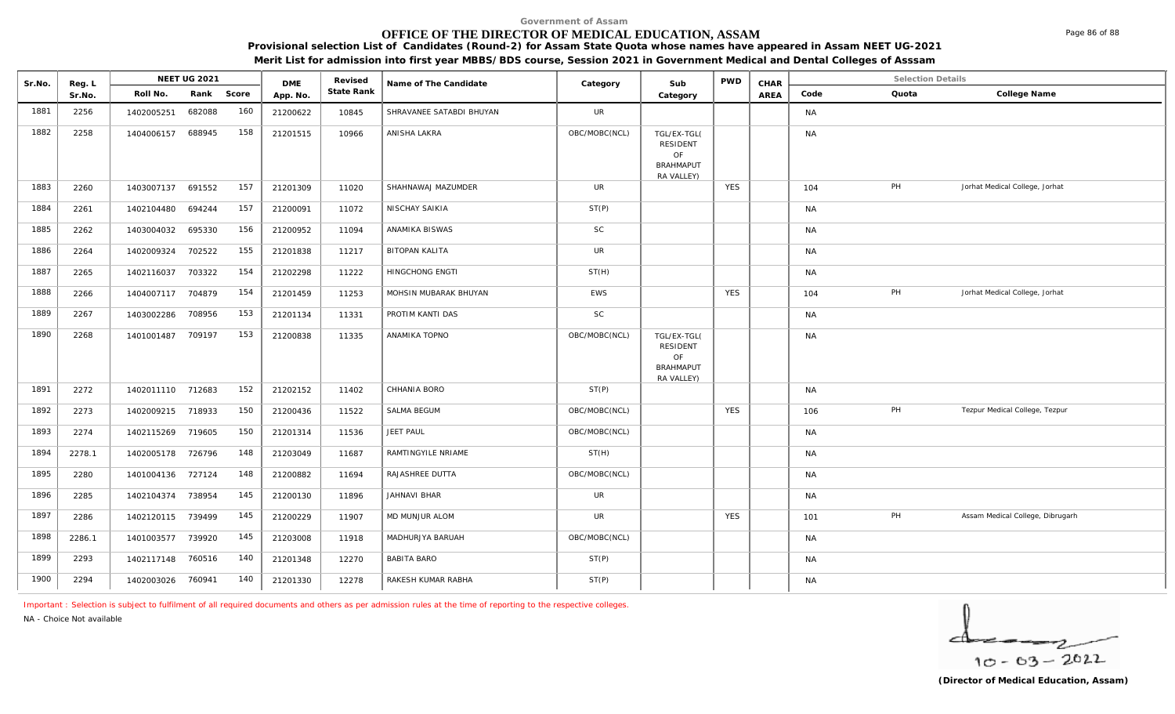# **OFFICE OF THE DIRECTOR OF MEDICAL EDUCATION, ASSAM**

**Provisional selection List of Candidates (Round-2) for Assam State Quota whose names have appeared in Assam NEET UG-2021** 

**Merit List for admission into first year MBBS/BDS course, Session 2021 in Government Medical and Dental Colleges of Asssam**

| Sr.No. | Reg. L | <b>NEET UG 2021</b> |        | <b>DME</b> |          |            | Revised<br>Name of The Candidate | Category      | Sub                                                             | <b>PWD</b> | CHAR | <b>Selection Details</b> |       |                                  |
|--------|--------|---------------------|--------|------------|----------|------------|----------------------------------|---------------|-----------------------------------------------------------------|------------|------|--------------------------|-------|----------------------------------|
|        | Sr.No. | Roll No.            | Rank   | Score      | App. No. | State Rank |                                  |               | Category                                                        |            | AREA | Code                     | Quota | College Name                     |
| 1881   | 2256   | 1402005251          | 682088 | 160        | 21200622 | 10845      | SHRAVANEE SATABDI BHUYAN         | <b>UR</b>     |                                                                 |            |      | NA                       |       |                                  |
| 1882   | 2258   | 1404006157          | 688945 | 158        | 21201515 | 10966      | ANISHA LAKRA                     | OBC/MOBC(NCL) | TGL/EX-TGL(<br>RESIDENT<br>OF<br>BRAHMAPUT<br>RA VALLEY)        |            |      | <b>NA</b>                |       |                                  |
| 1883   | 2260   | 1403007137          | 691552 | 157        | 21201309 | 11020      | SHAHNAWAJ MAZUMDER               | <b>UR</b>     |                                                                 | <b>YES</b> |      | 104                      | PH    | Jorhat Medical College, Jorhat   |
| 1884   | 2261   | 1402104480          | 694244 | 157        | 21200091 | 11072      | NISCHAY SAIKIA                   | ST(P)         |                                                                 |            |      | <b>NA</b>                |       |                                  |
| 1885   | 2262   | 1403004032          | 695330 | 156        | 21200952 | 11094      | ANAMIKA BISWAS                   | <b>SC</b>     |                                                                 |            |      | NA                       |       |                                  |
| 1886   | 2264   | 1402009324          | 702522 | 155        | 21201838 | 11217      | <b>BITOPAN KALITA</b>            | <b>UR</b>     |                                                                 |            |      | <b>NA</b>                |       |                                  |
| 1887   | 2265   | 1402116037          | 703322 | 154        | 21202298 | 11222      | HINGCHONG ENGTI                  | ST(H)         |                                                                 |            |      | NA                       |       |                                  |
| 1888   | 2266   | 1404007117          | 704879 | 154        | 21201459 | 11253      | MOHSIN MUBARAK BHUYAN            | <b>EWS</b>    |                                                                 | <b>YES</b> |      | 104                      | PH    | Jorhat Medical College, Jorhat   |
| 1889   | 2267   | 1403002286 708956   |        | 153        | 21201134 | 11331      | PROTIM KANTI DAS                 | <b>SC</b>     |                                                                 |            |      | <b>NA</b>                |       |                                  |
| 1890   | 2268   | 1401001487 709197   |        | 153        | 21200838 | 11335      | ANAMIKA TOPNO                    | OBC/MOBC(NCL) | TGL/EX-TGL(<br><b>RESIDENT</b><br>OF<br>BRAHMAPUT<br>RA VALLEY) |            |      | <b>NA</b>                |       |                                  |
| 1891   | 2272   | 1402011110 712683   |        | 152        | 21202152 | 11402      | CHHANIA BORO                     | ST(P)         |                                                                 |            |      | <b>NA</b>                |       |                                  |
| 1892   | 2273   | 1402009215 718933   |        | 150        | 21200436 | 11522      | SALMA BEGUM                      | OBC/MOBC(NCL) |                                                                 | <b>YES</b> |      | 106                      | PH    | Tezpur Medical College, Tezpur   |
| 1893   | 2274   | 1402115269          | 719605 | 150        | 21201314 | 11536      | <b>JEET PAUL</b>                 | OBC/MOBC(NCL) |                                                                 |            |      | NA                       |       |                                  |
| 1894   | 2278.1 | 1402005178 726796   |        | 148        | 21203049 | 11687      | RAMTINGYILE NRIAME               | ST(H)         |                                                                 |            |      | NA                       |       |                                  |
| 1895   | 2280   | 1401004136 727124   |        | 148        | 21200882 | 11694      | RAJASHREE DUTTA                  | OBC/MOBC(NCL) |                                                                 |            |      | <b>NA</b>                |       |                                  |
| 1896   | 2285   | 1402104374 738954   |        | 145        | 21200130 | 11896      | JAHNAVI BHAR                     | <b>UR</b>     |                                                                 |            |      | <b>NA</b>                |       |                                  |
| 1897   | 2286   | 1402120115 739499   |        | 145        | 21200229 | 11907      | MD MUNJUR ALOM                   | UR            |                                                                 | <b>YES</b> |      | 101                      | PH    | Assam Medical College, Dibrugarh |
| 1898   | 2286.1 | 1401003577 739920   |        | 145        | 21203008 | 11918      | MADHURJYA BARUAH                 | OBC/MOBC(NCL) |                                                                 |            |      | NA                       |       |                                  |
| 1899   | 2293   | 1402117148          | 760516 | 140        | 21201348 | 12270      | <b>BABITA BARO</b>               | ST(P)         |                                                                 |            |      | <b>NA</b>                |       |                                  |
| 1900   | 2294   | 1402003026 760941   |        | 140        | 21201330 | 12278      | RAKESH KUMAR RABHA               | ST(P)         |                                                                 |            |      | NA                       |       |                                  |

*Important : Selection is subject to fulfilment of all required documents and others as per admission rules at the time of reporting to the respective colleges.*

*NA - Choice Not available*

$$
\frac{1}{10-63-2022}
$$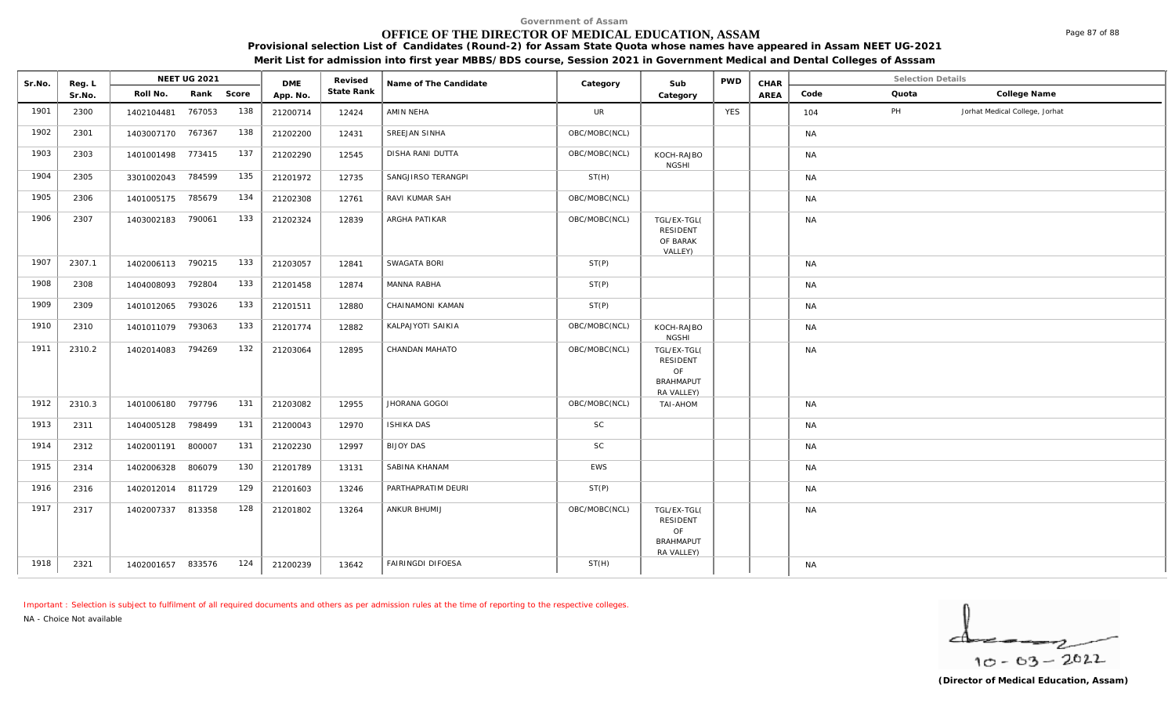# **OFFICE OF THE DIRECTOR OF MEDICAL EDUCATION, ASSAM**

**Provisional selection List of Candidates (Round-2) for Assam State Quota whose names have appeared in Assam NEET UG-2021** 

| Merit List for admission into first year MBBS/BDS course, Session 2021 in Government Medical and Dental Colleges of Asssam |  |
|----------------------------------------------------------------------------------------------------------------------------|--|
|                                                                                                                            |  |

| Sr.No. | Reg. L | <b>NEET UG 2021</b> |            |     | <b>DME</b> | Revised    | Name of The Candidate   | Category      | Sub                                                             | <b>PWD</b> | CHAR | <b>Selection Details</b> |       |                                |
|--------|--------|---------------------|------------|-----|------------|------------|-------------------------|---------------|-----------------------------------------------------------------|------------|------|--------------------------|-------|--------------------------------|
|        | Sr.No. | Roll No.            | Rank Score |     | App. No.   | State Rank |                         |               | Category                                                        |            | AREA | Code                     | Quota | College Name                   |
| 1901   | 2300   | 1402104481          | 767053     | 138 | 21200714   | 12424      | AMIN NEHA               | <b>UR</b>     |                                                                 | <b>YES</b> |      | 104                      | PH    | Jorhat Medical College, Jorhat |
| 1902   | 2301   | 1403007170 767367   |            | 138 | 21202200   | 12431      | SREEJAN SINHA           | OBC/MOBC(NCL) |                                                                 |            |      | NA                       |       |                                |
| 1903   | 2303   | 1401001498          | 773415     | 137 | 21202290   | 12545      | <b>DISHA RANI DUTTA</b> | OBC/MOBC(NCL) | KOCH-RAJBO<br><b>NGSHI</b>                                      |            |      | <b>NA</b>                |       |                                |
| 1904   | 2305   | 3301002043          | 784599     | 135 | 21201972   | 12735      | SANGJIRSO TERANGPI      | ST(H)         |                                                                 |            |      | <b>NA</b>                |       |                                |
| 1905   | 2306   | 1401005175          | 785679     | 134 | 21202308   | 12761      | RAVI KUMAR SAH          | OBC/MOBC(NCL) |                                                                 |            |      | <b>NA</b>                |       |                                |
| 1906   | 2307   | 1403002183          | 790061     | 133 | 21202324   | 12839      | ARGHA PATIKAR           | OBC/MOBC(NCL) | TGL/EX-TGL(<br><b>RESIDENT</b><br>OF BARAK<br>VALLEY)           |            |      | <b>NA</b>                |       |                                |
| 1907   | 2307.1 | 1402006113 790215   |            | 133 | 21203057   | 12841      | SWAGATA BORI            | ST(P)         |                                                                 |            |      | <b>NA</b>                |       |                                |
| 1908   | 2308   | 1404008093          | 792804     | 133 | 21201458   | 12874      | MANNA RABHA             | ST(P)         |                                                                 |            |      | <b>NA</b>                |       |                                |
| 1909   | 2309   | 1401012065          | 793026     | 133 | 21201511   | 12880      | CHAINAMONI KAMAN        | ST(P)         |                                                                 |            |      | NA                       |       |                                |
| 1910   | 2310   | 1401011079          | 793063     | 133 | 21201774   | 12882      | KALPAJYOTI SAIKIA       | OBC/MOBC(NCL) | KOCH-RAJBO<br><b>NGSHI</b>                                      |            |      | <b>NA</b>                |       |                                |
| 1911   | 2310.2 | 1402014083          | 794269     | 132 | 21203064   | 12895      | CHANDAN MAHATO          | OBC/MOBC(NCL) | TGL/EX-TGL(<br>RESIDENT<br>OF<br><b>BRAHMAPUT</b><br>RA VALLEY) |            |      | <b>NA</b>                |       |                                |
| 1912   | 2310.3 | 1401006180 797796   |            | 131 | 21203082   | 12955      | JHORANA GOGOI           | OBC/MOBC(NCL) | MOHA-IAT                                                        |            |      | <b>NA</b>                |       |                                |
| 1913   | 2311   | 1404005128          | 798499     | 131 | 21200043   | 12970      | <b>ISHIKA DAS</b>       | <b>SC</b>     |                                                                 |            |      | <b>NA</b>                |       |                                |
| 1914   | 2312   | 1402001191          | 800007     | 131 | 21202230   | 12997      | <b>BIJOY DAS</b>        | SC            |                                                                 |            |      | <b>NA</b>                |       |                                |
| 1915   | 2314   | 1402006328          | 806079     | 130 | 21201789   | 13131      | SABINA KHANAM           | EWS           |                                                                 |            |      | <b>NA</b>                |       |                                |
| 1916   | 2316   | 1402012014          | 811729     | 129 | 21201603   | 13246      | PARTHAPRATIM DEURI      | ST(P)         |                                                                 |            |      | <b>NA</b>                |       |                                |
| 1917   | 2317   | 1402007337          | 813358     | 128 | 21201802   | 13264      | ANKUR BHUMIJ            | OBC/MOBC(NCL) | TGL/EX-TGL(<br>RESIDENT<br>OF<br><b>BRAHMAPUT</b><br>RA VALLEY) |            |      | <b>NA</b>                |       |                                |
| 1918   | 2321   | 1402001657 833576   |            | 124 | 21200239   | 13642      | FAIRINGDI DIFOESA       | ST(H)         |                                                                 |            |      | <b>NA</b>                |       |                                |

*Important : Selection is subject to fulfilment of all required documents and others as per admission rules at the time of reporting to the respective colleges.*

*NA - Choice Not available*

▱  $10 - 63 - 2022$